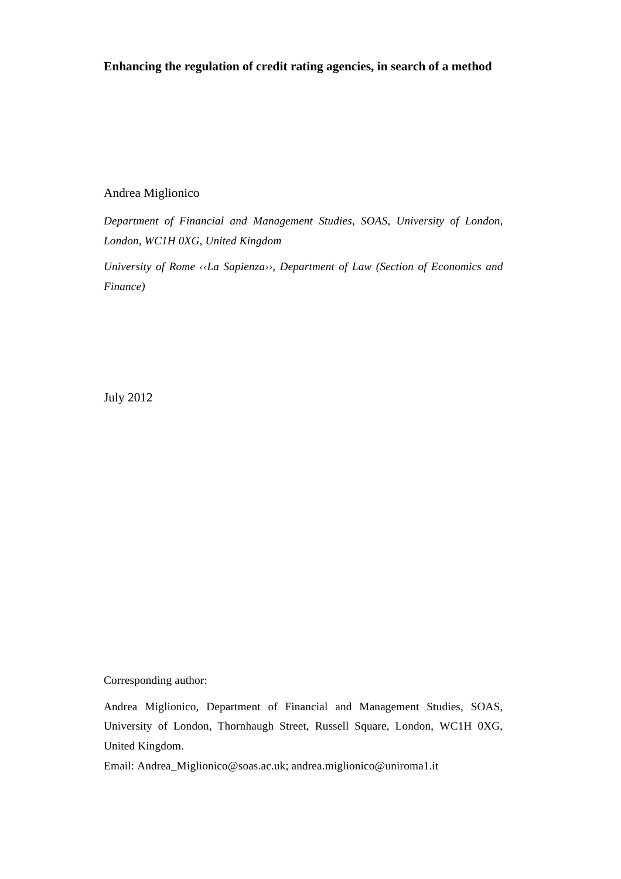## **Enhancing the regulation of credit rating agencies, in search of a method**

## Andrea Miglionico

*Department of Financial and Management Studies, SOAS, University of London, London, WC1H 0XG, United Kingdom* 

*University of Rome ‹‹La Sapienza››, Department of Law (Section of Economics and Finance)* 

July 2012

Corresponding author:

Andrea Miglionico, Department of Financial and Management Studies, SOAS, University of London, Thornhaugh Street, Russell Square, London, WC1H 0XG, United Kingdom.

Email: Andrea\_Miglionico@soas.ac.uk; andrea.miglionico@uniroma1.it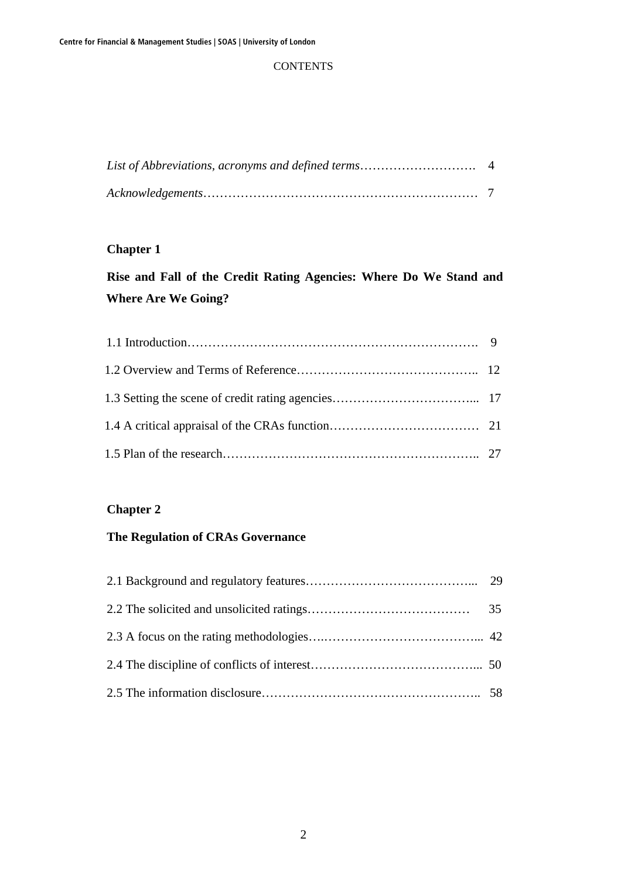## **CONTENTS**

# **Chapter 1**

# **Rise and Fall of the Credit Rating Agencies: Where Do We Stand and Where Are We Going?**

## **Chapter 2**

# **The Regulation of CRAs Governance**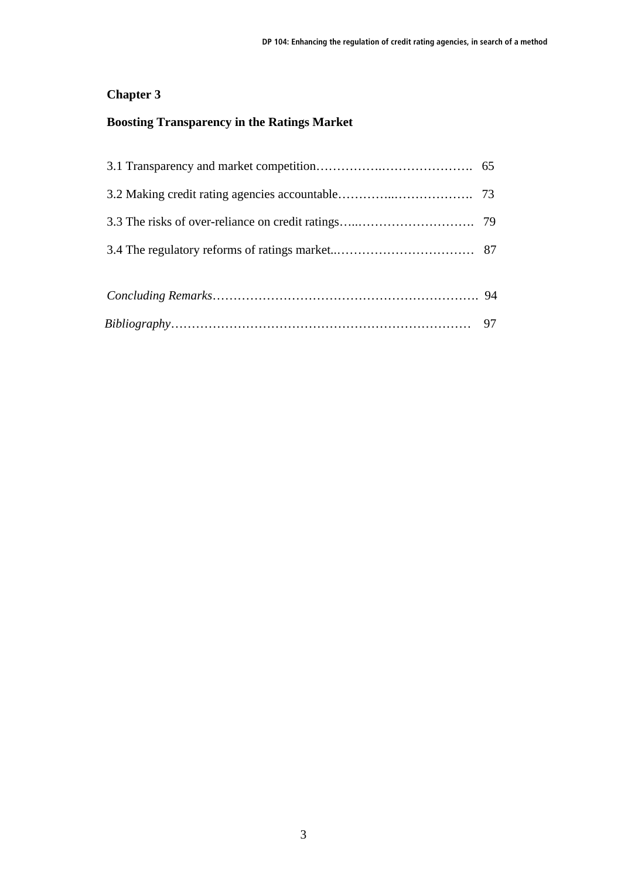# **Chapter 3**

# **Boosting Transparency in the Ratings Market**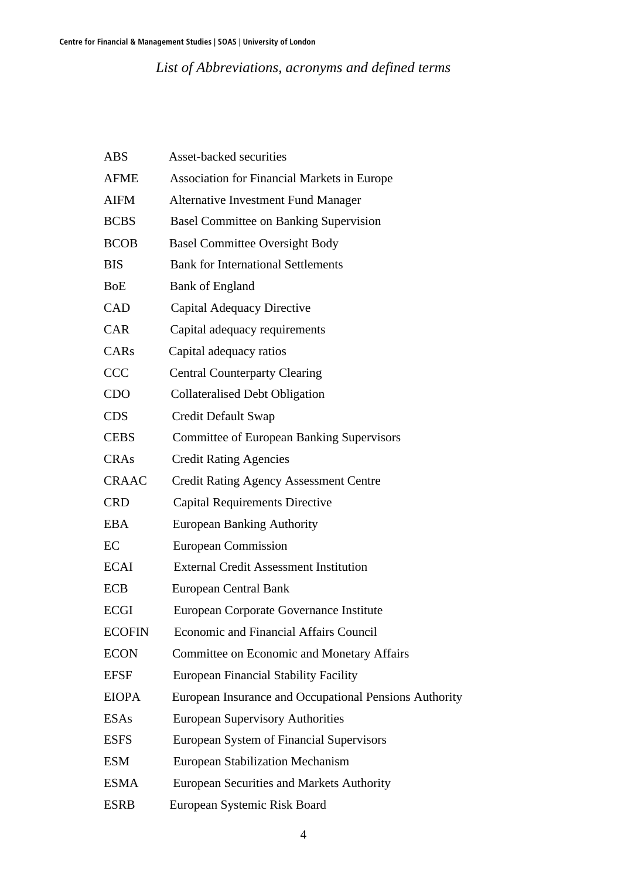*List of Abbreviations, acronyms and defined terms* 

| <b>ABS</b>       | Asset-backed securities                                |
|------------------|--------------------------------------------------------|
| <b>AFME</b>      | <b>Association for Financial Markets in Europe</b>     |
| <b>AIFM</b>      | <b>Alternative Investment Fund Manager</b>             |
| <b>BCBS</b>      | <b>Basel Committee on Banking Supervision</b>          |
| <b>BCOB</b>      | <b>Basel Committee Oversight Body</b>                  |
| <b>BIS</b>       | <b>Bank for International Settlements</b>              |
| <b>BoE</b>       | <b>Bank of England</b>                                 |
| CAD              | <b>Capital Adequacy Directive</b>                      |
| <b>CAR</b>       | Capital adequacy requirements                          |
| CAR <sub>s</sub> | Capital adequacy ratios                                |
| <b>CCC</b>       | <b>Central Counterparty Clearing</b>                   |
| <b>CDO</b>       | <b>Collateralised Debt Obligation</b>                  |
| <b>CDS</b>       | Credit Default Swap                                    |
| <b>CEBS</b>      | <b>Committee of European Banking Supervisors</b>       |
| <b>CRAs</b>      | <b>Credit Rating Agencies</b>                          |
| <b>CRAAC</b>     | <b>Credit Rating Agency Assessment Centre</b>          |
| <b>CRD</b>       | <b>Capital Requirements Directive</b>                  |
| <b>EBA</b>       | <b>European Banking Authority</b>                      |
| EC               | <b>European Commission</b>                             |
| <b>ECAI</b>      | <b>External Credit Assessment Institution</b>          |
| <b>ECB</b>       | <b>European Central Bank</b>                           |
| <b>ECGI</b>      | European Corporate Governance Institute                |
| <b>ECOFIN</b>    | Economic and Financial Affairs Council                 |
| <b>ECON</b>      | <b>Committee on Economic and Monetary Affairs</b>      |
| <b>EFSF</b>      | <b>European Financial Stability Facility</b>           |
| <b>EIOPA</b>     | European Insurance and Occupational Pensions Authority |
| <b>ESAs</b>      | <b>European Supervisory Authorities</b>                |
| <b>ESFS</b>      | European System of Financial Supervisors               |
| <b>ESM</b>       | <b>European Stabilization Mechanism</b>                |
| <b>ESMA</b>      | <b>European Securities and Markets Authority</b>       |
| <b>ESRB</b>      | European Systemic Risk Board                           |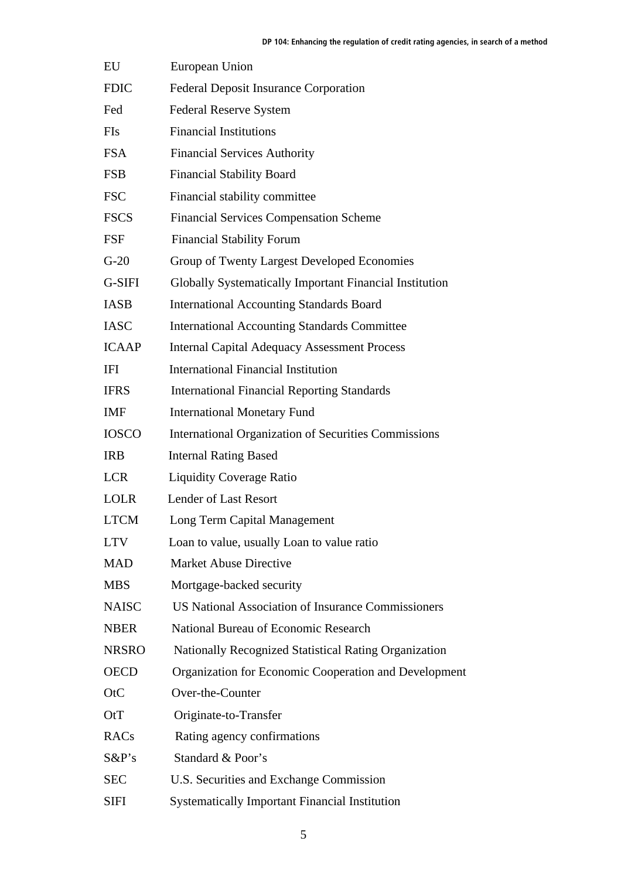| EU           | European Union                                            |
|--------------|-----------------------------------------------------------|
| <b>FDIC</b>  | Federal Deposit Insurance Corporation                     |
| Fed          | <b>Federal Reserve System</b>                             |
| FIs          | <b>Financial Institutions</b>                             |
| <b>FSA</b>   | <b>Financial Services Authority</b>                       |
| <b>FSB</b>   | <b>Financial Stability Board</b>                          |
| <b>FSC</b>   | Financial stability committee                             |
| <b>FSCS</b>  | <b>Financial Services Compensation Scheme</b>             |
| FSF          | <b>Financial Stability Forum</b>                          |
| $G-20$       | Group of Twenty Largest Developed Economies               |
| G-SIFI       | Globally Systematically Important Financial Institution   |
| <b>IASB</b>  | <b>International Accounting Standards Board</b>           |
| <b>IASC</b>  | <b>International Accounting Standards Committee</b>       |
| <b>ICAAP</b> | <b>Internal Capital Adequacy Assessment Process</b>       |
| IFI          | International Financial Institution                       |
| <b>IFRS</b>  | <b>International Financial Reporting Standards</b>        |
| <b>IMF</b>   | <b>International Monetary Fund</b>                        |
| <b>IOSCO</b> | International Organization of Securities Commissions      |
| <b>IRB</b>   | <b>Internal Rating Based</b>                              |
| <b>LCR</b>   | <b>Liquidity Coverage Ratio</b>                           |
| <b>LOLR</b>  | <b>Lender of Last Resort</b>                              |
| <b>LTCM</b>  | Long Term Capital Management                              |
| <b>LTV</b>   | Loan to value, usually Loan to value ratio                |
| <b>MAD</b>   | <b>Market Abuse Directive</b>                             |
| <b>MBS</b>   | Mortgage-backed security                                  |
| <b>NAISC</b> | <b>US National Association of Insurance Commissioners</b> |
| <b>NBER</b>  | National Bureau of Economic Research                      |
| <b>NRSRO</b> | Nationally Recognized Statistical Rating Organization     |
| <b>OECD</b>  | Organization for Economic Cooperation and Development     |
| OtC          | Over-the-Counter                                          |
| OtT          | Originate-to-Transfer                                     |
| RACs         | Rating agency confirmations                               |
| $S\&P's$     | Standard & Poor's                                         |
| <b>SEC</b>   | U.S. Securities and Exchange Commission                   |
| SIFI         | <b>Systematically Important Financial Institution</b>     |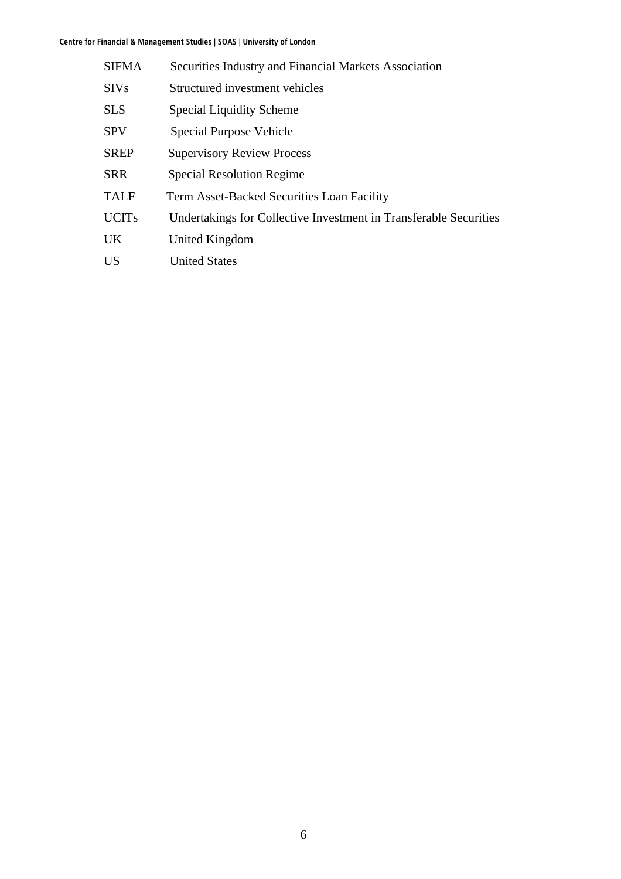| <b>SIFMA</b> | Securities Industry and Financial Markets Association             |
|--------------|-------------------------------------------------------------------|
| <b>SIVs</b>  | Structured investment vehicles                                    |
| <b>SLS</b>   | <b>Special Liquidity Scheme</b>                                   |
| <b>SPV</b>   | Special Purpose Vehicle                                           |
| <b>SREP</b>  | <b>Supervisory Review Process</b>                                 |
| <b>SRR</b>   | <b>Special Resolution Regime</b>                                  |
| <b>TALF</b>  | Term Asset-Backed Securities Loan Facility                        |
| <b>UCITs</b> | Undertakings for Collective Investment in Transferable Securities |
| <b>UK</b>    | United Kingdom                                                    |
| <b>US</b>    | <b>United States</b>                                              |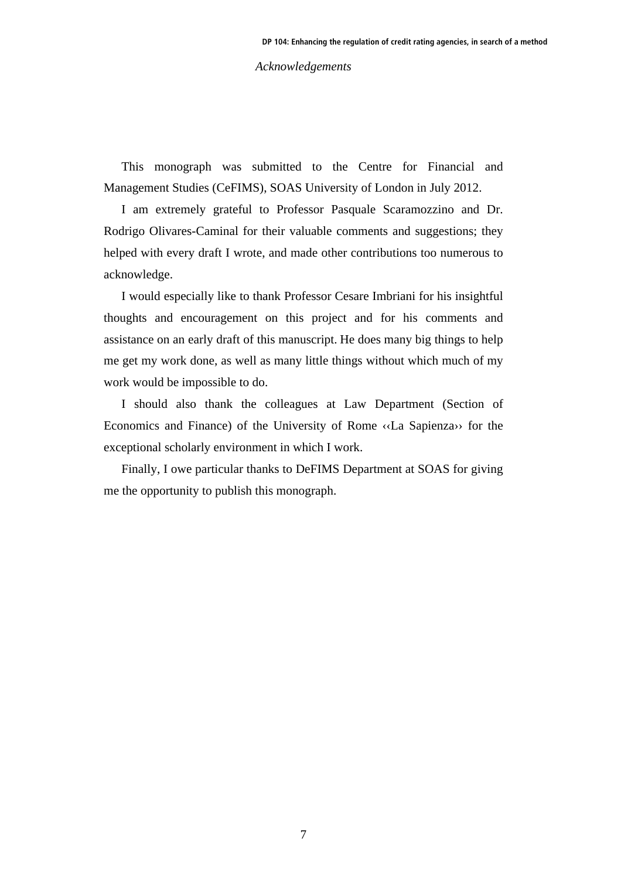*Acknowledgements* 

This monograph was submitted to the Centre for Financial and Management Studies (CeFIMS), SOAS University of London in July 2012.

I am extremely grateful to Professor Pasquale Scaramozzino and Dr. Rodrigo Olivares-Caminal for their valuable comments and suggestions; they helped with every draft I wrote, and made other contributions too numerous to acknowledge.

I would especially like to thank Professor Cesare Imbriani for his insightful thoughts and encouragement on this project and for his comments and assistance on an early draft of this manuscript. He does many big things to help me get my work done, as well as many little things without which much of my work would be impossible to do.

I should also thank the colleagues at Law Department (Section of Economics and Finance) of the University of Rome ‹‹La Sapienza›› for the exceptional scholarly environment in which I work.

Finally, I owe particular thanks to DeFIMS Department at SOAS for giving me the opportunity to publish this monograph.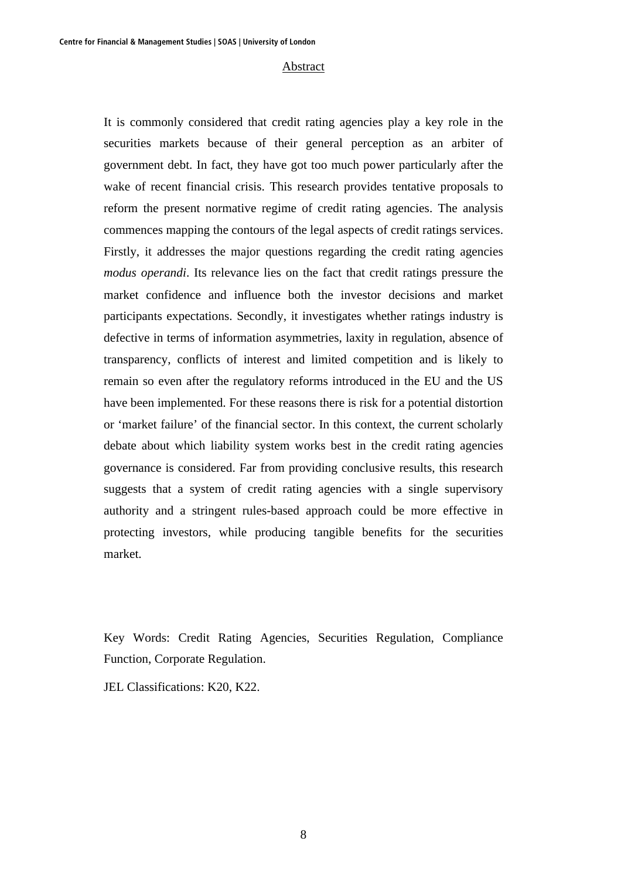#### Abstract

It is commonly considered that credit rating agencies play a key role in the securities markets because of their general perception as an arbiter of government debt. In fact, they have got too much power particularly after the wake of recent financial crisis. This research provides tentative proposals to reform the present normative regime of credit rating agencies. The analysis commences mapping the contours of the legal aspects of credit ratings services. Firstly, it addresses the major questions regarding the credit rating agencies *modus operandi*. Its relevance lies on the fact that credit ratings pressure the market confidence and influence both the investor decisions and market participants expectations. Secondly, it investigates whether ratings industry is defective in terms of information asymmetries, laxity in regulation, absence of transparency, conflicts of interest and limited competition and is likely to remain so even after the regulatory reforms introduced in the EU and the US have been implemented. For these reasons there is risk for a potential distortion or 'market failure' of the financial sector. In this context, the current scholarly debate about which liability system works best in the credit rating agencies governance is considered. Far from providing conclusive results, this research suggests that a system of credit rating agencies with a single supervisory authority and a stringent rules-based approach could be more effective in protecting investors, while producing tangible benefits for the securities market.

Key Words: Credit Rating Agencies, Securities Regulation, Compliance Function, Corporate Regulation.

JEL Classifications: K20, K22.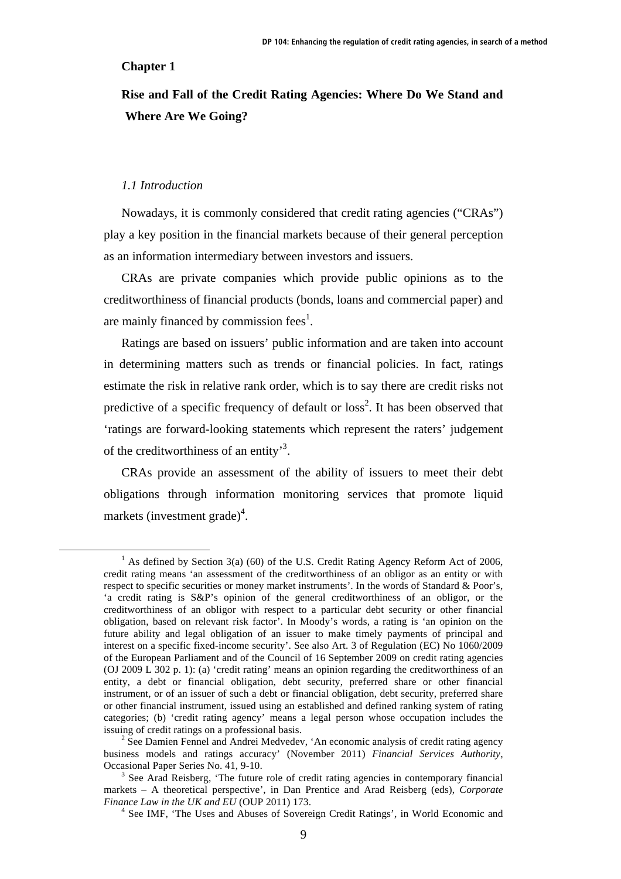### **Chapter 1**

# **Rise and Fall of the Credit Rating Agencies: Where Do We Stand and Where Are We Going?**

### *1.1 Introduction*

Nowadays, it is commonly considered that credit rating agencies ("CRAs") play a key position in the financial markets because of their general perception as an information intermediary between investors and issuers.

CRAs are private companies which provide public opinions as to the creditworthiness of financial products (bonds, loans and commercial paper) and are mainly financed by commission fees<sup>1</sup>.

Ratings are based on issuers' public information and are taken into account in determining matters such as trends or financial policies. In fact, ratings estimate the risk in relative rank order, which is to say there are credit risks not predictive of a specific frequency of default or  $loss<sup>2</sup>$ . It has been observed that 'ratings are forward-looking statements which represent the raters' judgement of the creditworthiness of an entity<sup>3</sup>.

CRAs provide an assessment of the ability of issuers to meet their debt obligations through information monitoring services that promote liquid markets (investment grade)<sup>4</sup>.

 <sup>1</sup>  $^{1}$  As defined by Section 3(a) (60) of the U.S. Credit Rating Agency Reform Act of 2006, credit rating means 'an assessment of the creditworthiness of an obligor as an entity or with respect to specific securities or money market instruments'. In the words of Standard & Poor's, 'a credit rating is S&P's opinion of the general creditworthiness of an obligor, or the creditworthiness of an obligor with respect to a particular debt security or other financial obligation, based on relevant risk factor'. In Moody's words, a rating is 'an opinion on the future ability and legal obligation of an issuer to make timely payments of principal and interest on a specific fixed-income security'. See also Art. 3 of Regulation (EC) No 1060/2009 of the European Parliament and of the Council of 16 September 2009 on credit rating agencies (OJ 2009 L 302 p. 1): (a) 'credit rating' means an opinion regarding the creditworthiness of an entity, a debt or financial obligation, debt security, preferred share or other financial instrument, or of an issuer of such a debt or financial obligation, debt security, preferred share or other financial instrument, issued using an established and defined ranking system of rating categories; (b) 'credit rating agency' means a legal person whose occupation includes the issuing of credit ratings on a professional basis. 2

<sup>&</sup>lt;sup>2</sup> See Damien Fennel and Andrei Medvedev, 'An economic analysis of credit rating agency business models and ratings accuracy' (November 2011) *Financial Services Authority*, Occasional Paper Series No. 41, 9-10. 3

 $3$  See Arad Reisberg, 'The future role of credit rating agencies in contemporary financial markets – A theoretical perspective', in Dan Prentice and Arad Reisberg (eds), *Corporate Finance Law in the UK and EU* (OUP 2011) 173.

<sup>&</sup>lt;sup>4</sup> See IMF, 'The Uses and Abuses of Sovereign Credit Ratings', in World Economic and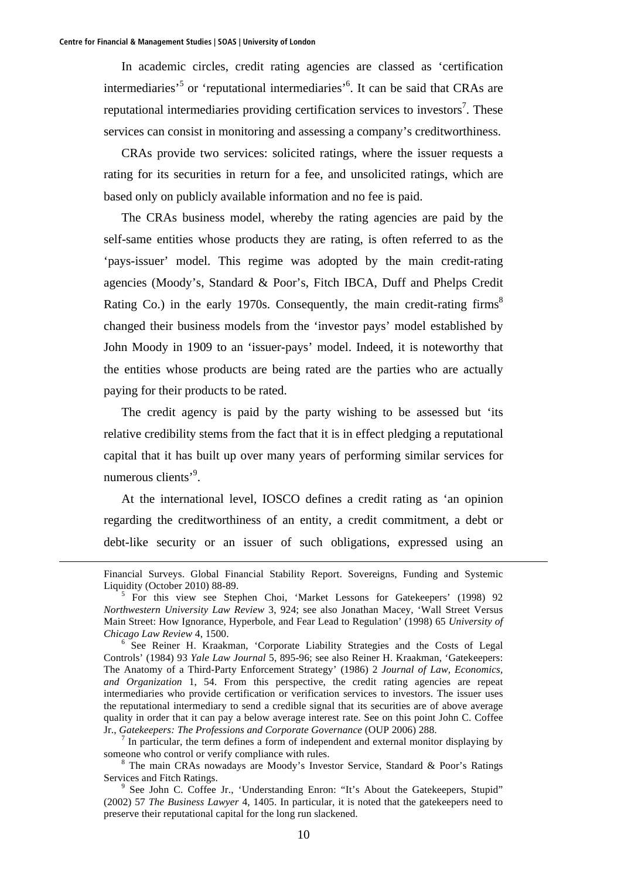<u>.</u>

In academic circles, credit rating agencies are classed as 'certification intermediaries<sup>5</sup> or 'reputational intermediaries<sup>56</sup>. It can be said that CRAs are reputational intermediaries providing certification services to investors<sup>7</sup>. These services can consist in monitoring and assessing a company's creditworthiness.

CRAs provide two services: solicited ratings, where the issuer requests a rating for its securities in return for a fee, and unsolicited ratings, which are based only on publicly available information and no fee is paid.

The CRAs business model, whereby the rating agencies are paid by the self-same entities whose products they are rating, is often referred to as the 'pays-issuer' model. This regime was adopted by the main credit-rating agencies (Moody's, Standard & Poor's, Fitch IBCA, Duff and Phelps Credit Rating Co.) in the early 1970s. Consequently, the main credit-rating firms<sup>8</sup> changed their business models from the 'investor pays' model established by John Moody in 1909 to an 'issuer-pays' model. Indeed, it is noteworthy that the entities whose products are being rated are the parties who are actually paying for their products to be rated.

The credit agency is paid by the party wishing to be assessed but 'its relative credibility stems from the fact that it is in effect pledging a reputational capital that it has built up over many years of performing similar services for numerous clients'<sup>9</sup>.

At the international level, IOSCO defines a credit rating as 'an opinion regarding the creditworthiness of an entity, a credit commitment, a debt or debt-like security or an issuer of such obligations, expressed using an

Financial Surveys. Global Financial Stability Report. Sovereigns, Funding and Systemic Liquidity (October 2010) 88-89.

 $5$  For this view see Stephen Choi, 'Market Lessons for Gatekeepers' (1998) 92 *Northwestern University Law Review* 3, 924; see also Jonathan Macey, 'Wall Street Versus Main Street: How Ignorance, Hyperbole, and Fear Lead to Regulation' (1998) 65 *University of Chicago Law Review* 4, 1500. 6

 $6$  See Reiner H. Kraakman, 'Corporate Liability Strategies and the Costs of Legal Controls' (1984) 93 *Yale Law Journal* 5, 895-96; see also Reiner H. Kraakman, 'Gatekeepers: The Anatomy of a Third-Party Enforcement Strategy' (1986) 2 *Journal of Law, Economics, and Organization* 1, 54. From this perspective, the credit rating agencies are repeat intermediaries who provide certification or verification services to investors. The issuer uses the reputational intermediary to send a credible signal that its securities are of above average quality in order that it can pay a below average interest rate. See on this point John C. Coffee Jr., *Gatekeepers: The Professions and Corporate Governance* (OUP 2006) 288. 7

In particular, the term defines a form of independent and external monitor displaying by someone who control or verify compliance with rules.

The main CRAs nowadays are Moody's Investor Service, Standard & Poor's Ratings Services and Fitch Ratings.

<sup>&</sup>lt;sup>9</sup> See John C. Coffee Jr., 'Understanding Enron: "It's About the Gatekeepers, Stupid" (2002) 57 *The Business Lawyer* 4, 1405. In particular, it is noted that the gatekeepers need to preserve their reputational capital for the long run slackened.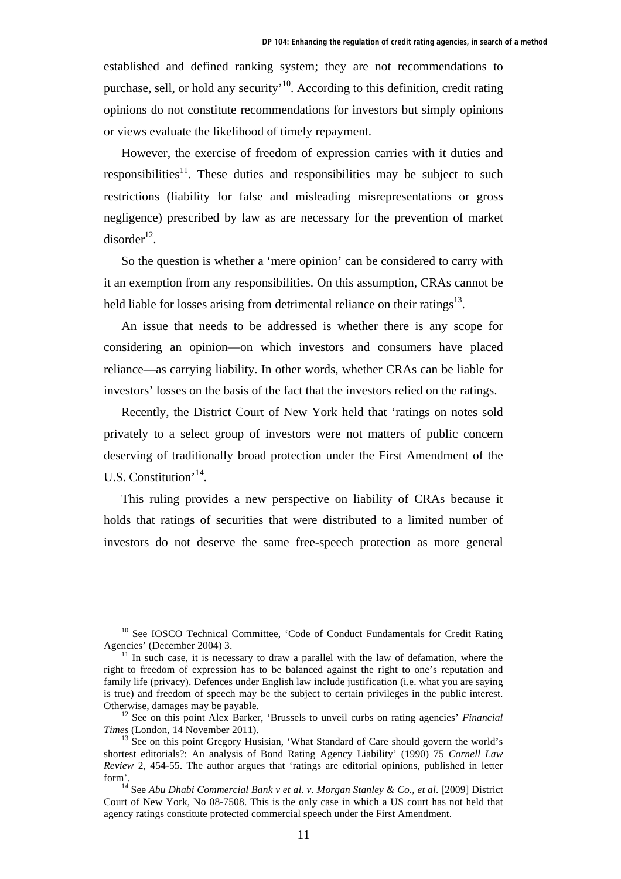established and defined ranking system; they are not recommendations to purchase, sell, or hold any security<sup> $10$ </sup>. According to this definition, credit rating opinions do not constitute recommendations for investors but simply opinions or views evaluate the likelihood of timely repayment.

However, the exercise of freedom of expression carries with it duties and responsibilities<sup>11</sup>. These duties and responsibilities may be subject to such restrictions (liability for false and misleading misrepresentations or gross negligence) prescribed by law as are necessary for the prevention of market  $disorder<sup>12</sup>$ .

So the question is whether a 'mere opinion' can be considered to carry with it an exemption from any responsibilities. On this assumption, CRAs cannot be held liable for losses arising from detrimental reliance on their ratings<sup>13</sup>.

An issue that needs to be addressed is whether there is any scope for considering an opinion—on which investors and consumers have placed reliance—as carrying liability. In other words, whether CRAs can be liable for investors' losses on the basis of the fact that the investors relied on the ratings.

Recently, the District Court of New York held that 'ratings on notes sold privately to a select group of investors were not matters of public concern deserving of traditionally broad protection under the First Amendment of the U.S. Constitution'14.

This ruling provides a new perspective on liability of CRAs because it holds that ratings of securities that were distributed to a limited number of investors do not deserve the same free-speech protection as more general

 $10$  See IOSCO Technical Committee, 'Code of Conduct Fundamentals for Credit Rating Agencies' (December 2004) 3.

 $11$  In such case, it is necessary to draw a parallel with the law of defamation, where the right to freedom of expression has to be balanced against the right to one's reputation and family life (privacy). Defences under English law include justification (i.e. what you are saying is true) and freedom of speech may be the subject to certain privileges in the public interest. Otherwise, damages may be payable.<br><sup>12</sup> See on this point Alex Barker, 'Brussels to unveil curbs on rating agencies' *Financial* 

*Times* (London, 14 November 2011).

 $13$  See on this point Gregory Husisian, 'What Standard of Care should govern the world's shortest editorials?: An analysis of Bond Rating Agency Liability' (1990) 75 *Cornell Law Review* 2, 454-55. The author argues that 'ratings are editorial opinions, published in letter form'. 14 See *Abu Dhabi Commercial Bank v et al. v. Morgan Stanley & Co., et al*. [2009] District

Court of New York, No 08-7508. This is the only case in which a US court has not held that agency ratings constitute protected commercial speech under the First Amendment.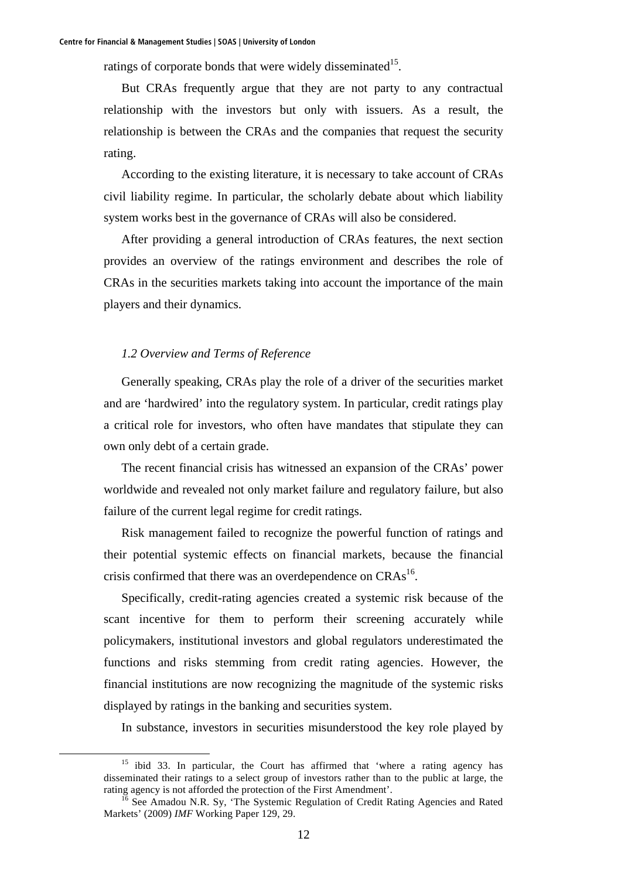ratings of corporate bonds that were widely disseminated $15$ .

But CRAs frequently argue that they are not party to any contractual relationship with the investors but only with issuers. As a result, the relationship is between the CRAs and the companies that request the security rating.

According to the existing literature, it is necessary to take account of CRAs civil liability regime. In particular, the scholarly debate about which liability system works best in the governance of CRAs will also be considered.

After providing a general introduction of CRAs features, the next section provides an overview of the ratings environment and describes the role of CRAs in the securities markets taking into account the importance of the main players and their dynamics.

### *1.2 Overview and Terms of Reference*

Generally speaking, CRAs play the role of a driver of the securities market and are 'hardwired' into the regulatory system. In particular, credit ratings play a critical role for investors, who often have mandates that stipulate they can own only debt of a certain grade.

The recent financial crisis has witnessed an expansion of the CRAs' power worldwide and revealed not only market failure and regulatory failure, but also failure of the current legal regime for credit ratings.

Risk management failed to recognize the powerful function of ratings and their potential systemic effects on financial markets, because the financial crisis confirmed that there was an overdependence on  $CRAs<sup>16</sup>$ .

Specifically, credit-rating agencies created a systemic risk because of the scant incentive for them to perform their screening accurately while policymakers, institutional investors and global regulators underestimated the functions and risks stemming from credit rating agencies. However, the financial institutions are now recognizing the magnitude of the systemic risks displayed by ratings in the banking and securities system.

In substance, investors in securities misunderstood the key role played by

<sup>&</sup>lt;sup>15</sup> ibid 33. In particular, the Court has affirmed that 'where a rating agency has disseminated their ratings to a select group of investors rather than to the public at large, the rating agency is not afforded the protection of the First Amendment'.<br><sup>16</sup> See Amadou N.R. Sy, 'The Systemic Regulation of Credit Rating Agencies and Rated

Markets' (2009) *IMF* Working Paper 129, 29.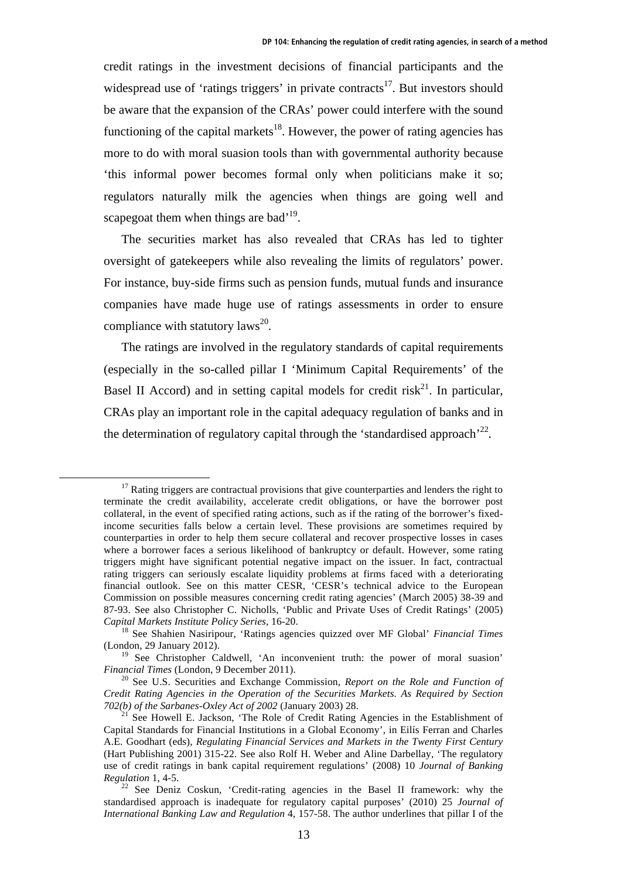credit ratings in the investment decisions of financial participants and the widespread use of 'ratings triggers' in private contracts<sup>17</sup>. But investors should be aware that the expansion of the CRAs' power could interfere with the sound functioning of the capital markets<sup>18</sup>. However, the power of rating agencies has more to do with moral suasion tools than with governmental authority because 'this informal power becomes formal only when politicians make it so; regulators naturally milk the agencies when things are going well and scapegoat them when things are bad<sup> $19$ </sup>.

The securities market has also revealed that CRAs has led to tighter oversight of gatekeepers while also revealing the limits of regulators' power. For instance, buy-side firms such as pension funds, mutual funds and insurance companies have made huge use of ratings assessments in order to ensure compliance with statutory laws $^{20}$ .

The ratings are involved in the regulatory standards of capital requirements (especially in the so-called pillar I 'Minimum Capital Requirements' of the Basel II Accord) and in setting capital models for credit risk<sup>21</sup>. In particular, CRAs play an important role in the capital adequacy regulation of banks and in the determination of regulatory capital through the 'standardised approach'<sup>22</sup>.

 $17$  Rating triggers are contractual provisions that give counterparties and lenders the right to terminate the credit availability, accelerate credit obligations, or have the borrower post collateral, in the event of specified rating actions, such as if the rating of the borrower's fixedincome securities falls below a certain level. These provisions are sometimes required by counterparties in order to help them secure collateral and recover prospective losses in cases where a borrower faces a serious likelihood of bankruptcy or default. However, some rating triggers might have significant potential negative impact on the issuer. In fact, contractual rating triggers can seriously escalate liquidity problems at firms faced with a deteriorating financial outlook. See on this matter CESR, 'CESR's technical advice to the European Commission on possible measures concerning credit rating agencies' (March 2005) 38-39 and 87-93. See also Christopher C. Nicholls, 'Public and Private Uses of Credit Ratings' (2005) *Capital Markets Institute Policy Series*, 16-20. 18 See Shahien Nasiripour, 'Ratings agencies quizzed over MF Global' *Financial Times*

<sup>(</sup>London, 29 January 2012).

<sup>&</sup>lt;sup>19</sup> See Christopher Caldwell, 'An inconvenient truth: the power of moral suasion' *Financial Times* (London, 9 December 2011).

<sup>&</sup>lt;sup>20</sup> See U.S. Securities and Exchange Commission, *Report on the Role and Function of Credit Rating Agencies in the Operation of the Securities Markets. As Required by Section 702(b) of the Sarbanes-Oxley Act of 2002* (January 2003) 28.<br><sup>21</sup> See Howell E. Jackson, 'The Role of Credit Rating Agencies in the Establishment of

Capital Standards for Financial Institutions in a Global Economy', in Eilís Ferran and Charles A.E. Goodhart (eds), *Regulating Financial Services and Markets in the Twenty First Century* (Hart Publishing 2001) 315-22. See also Rolf H. Weber and Aline Darbellay, 'The regulatory use of credit ratings in bank capital requirement regulations' (2008) 10 *Journal of Banking* 

<sup>&</sup>lt;sup>22</sup> See Deniz Coskun, 'Credit-rating agencies in the Basel II framework: why the standardised approach is inadequate for regulatory capital purposes' (2010) 25 *Journal of International Banking Law and Regulation* 4, 157-58. The author underlines that pillar I of the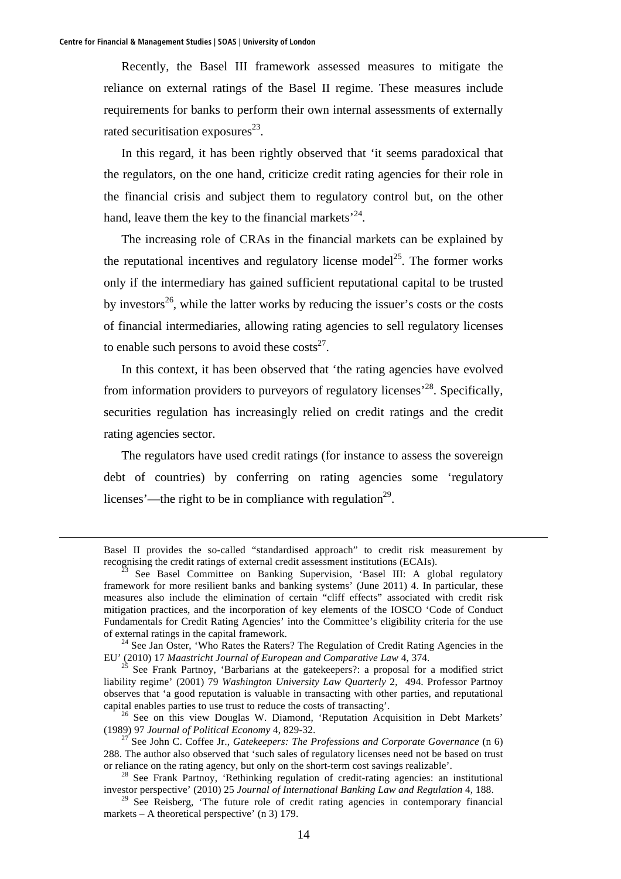Recently, the Basel III framework assessed measures to mitigate the reliance on external ratings of the Basel II regime. These measures include requirements for banks to perform their own internal assessments of externally rated securitisation exposures $^{23}$ .

In this regard, it has been rightly observed that 'it seems paradoxical that the regulators, on the one hand, criticize credit rating agencies for their role in the financial crisis and subject them to regulatory control but, on the other hand, leave them the key to the financial markets<sup> $24$ </sup>.

The increasing role of CRAs in the financial markets can be explained by the reputational incentives and regulatory license model<sup>25</sup>. The former works only if the intermediary has gained sufficient reputational capital to be trusted by investors<sup>26</sup>, while the latter works by reducing the issuer's costs or the costs of financial intermediaries, allowing rating agencies to sell regulatory licenses to enable such persons to avoid these  $\cos\frac{z^2}{2}$ .

In this context, it has been observed that 'the rating agencies have evolved from information providers to purveyors of regulatory licenses<sup> $28$ </sup>. Specifically, securities regulation has increasingly relied on credit ratings and the credit rating agencies sector.

The regulators have used credit ratings (for instance to assess the sovereign debt of countries) by conferring on rating agencies some 'regulatory licenses'—the right to be in compliance with regulation<sup>29</sup>.

EU' (2010) 17 *Maastricht Journal of European and Comparative Law* 4, 374.<br><sup>25</sup> See Frank Partnoy, 'Barbarians at the gatekeepers?: a proposal for a modified strict

liability regime' (2001) 79 *Washington University Law Quarterly* 2, 494. Professor Partnoy observes that 'a good reputation is valuable in transacting with other parties, and reputational capital enables parties to use trust to reduce the costs of transacting'. 26 See on this view Douglas W. Diamond, 'Reputation Acquisition in Debt Markets'

(1989) 97 *Journal of Political Economy* 4, 829-32. 27 See John C. Coffee Jr., *Gatekeepers: The Professions and Corporate Governance* (n 6)

Basel II provides the so-called "standardised approach" to credit risk measurement by recognising the credit ratings of external credit assessment institutions (ECAIs). 23 See Basel Committee on Banking Supervision, 'Basel III: A global regulatory

framework for more resilient banks and banking systems' (June 2011) 4. In particular, these measures also include the elimination of certain "cliff effects" associated with credit risk mitigation practices, and the incorporation of key elements of the IOSCO 'Code of Conduct Fundamentals for Credit Rating Agencies' into the Committee's eligibility criteria for the use of external ratings in the capital framework.<br><sup>24</sup> See Jan Oster, 'Who Rates the Raters? The Regulation of Credit Rating Agencies in the

<sup>288.</sup> The author also observed that 'such sales of regulatory licenses need not be based on trust or reliance on the rating agency, but only on the short-term cost savings realizable'.<br><sup>28</sup> See Frank Partnoy, 'Rethinking regulation of credit-rating agencies: an institutional

investor perspective' (2010) 25 *Journal of International Banking Law and Regulation* 4, 188.

<sup>&</sup>lt;sup>29</sup> See Reisberg, 'The future role of credit rating agencies in contemporary financial markets – A theoretical perspective' (n 3) 179.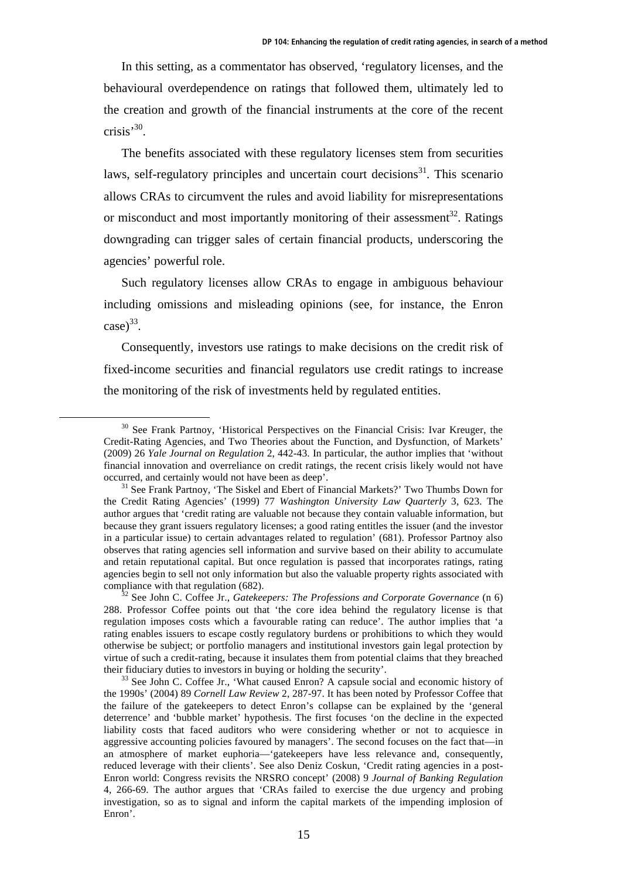In this setting, as a commentator has observed, 'regulatory licenses, and the behavioural overdependence on ratings that followed them, ultimately led to the creation and growth of the financial instruments at the core of the recent crisis<sup> $,30$ </sup>.

The benefits associated with these regulatory licenses stem from securities laws, self-regulatory principles and uncertain court decisions<sup>31</sup>. This scenario allows CRAs to circumvent the rules and avoid liability for misrepresentations or misconduct and most importantly monitoring of their assessment<sup>32</sup>. Ratings downgrading can trigger sales of certain financial products, underscoring the agencies' powerful role.

Such regulatory licenses allow CRAs to engage in ambiguous behaviour including omissions and misleading opinions (see, for instance, the Enron  $\case)^{33}$ .

Consequently, investors use ratings to make decisions on the credit risk of fixed-income securities and financial regulators use credit ratings to increase the monitoring of the risk of investments held by regulated entities.

 $30$  See Frank Partnoy, 'Historical Perspectives on the Financial Crisis: Ivar Kreuger, the Credit-Rating Agencies, and Two Theories about the Function, and Dysfunction, of Markets' (2009) 26 *Yale Journal on Regulation* 2, 442-43. In particular, the author implies that 'without financial innovation and overreliance on credit ratings, the recent crisis likely would not have occurred, and certainly would not have been as deep'.<br><sup>31</sup> See Frank Partnoy, 'The Siskel and Ebert of Financial Markets?' Two Thumbs Down for

the Credit Rating Agencies' (1999) 77 *Washington University Law Quarterly* 3, 623. The author argues that 'credit rating are valuable not because they contain valuable information, but because they grant issuers regulatory licenses; a good rating entitles the issuer (and the investor in a particular issue) to certain advantages related to regulation' (681). Professor Partnoy also observes that rating agencies sell information and survive based on their ability to accumulate and retain reputational capital. But once regulation is passed that incorporates ratings, rating agencies begin to sell not only information but also the valuable property rights associated with compliance with that regulation (682). 32 See John C. Coffee Jr., *Gatekeepers: The Professions and Corporate Governance* (n 6)

<sup>288.</sup> Professor Coffee points out that 'the core idea behind the regulatory license is that regulation imposes costs which a favourable rating can reduce'. The author implies that 'a rating enables issuers to escape costly regulatory burdens or prohibitions to which they would otherwise be subject; or portfolio managers and institutional investors gain legal protection by virtue of such a credit-rating, because it insulates them from potential claims that they breached their fiduciary duties to investors in buying or holding the security'.<br><sup>33</sup> See John C. Coffee Jr., 'What caused Enron? A capsule social and economic history of

the 1990s' (2004) 89 *Cornell Law Review* 2, 287-97. It has been noted by Professor Coffee that the failure of the gatekeepers to detect Enron's collapse can be explained by the 'general deterrence' and 'bubble market' hypothesis. The first focuses 'on the decline in the expected liability costs that faced auditors who were considering whether or not to acquiesce in aggressive accounting policies favoured by managers'. The second focuses on the fact that—in an atmosphere of market euphoria—'gatekeepers have less relevance and, consequently, reduced leverage with their clients'. See also Deniz Coskun, 'Credit rating agencies in a post-Enron world: Congress revisits the NRSRO concept' (2008) 9 *Journal of Banking Regulation* 4, 266-69. The author argues that 'CRAs failed to exercise the due urgency and probing investigation, so as to signal and inform the capital markets of the impending implosion of Enron'.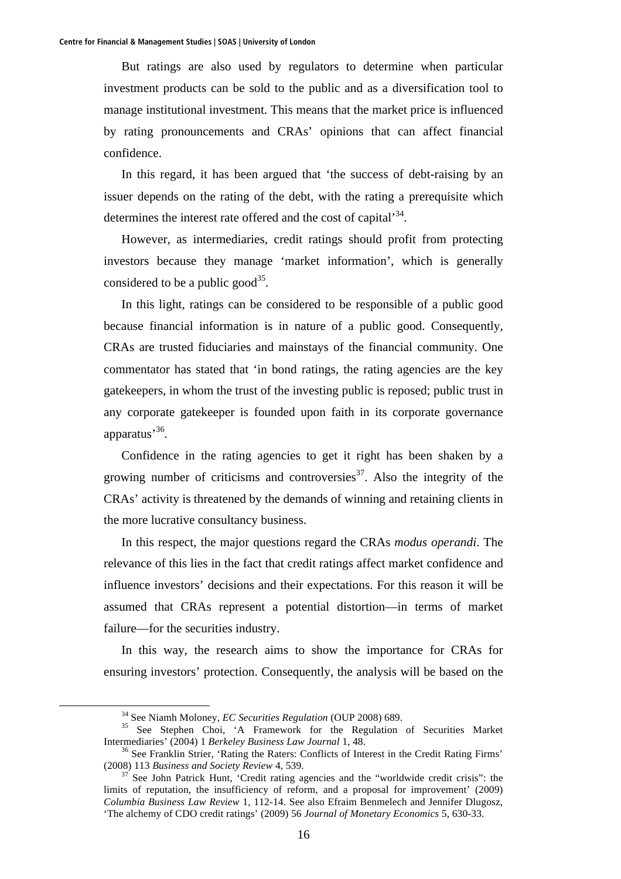But ratings are also used by regulators to determine when particular investment products can be sold to the public and as a diversification tool to manage institutional investment. This means that the market price is influenced by rating pronouncements and CRAs' opinions that can affect financial confidence.

In this regard, it has been argued that 'the success of debt-raising by an issuer depends on the rating of the debt, with the rating a prerequisite which determines the interest rate offered and the cost of capital<sup>34</sup>.

However, as intermediaries, credit ratings should profit from protecting investors because they manage 'market information', which is generally considered to be a public good<sup>35</sup>.

In this light, ratings can be considered to be responsible of a public good because financial information is in nature of a public good. Consequently, CRAs are trusted fiduciaries and mainstays of the financial community. One commentator has stated that 'in bond ratings, the rating agencies are the key gatekeepers, in whom the trust of the investing public is reposed; public trust in any corporate gatekeeper is founded upon faith in its corporate governance apparatus'36.

Confidence in the rating agencies to get it right has been shaken by a growing number of criticisms and controversies<sup>37</sup>. Also the integrity of the CRAs' activity is threatened by the demands of winning and retaining clients in the more lucrative consultancy business.

In this respect, the major questions regard the CRAs *modus operandi*. The relevance of this lies in the fact that credit ratings affect market confidence and influence investors' decisions and their expectations. For this reason it will be assumed that CRAs represent a potential distortion—in terms of market failure—for the securities industry.

In this way, the research aims to show the importance for CRAs for ensuring investors' protection. Consequently, the analysis will be based on the

<sup>&</sup>lt;sup>34</sup> See Niamh Moloney, *EC Securities Regulation* (OUP 2008) 689.<br><sup>35</sup> See Stephen Choi, 'A Framework for the Regulation of Securities Market Intermediaries' (2004) 1 *Berkeley Business Law Journal* 1, 48.<br><sup>36</sup> See Franklin Strier, 'Rating the Raters: Conflicts of Interest in the Credit Rating Firms'

<sup>(2008) 113</sup> *Business and Society Review* 4, 539.<br><sup>37</sup> See John Patrick Hunt, 'Credit rating agencies and the "worldwide credit crisis": the

limits of reputation, the insufficiency of reform, and a proposal for improvement' (2009) *Columbia Business Law Review* 1, 112-14. See also Efraim Benmelech and Jennifer Dlugosz, 'The alchemy of CDO credit ratings' (2009) 56 *Journal of Monetary Economics* 5, 630-33.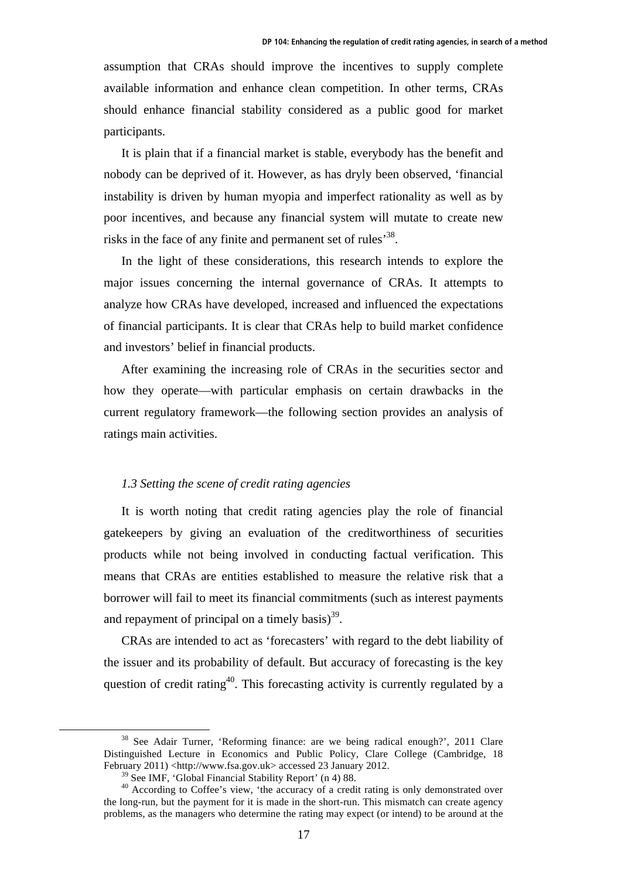assumption that CRAs should improve the incentives to supply complete available information and enhance clean competition. In other terms, CRAs should enhance financial stability considered as a public good for market participants.

It is plain that if a financial market is stable, everybody has the benefit and nobody can be deprived of it. However, as has dryly been observed, 'financial instability is driven by human myopia and imperfect rationality as well as by poor incentives, and because any financial system will mutate to create new risks in the face of any finite and permanent set of rules<sup>38</sup>.

In the light of these considerations, this research intends to explore the major issues concerning the internal governance of CRAs. It attempts to analyze how CRAs have developed, increased and influenced the expectations of financial participants. It is clear that CRAs help to build market confidence and investors' belief in financial products.

After examining the increasing role of CRAs in the securities sector and how they operate—with particular emphasis on certain drawbacks in the current regulatory framework—the following section provides an analysis of ratings main activities.

#### *1.3 Setting the scene of credit rating agencies*

It is worth noting that credit rating agencies play the role of financial gatekeepers by giving an evaluation of the creditworthiness of securities products while not being involved in conducting factual verification. This means that CRAs are entities established to measure the relative risk that a borrower will fail to meet its financial commitments (such as interest payments and repayment of principal on a timely basis) $^{39}$ .

CRAs are intended to act as 'forecasters' with regard to the debt liability of the issuer and its probability of default. But accuracy of forecasting is the key question of credit rating<sup>40</sup>. This forecasting activity is currently regulated by a

 <sup>38</sup> See Adair Turner, 'Reforming finance: are we being radical enough?', 2011 Clare Distinguished Lecture in Economics and Public Policy, Clare College (Cambridge, 18 February 2011) <http://www.fsa.gov.uk> accessed 23 January 2012.

 $39$  See IMF, 'Global Financial Stability Report' (n 4) 88.

<sup>&</sup>lt;sup>40</sup> According to Coffee's view, 'the accuracy of a credit rating is only demonstrated over the long-run, but the payment for it is made in the short-run. This mismatch can create agency problems, as the managers who determine the rating may expect (or intend) to be around at the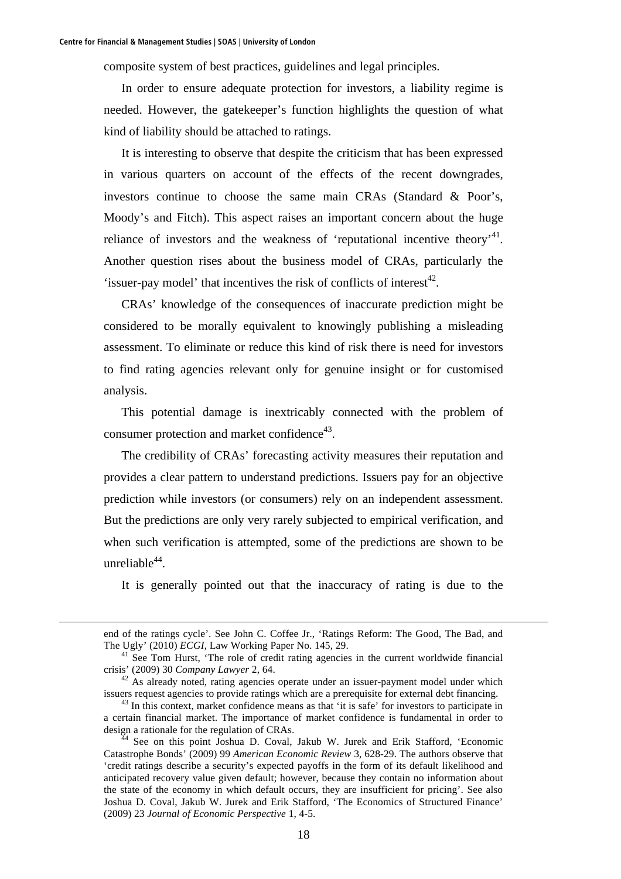composite system of best practices, guidelines and legal principles.

In order to ensure adequate protection for investors, a liability regime is needed. However, the gatekeeper's function highlights the question of what kind of liability should be attached to ratings.

It is interesting to observe that despite the criticism that has been expressed in various quarters on account of the effects of the recent downgrades, investors continue to choose the same main CRAs (Standard & Poor's, Moody's and Fitch). This aspect raises an important concern about the huge reliance of investors and the weakness of 'reputational incentive theory'<sup>41</sup>. Another question rises about the business model of CRAs, particularly the 'issuer-pay model' that incentives the risk of conflicts of interest $42$ .

CRAs' knowledge of the consequences of inaccurate prediction might be considered to be morally equivalent to knowingly publishing a misleading assessment. To eliminate or reduce this kind of risk there is need for investors to find rating agencies relevant only for genuine insight or for customised analysis.

This potential damage is inextricably connected with the problem of consumer protection and market confidence $43$ .

The credibility of CRAs' forecasting activity measures their reputation and provides a clear pattern to understand predictions. Issuers pay for an objective prediction while investors (or consumers) rely on an independent assessment. But the predictions are only very rarely subjected to empirical verification, and when such verification is attempted, some of the predictions are shown to be unreliable $44$ .

It is generally pointed out that the inaccuracy of rating is due to the

end of the ratings cycle'. See John C. Coffee Jr., 'Ratings Reform: The Good, The Bad, and

The Ugly' (2010) *ECGI*, Law Working Paper No. 145, 29.<br><sup>41</sup> See Tom Hurst, 'The role of credit rating agencies in the current worldwide financial crisis' (2009) 30 *Company Lawyer* 2, 64.

<sup>&</sup>lt;sup>42</sup> As already noted, rating agencies operate under an issuer-payment model under which issuers request agencies to provide ratings which are a prerequisite for external debt financing.<br><sup>43</sup> In this context, market confidence means as that 'it is safe' for investors to participate in

a certain financial market. The importance of market confidence is fundamental in order to design a rationale for the regulation of CRAs.<br><sup>44</sup> See on this point Joshua D. Coval, Jakub W. Jurek and Erik Stafford, 'Economic

Catastrophe Bonds' (2009) 99 *American Economic Review* 3, 628-29. The authors observe that 'credit ratings describe a security's expected payoffs in the form of its default likelihood and anticipated recovery value given default; however, because they contain no information about the state of the economy in which default occurs, they are insufficient for pricing'. See also Joshua D. Coval, Jakub W. Jurek and Erik Stafford, 'The Economics of Structured Finance' (2009) 23 *Journal of Economic Perspective* 1, 4-5.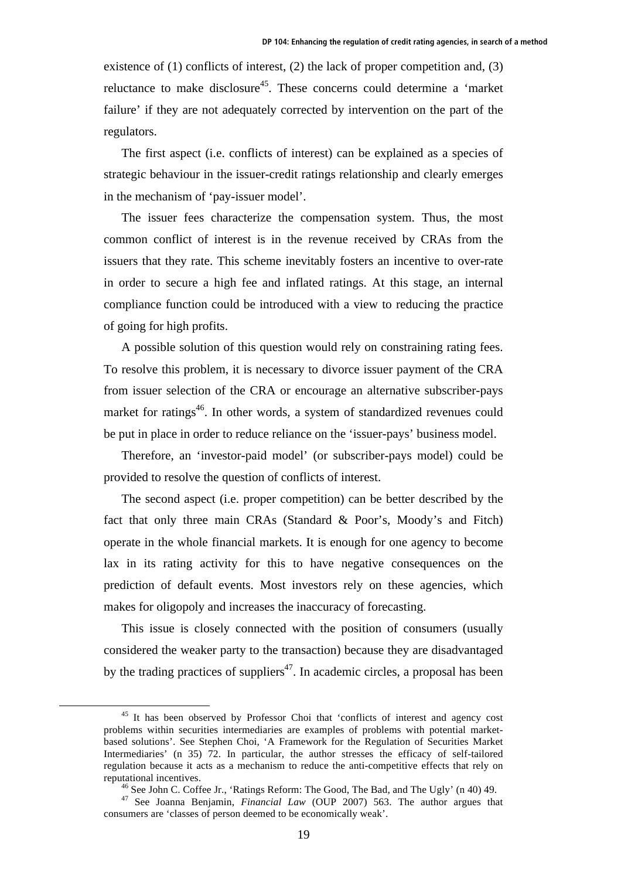existence of (1) conflicts of interest, (2) the lack of proper competition and, (3) reluctance to make disclosure<sup>45</sup>. These concerns could determine a 'market failure' if they are not adequately corrected by intervention on the part of the regulators.

The first aspect (i.e. conflicts of interest) can be explained as a species of strategic behaviour in the issuer-credit ratings relationship and clearly emerges in the mechanism of 'pay-issuer model'.

The issuer fees characterize the compensation system. Thus, the most common conflict of interest is in the revenue received by CRAs from the issuers that they rate. This scheme inevitably fosters an incentive to over-rate in order to secure a high fee and inflated ratings. At this stage, an internal compliance function could be introduced with a view to reducing the practice of going for high profits.

A possible solution of this question would rely on constraining rating fees. To resolve this problem, it is necessary to divorce issuer payment of the CRA from issuer selection of the CRA or encourage an alternative subscriber-pays market for ratings<sup>46</sup>. In other words, a system of standardized revenues could be put in place in order to reduce reliance on the 'issuer-pays' business model.

Therefore, an 'investor-paid model' (or subscriber-pays model) could be provided to resolve the question of conflicts of interest.

The second aspect (i.e. proper competition) can be better described by the fact that only three main CRAs (Standard & Poor's, Moody's and Fitch) operate in the whole financial markets. It is enough for one agency to become lax in its rating activity for this to have negative consequences on the prediction of default events. Most investors rely on these agencies, which makes for oligopoly and increases the inaccuracy of forecasting.

This issue is closely connected with the position of consumers (usually considered the weaker party to the transaction) because they are disadvantaged by the trading practices of suppliers<sup>47</sup>. In academic circles, a proposal has been

<sup>&</sup>lt;sup>45</sup> It has been observed by Professor Choi that 'conflicts of interest and agency cost problems within securities intermediaries are examples of problems with potential marketbased solutions'. See Stephen Choi, 'A Framework for the Regulation of Securities Market Intermediaries' (n 35) 72. In particular, the author stresses the efficacy of self-tailored regulation because it acts as a mechanism to reduce the anti-competitive effects that rely on reputational incentives. 46 See John C. Coffee Jr., 'Ratings Reform: The Good, The Bad, and The Ugly' (n 40) 49. 47 See Joanna Benjamin, *Financial Law* (OUP 2007) 563. The author argues that

consumers are 'classes of person deemed to be economically weak'.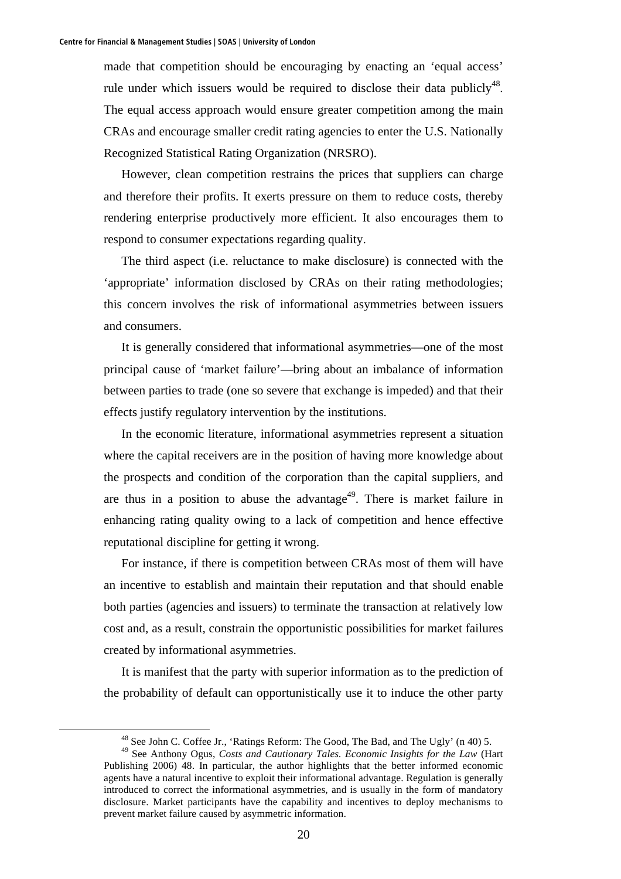made that competition should be encouraging by enacting an 'equal access' rule under which issuers would be required to disclose their data publicly<sup>48</sup>. The equal access approach would ensure greater competition among the main CRAs and encourage smaller credit rating agencies to enter the U.S. Nationally Recognized Statistical Rating Organization (NRSRO).

However, clean competition restrains the prices that suppliers can charge and therefore their profits. It exerts pressure on them to reduce costs, thereby rendering enterprise productively more efficient. It also encourages them to respond to consumer expectations regarding quality.

The third aspect (i.e. reluctance to make disclosure) is connected with the 'appropriate' information disclosed by CRAs on their rating methodologies; this concern involves the risk of informational asymmetries between issuers and consumers.

It is generally considered that informational asymmetries—one of the most principal cause of 'market failure'—bring about an imbalance of information between parties to trade (one so severe that exchange is impeded) and that their effects justify regulatory intervention by the institutions.

In the economic literature, informational asymmetries represent a situation where the capital receivers are in the position of having more knowledge about the prospects and condition of the corporation than the capital suppliers, and are thus in a position to abuse the advantage<sup>49</sup>. There is market failure in enhancing rating quality owing to a lack of competition and hence effective reputational discipline for getting it wrong.

For instance, if there is competition between CRAs most of them will have an incentive to establish and maintain their reputation and that should enable both parties (agencies and issuers) to terminate the transaction at relatively low cost and, as a result, constrain the opportunistic possibilities for market failures created by informational asymmetries.

It is manifest that the party with superior information as to the prediction of the probability of default can opportunistically use it to induce the other party

 <sup>48</sup> See John C. Coffee Jr., 'Ratings Reform: The Good, The Bad, and The Ugly' (n 40) 5.

<sup>49</sup> See Anthony Ogus, *Costs and Cautionary Tales. Economic Insights for the Law* (Hart Publishing 2006) 48. In particular, the author highlights that the better informed economic agents have a natural incentive to exploit their informational advantage. Regulation is generally introduced to correct the informational asymmetries, and is usually in the form of mandatory disclosure. Market participants have the capability and incentives to deploy mechanisms to prevent market failure caused by asymmetric information.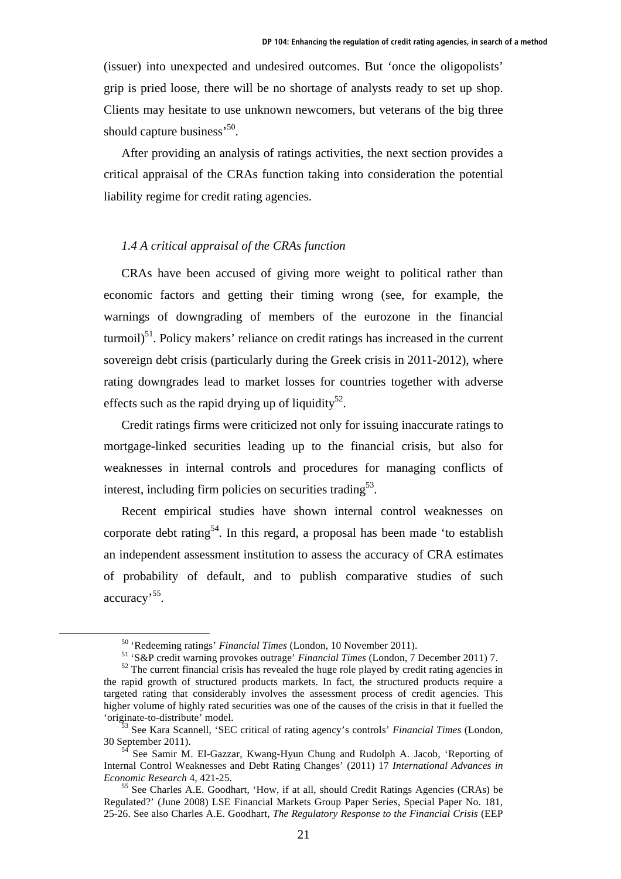(issuer) into unexpected and undesired outcomes. But 'once the oligopolists' grip is pried loose, there will be no shortage of analysts ready to set up shop. Clients may hesitate to use unknown newcomers, but veterans of the big three should capture business<sup>'50</sup>.

After providing an analysis of ratings activities, the next section provides a critical appraisal of the CRAs function taking into consideration the potential liability regime for credit rating agencies.

### *1.4 A critical appraisal of the CRAs function*

CRAs have been accused of giving more weight to political rather than economic factors and getting their timing wrong (see, for example, the warnings of downgrading of members of the eurozone in the financial  $turnoil$ <sup>51</sup>. Policy makers' reliance on credit ratings has increased in the current sovereign debt crisis (particularly during the Greek crisis in 2011-2012), where rating downgrades lead to market losses for countries together with adverse effects such as the rapid drying up of liquidity<sup>52</sup>.

Credit ratings firms were criticized not only for issuing inaccurate ratings to mortgage-linked securities leading up to the financial crisis, but also for weaknesses in internal controls and procedures for managing conflicts of interest, including firm policies on securities trading<sup>53</sup>.

Recent empirical studies have shown internal control weaknesses on corporate debt rating<sup>54</sup>. In this regard, a proposal has been made 'to establish an independent assessment institution to assess the accuracy of CRA estimates of probability of default, and to publish comparative studies of such accuracy'55.

<sup>&</sup>lt;sup>50</sup> 'Redeeming ratings' *Financial Times* (London, 10 November 2011).<br><sup>51</sup> 'S&P credit warning provokes outrage' *Financial Times* (London, 7 December 2011) 7.<br><sup>52</sup> The current financial crisis has revealed the huge role

the rapid growth of structured products markets. In fact, the structured products require a targeted rating that considerably involves the assessment process of credit agencies. This higher volume of highly rated securities was one of the causes of the crisis in that it fuelled the

<sup>&#</sup>x27;originate-to-distribute' model. 53 See Kara Scannell, 'SEC critical of rating agency's controls' *Financial Times* (London,

<sup>&</sup>lt;sup>4</sup> See Samir M. El-Gazzar, Kwang-Hyun Chung and Rudolph A. Jacob, 'Reporting of Internal Control Weaknesses and Debt Rating Changes' (2011) 17 *International Advances in Economic Research* 4, 421-25.<br><sup>55</sup> See Charles A.E. Goodhart, 'How, if at all, should Credit Ratings Agencies (CRAs) be

Regulated?' (June 2008) LSE Financial Markets Group Paper Series, Special Paper No. 181, 25-26. See also Charles A.E. Goodhart, *The Regulatory Response to the Financial Crisis* (EEP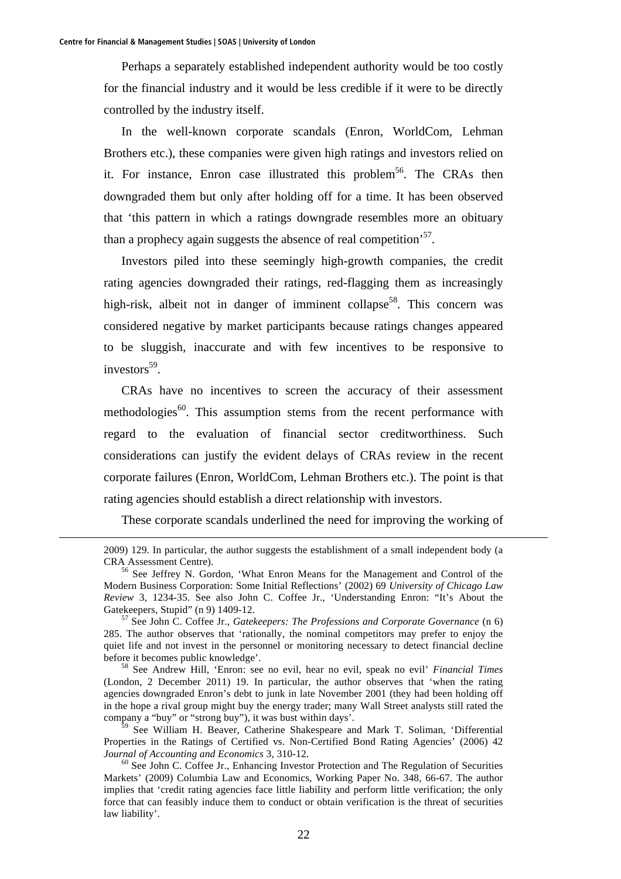Perhaps a separately established independent authority would be too costly for the financial industry and it would be less credible if it were to be directly controlled by the industry itself.

In the well-known corporate scandals (Enron, WorldCom, Lehman Brothers etc.), these companies were given high ratings and investors relied on it. For instance, Enron case illustrated this problem<sup>56</sup>. The CRAs then downgraded them but only after holding off for a time. It has been observed that 'this pattern in which a ratings downgrade resembles more an obituary than a prophecy again suggests the absence of real competition<sup>57</sup>.

Investors piled into these seemingly high-growth companies, the credit rating agencies downgraded their ratings, red-flagging them as increasingly high-risk, albeit not in danger of imminent collapse<sup>58</sup>. This concern was considered negative by market participants because ratings changes appeared to be sluggish, inaccurate and with few incentives to be responsive to  $investors<sup>59</sup>$ .

CRAs have no incentives to screen the accuracy of their assessment methodologies<sup>60</sup>. This assumption stems from the recent performance with regard to the evaluation of financial sector creditworthiness. Such considerations can justify the evident delays of CRAs review in the recent corporate failures (Enron, WorldCom, Lehman Brothers etc.). The point is that rating agencies should establish a direct relationship with investors.

These corporate scandals underlined the need for improving the working of

(London, 2 December 2011) 19. In particular, the author observes that 'when the rating agencies downgraded Enron's debt to junk in late November 2001 (they had been holding off in the hope a rival group might buy the energy trader; many Wall Street analysts still rated the company a "buy" or "strong buy"), it was bust within days'.

 <sup>2009) 129.</sup> In particular, the author suggests the establishment of a small independent body (a CRA Assessment Centre). 56 See Jeffrey N. Gordon, 'What Enron Means for the Management and Control of the

Modern Business Corporation: Some Initial Reflections' (2002) 69 *University of Chicago Law Review* 3, 1234-35. See also John C. Coffee Jr., 'Understanding Enron: "It's About the Gatekeepers, Stupid" (n 9) 1409-12.<br><sup>57</sup> See John C. Coffee Jr., *Gatekeepers: The Professions and Corporate Governance* (n 6)

<sup>285.</sup> The author observes that 'rationally, the nominal competitors may prefer to enjoy the quiet life and not invest in the personnel or monitoring necessary to detect financial decline before it becomes public knowledge'. 58 See Andrew Hill, 'Enron: see no evil, hear no evil, speak no evil' *Financial Times*

<sup>&</sup>lt;sup>59</sup> See William H. Beaver, Catherine Shakespeare and Mark T. Soliman, 'Differential Properties in the Ratings of Certified vs. Non-Certified Bond Rating Agencies' (2006) 42 *Journal of Accounting and Economics 3, 310-12.*<br><sup>60</sup> See John C. Coffee Jr., Enhancing Investor Protection and The Regulation of Securities

Markets' (2009) Columbia Law and Economics, Working Paper No. 348, 66-67. The author implies that 'credit rating agencies face little liability and perform little verification; the only force that can feasibly induce them to conduct or obtain verification is the threat of securities law liability'.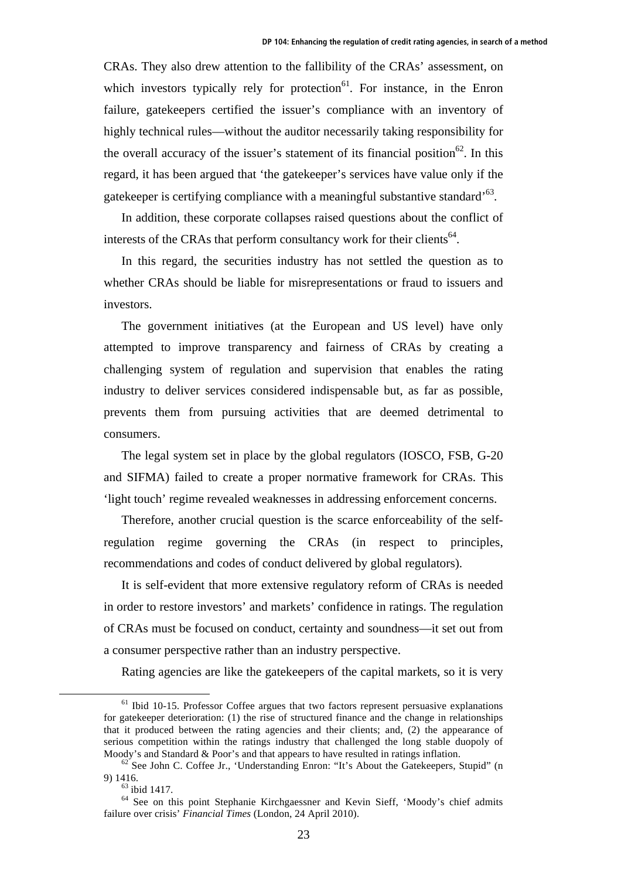CRAs. They also drew attention to the fallibility of the CRAs' assessment, on which investors typically rely for protection $^{61}$ . For instance, in the Enron failure, gatekeepers certified the issuer's compliance with an inventory of highly technical rules—without the auditor necessarily taking responsibility for the overall accuracy of the issuer's statement of its financial position<sup>62</sup>. In this regard, it has been argued that 'the gatekeeper's services have value only if the gatekeeper is certifying compliance with a meaningful substantive standard'63.

In addition, these corporate collapses raised questions about the conflict of interests of the CRAs that perform consultancy work for their clients<sup>64</sup>.

In this regard, the securities industry has not settled the question as to whether CRAs should be liable for misrepresentations or fraud to issuers and investors.

The government initiatives (at the European and US level) have only attempted to improve transparency and fairness of CRAs by creating a challenging system of regulation and supervision that enables the rating industry to deliver services considered indispensable but, as far as possible, prevents them from pursuing activities that are deemed detrimental to consumers.

The legal system set in place by the global regulators (IOSCO, FSB, G-20 and SIFMA) failed to create a proper normative framework for CRAs. This 'light touch' regime revealed weaknesses in addressing enforcement concerns.

Therefore, another crucial question is the scarce enforceability of the selfregulation regime governing the CRAs (in respect to principles, recommendations and codes of conduct delivered by global regulators).

It is self-evident that more extensive regulatory reform of CRAs is needed in order to restore investors' and markets' confidence in ratings. The regulation of CRAs must be focused on conduct, certainty and soundness—it set out from a consumer perspective rather than an industry perspective.

Rating agencies are like the gatekeepers of the capital markets, so it is very

 $61$  Ibid 10-15. Professor Coffee argues that two factors represent persuasive explanations for gatekeeper deterioration: (1) the rise of structured finance and the change in relationships that it produced between the rating agencies and their clients; and, (2) the appearance of serious competition within the ratings industry that challenged the long stable duopoly of

Moody's and Standard & Poor's and that appears to have resulted in ratings inflation.<br><sup>62</sup> See John C. Coffee Jr., 'Understanding Enron: "It's About the Gatekeepers, Stupid" (n 9) 1416.<br> $^{63}$  ibid 1417.

<sup>64</sup> See on this point Stephanie Kirchgaessner and Kevin Sieff, 'Moody's chief admits failure over crisis' *Financial Times* (London, 24 April 2010).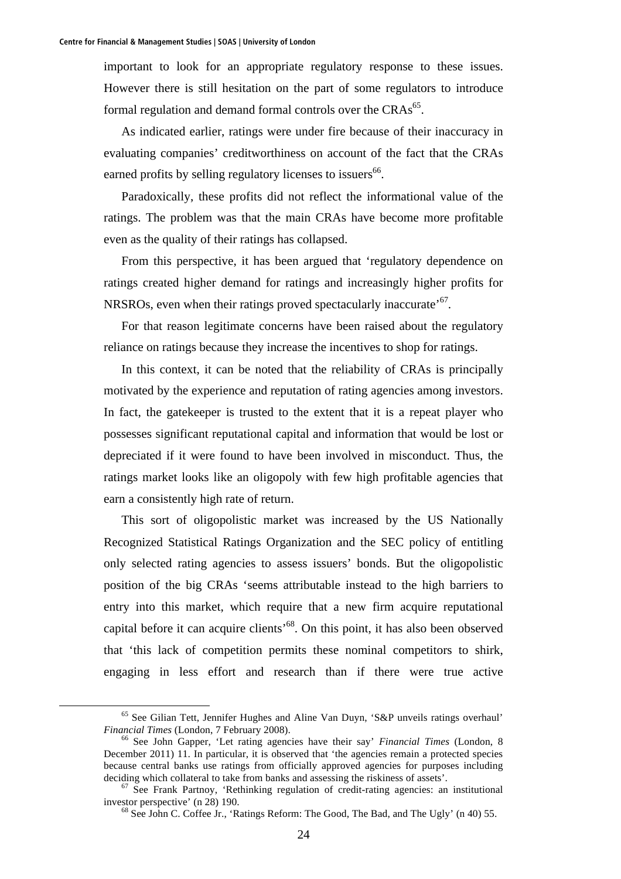important to look for an appropriate regulatory response to these issues. However there is still hesitation on the part of some regulators to introduce formal regulation and demand formal controls over the  $CRAs<sup>65</sup>$ .

As indicated earlier, ratings were under fire because of their inaccuracy in evaluating companies' creditworthiness on account of the fact that the CRAs earned profits by selling regulatory licenses to issuers<sup>66</sup>.

Paradoxically, these profits did not reflect the informational value of the ratings. The problem was that the main CRAs have become more profitable even as the quality of their ratings has collapsed.

From this perspective, it has been argued that 'regulatory dependence on ratings created higher demand for ratings and increasingly higher profits for NRSROs, even when their ratings proved spectacularly inaccurate<sup>'67</sup>.

For that reason legitimate concerns have been raised about the regulatory reliance on ratings because they increase the incentives to shop for ratings.

In this context, it can be noted that the reliability of CRAs is principally motivated by the experience and reputation of rating agencies among investors. In fact, the gatekeeper is trusted to the extent that it is a repeat player who possesses significant reputational capital and information that would be lost or depreciated if it were found to have been involved in misconduct. Thus, the ratings market looks like an oligopoly with few high profitable agencies that earn a consistently high rate of return.

This sort of oligopolistic market was increased by the US Nationally Recognized Statistical Ratings Organization and the SEC policy of entitling only selected rating agencies to assess issuers' bonds. But the oligopolistic position of the big CRAs 'seems attributable instead to the high barriers to entry into this market, which require that a new firm acquire reputational capital before it can acquire clients<sup> $68$ </sup>. On this point, it has also been observed that 'this lack of competition permits these nominal competitors to shirk, engaging in less effort and research than if there were true active

 <sup>65</sup> See Gilian Tett, Jennifer Hughes and Aline Van Duyn, 'S&P unveils ratings overhaul' *Financial Times* (London, 7 February 2008).<br><sup>66</sup> See John Gapper, 'Let rating agencies have their say' *Financial Times* (London, 8

December 2011) 11. In particular, it is observed that 'the agencies remain a protected species because central banks use ratings from officially approved agencies for purposes including

deciding which collateral to take from banks and assessing the riskiness of assets'.<br><sup>67</sup> See Frank Partnoy, 'Rethinking regulation of credit-rating agencies: an institutional investor perspective' (n 28) 190.

 $68$  See John C. Coffee Jr., 'Ratings Reform: The Good, The Bad, and The Ugly' (n 40) 55.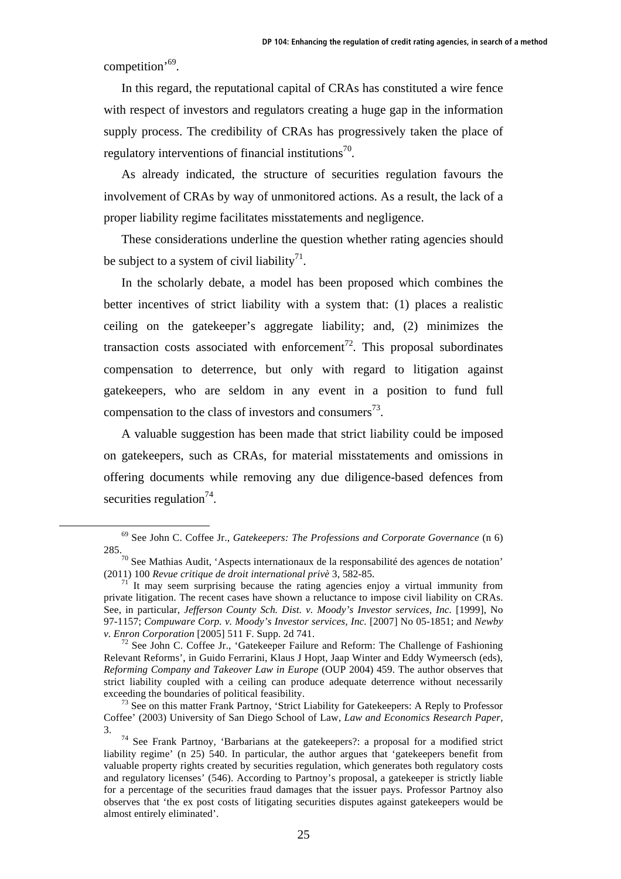competition'69.

In this regard, the reputational capital of CRAs has constituted a wire fence with respect of investors and regulators creating a huge gap in the information supply process. The credibility of CRAs has progressively taken the place of regulatory interventions of financial institutions<sup>70</sup>.

As already indicated, the structure of securities regulation favours the involvement of CRAs by way of unmonitored actions. As a result, the lack of a proper liability regime facilitates misstatements and negligence.

These considerations underline the question whether rating agencies should be subject to a system of civil liability<sup>71</sup>.

In the scholarly debate, a model has been proposed which combines the better incentives of strict liability with a system that: (1) places a realistic ceiling on the gatekeeper's aggregate liability; and, (2) minimizes the transaction costs associated with enforcement<sup>72</sup>. This proposal subordinates compensation to deterrence, but only with regard to litigation against gatekeepers, who are seldom in any event in a position to fund full compensation to the class of investors and consumers<sup>73</sup>.

A valuable suggestion has been made that strict liability could be imposed on gatekeepers, such as CRAs, for material misstatements and omissions in offering documents while removing any due diligence-based defences from securities regulation $^{74}$ .

 <sup>69</sup> See John C. Coffee Jr., *Gatekeepers: The Professions and Corporate Governance* (n 6) 285.<br><sup>70</sup> See Mathias Audit, 'Aspects internationaux de la responsabilité des agences de notation'

<sup>(2011) 100</sup> *Revue critique de droit international privè* 3, 582-85.<br><sup>71</sup> It may seem surprising because the rating agencies enjoy a virtual immunity from

private litigation. The recent cases have shown a reluctance to impose civil liability on CRAs. See, in particular, *Jefferson County Sch. Dist. v. Moody's Investor services, Inc.* [1999], No 97-1157; *Compuware Corp. v. Moody's Investor services, Inc.* [2007] No 05-1851; and *Newby* 

<sup>&</sup>lt;sup>72</sup> See John C. Coffee Jr., 'Gatekeeper Failure and Reform: The Challenge of Fashioning Relevant Reforms', in Guido Ferrarini, Klaus J Hopt, Jaap Winter and Eddy Wymeersch (eds), *Reforming Company and Takeover Law in Europe* (OUP 2004) 459. The author observes that strict liability coupled with a ceiling can produce adequate deterrence without necessarily exceeding the boundaries of political feasibility.<br><sup>73</sup> See on this matter Frank Partnoy, 'Strict Liability for Gatekeepers: A Reply to Professor

Coffee' (2003) University of San Diego School of Law, *Law and Economics Research Paper*,

<sup>3. 74</sup> See Frank Partnoy, 'Barbarians at the gatekeepers?: a proposal for a modified strict liability regime' (n 25) 540. In particular, the author argues that 'gatekeepers benefit from valuable property rights created by securities regulation, which generates both regulatory costs and regulatory licenses' (546). According to Partnoy's proposal, a gatekeeper is strictly liable for a percentage of the securities fraud damages that the issuer pays. Professor Partnoy also observes that 'the ex post costs of litigating securities disputes against gatekeepers would be almost entirely eliminated'.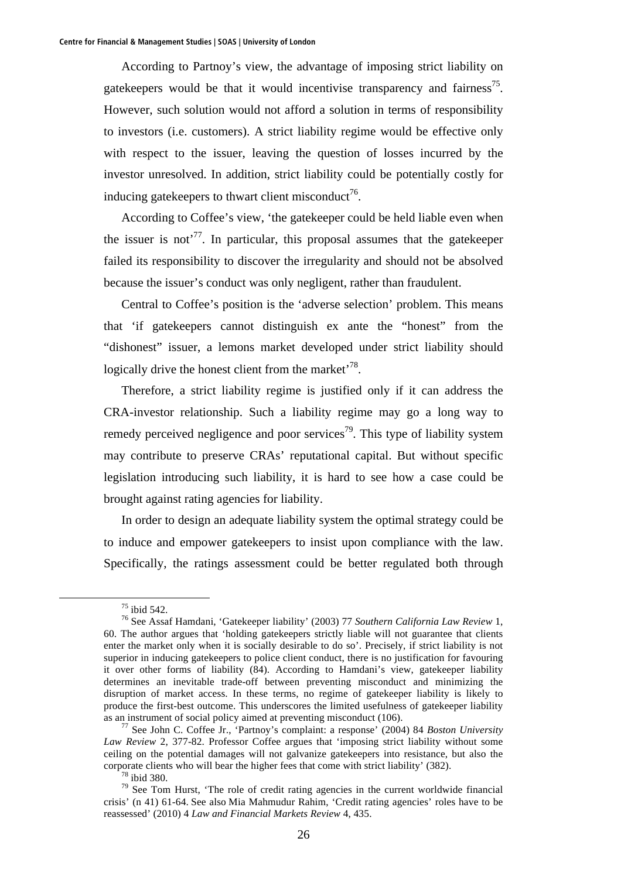According to Partnoy's view, the advantage of imposing strict liability on gatekeepers would be that it would incentivise transparency and fairness<sup>75</sup>. However, such solution would not afford a solution in terms of responsibility to investors (i.e. customers). A strict liability regime would be effective only with respect to the issuer, leaving the question of losses incurred by the investor unresolved. In addition, strict liability could be potentially costly for inducing gatekeepers to thwart client misconduct<sup>76</sup>.

According to Coffee's view, 'the gatekeeper could be held liable even when the issuer is not<sup> $77$ </sup>. In particular, this proposal assumes that the gatekeeper failed its responsibility to discover the irregularity and should not be absolved because the issuer's conduct was only negligent, rather than fraudulent.

Central to Coffee's position is the 'adverse selection' problem. This means that 'if gatekeepers cannot distinguish ex ante the "honest" from the "dishonest" issuer, a lemons market developed under strict liability should logically drive the honest client from the market<sup> $78$ </sup>.

Therefore, a strict liability regime is justified only if it can address the CRA-investor relationship. Such a liability regime may go a long way to remedy perceived negligence and poor services<sup>79</sup>. This type of liability system may contribute to preserve CRAs' reputational capital. But without specific legislation introducing such liability, it is hard to see how a case could be brought against rating agencies for liability.

In order to design an adequate liability system the optimal strategy could be to induce and empower gatekeepers to insist upon compliance with the law. Specifically, the ratings assessment could be better regulated both through

 <sup>75</sup> ibid 542.

<sup>76</sup> See Assaf Hamdani, 'Gatekeeper liability' (2003) 77 *Southern California Law Review* 1, 60. The author argues that 'holding gatekeepers strictly liable will not guarantee that clients enter the market only when it is socially desirable to do so'. Precisely, if strict liability is not superior in inducing gatekeepers to police client conduct, there is no justification for favouring it over other forms of liability (84). According to Hamdani's view, gatekeeper liability determines an inevitable trade-off between preventing misconduct and minimizing the disruption of market access. In these terms, no regime of gatekeeper liability is likely to produce the first-best outcome. This underscores the limited usefulness of gatekeeper liability as an instrument of social policy aimed at preventing misconduct (106). 77 See John C. Coffee Jr., 'Partnoy's complaint: a response' (2004) 84 *Boston University* 

*Law Review* 2, 377-82. Professor Coffee argues that 'imposing strict liability without some ceiling on the potential damages will not galvanize gatekeepers into resistance, but also the corporate clients who will bear the higher fees that come with strict liability' (382). 78 ibid 380.

 $79$  See Tom Hurst, 'The role of credit rating agencies in the current worldwide financial crisis' (n 41) 61-64. See also Mia Mahmudur Rahim, 'Credit rating agencies' roles have to be reassessed' (2010) 4 *Law and Financial Markets Review* 4, 435.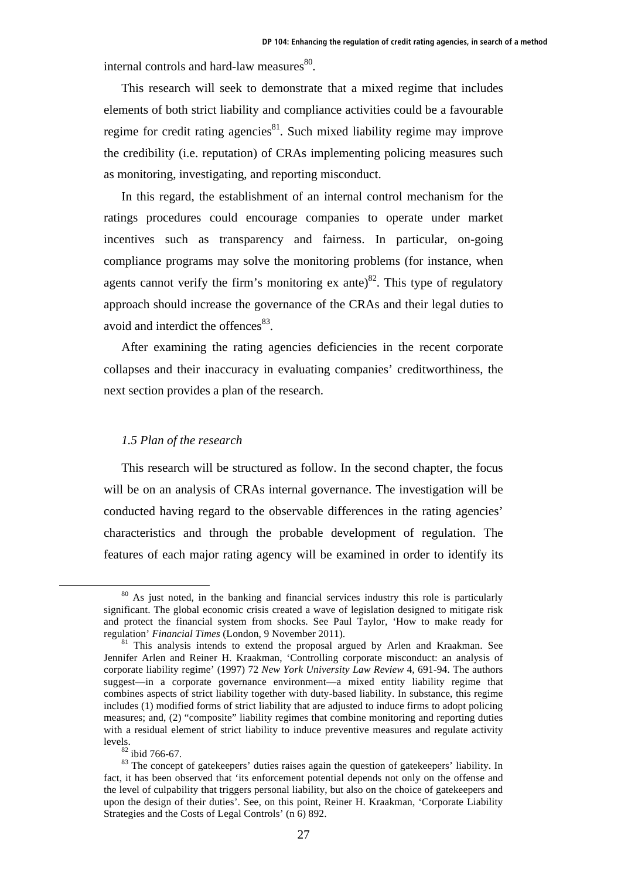internal controls and hard-law measures $80$ .

This research will seek to demonstrate that a mixed regime that includes elements of both strict liability and compliance activities could be a favourable regime for credit rating agencies $^{81}$ . Such mixed liability regime may improve the credibility (i.e. reputation) of CRAs implementing policing measures such as monitoring, investigating, and reporting misconduct.

In this regard, the establishment of an internal control mechanism for the ratings procedures could encourage companies to operate under market incentives such as transparency and fairness. In particular, on-going compliance programs may solve the monitoring problems (for instance, when agents cannot verify the firm's monitoring ex ante)<sup>82</sup>. This type of regulatory approach should increase the governance of the CRAs and their legal duties to avoid and interdict the offences<sup>83</sup>.

After examining the rating agencies deficiencies in the recent corporate collapses and their inaccuracy in evaluating companies' creditworthiness, the next section provides a plan of the research.

### *1.5 Plan of the research*

This research will be structured as follow. In the second chapter, the focus will be on an analysis of CRAs internal governance. The investigation will be conducted having regard to the observable differences in the rating agencies' characteristics and through the probable development of regulation. The features of each major rating agency will be examined in order to identify its

<sup>&</sup>lt;sup>80</sup> As just noted, in the banking and financial services industry this role is particularly significant. The global economic crisis created a wave of legislation designed to mitigate risk and protect the financial system from shocks. See Paul Taylor, 'How to make ready for regulation' *Financial Times* (London, 9 November 2011).

<sup>&</sup>lt;sup>81</sup> This analysis intends to extend the proposal argued by Arlen and Kraakman. See Jennifer Arlen and Reiner H. Kraakman, 'Controlling corporate misconduct: an analysis of corporate liability regime' (1997) 72 *New York University Law Review* 4, 691-94. The authors suggest—in a corporate governance environment—a mixed entity liability regime that combines aspects of strict liability together with duty-based liability. In substance, this regime includes (1) modified forms of strict liability that are adjusted to induce firms to adopt policing measures; and, (2) "composite" liability regimes that combine monitoring and reporting duties with a residual element of strict liability to induce preventive measures and regulate activity levels.<br> $\frac{82 \text{ ibid } 766-67.}{82 \text{ ibid } 766-67.}$ 

<sup>&</sup>lt;sup>83</sup> The concept of gatekeepers' duties raises again the question of gatekeepers' liability. In fact, it has been observed that 'its enforcement potential depends not only on the offense and the level of culpability that triggers personal liability, but also on the choice of gatekeepers and upon the design of their duties'. See, on this point, Reiner H. Kraakman, 'Corporate Liability Strategies and the Costs of Legal Controls' (n 6) 892.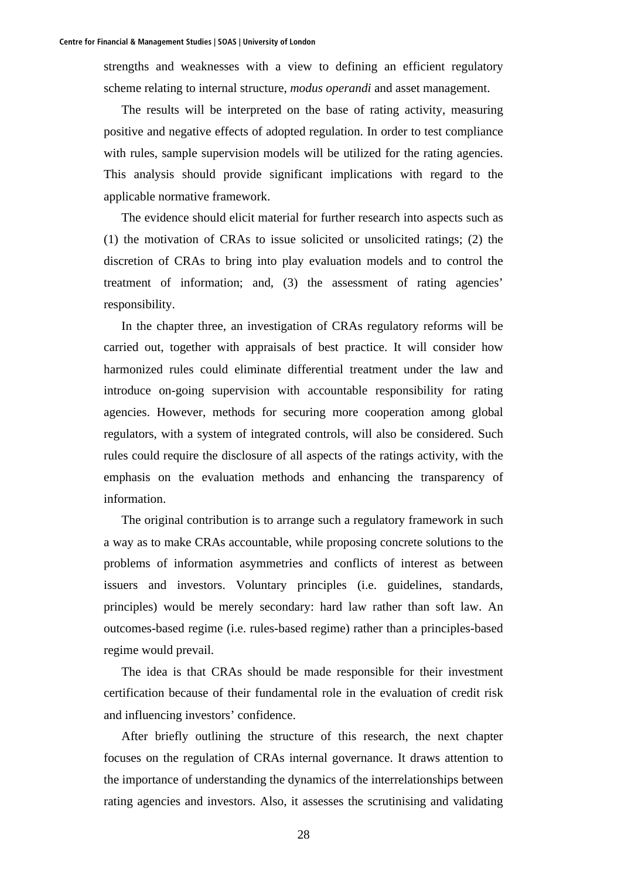strengths and weaknesses with a view to defining an efficient regulatory scheme relating to internal structure, *modus operandi* and asset management.

The results will be interpreted on the base of rating activity, measuring positive and negative effects of adopted regulation. In order to test compliance with rules, sample supervision models will be utilized for the rating agencies. This analysis should provide significant implications with regard to the applicable normative framework.

The evidence should elicit material for further research into aspects such as (1) the motivation of CRAs to issue solicited or unsolicited ratings; (2) the discretion of CRAs to bring into play evaluation models and to control the treatment of information; and, (3) the assessment of rating agencies' responsibility.

In the chapter three, an investigation of CRAs regulatory reforms will be carried out, together with appraisals of best practice. It will consider how harmonized rules could eliminate differential treatment under the law and introduce on-going supervision with accountable responsibility for rating agencies. However, methods for securing more cooperation among global regulators, with a system of integrated controls, will also be considered. Such rules could require the disclosure of all aspects of the ratings activity, with the emphasis on the evaluation methods and enhancing the transparency of information.

The original contribution is to arrange such a regulatory framework in such a way as to make CRAs accountable, while proposing concrete solutions to the problems of information asymmetries and conflicts of interest as between issuers and investors. Voluntary principles (i.e. guidelines, standards, principles) would be merely secondary: hard law rather than soft law. An outcomes-based regime (i.e. rules-based regime) rather than a principles-based regime would prevail.

The idea is that CRAs should be made responsible for their investment certification because of their fundamental role in the evaluation of credit risk and influencing investors' confidence.

After briefly outlining the structure of this research, the next chapter focuses on the regulation of CRAs internal governance. It draws attention to the importance of understanding the dynamics of the interrelationships between rating agencies and investors. Also, it assesses the scrutinising and validating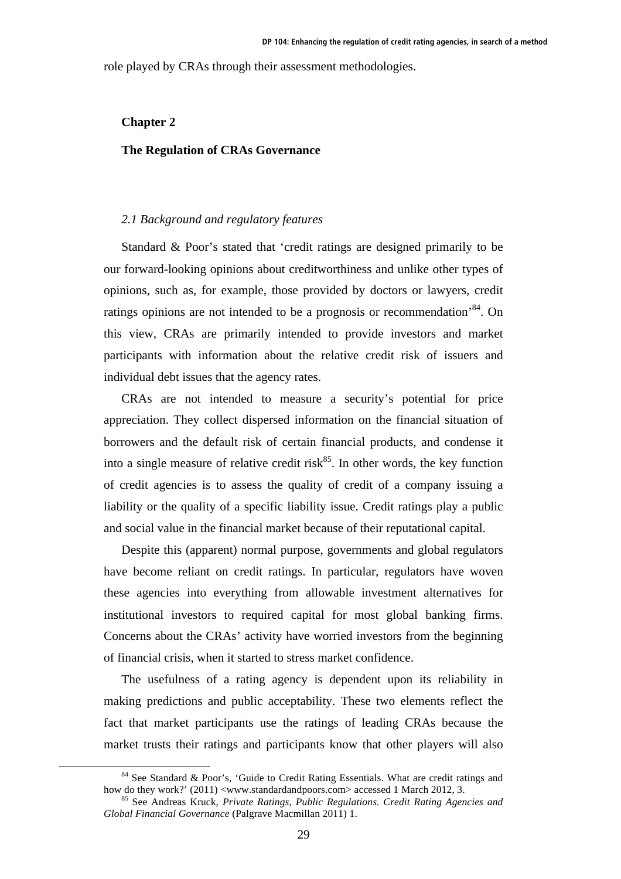role played by CRAs through their assessment methodologies.

### **Chapter 2**

### **The Regulation of CRAs Governance**

### *2.1 Background and regulatory features*

Standard & Poor's stated that 'credit ratings are designed primarily to be our forward-looking opinions about creditworthiness and unlike other types of opinions, such as, for example, those provided by doctors or lawyers, credit ratings opinions are not intended to be a prognosis or recommendation<sup>84</sup>. On this view, CRAs are primarily intended to provide investors and market participants with information about the relative credit risk of issuers and individual debt issues that the agency rates.

CRAs are not intended to measure a security's potential for price appreciation. They collect dispersed information on the financial situation of borrowers and the default risk of certain financial products, and condense it into a single measure of relative credit risk $^{85}$ . In other words, the key function of credit agencies is to assess the quality of credit of a company issuing a liability or the quality of a specific liability issue. Credit ratings play a public and social value in the financial market because of their reputational capital.

Despite this (apparent) normal purpose, governments and global regulators have become reliant on credit ratings. In particular, regulators have woven these agencies into everything from allowable investment alternatives for institutional investors to required capital for most global banking firms. Concerns about the CRAs' activity have worried investors from the beginning of financial crisis, when it started to stress market confidence.

The usefulness of a rating agency is dependent upon its reliability in making predictions and public acceptability. These two elements reflect the fact that market participants use the ratings of leading CRAs because the market trusts their ratings and participants know that other players will also

<sup>&</sup>lt;sup>84</sup> See Standard & Poor's, 'Guide to Credit Rating Essentials. What are credit ratings and how do they work?' (2011) <www.standardandpoors.com> accessed 1 March 2012, 3.

<sup>&</sup>lt;sup>85</sup> See Andreas Kruck, Private Ratings, Public Regulations. Credit Rating Agencies and *Global Financial Governance* (Palgrave Macmillan 2011) 1.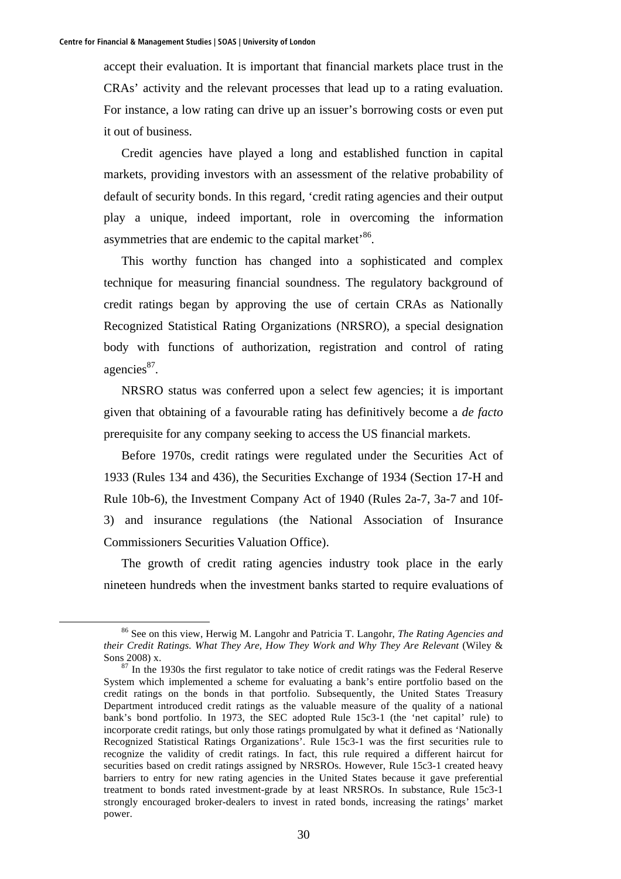accept their evaluation. It is important that financial markets place trust in the CRAs' activity and the relevant processes that lead up to a rating evaluation. For instance, a low rating can drive up an issuer's borrowing costs or even put it out of business.

Credit agencies have played a long and established function in capital markets, providing investors with an assessment of the relative probability of default of security bonds. In this regard, 'credit rating agencies and their output play a unique, indeed important, role in overcoming the information asymmetries that are endemic to the capital market'<sup>86</sup>.

This worthy function has changed into a sophisticated and complex technique for measuring financial soundness. The regulatory background of credit ratings began by approving the use of certain CRAs as Nationally Recognized Statistical Rating Organizations (NRSRO), a special designation body with functions of authorization, registration and control of rating agencies $^{87}$ .

NRSRO status was conferred upon a select few agencies; it is important given that obtaining of a favourable rating has definitively become a *de facto* prerequisite for any company seeking to access the US financial markets.

Before 1970s, credit ratings were regulated under the Securities Act of 1933 (Rules 134 and 436), the Securities Exchange of 1934 (Section 17-H and Rule 10b-6), the Investment Company Act of 1940 (Rules 2a-7, 3a-7 and 10f-3) and insurance regulations (the National Association of Insurance Commissioners Securities Valuation Office).

The growth of credit rating agencies industry took place in the early nineteen hundreds when the investment banks started to require evaluations of

 <sup>86</sup> See on this view, Herwig M. Langohr and Patricia T. Langohr, *The Rating Agencies and their Credit Ratings. What They Are, How They Work and Why They Are Relevant* (Wiley & Sons 2008) x.<br><sup>87</sup> In the 1930s the first regulator to take notice of credit ratings was the Federal Reserve

System which implemented a scheme for evaluating a bank's entire portfolio based on the credit ratings on the bonds in that portfolio. Subsequently, the United States Treasury Department introduced credit ratings as the valuable measure of the quality of a national bank's bond portfolio. In 1973, the SEC adopted Rule 15c3-1 (the 'net capital' rule) to incorporate credit ratings, but only those ratings promulgated by what it defined as 'Nationally Recognized Statistical Ratings Organizations'. Rule 15c3-1 was the first securities rule to recognize the validity of credit ratings. In fact, this rule required a different haircut for securities based on credit ratings assigned by NRSROs. However, Rule 15c3-1 created heavy barriers to entry for new rating agencies in the United States because it gave preferential treatment to bonds rated investment-grade by at least NRSROs. In substance, Rule 15c3-1 strongly encouraged broker-dealers to invest in rated bonds, increasing the ratings' market power.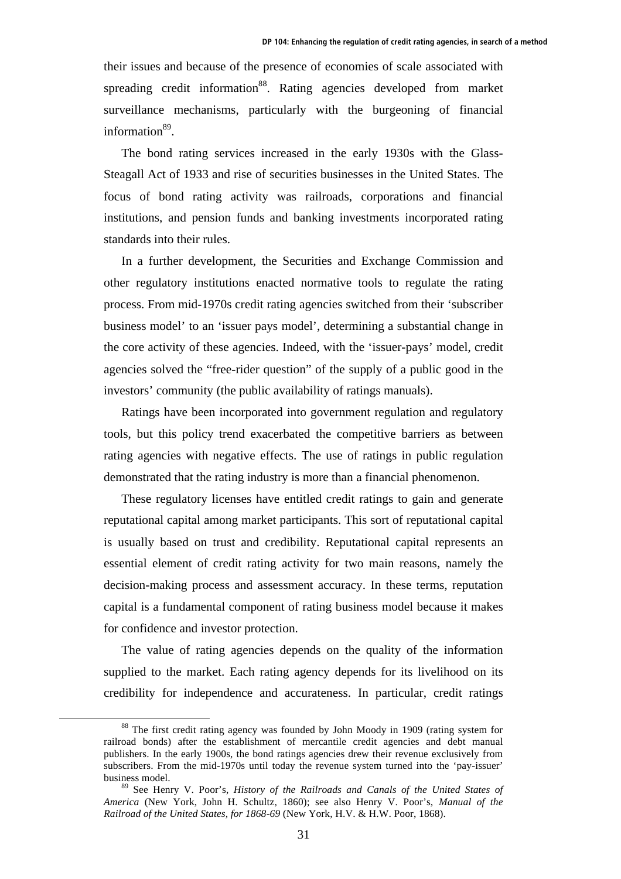their issues and because of the presence of economies of scale associated with spreading credit information<sup>88</sup>. Rating agencies developed from market surveillance mechanisms, particularly with the burgeoning of financial information<sup>89</sup>.

The bond rating services increased in the early 1930s with the Glass-Steagall Act of 1933 and rise of securities businesses in the United States. The focus of bond rating activity was railroads, corporations and financial institutions, and pension funds and banking investments incorporated rating standards into their rules.

In a further development, the Securities and Exchange Commission and other regulatory institutions enacted normative tools to regulate the rating process. From mid-1970s credit rating agencies switched from their 'subscriber business model' to an 'issuer pays model', determining a substantial change in the core activity of these agencies. Indeed, with the 'issuer-pays' model, credit agencies solved the "free-rider question" of the supply of a public good in the investors' community (the public availability of ratings manuals).

Ratings have been incorporated into government regulation and regulatory tools, but this policy trend exacerbated the competitive barriers as between rating agencies with negative effects. The use of ratings in public regulation demonstrated that the rating industry is more than a financial phenomenon.

These regulatory licenses have entitled credit ratings to gain and generate reputational capital among market participants. This sort of reputational capital is usually based on trust and credibility. Reputational capital represents an essential element of credit rating activity for two main reasons, namely the decision-making process and assessment accuracy. In these terms, reputation capital is a fundamental component of rating business model because it makes for confidence and investor protection.

The value of rating agencies depends on the quality of the information supplied to the market. Each rating agency depends for its livelihood on its credibility for independence and accurateness. In particular, credit ratings

<sup>&</sup>lt;sup>88</sup> The first credit rating agency was founded by John Moody in 1909 (rating system for railroad bonds) after the establishment of mercantile credit agencies and debt manual publishers. In the early 1900s, the bond ratings agencies drew their revenue exclusively from subscribers. From the mid-1970s until today the revenue system turned into the 'pay-issuer' business model.

<sup>89</sup> See Henry V. Poor's, *History of the Railroads and Canals of the United States of America* (New York, John H. Schultz, 1860); see also Henry V. Poor's, *Manual of the Railroad of the United States, for 1868-69* (New York, H.V. & H.W. Poor, 1868).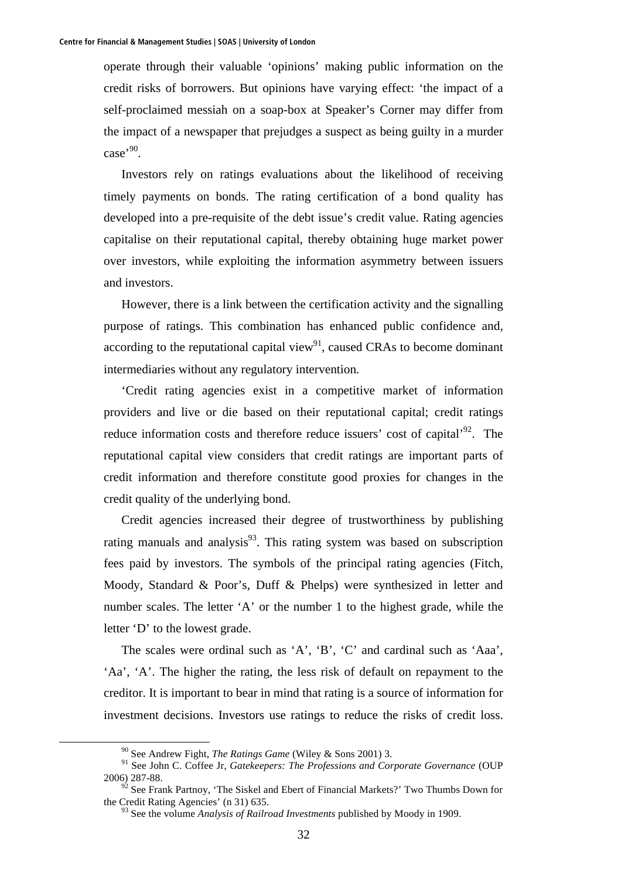operate through their valuable 'opinions' making public information on the credit risks of borrowers. But opinions have varying effect: 'the impact of a self-proclaimed messiah on a soap-box at Speaker's Corner may differ from the impact of a newspaper that prejudges a suspect as being guilty in a murder case<sup>,90</sup>.

Investors rely on ratings evaluations about the likelihood of receiving timely payments on bonds. The rating certification of a bond quality has developed into a pre-requisite of the debt issue's credit value. Rating agencies capitalise on their reputational capital, thereby obtaining huge market power over investors, while exploiting the information asymmetry between issuers and investors.

However, there is a link between the certification activity and the signalling purpose of ratings. This combination has enhanced public confidence and, according to the reputational capital view<sup>91</sup>, caused CRAs to become dominant intermediaries without any regulatory intervention.

'Credit rating agencies exist in a competitive market of information providers and live or die based on their reputational capital; credit ratings reduce information costs and therefore reduce issuers' cost of capital'<sup>92</sup>. The reputational capital view considers that credit ratings are important parts of credit information and therefore constitute good proxies for changes in the credit quality of the underlying bond.

Credit agencies increased their degree of trustworthiness by publishing rating manuals and analysis $93$ . This rating system was based on subscription fees paid by investors. The symbols of the principal rating agencies (Fitch, Moody, Standard & Poor's, Duff & Phelps) were synthesized in letter and number scales. The letter 'A' or the number 1 to the highest grade, while the letter 'D' to the lowest grade.

The scales were ordinal such as 'A', 'B', 'C' and cardinal such as 'Aaa', 'Aa', 'A'. The higher the rating, the less risk of default on repayment to the creditor. It is important to bear in mind that rating is a source of information for investment decisions. Investors use ratings to reduce the risks of credit loss.

 <sup>90</sup> See Andrew Fight, *The Ratings Game* (Wiley & Sons 2001) 3.

<sup>91</sup> See John C. Coffee Jr, *Gatekeepers: The Professions and Corporate Governance* (OUP 2006) 287-88.

 $92$  See Frank Partnoy, 'The Siskel and Ebert of Financial Markets?' Two Thumbs Down for the Credit Rating Agencies' (n 31) 635.

<sup>93</sup> See the volume *Analysis of Railroad Investments* published by Moody in 1909.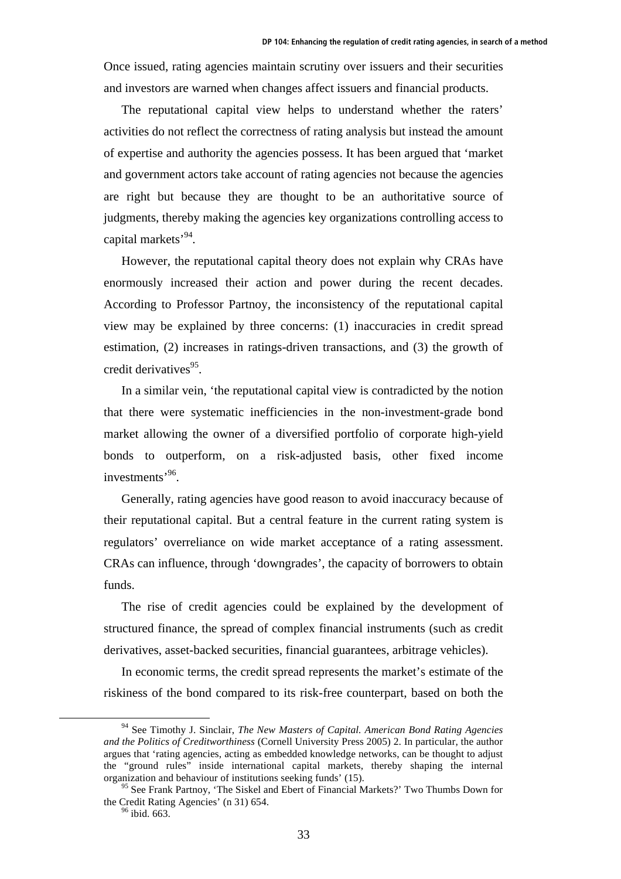Once issued, rating agencies maintain scrutiny over issuers and their securities and investors are warned when changes affect issuers and financial products.

The reputational capital view helps to understand whether the raters' activities do not reflect the correctness of rating analysis but instead the amount of expertise and authority the agencies possess. It has been argued that 'market and government actors take account of rating agencies not because the agencies are right but because they are thought to be an authoritative source of judgments, thereby making the agencies key organizations controlling access to capital markets'94.

However, the reputational capital theory does not explain why CRAs have enormously increased their action and power during the recent decades. According to Professor Partnoy, the inconsistency of the reputational capital view may be explained by three concerns: (1) inaccuracies in credit spread estimation, (2) increases in ratings-driven transactions, and (3) the growth of credit derivatives $95$ .

In a similar vein, 'the reputational capital view is contradicted by the notion that there were systematic inefficiencies in the non-investment-grade bond market allowing the owner of a diversified portfolio of corporate high-yield bonds to outperform, on a risk-adjusted basis, other fixed income investments'96.

Generally, rating agencies have good reason to avoid inaccuracy because of their reputational capital. But a central feature in the current rating system is regulators' overreliance on wide market acceptance of a rating assessment. CRAs can influence, through 'downgrades', the capacity of borrowers to obtain funds.

The rise of credit agencies could be explained by the development of structured finance, the spread of complex financial instruments (such as credit derivatives, asset-backed securities, financial guarantees, arbitrage vehicles).

In economic terms, the credit spread represents the market's estimate of the riskiness of the bond compared to its risk-free counterpart, based on both the

 <sup>94</sup> See Timothy J. Sinclair, *The New Masters of Capital. American Bond Rating Agencies and the Politics of Creditworthiness* (Cornell University Press 2005) 2. In particular, the author argues that 'rating agencies, acting as embedded knowledge networks, can be thought to adjust the "ground rules" inside international capital markets, thereby shaping the internal organization and behaviour of institutions seeking funds' (15).

<sup>&</sup>lt;sup>95</sup> See Frank Partnoy, 'The Siskel and Ebert of Financial Markets?' Two Thumbs Down for the Credit Rating Agencies' (n 31) 654.<br><sup>96</sup> ibid. 663.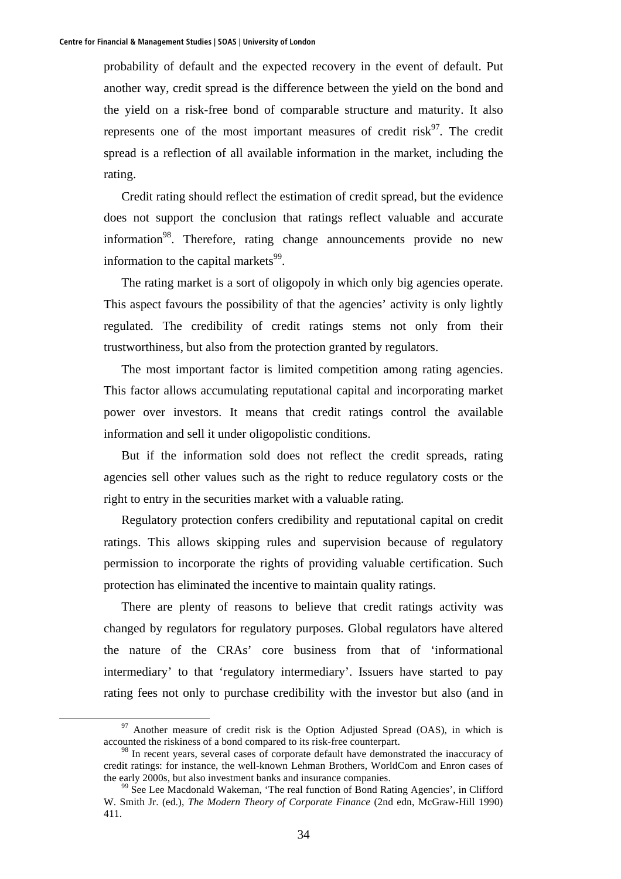probability of default and the expected recovery in the event of default. Put another way, credit spread is the difference between the yield on the bond and the yield on a risk-free bond of comparable structure and maturity. It also represents one of the most important measures of credit risk $97$ . The credit spread is a reflection of all available information in the market, including the rating.

Credit rating should reflect the estimation of credit spread, but the evidence does not support the conclusion that ratings reflect valuable and accurate information<sup>98</sup>. Therefore, rating change announcements provide no new information to the capital markets $99$ .

The rating market is a sort of oligopoly in which only big agencies operate. This aspect favours the possibility of that the agencies' activity is only lightly regulated. The credibility of credit ratings stems not only from their trustworthiness, but also from the protection granted by regulators.

The most important factor is limited competition among rating agencies. This factor allows accumulating reputational capital and incorporating market power over investors. It means that credit ratings control the available information and sell it under oligopolistic conditions.

But if the information sold does not reflect the credit spreads, rating agencies sell other values such as the right to reduce regulatory costs or the right to entry in the securities market with a valuable rating.

Regulatory protection confers credibility and reputational capital on credit ratings. This allows skipping rules and supervision because of regulatory permission to incorporate the rights of providing valuable certification. Such protection has eliminated the incentive to maintain quality ratings.

There are plenty of reasons to believe that credit ratings activity was changed by regulators for regulatory purposes. Global regulators have altered the nature of the CRAs' core business from that of 'informational intermediary' to that 'regulatory intermediary'. Issuers have started to pay rating fees not only to purchase credibility with the investor but also (and in

 $97$  Another measure of credit risk is the Option Adjusted Spread (OAS), in which is accounted the riskiness of a bond compared to its risk-free counterpart.

<sup>&</sup>lt;sup>98</sup> In recent years, several cases of corporate default have demonstrated the inaccuracy of credit ratings: for instance, the well-known Lehman Brothers, WorldCom and Enron cases of the early 2000s, but also investment banks and insurance companies.<br><sup>99</sup> See Lee Macdonald Wakeman, 'The real function of Bond Rating Agencies', in Clifford

W. Smith Jr. (ed.), *The Modern Theory of Corporate Finance* (2nd edn, McGraw-Hill 1990) 411.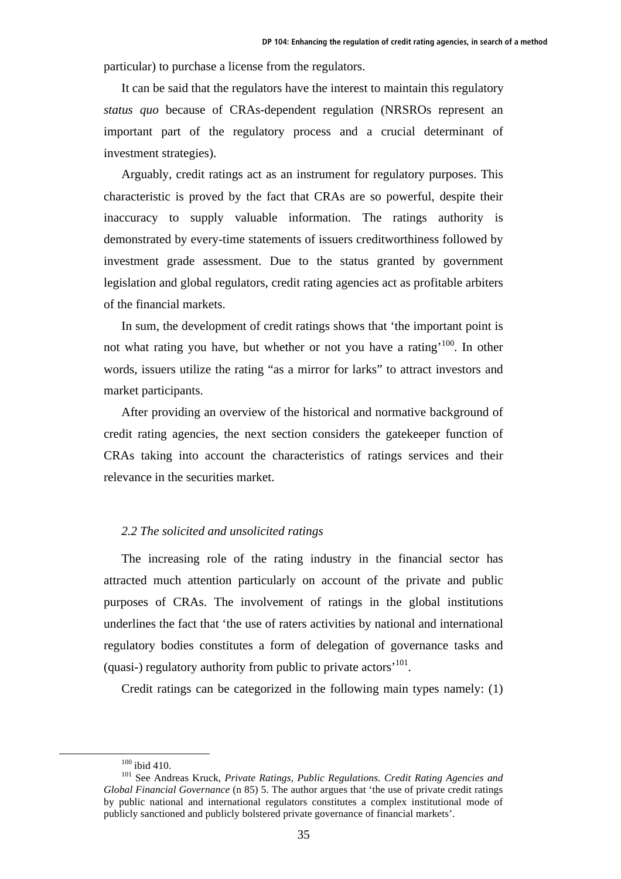particular) to purchase a license from the regulators.

It can be said that the regulators have the interest to maintain this regulatory *status quo* because of CRAs-dependent regulation (NRSROs represent an important part of the regulatory process and a crucial determinant of investment strategies).

Arguably, credit ratings act as an instrument for regulatory purposes. This characteristic is proved by the fact that CRAs are so powerful, despite their inaccuracy to supply valuable information. The ratings authority is demonstrated by every-time statements of issuers creditworthiness followed by investment grade assessment. Due to the status granted by government legislation and global regulators, credit rating agencies act as profitable arbiters of the financial markets.

In sum, the development of credit ratings shows that 'the important point is not what rating you have, but whether or not you have a rating<sup> $100$ </sup>. In other words, issuers utilize the rating "as a mirror for larks" to attract investors and market participants.

After providing an overview of the historical and normative background of credit rating agencies, the next section considers the gatekeeper function of CRAs taking into account the characteristics of ratings services and their relevance in the securities market.

### *2.2 The solicited and unsolicited ratings*

The increasing role of the rating industry in the financial sector has attracted much attention particularly on account of the private and public purposes of CRAs. The involvement of ratings in the global institutions underlines the fact that 'the use of raters activities by national and international regulatory bodies constitutes a form of delegation of governance tasks and (quasi-) regulatory authority from public to private actors'101.

Credit ratings can be categorized in the following main types namely: (1)

<sup>&</sup>lt;sup>100</sup> ibid 410.<br><sup>101</sup> See Andreas Kruck, *Private Ratings, Public Regulations. Credit Rating Agencies and Global Financial Governance* (n 85) 5. The author argues that 'the use of private credit ratings by public national and international regulators constitutes a complex institutional mode of publicly sanctioned and publicly bolstered private governance of financial markets'.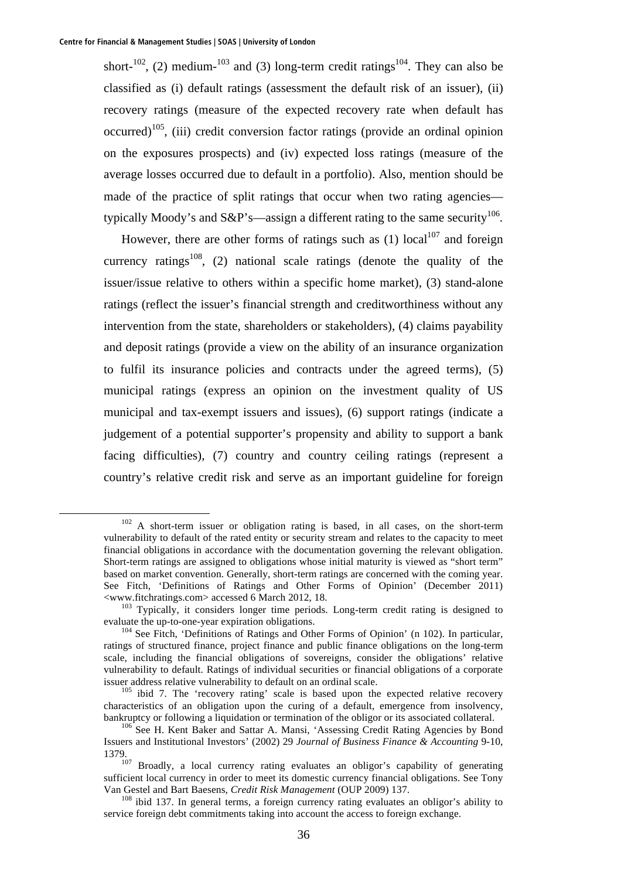short-<sup>102</sup>, (2) medium-<sup>103</sup> and (3) long-term credit ratings<sup>104</sup>. They can also be classified as (i) default ratings (assessment the default risk of an issuer), (ii) recovery ratings (measure of the expected recovery rate when default has occurred)<sup>105</sup>, (iii) credit conversion factor ratings (provide an ordinal opinion on the exposures prospects) and (iv) expected loss ratings (measure of the average losses occurred due to default in a portfolio). Also, mention should be made of the practice of split ratings that occur when two rating agencies typically Moody's and S&P's—assign a different rating to the same security<sup>106</sup>.

However, there are other forms of ratings such as  $(1)$  local<sup>107</sup> and foreign currency ratings<sup>108</sup>, (2) national scale ratings (denote the quality of the issuer/issue relative to others within a specific home market), (3) stand-alone ratings (reflect the issuer's financial strength and creditworthiness without any intervention from the state, shareholders or stakeholders), (4) claims payability and deposit ratings (provide a view on the ability of an insurance organization to fulfil its insurance policies and contracts under the agreed terms), (5) municipal ratings (express an opinion on the investment quality of US municipal and tax-exempt issuers and issues), (6) support ratings (indicate a judgement of a potential supporter's propensity and ability to support a bank facing difficulties), (7) country and country ceiling ratings (represent a country's relative credit risk and serve as an important guideline for foreign

 <sup>102</sup> A short-term issuer or obligation rating is based, in all cases, on the short-term vulnerability to default of the rated entity or security stream and relates to the capacity to meet financial obligations in accordance with the documentation governing the relevant obligation. Short-term ratings are assigned to obligations whose initial maturity is viewed as "short term" based on market convention. Generally, short-term ratings are concerned with the coming year. See Fitch, 'Definitions of Ratings and Other Forms of Opinion' (December 2011)  $\langle$ www.fitchratings.com> accessed 6 March 2012, 18.<br><sup>103</sup> Typically, it considers longer time periods. Long-term credit rating is designed to

evaluate the up-to-one-year expiration obligations.<br><sup>104</sup> See Fitch, 'Definitions of Ratings and Other Forms of Opinion' (n 102). In particular,

ratings of structured finance, project finance and public finance obligations on the long-term scale, including the financial obligations of sovereigns, consider the obligations' relative vulnerability to default. Ratings of individual securities or financial obligations of a corporate issuer address relative vulnerability to default on an ordinal scale.

 $\frac{105}{105}$  ibid 7. The 'recovery rating' scale is based upon the expected relative recovery characteristics of an obligation upon the curing of a default, emergence from insolvency, bankruptcy or following a liquidation or termination of the obligor or its associated collateral.<br><sup>106</sup> See H. Kent Baker and Sattar A. Mansi, 'Assessing Credit Rating Agencies by Bond

Issuers and Institutional Investors' (2002) 29 *Journal of Business Finance & Accounting* 9-10,

<sup>1379. 107</sup> Broadly, a local currency rating evaluates an obligor's capability of generating sufficient local currency in order to meet its domestic currency financial obligations. See Tony Van Gestel and Bart Baesens, *Credit Risk Management* (OUP 2009) 137.<br><sup>108</sup> ibid 137. In general terms, a foreign currency rating evaluates an obligor's ability to

service foreign debt commitments taking into account the access to foreign exchange.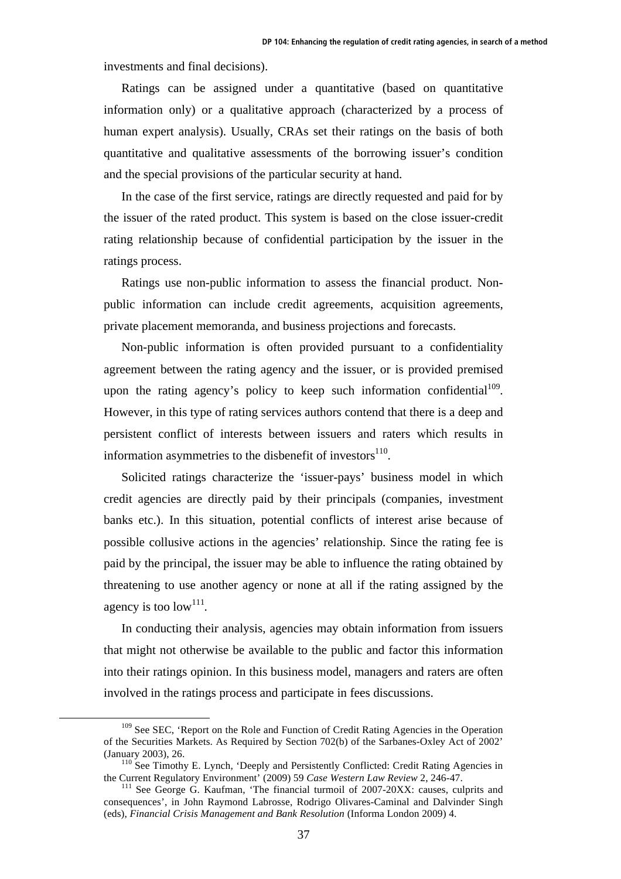investments and final decisions).

Ratings can be assigned under a quantitative (based on quantitative information only) or a qualitative approach (characterized by a process of human expert analysis). Usually, CRAs set their ratings on the basis of both quantitative and qualitative assessments of the borrowing issuer's condition and the special provisions of the particular security at hand.

In the case of the first service, ratings are directly requested and paid for by the issuer of the rated product. This system is based on the close issuer-credit rating relationship because of confidential participation by the issuer in the ratings process.

Ratings use non-public information to assess the financial product. Nonpublic information can include credit agreements, acquisition agreements, private placement memoranda, and business projections and forecasts.

Non-public information is often provided pursuant to a confidentiality agreement between the rating agency and the issuer, or is provided premised upon the rating agency's policy to keep such information confidential<sup>109</sup>. However, in this type of rating services authors contend that there is a deep and persistent conflict of interests between issuers and raters which results in information asymmetries to the disbenefit of investors $110$ .

Solicited ratings characterize the 'issuer-pays' business model in which credit agencies are directly paid by their principals (companies, investment banks etc.). In this situation, potential conflicts of interest arise because of possible collusive actions in the agencies' relationship. Since the rating fee is paid by the principal, the issuer may be able to influence the rating obtained by threatening to use another agency or none at all if the rating assigned by the agency is too low<sup>111</sup>.

In conducting their analysis, agencies may obtain information from issuers that might not otherwise be available to the public and factor this information into their ratings opinion. In this business model, managers and raters are often involved in the ratings process and participate in fees discussions.

<sup>&</sup>lt;sup>109</sup> See SEC, 'Report on the Role and Function of Credit Rating Agencies in the Operation of the Securities Markets. As Required by Section 702(b) of the Sarbanes-Oxley Act of 2002'

<sup>(</sup>January 2003), 26. <sup>110</sup> See Timothy E. Lynch, 'Deeply and Persistently Conflicted: Credit Rating Agencies in the Current Regulatory Environment' (2009) 59 Case Western Law Review 2, 246-47.

<sup>&</sup>lt;sup>111</sup> See George G. Kaufman, 'The financial turmoil of 2007-20XX: causes, culprits and consequences', in John Raymond Labrosse, Rodrigo Olivares-Caminal and Dalvinder Singh (eds), *Financial Crisis Management and Bank Resolution* (Informa London 2009) 4.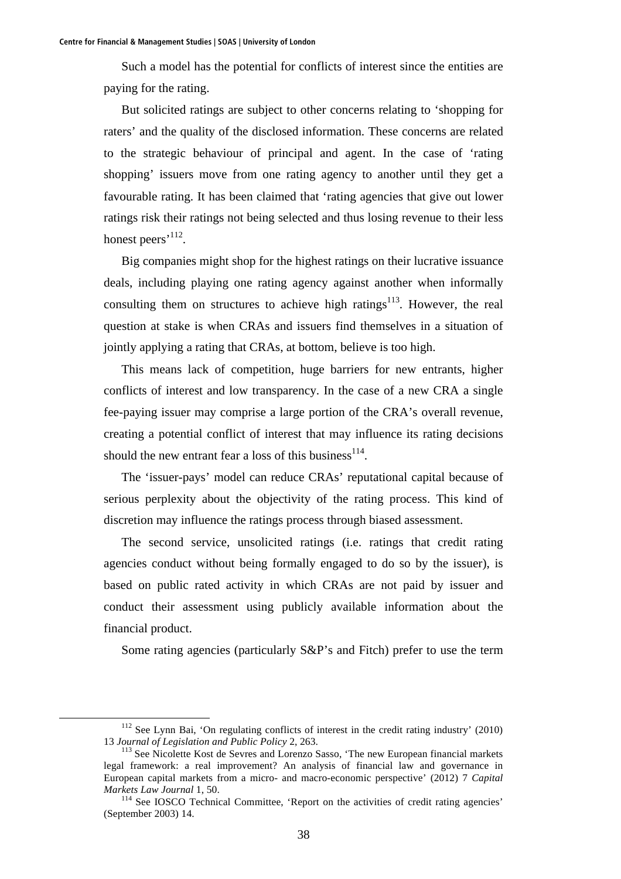Such a model has the potential for conflicts of interest since the entities are paying for the rating.

But solicited ratings are subject to other concerns relating to 'shopping for raters' and the quality of the disclosed information. These concerns are related to the strategic behaviour of principal and agent. In the case of 'rating shopping' issuers move from one rating agency to another until they get a favourable rating. It has been claimed that 'rating agencies that give out lower ratings risk their ratings not being selected and thus losing revenue to their less honest peers'<sup>112</sup>.

Big companies might shop for the highest ratings on their lucrative issuance deals, including playing one rating agency against another when informally consulting them on structures to achieve high ratings<sup>113</sup>. However, the real question at stake is when CRAs and issuers find themselves in a situation of jointly applying a rating that CRAs, at bottom, believe is too high.

This means lack of competition, huge barriers for new entrants, higher conflicts of interest and low transparency. In the case of a new CRA a single fee-paying issuer may comprise a large portion of the CRA's overall revenue, creating a potential conflict of interest that may influence its rating decisions should the new entrant fear a loss of this business<sup>114</sup>.

The 'issuer-pays' model can reduce CRAs' reputational capital because of serious perplexity about the objectivity of the rating process. This kind of discretion may influence the ratings process through biased assessment.

The second service, unsolicited ratings (i.e. ratings that credit rating agencies conduct without being formally engaged to do so by the issuer), is based on public rated activity in which CRAs are not paid by issuer and conduct their assessment using publicly available information about the financial product.

Some rating agencies (particularly S&P's and Fitch) prefer to use the term

 $112$  See Lynn Bai, 'On regulating conflicts of interest in the credit rating industry' (2010) <sup>13</sup>*Journal of Legislation and Public Policy* 2, 263. 113 See Nicolette Kost de Sevres and Lorenzo Sasso, 'The new European financial markets

legal framework: a real improvement? An analysis of financial law and governance in European capital markets from a micro- and macro-economic perspective' (2012) 7 *Capital Markets Law Journal* 1, 50.<br><sup>114</sup> See IOSCO Technical Committee, 'Report on the activities of credit rating agencies'

<sup>(</sup>September 2003) 14.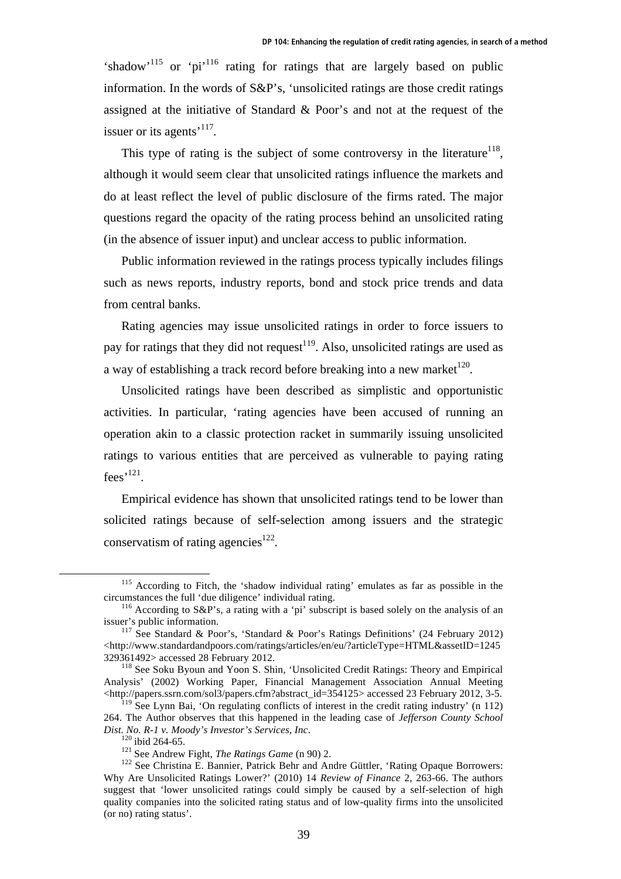'shadow'<sup>115</sup> or 'pi<sup>'116</sup> rating for ratings that are largely based on public information. In the words of S&P's, 'unsolicited ratings are those credit ratings assigned at the initiative of Standard & Poor's and not at the request of the issuer or its agents<sup> $117$ </sup>.

This type of rating is the subject of some controversy in the literature<sup>118</sup>. although it would seem clear that unsolicited ratings influence the markets and do at least reflect the level of public disclosure of the firms rated. The major questions regard the opacity of the rating process behind an unsolicited rating (in the absence of issuer input) and unclear access to public information.

Public information reviewed in the ratings process typically includes filings such as news reports, industry reports, bond and stock price trends and data from central banks.

Rating agencies may issue unsolicited ratings in order to force issuers to pay for ratings that they did not request<sup>119</sup>. Also, unsolicited ratings are used as a way of establishing a track record before breaking into a new market  $120$ .

Unsolicited ratings have been described as simplistic and opportunistic activities. In particular, 'rating agencies have been accused of running an operation akin to a classic protection racket in summarily issuing unsolicited ratings to various entities that are perceived as vulnerable to paying rating  $fees$ <sup>121</sup>.

Empirical evidence has shown that unsolicited ratings tend to be lower than solicited ratings because of self-selection among issuers and the strategic conservatism of rating agencies<sup>122</sup>.

<sup>&</sup>lt;sup>115</sup> According to Fitch, the 'shadow individual rating' emulates as far as possible in the circumstances the full 'due diligence' individual rating. 116 According to S&P's, a rating with a 'pi' subscript is based solely on the analysis of an

issuer's public information.<br><sup>117</sup> See Standard & Poor's, 'Standard & Poor's Ratings Definitions' (24 February 2012)

<sup>&</sup>lt;http://www.standardandpoors.com/ratings/articles/en/eu/?articleType=HTML&assetID=1245 329361492> accessed 28 February 2012.

<sup>118</sup> See Soku Byoun and Yoon S. Shin, 'Unsolicited Credit Ratings: Theory and Empirical Analysis' (2002) Working Paper, Financial Management Association Annual Meeting  $\lt$ http://papers.ssrn.com/sol3/papers.cfm?abstract\_id=354125> accessed 23 February 2012, 3-5.

 $119$  See Lynn Bai, 'On regulating conflicts of interest in the credit rating industry' (n 112) 264. The Author observes that this happened in the leading case of *Jefferson County School Dist. No. R-1 v. Moody's Investor's Services, Inc.* 120 ibid 264-65. 121 See Andrew Fight, *The Ratings Game* (n 90) 2. 122 See Christina E. Bannier, Patrick Behr and Andre Güttler, 'Rating Opaque Borrowers:

Why Are Unsolicited Ratings Lower?' (2010) 14 *Review of Finance* 2, 263-66. The authors suggest that 'lower unsolicited ratings could simply be caused by a self-selection of high quality companies into the solicited rating status and of low-quality firms into the unsolicited (or no) rating status'.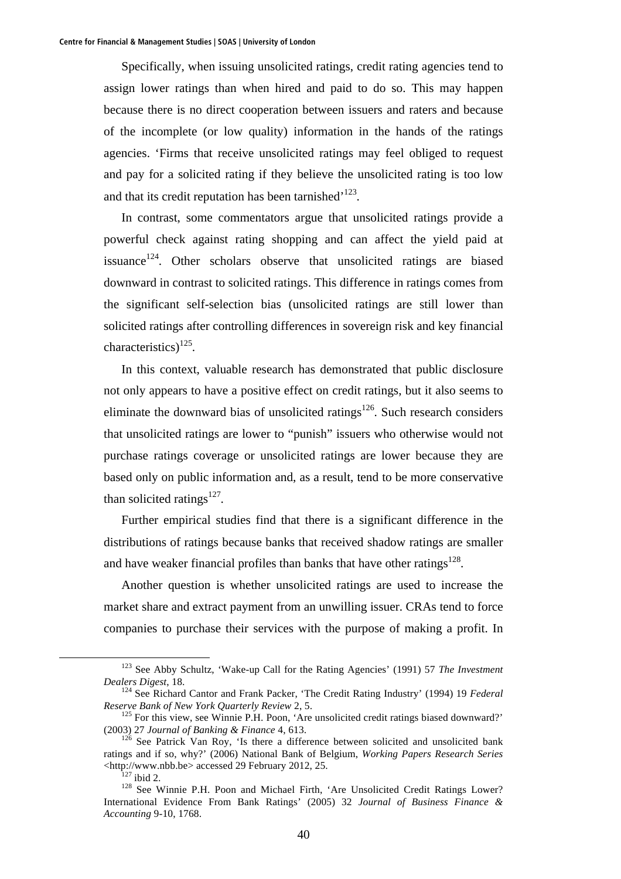Specifically, when issuing unsolicited ratings, credit rating agencies tend to assign lower ratings than when hired and paid to do so. This may happen because there is no direct cooperation between issuers and raters and because of the incomplete (or low quality) information in the hands of the ratings agencies. 'Firms that receive unsolicited ratings may feel obliged to request and pay for a solicited rating if they believe the unsolicited rating is too low and that its credit reputation has been tarnished $123$ .

In contrast, some commentators argue that unsolicited ratings provide a powerful check against rating shopping and can affect the yield paid at issuance<sup>124</sup>. Other scholars observe that unsolicited ratings are biased downward in contrast to solicited ratings. This difference in ratings comes from the significant self-selection bias (unsolicited ratings are still lower than solicited ratings after controlling differences in sovereign risk and key financial characteristics)<sup>125</sup>.

In this context, valuable research has demonstrated that public disclosure not only appears to have a positive effect on credit ratings, but it also seems to eliminate the downward bias of unsolicited ratings<sup>126</sup>. Such research considers that unsolicited ratings are lower to "punish" issuers who otherwise would not purchase ratings coverage or unsolicited ratings are lower because they are based only on public information and, as a result, tend to be more conservative than solicited ratings $127$ .

Further empirical studies find that there is a significant difference in the distributions of ratings because banks that received shadow ratings are smaller and have weaker financial profiles than banks that have other ratings $128$ .

Another question is whether unsolicited ratings are used to increase the market share and extract payment from an unwilling issuer. CRAs tend to force companies to purchase their services with the purpose of making a profit. In

 <sup>123</sup> See Abby Schultz, 'Wake*-*up Call for the Rating Agencies' (1991) 57 *The Investment Dealers Digest*, 18. 124 See Richard Cantor and Frank Packer, 'The Credit Rating Industry' (1994) 19 *Federal* 

*Reserve Bank of New York Quarterly Review* 2, 5.<br><sup>125</sup> For this view, see Winnie P.H. Poon, 'Are unsolicited credit ratings biased downward?'

<sup>(2003) 27</sup> *Journal of Banking & Finance* 4, 613.<br><sup>126</sup> See Patrick Van Roy, 'Is there a difference between solicited and unsolicited bank

ratings and if so, why?' (2006) National Bank of Belgium, *Working Papers Research Series*

 $\frac{127}{127}$  ibid 2.<br><sup>128</sup> See Winnie P.H. Poon and Michael Firth, 'Are Unsolicited Credit Ratings Lower? International Evidence From Bank Ratings' (2005) 32 *Journal of Business Finance & Accounting* 9-10, 1768.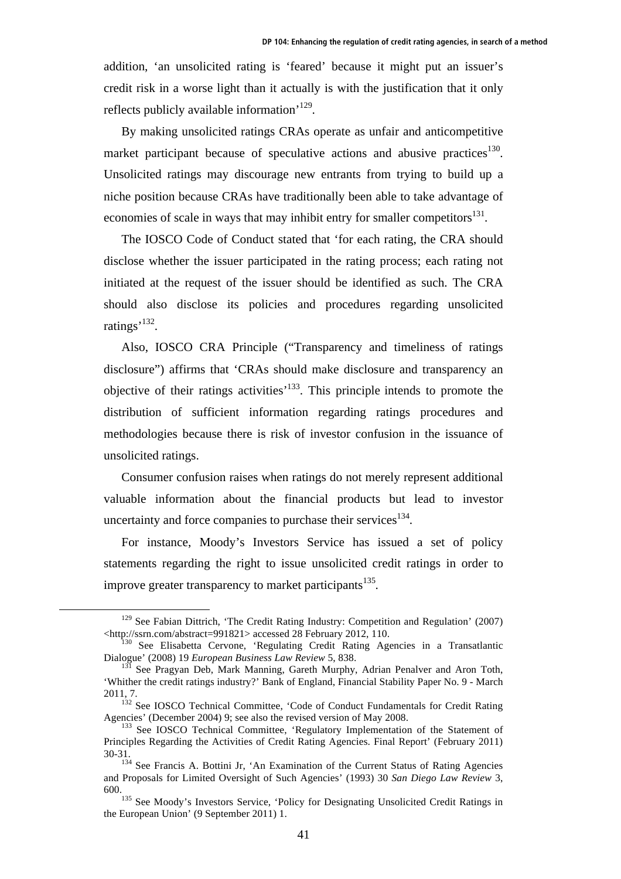addition, 'an unsolicited rating is 'feared' because it might put an issuer's credit risk in a worse light than it actually is with the justification that it only reflects publicly available information'129.

By making unsolicited ratings CRAs operate as unfair and anticompetitive market participant because of speculative actions and abusive practices<sup>130</sup>. Unsolicited ratings may discourage new entrants from trying to build up a niche position because CRAs have traditionally been able to take advantage of economies of scale in ways that may inhibit entry for smaller competitors $^{131}$ .

The IOSCO Code of Conduct stated that 'for each rating, the CRA should disclose whether the issuer participated in the rating process; each rating not initiated at the request of the issuer should be identified as such. The CRA should also disclose its policies and procedures regarding unsolicited ratings<sup>'132</sup>.

Also, IOSCO CRA Principle ("Transparency and timeliness of ratings disclosure") affirms that 'CRAs should make disclosure and transparency an objective of their ratings activities'133. This principle intends to promote the distribution of sufficient information regarding ratings procedures and methodologies because there is risk of investor confusion in the issuance of unsolicited ratings.

Consumer confusion raises when ratings do not merely represent additional valuable information about the financial products but lead to investor uncertainty and force companies to purchase their services $^{134}$ .

For instance, Moody's Investors Service has issued a set of policy statements regarding the right to issue unsolicited credit ratings in order to improve greater transparency to market participants<sup>135</sup>.

<sup>&</sup>lt;sup>129</sup> See Fabian Dittrich, 'The Credit Rating Industry: Competition and Regulation' (2007) <http://ssrn.com/abstract=991821> accessed 28 February 2012, 110.

 $<sup>0</sup>$  See Elisabetta Cervone, 'Regulating Credit Rating Agencies in a Transatlantic</sup> Dialogue' (2008) 19 *European Business Law Review* 5, 838.<br><sup>131</sup> See Pragyan Deb, Mark Manning, Gareth Murphy, Adrian Penalver and Aron Toth,

<sup>&#</sup>x27;Whither the credit ratings industry?' Bank of England, Financial Stability Paper No. 9 - March 2011, 7. 132 See IOSCO Technical Committee, 'Code of Conduct Fundamentals for Credit Rating

Agencies' (December 2004) 9; see also the revised version of May 2008.<br><sup>133</sup> See IOSCO Technical Committee, 'Regulatory Implementation of the Statement of

Principles Regarding the Activities of Credit Rating Agencies. Final Report' (February 2011) 30-31. 134 See Francis A. Bottini Jr, 'An Examination of the Current Status of Rating Agencies

and Proposals for Limited Oversight of Such Agencies' (1993) 30 *San Diego Law Review* 3,

<sup>&</sup>lt;sup>135</sup> See Moody's Investors Service, 'Policy for Designating Unsolicited Credit Ratings in the European Union' (9 September 2011) 1.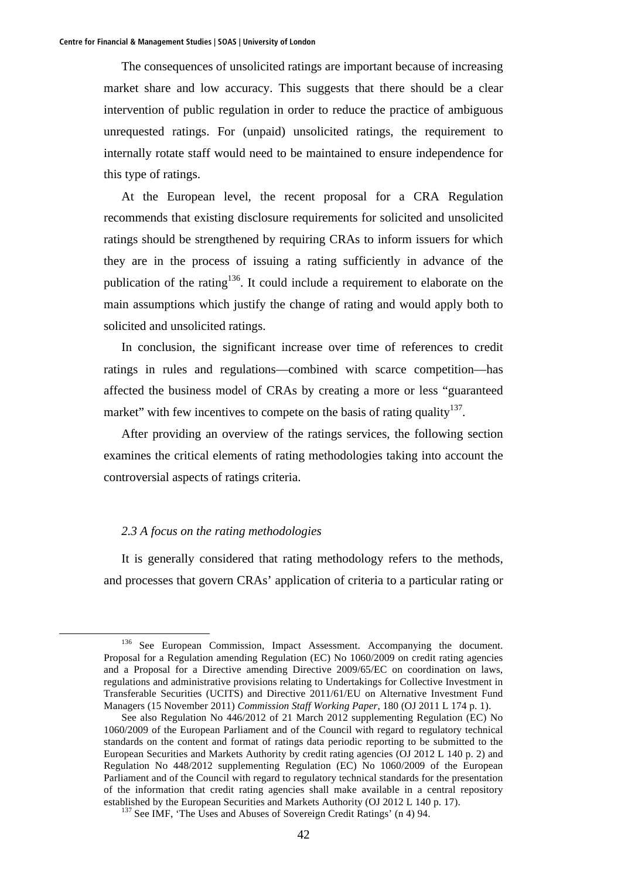The consequences of unsolicited ratings are important because of increasing market share and low accuracy. This suggests that there should be a clear intervention of public regulation in order to reduce the practice of ambiguous unrequested ratings. For (unpaid) unsolicited ratings, the requirement to internally rotate staff would need to be maintained to ensure independence for this type of ratings.

At the European level, the recent proposal for a CRA Regulation recommends that existing disclosure requirements for solicited and unsolicited ratings should be strengthened by requiring CRAs to inform issuers for which they are in the process of issuing a rating sufficiently in advance of the publication of the rating<sup>136</sup>. It could include a requirement to elaborate on the main assumptions which justify the change of rating and would apply both to solicited and unsolicited ratings.

In conclusion, the significant increase over time of references to credit ratings in rules and regulations—combined with scarce competition—has affected the business model of CRAs by creating a more or less "guaranteed market" with few incentives to compete on the basis of rating quality  $137$ .

After providing an overview of the ratings services, the following section examines the critical elements of rating methodologies taking into account the controversial aspects of ratings criteria.

# *2.3 A focus on the rating methodologies*

It is generally considered that rating methodology refers to the methods, and processes that govern CRAs' application of criteria to a particular rating or

<sup>&</sup>lt;sup>136</sup> See European Commission, Impact Assessment. Accompanying the document. Proposal for a Regulation amending Regulation (EC) No 1060/2009 on credit rating agencies and a Proposal for a Directive amending Directive 2009/65/EC on coordination on laws, regulations and administrative provisions relating to Undertakings for Collective Investment in Transferable Securities (UCITS) and Directive 2011/61/EU on Alternative Investment Fund Managers (15 November 2011) *Commission Staff Working Paper*, 180 (OJ 2011 L 174 p. 1).

See also Regulation No 446/2012 of 21 March 2012 supplementing Regulation (EC) No 1060/2009 of the European Parliament and of the Council with regard to regulatory technical standards on the content and format of ratings data periodic reporting to be submitted to the European Securities and Markets Authority by credit rating agencies (OJ 2012 L 140 p. 2) and Regulation No 448/2012 supplementing Regulation (EC) No 1060/2009 of the European Parliament and of the Council with regard to regulatory technical standards for the presentation of the information that credit rating agencies shall make available in a central repository established by the European Securities and Markets Authority (OJ 2012 L 140 p. 17).<br><sup>137</sup> See IMF, 'The Uses and Abuses of Sovereign Credit Ratings' (n 4) 94.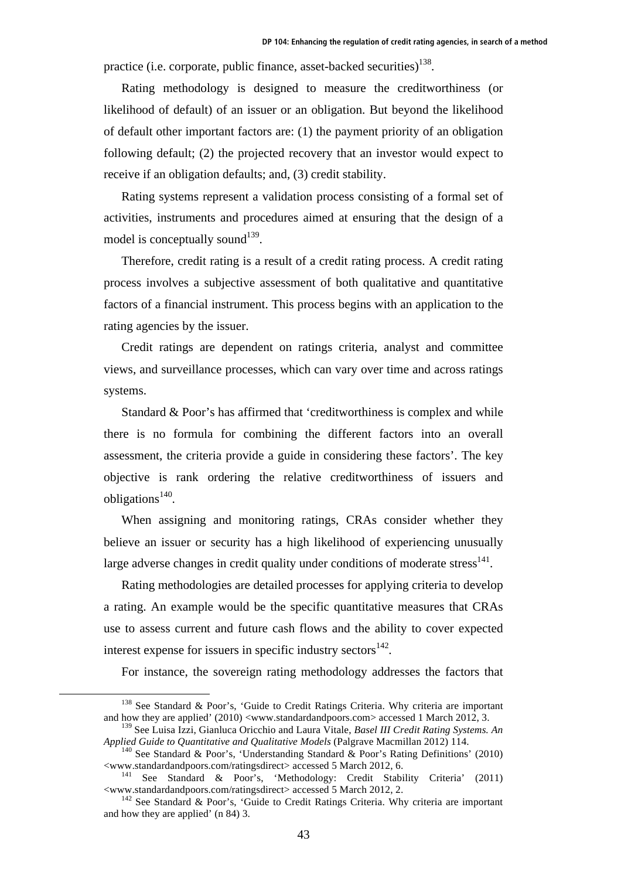practice (i.e. corporate, public finance, asset-backed securities)<sup>138</sup>.

Rating methodology is designed to measure the creditworthiness (or likelihood of default) of an issuer or an obligation. But beyond the likelihood of default other important factors are: (1) the payment priority of an obligation following default; (2) the projected recovery that an investor would expect to receive if an obligation defaults; and, (3) credit stability.

Rating systems represent a validation process consisting of a formal set of activities, instruments and procedures aimed at ensuring that the design of a model is conceptually sound<sup>139</sup>.

Therefore, credit rating is a result of a credit rating process. A credit rating process involves a subjective assessment of both qualitative and quantitative factors of a financial instrument. This process begins with an application to the rating agencies by the issuer.

Credit ratings are dependent on ratings criteria, analyst and committee views, and surveillance processes, which can vary over time and across ratings systems.

Standard & Poor's has affirmed that 'creditworthiness is complex and while there is no formula for combining the different factors into an overall assessment, the criteria provide a guide in considering these factors'. The key objective is rank ordering the relative creditworthiness of issuers and  $obli$ gations<sup>140</sup>.

When assigning and monitoring ratings, CRAs consider whether they believe an issuer or security has a high likelihood of experiencing unusually large adverse changes in credit quality under conditions of moderate stress $^{141}$ .

Rating methodologies are detailed processes for applying criteria to develop a rating. An example would be the specific quantitative measures that CRAs use to assess current and future cash flows and the ability to cover expected interest expense for issuers in specific industry sectors $^{142}$ .

For instance, the sovereign rating methodology addresses the factors that

 $138$  See Standard & Poor's, 'Guide to Credit Ratings Criteria. Why criteria are important and how they are applied' (2010) <www.standardandpoors.com> accessed 1 March 2012, 3.

<sup>139</sup> See Luisa Izzi, Gianluca Oricchio and Laura Vitale, *Basel III Credit Rating Systems. An Applied Guide to Quantitative and Qualitative Models* (Palgrave Macmillan 2012) 114.<br><sup>140</sup> See Standard & Poor's, 'Understanding Standard & Poor's Rating Definitions' (2010)

<sup>&</sup>lt;www.standardandpoors.com/ratingsdirect> accessed 5 March 2012, 6. 141 See Standard & Poor's, 'Methodology: Credit Stability Criteria' (2011)

 $142$  See Standard & Poor's, 'Guide to Credit Ratings Criteria. Why criteria are important and how they are applied' (n 84) 3.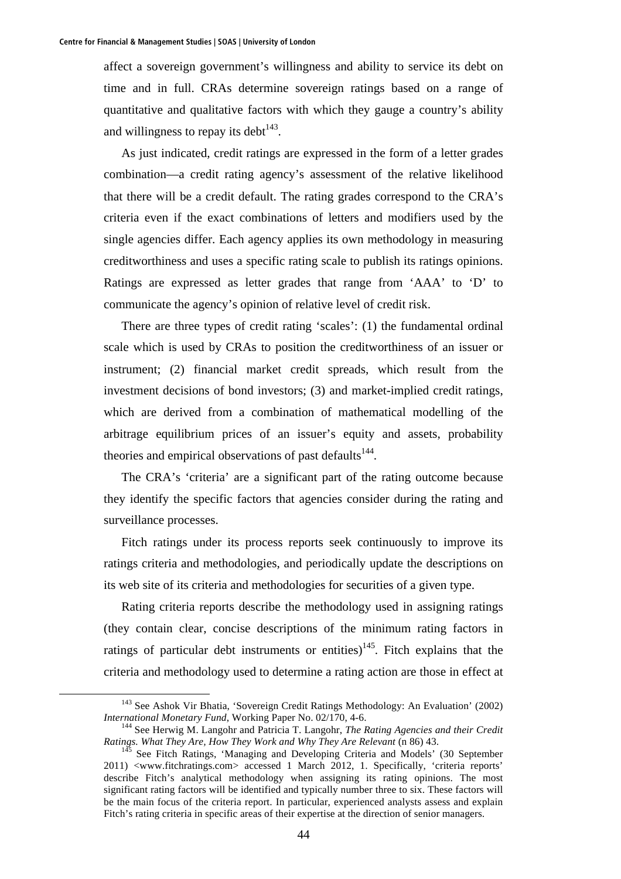affect a sovereign government's willingness and ability to service its debt on time and in full. CRAs determine sovereign ratings based on a range of quantitative and qualitative factors with which they gauge a country's ability and willingness to repay its debt $143$ .

As just indicated, credit ratings are expressed in the form of a letter grades combination—a credit rating agency's assessment of the relative likelihood that there will be a credit default. The rating grades correspond to the CRA's criteria even if the exact combinations of letters and modifiers used by the single agencies differ. Each agency applies its own methodology in measuring creditworthiness and uses a specific rating scale to publish its ratings opinions. Ratings are expressed as letter grades that range from 'AAA' to 'D' to communicate the agency's opinion of relative level of credit risk.

There are three types of credit rating 'scales': (1) the fundamental ordinal scale which is used by CRAs to position the creditworthiness of an issuer or instrument; (2) financial market credit spreads, which result from the investment decisions of bond investors; (3) and market-implied credit ratings, which are derived from a combination of mathematical modelling of the arbitrage equilibrium prices of an issuer's equity and assets, probability theories and empirical observations of past defaults<sup>144</sup>.

The CRA's 'criteria' are a significant part of the rating outcome because they identify the specific factors that agencies consider during the rating and surveillance processes.

Fitch ratings under its process reports seek continuously to improve its ratings criteria and methodologies, and periodically update the descriptions on its web site of its criteria and methodologies for securities of a given type.

Rating criteria reports describe the methodology used in assigning ratings (they contain clear, concise descriptions of the minimum rating factors in ratings of particular debt instruments or entities)<sup>145</sup>. Fitch explains that the criteria and methodology used to determine a rating action are those in effect at

 <sup>143</sup> See Ashok Vir Bhatia, 'Sovereign Credit Ratings Methodology: An Evaluation' (2002) *International Monetary Fund*, Working Paper No. 02/170, 4-6.<br><sup>144</sup> See Herwig M. Langohr and Patricia T. Langohr, *The Rating Agencies and their Credit* 

*Ratings. What They Are, How They Work and Why They Are Relevant* (n 86) 43.<br><sup>145</sup> See Fitch Ratings, 'Managing and Developing Criteria and Models' (30 September

<sup>2011) &</sup>lt;www.fitchratings.com> accessed 1 March 2012, 1. Specifically, 'criteria reports' describe Fitch's analytical methodology when assigning its rating opinions. The most significant rating factors will be identified and typically number three to six. These factors will be the main focus of the criteria report. In particular, experienced analysts assess and explain Fitch's rating criteria in specific areas of their expertise at the direction of senior managers.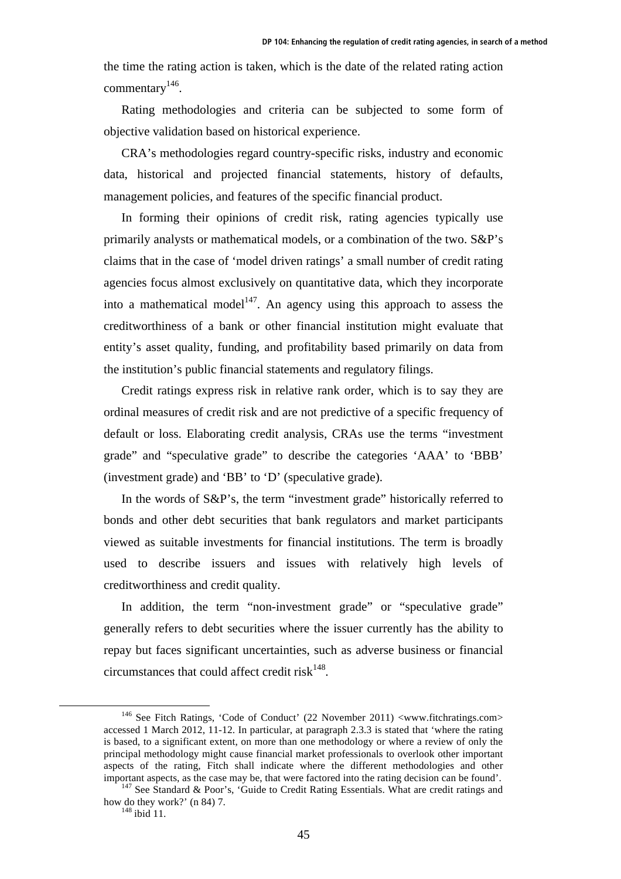the time the rating action is taken, which is the date of the related rating action commentary<sup>146</sup>.

Rating methodologies and criteria can be subjected to some form of objective validation based on historical experience.

CRA's methodologies regard country-specific risks, industry and economic data, historical and projected financial statements, history of defaults, management policies, and features of the specific financial product.

In forming their opinions of credit risk, rating agencies typically use primarily analysts or mathematical models, or a combination of the two. S&P's claims that in the case of 'model driven ratings' a small number of credit rating agencies focus almost exclusively on quantitative data, which they incorporate into a mathematical model<sup>147</sup>. An agency using this approach to assess the creditworthiness of a bank or other financial institution might evaluate that entity's asset quality, funding, and profitability based primarily on data from the institution's public financial statements and regulatory filings.

Credit ratings express risk in relative rank order, which is to say they are ordinal measures of credit risk and are not predictive of a specific frequency of default or loss. Elaborating credit analysis, CRAs use the terms "investment grade" and "speculative grade" to describe the categories 'AAA' to 'BBB' (investment grade) and 'BB' to 'D' (speculative grade).

In the words of S&P's, the term "investment grade" historically referred to bonds and other debt securities that bank regulators and market participants viewed as suitable investments for financial institutions. The term is broadly used to describe issuers and issues with relatively high levels of creditworthiness and credit quality.

In addition, the term "non-investment grade" or "speculative grade" generally refers to debt securities where the issuer currently has the ability to repay but faces significant uncertainties, such as adverse business or financial circumstances that could affect credit risk $^{148}$ .

<sup>&</sup>lt;sup>146</sup> See Fitch Ratings, 'Code of Conduct' (22 November 2011) <www.fitchratings.com> accessed 1 March 2012, 11-12. In particular, at paragraph 2.3.3 is stated that 'where the rating is based, to a significant extent, on more than one methodology or where a review of only the principal methodology might cause financial market professionals to overlook other important aspects of the rating, Fitch shall indicate where the different methodologies and other

important aspects, as the case may be, that were factored into the rating decision can be found'.  $147$  See Standard & Poor's, 'Guide to Credit Rating Essentials. What are credit ratings and how do they work?' (n 84) 7.<br> $148 \text{ ibid } 11$ .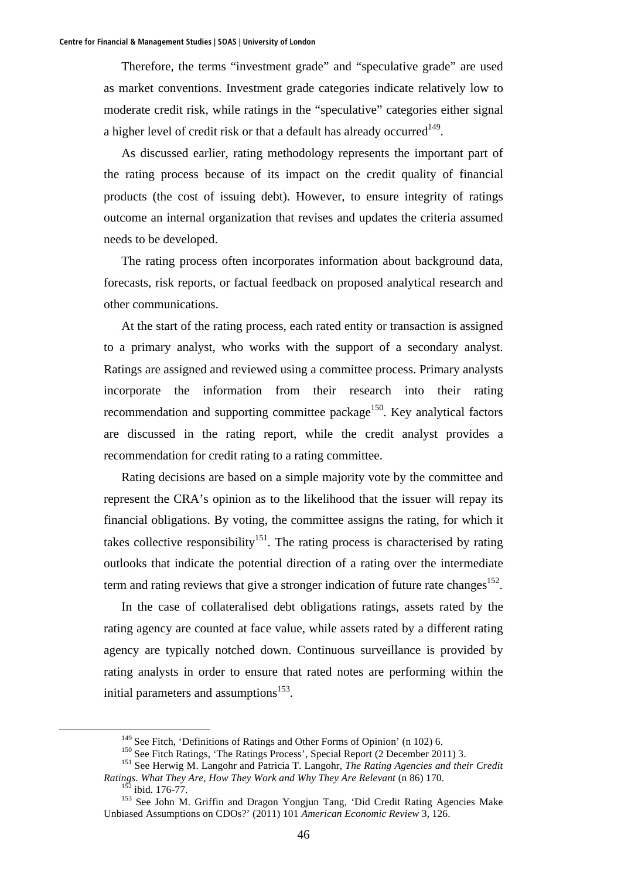Therefore, the terms "investment grade" and "speculative grade" are used as market conventions. Investment grade categories indicate relatively low to moderate credit risk, while ratings in the "speculative" categories either signal a higher level of credit risk or that a default has already occurred<sup>149</sup>.

As discussed earlier, rating methodology represents the important part of the rating process because of its impact on the credit quality of financial products (the cost of issuing debt). However, to ensure integrity of ratings outcome an internal organization that revises and updates the criteria assumed needs to be developed.

The rating process often incorporates information about background data, forecasts, risk reports, or factual feedback on proposed analytical research and other communications.

At the start of the rating process, each rated entity or transaction is assigned to a primary analyst, who works with the support of a secondary analyst. Ratings are assigned and reviewed using a committee process. Primary analysts incorporate the information from their research into their rating recommendation and supporting committee package<sup>150</sup>. Key analytical factors are discussed in the rating report, while the credit analyst provides a recommendation for credit rating to a rating committee.

Rating decisions are based on a simple majority vote by the committee and represent the CRA's opinion as to the likelihood that the issuer will repay its financial obligations. By voting, the committee assigns the rating, for which it takes collective responsibility<sup>151</sup>. The rating process is characterised by rating outlooks that indicate the potential direction of a rating over the intermediate term and rating reviews that give a stronger indication of future rate changes<sup>152</sup>.

In the case of collateralised debt obligations ratings, assets rated by the rating agency are counted at face value, while assets rated by a different rating agency are typically notched down. Continuous surveillance is provided by rating analysts in order to ensure that rated notes are performing within the initial parameters and assumptions<sup>153</sup>.

<sup>&</sup>lt;sup>149</sup> See Fitch, 'Definitions of Ratings and Other Forms of Opinion' (n 102) 6.<br><sup>150</sup> See Fitch Ratings, 'The Ratings Process', Special Report (2 December 2011) 3.<br><sup>151</sup> See Herwig M. Langohr and Patricia T. Langohr, *The* 

*Ratings. What They Are, How They Work and Why They Are Relevant* (n 86) 170.<br><sup>152</sup> ibid. 176-77.<br><sup>153</sup> See John M. Griffin and Dragon Yongjun Tang, 'Did Credit Rating Agencies Make

Unbiased Assumptions on CDOs?' (2011) 101 *American Economic Review* 3, 126.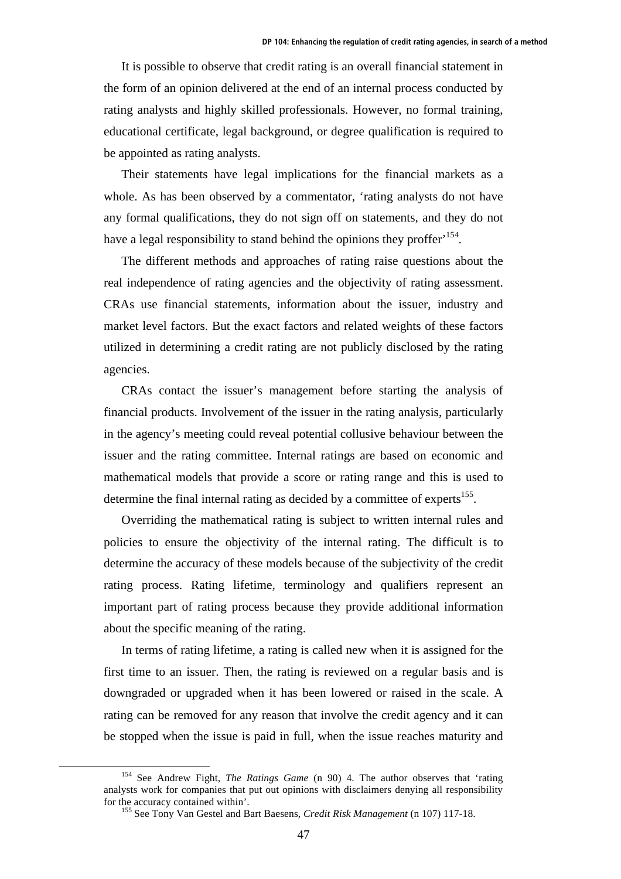It is possible to observe that credit rating is an overall financial statement in the form of an opinion delivered at the end of an internal process conducted by rating analysts and highly skilled professionals. However, no formal training, educational certificate, legal background, or degree qualification is required to be appointed as rating analysts.

Their statements have legal implications for the financial markets as a whole. As has been observed by a commentator, 'rating analysts do not have any formal qualifications, they do not sign off on statements, and they do not have a legal responsibility to stand behind the opinions they proffer<sup>154</sup>.

The different methods and approaches of rating raise questions about the real independence of rating agencies and the objectivity of rating assessment. CRAs use financial statements, information about the issuer, industry and market level factors. But the exact factors and related weights of these factors utilized in determining a credit rating are not publicly disclosed by the rating agencies.

CRAs contact the issuer's management before starting the analysis of financial products. Involvement of the issuer in the rating analysis, particularly in the agency's meeting could reveal potential collusive behaviour between the issuer and the rating committee. Internal ratings are based on economic and mathematical models that provide a score or rating range and this is used to determine the final internal rating as decided by a committee of experts<sup>155</sup>.

Overriding the mathematical rating is subject to written internal rules and policies to ensure the objectivity of the internal rating. The difficult is to determine the accuracy of these models because of the subjectivity of the credit rating process. Rating lifetime, terminology and qualifiers represent an important part of rating process because they provide additional information about the specific meaning of the rating.

In terms of rating lifetime, a rating is called new when it is assigned for the first time to an issuer. Then, the rating is reviewed on a regular basis and is downgraded or upgraded when it has been lowered or raised in the scale. A rating can be removed for any reason that involve the credit agency and it can be stopped when the issue is paid in full, when the issue reaches maturity and

 <sup>154</sup> See Andrew Fight, *The Ratings Game* (n 90) 4. The author observes that 'rating analysts work for companies that put out opinions with disclaimers denying all responsibility for the accuracy contained within'. 155 See Tony Van Gestel and Bart Baesens, *Credit Risk Management* (n 107) 117-18.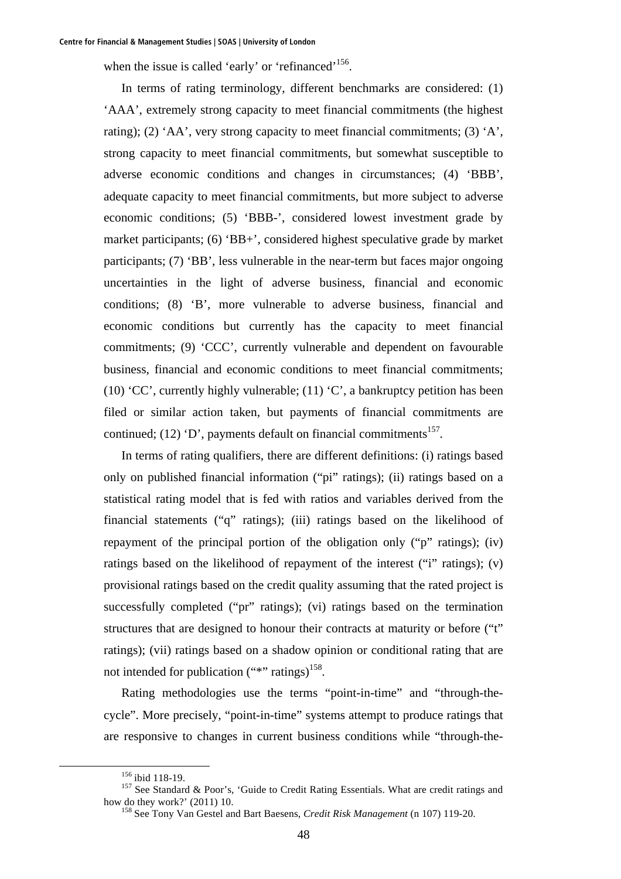when the issue is called 'early' or 'refinanced'<sup>156</sup>.

In terms of rating terminology, different benchmarks are considered: (1) 'AAA', extremely strong capacity to meet financial commitments (the highest rating); (2) 'AA', very strong capacity to meet financial commitments; (3) 'A', strong capacity to meet financial commitments, but somewhat susceptible to adverse economic conditions and changes in circumstances; (4) 'BBB', adequate capacity to meet financial commitments, but more subject to adverse economic conditions; (5) 'BBB-', considered lowest investment grade by market participants; (6) 'BB+', considered highest speculative grade by market participants; (7) 'BB', less vulnerable in the near-term but faces major ongoing uncertainties in the light of adverse business, financial and economic conditions; (8) 'B', more vulnerable to adverse business, financial and economic conditions but currently has the capacity to meet financial commitments; (9) 'CCC', currently vulnerable and dependent on favourable business, financial and economic conditions to meet financial commitments; (10) 'CC', currently highly vulnerable; (11) 'C', a bankruptcy petition has been filed or similar action taken, but payments of financial commitments are continued; (12) 'D', payments default on financial commitments<sup>157</sup>.

In terms of rating qualifiers, there are different definitions: (i) ratings based only on published financial information ("pi" ratings); (ii) ratings based on a statistical rating model that is fed with ratios and variables derived from the financial statements ("q" ratings); (iii) ratings based on the likelihood of repayment of the principal portion of the obligation only ("p" ratings); (iv) ratings based on the likelihood of repayment of the interest ("i" ratings); (v) provisional ratings based on the credit quality assuming that the rated project is successfully completed ("pr" ratings); (vi) ratings based on the termination structures that are designed to honour their contracts at maturity or before ("t" ratings); (vii) ratings based on a shadow opinion or conditional rating that are not intended for publication  $(""""$  ratings)<sup>158</sup>.

Rating methodologies use the terms "point-in-time" and "through-thecycle". More precisely, "point-in-time" systems attempt to produce ratings that are responsive to changes in current business conditions while "through-the-

<sup>&</sup>lt;sup>156</sup> ibid 118-19.<br><sup>157</sup> See Standard & Poor's, 'Guide to Credit Rating Essentials. What are credit ratings and how do they work?' (2011) 10.<br><sup>158</sup> See Tony Van Gestel and Bart Baesens, *Credit Risk Management* (n 107) 119-20.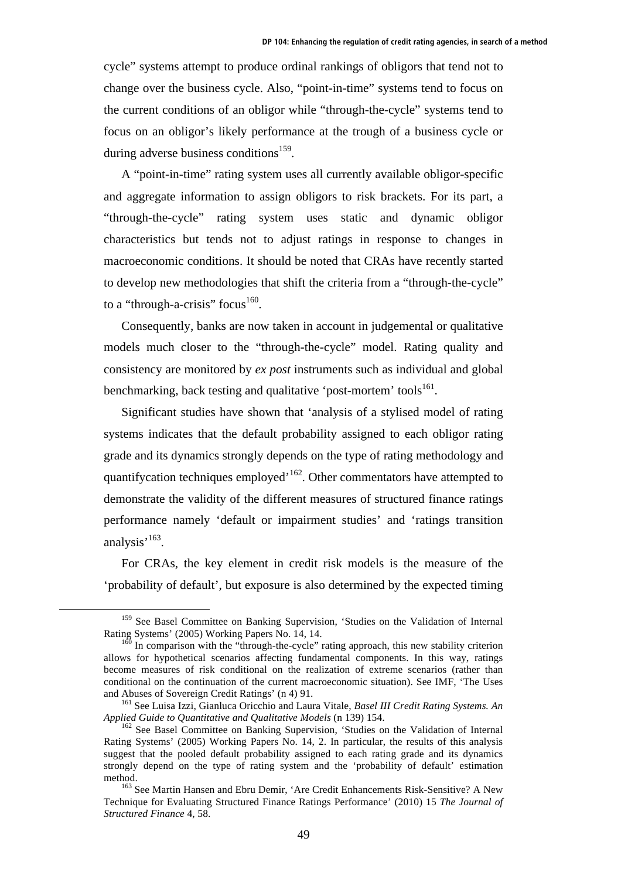cycle" systems attempt to produce ordinal rankings of obligors that tend not to change over the business cycle. Also, "point-in-time" systems tend to focus on the current conditions of an obligor while "through-the-cycle" systems tend to focus on an obligor's likely performance at the trough of a business cycle or during adverse business conditions<sup>159</sup>.

A "point-in-time" rating system uses all currently available obligor-specific and aggregate information to assign obligors to risk brackets. For its part, a "through-the-cycle" rating system uses static and dynamic obligor characteristics but tends not to adjust ratings in response to changes in macroeconomic conditions. It should be noted that CRAs have recently started to develop new methodologies that shift the criteria from a "through-the-cycle" to a "through-a-crisis" focus $160$ .

Consequently, banks are now taken in account in judgemental or qualitative models much closer to the "through-the-cycle" model. Rating quality and consistency are monitored by *ex post* instruments such as individual and global benchmarking, back testing and qualitative 'post-mortem' tools<sup>161</sup>.

Significant studies have shown that 'analysis of a stylised model of rating systems indicates that the default probability assigned to each obligor rating grade and its dynamics strongly depends on the type of rating methodology and quantifycation techniques employed<sup>'162</sup>. Other commentators have attempted to demonstrate the validity of the different measures of structured finance ratings performance namely 'default or impairment studies' and 'ratings transition analysis'<sup>163</sup>.

For CRAs, the key element in credit risk models is the measure of the 'probability of default', but exposure is also determined by the expected timing

<sup>&</sup>lt;sup>159</sup> See Basel Committee on Banking Supervision, 'Studies on the Validation of Internal Rating Systems' (2005) Working Papers No. 14, 14.<br><sup>160</sup> In comparison with the "through-the-cycle" rating approach, this new stability criterion

allows for hypothetical scenarios affecting fundamental components. In this way, ratings become measures of risk conditional on the realization of extreme scenarios (rather than conditional on the continuation of the current macroeconomic situation). See IMF, 'The Uses and Abuses of Sovereign Credit Ratings' (n 4) 91.<br><sup>161</sup> See Luisa Izzi, Gianluca Oricchio and Laura Vitale, *Basel III Credit Rating Systems. An* 

*Applied Guide to Quantitative and Qualitative Models* (n 139) 154.<br><sup>162</sup> See Basel Committee on Banking Supervision, 'Studies on the Validation of Internal

Rating Systems' (2005) Working Papers No. 14, 2. In particular, the results of this analysis suggest that the pooled default probability assigned to each rating grade and its dynamics strongly depend on the type of rating system and the 'probability of default' estimation method.<br><sup>163</sup> See Martin Hansen and Ebru Demir, 'Are Credit Enhancements Risk-Sensitive? A New

Technique for Evaluating Structured Finance Ratings Performance' (2010) 15 *The Journal of Structured Finance* 4, 58.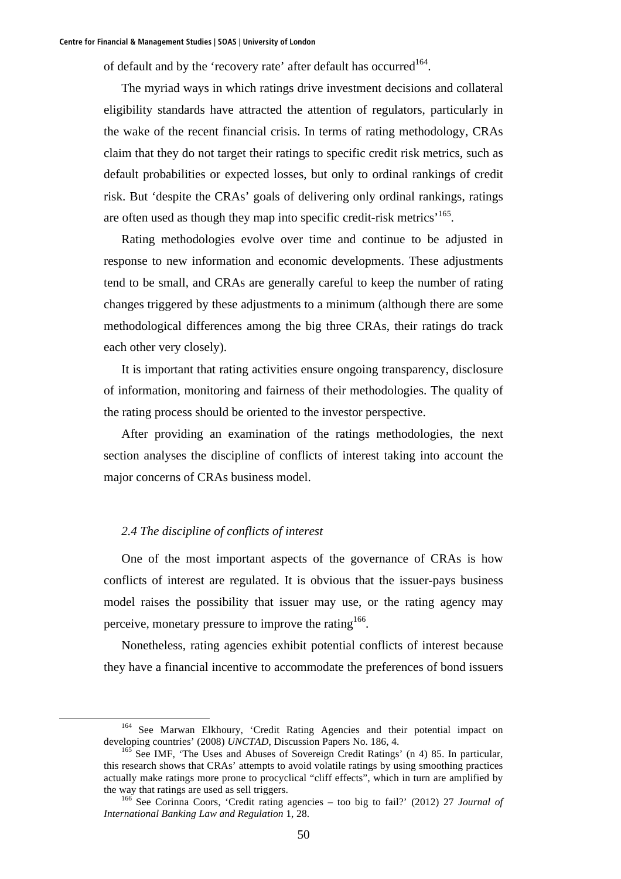of default and by the 'recovery rate' after default has occurred<sup>164</sup>.

The myriad ways in which ratings drive investment decisions and collateral eligibility standards have attracted the attention of regulators, particularly in the wake of the recent financial crisis. In terms of rating methodology, CRAs claim that they do not target their ratings to specific credit risk metrics, such as default probabilities or expected losses, but only to ordinal rankings of credit risk. But 'despite the CRAs' goals of delivering only ordinal rankings, ratings are often used as though they map into specific credit-risk metrics'165.

Rating methodologies evolve over time and continue to be adjusted in response to new information and economic developments. These adjustments tend to be small, and CRAs are generally careful to keep the number of rating changes triggered by these adjustments to a minimum (although there are some methodological differences among the big three CRAs, their ratings do track each other very closely).

It is important that rating activities ensure ongoing transparency, disclosure of information, monitoring and fairness of their methodologies. The quality of the rating process should be oriented to the investor perspective.

After providing an examination of the ratings methodologies, the next section analyses the discipline of conflicts of interest taking into account the major concerns of CRAs business model.

# *2.4 The discipline of conflicts of interest*

One of the most important aspects of the governance of CRAs is how conflicts of interest are regulated. It is obvious that the issuer-pays business model raises the possibility that issuer may use, or the rating agency may perceive, monetary pressure to improve the rating<sup>166</sup>.

Nonetheless, rating agencies exhibit potential conflicts of interest because they have a financial incentive to accommodate the preferences of bond issuers

<sup>&</sup>lt;sup>164</sup> See Marwan Elkhoury, 'Credit Rating Agencies and their potential impact on developing countries' (2008) *UNCTAD*, Discussion Papers No. 186, 4.<br><sup>165</sup> See IMF, 'The Uses and Abuses of Sovereign Credit Ratings' (n 4) 85. In particular,

this research shows that CRAs' attempts to avoid volatile ratings by using smoothing practices actually make ratings more prone to procyclical "cliff effects", which in turn are amplified by the way that ratings are used as sell triggers.<br><sup>166</sup> See Corinna Coors, 'Credit rating agencies – too big to fail?' (2012) 27 *Journal of* 

*International Banking Law and Regulation* 1, 28.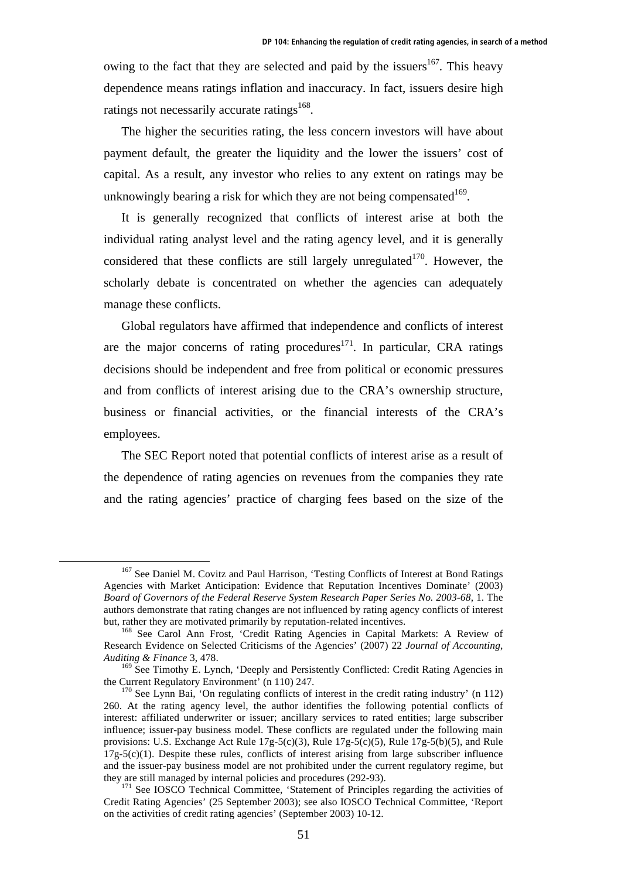owing to the fact that they are selected and paid by the issuers<sup>167</sup>. This heavy dependence means ratings inflation and inaccuracy. In fact, issuers desire high ratings not necessarily accurate ratings<sup>168</sup>.

The higher the securities rating, the less concern investors will have about payment default, the greater the liquidity and the lower the issuers' cost of capital. As a result, any investor who relies to any extent on ratings may be unknowingly bearing a risk for which they are not being compensated  $169$ .

It is generally recognized that conflicts of interest arise at both the individual rating analyst level and the rating agency level, and it is generally considered that these conflicts are still largely unregulated<sup>170</sup>. However, the scholarly debate is concentrated on whether the agencies can adequately manage these conflicts.

Global regulators have affirmed that independence and conflicts of interest are the major concerns of rating procedures<sup>171</sup>. In particular, CRA ratings decisions should be independent and free from political or economic pressures and from conflicts of interest arising due to the CRA's ownership structure, business or financial activities, or the financial interests of the CRA's employees.

The SEC Report noted that potential conflicts of interest arise as a result of the dependence of rating agencies on revenues from the companies they rate and the rating agencies' practice of charging fees based on the size of the

<sup>&</sup>lt;sup>167</sup> See Daniel M. Covitz and Paul Harrison, 'Testing Conflicts of Interest at Bond Ratings Agencies with Market Anticipation: Evidence that Reputation Incentives Dominate' (2003) *Board of Governors of the Federal Reserve System Research Paper Series No. 2003-68*, 1. The authors demonstrate that rating changes are not influenced by rating agency conflicts of interest but, rather they are motivated primarily by reputation-related incentives.<br><sup>168</sup> See Carol Ann Frost, 'Credit Rating Agencies in Capital Markets: A Review of

Research Evidence on Selected Criticisms of the Agencies' (2007) 22 *Journal of Accounting, Auditing & Finance* 3, 478.

<sup>&</sup>lt;sup>169</sup> See Timothy E. Lynch, 'Deeply and Persistently Conflicted: Credit Rating Agencies in the Current Regulatory Environment' (n 110) 247.<br><sup>170</sup> See Lynn Bai, 'On regulating conflicts of interest in the credit rating industry' (n 112)

<sup>260.</sup> At the rating agency level, the author identifies the following potential conflicts of interest: affiliated underwriter or issuer; ancillary services to rated entities; large subscriber influence; issuer-pay business model. These conflicts are regulated under the following main provisions: U.S. Exchange Act Rule  $17g-5(c)(3)$ , Rule  $17g-5(c)(5)$ , Rule  $17g-5(b)(5)$ , and Rule 17g-5(c)(1). Despite these rules, conflicts of interest arising from large subscriber influence and the issuer-pay business model are not prohibited under the current regulatory regime, but they are still managed by internal policies and procedures (292-93).<br><sup>171</sup> See IOSCO Technical Committee, 'Statement of Principles regarding the activities of

Credit Rating Agencies' (25 September 2003); see also IOSCO Technical Committee, 'Report on the activities of credit rating agencies' (September 2003) 10-12.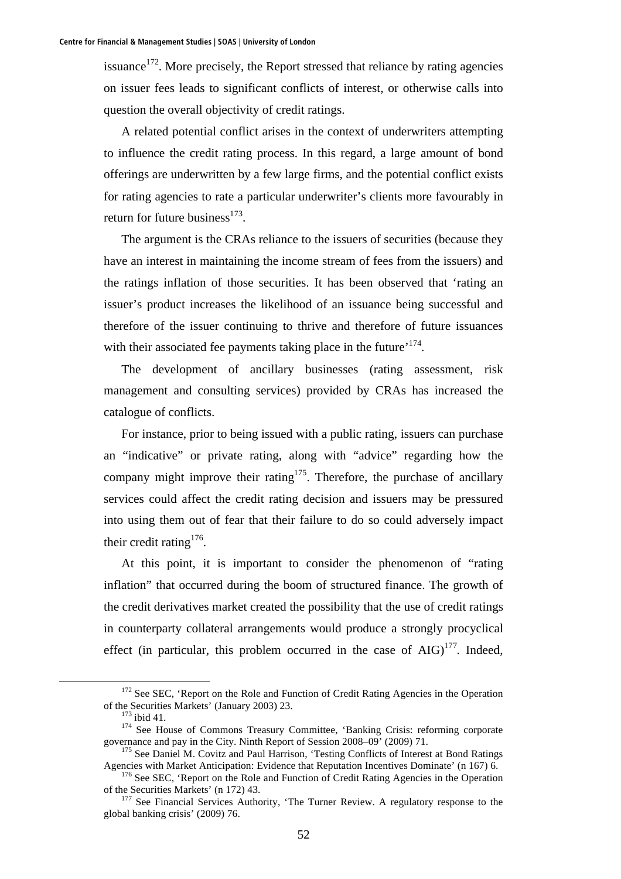issuance<sup>172</sup>. More precisely, the Report stressed that reliance by rating agencies on issuer fees leads to significant conflicts of interest, or otherwise calls into question the overall objectivity of credit ratings.

A related potential conflict arises in the context of underwriters attempting to influence the credit rating process. In this regard, a large amount of bond offerings are underwritten by a few large firms, and the potential conflict exists for rating agencies to rate a particular underwriter's clients more favourably in return for future business $173$ .

The argument is the CRAs reliance to the issuers of securities (because they have an interest in maintaining the income stream of fees from the issuers) and the ratings inflation of those securities. It has been observed that 'rating an issuer's product increases the likelihood of an issuance being successful and therefore of the issuer continuing to thrive and therefore of future issuances with their associated fee payments taking place in the future'<sup>174</sup>.

The development of ancillary businesses (rating assessment, risk management and consulting services) provided by CRAs has increased the catalogue of conflicts.

For instance, prior to being issued with a public rating, issuers can purchase an "indicative" or private rating, along with "advice" regarding how the company might improve their rating<sup>175</sup>. Therefore, the purchase of ancillary services could affect the credit rating decision and issuers may be pressured into using them out of fear that their failure to do so could adversely impact their credit rating<sup>176</sup>.

At this point, it is important to consider the phenomenon of "rating inflation" that occurred during the boom of structured finance. The growth of the credit derivatives market created the possibility that the use of credit ratings in counterparty collateral arrangements would produce a strongly procyclical effect (in particular, this problem occurred in the case of  $AIG$ )<sup>177</sup>. Indeed,

<sup>&</sup>lt;sup>172</sup> See SEC, 'Report on the Role and Function of Credit Rating Agencies in the Operation

of the Securities Markets' (January 2003) 23.<br>
<sup>173</sup> ibid 41.<br>
<sup>174</sup> See House of Commons Treasury Committee, 'Banking Crisis: reforming corporate<br>
governance and pay in the City. Ninth Report of Session 2008–09' (2009) 71

 $^{175}$  See Daniel M. Covitz and Paul Harrison, 'Testing Conflicts of Interest at Bond Ratings Agencies with Market Anticipation: Evidence that Reputation Incentives Dominate' (n 167) 6.

<sup>&</sup>lt;sup>176</sup> See SEC, 'Report on the Role and Function of Credit Rating Agencies in the Operation

of the Securities Markets' (n 172) 43.<br><sup>177</sup> See Financial Services Authority, 'The Turner Review. A regulatory response to the global banking crisis' (2009) 76.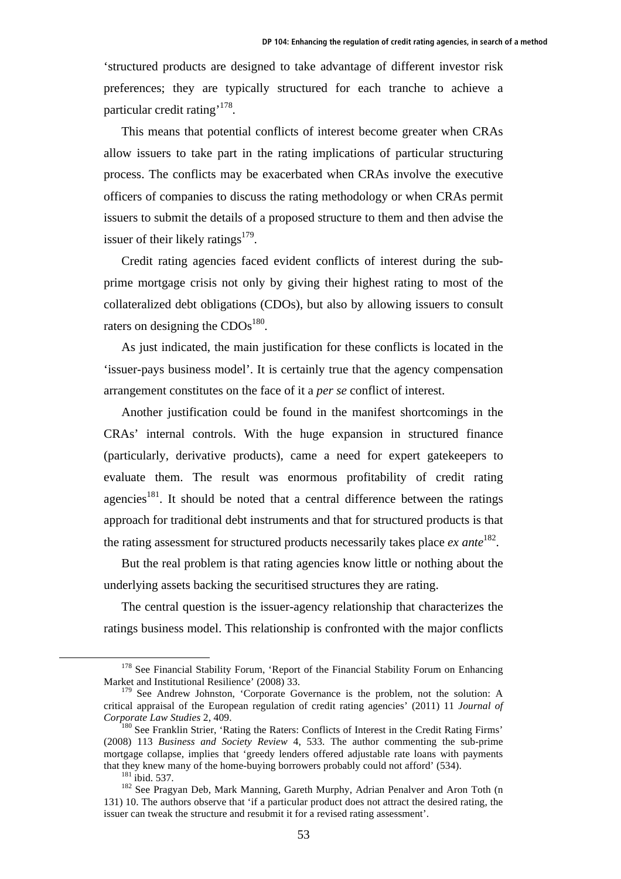'structured products are designed to take advantage of different investor risk preferences; they are typically structured for each tranche to achieve a particular credit rating'178.

This means that potential conflicts of interest become greater when CRAs allow issuers to take part in the rating implications of particular structuring process. The conflicts may be exacerbated when CRAs involve the executive officers of companies to discuss the rating methodology or when CRAs permit issuers to submit the details of a proposed structure to them and then advise the issuer of their likely ratings $179$ .

Credit rating agencies faced evident conflicts of interest during the subprime mortgage crisis not only by giving their highest rating to most of the collateralized debt obligations (CDOs), but also by allowing issuers to consult raters on designing the  $CDOs<sup>180</sup>$ .

As just indicated, the main justification for these conflicts is located in the 'issuer-pays business model'. It is certainly true that the agency compensation arrangement constitutes on the face of it a *per se* conflict of interest.

Another justification could be found in the manifest shortcomings in the CRAs' internal controls. With the huge expansion in structured finance (particularly, derivative products), came a need for expert gatekeepers to evaluate them. The result was enormous profitability of credit rating agencies<sup>181</sup>. It should be noted that a central difference between the ratings approach for traditional debt instruments and that for structured products is that the rating assessment for structured products necessarily takes place  $ex$  ante<sup>182</sup>.

But the real problem is that rating agencies know little or nothing about the underlying assets backing the securitised structures they are rating.

The central question is the issuer-agency relationship that characterizes the ratings business model. This relationship is confronted with the major conflicts

<sup>&</sup>lt;sup>178</sup> See Financial Stability Forum, 'Report of the Financial Stability Forum on Enhancing Market and Institutional Resilience' (2008) 33.

 $179$  See Andrew Johnston, 'Corporate Governance is the problem, not the solution: A critical appraisal of the European regulation of credit rating agencies' (2011) 11 *Journal of Corporate Law Studies* 2, 409.<br><sup>180</sup> See Franklin Strier, 'Rating the Raters: Conflicts of Interest in the Credit Rating Firms'

<sup>(2008) 113</sup> *Business and Society Review* 4, 533. The author commenting the sub-prime mortgage collapse, implies that 'greedy lenders offered adjustable rate loans with payments that they knew many of the home-buying borrowers probably could not afford' (534).<br><sup>181</sup> ibid. 537. <sup>182</sup> See Pragyan Deb, Mark Manning, Gareth Murphy, Adrian Penalver and Aron Toth (n

<sup>131) 10.</sup> The authors observe that 'if a particular product does not attract the desired rating, the issuer can tweak the structure and resubmit it for a revised rating assessment'.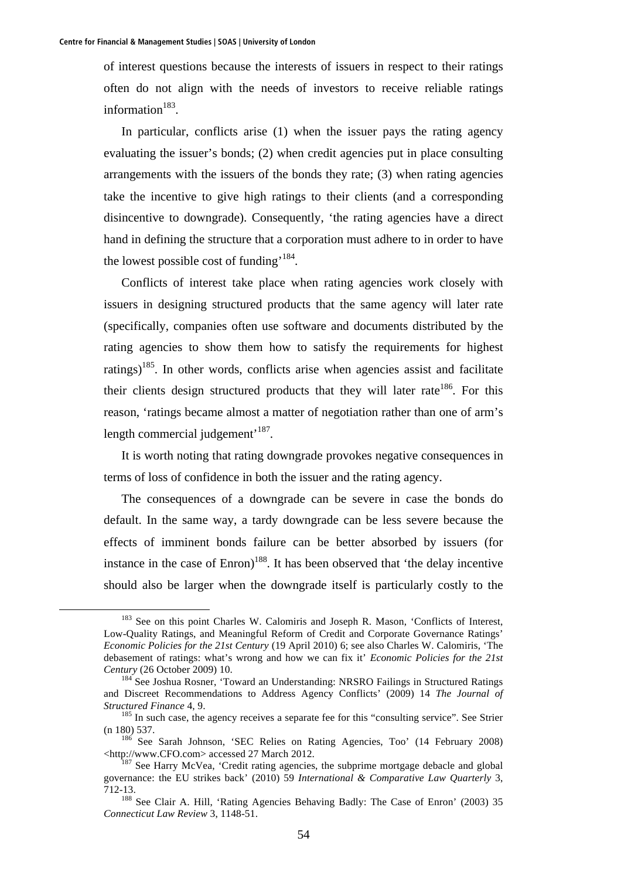of interest questions because the interests of issuers in respect to their ratings often do not align with the needs of investors to receive reliable ratings information $183$ .

In particular, conflicts arise (1) when the issuer pays the rating agency evaluating the issuer's bonds; (2) when credit agencies put in place consulting arrangements with the issuers of the bonds they rate; (3) when rating agencies take the incentive to give high ratings to their clients (and a corresponding disincentive to downgrade). Consequently, 'the rating agencies have a direct hand in defining the structure that a corporation must adhere to in order to have the lowest possible cost of funding<sup>'184</sup>.

Conflicts of interest take place when rating agencies work closely with issuers in designing structured products that the same agency will later rate (specifically, companies often use software and documents distributed by the rating agencies to show them how to satisfy the requirements for highest ratings)<sup>185</sup>. In other words, conflicts arise when agencies assist and facilitate their clients design structured products that they will later rate<sup>186</sup>. For this reason, 'ratings became almost a matter of negotiation rather than one of arm's length commercial judgement<sup> $187$ </sup>.

It is worth noting that rating downgrade provokes negative consequences in terms of loss of confidence in both the issuer and the rating agency.

The consequences of a downgrade can be severe in case the bonds do default. In the same way, a tardy downgrade can be less severe because the effects of imminent bonds failure can be better absorbed by issuers (for instance in the case of  $Enron$ <sup>188</sup>. It has been observed that 'the delay incentive should also be larger when the downgrade itself is particularly costly to the

<sup>&</sup>lt;sup>183</sup> See on this point Charles W. Calomiris and Joseph R. Mason, 'Conflicts of Interest, Low-Quality Ratings, and Meaningful Reform of Credit and Corporate Governance Ratings' *Economic Policies for the 21st Century* (19 April 2010) 6; see also Charles W. Calomiris, 'The debasement of ratings: what's wrong and how we can fix it' *Economic Policies for the 21st Century* (26 October 2009) 10.<br><sup>184</sup> See Joshua Rosner, 'Toward an Understanding: NRSRO Failings in Structured Ratings

and Discreet Recommendations to Address Agency Conflicts' (2009) 14 *The Journal of Structured Finance* 4, 9.<br><sup>185</sup> In such case, the agency receives a separate fee for this "consulting service". See Strier

<sup>(</sup>n 180) 537. 186 See Sarah Johnson, 'SEC Relies on Rating Agencies, Too' (14 February 2008)

<sup>&</sup>lt;http://www.CFO.com> accessed 27 March 2012. 187 See Harry McVea, 'Credit rating agencies, the subprime mortgage debacle and global

governance: the EU strikes back' (2010) 59 *International & Comparative Law Quarterly* 3,

<sup>&</sup>lt;sup>188</sup> See Clair A. Hill, 'Rating Agencies Behaving Badly: The Case of Enron' (2003) 35 *Connecticut Law Review* 3, 1148-51.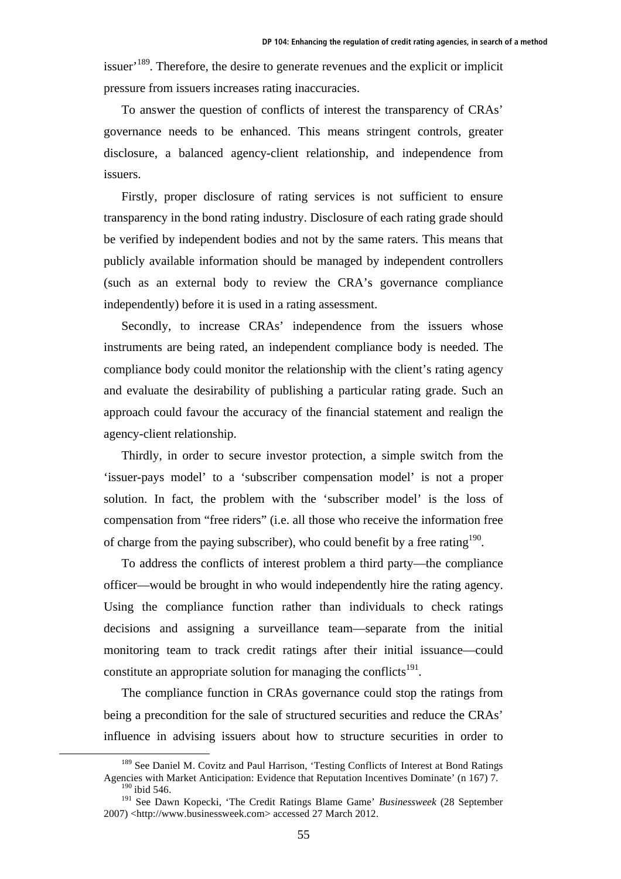issuer<sup> $189$ </sup>. Therefore, the desire to generate revenues and the explicit or implicit pressure from issuers increases rating inaccuracies.

To answer the question of conflicts of interest the transparency of CRAs' governance needs to be enhanced. This means stringent controls, greater disclosure, a balanced agency-client relationship, and independence from issuers.

Firstly, proper disclosure of rating services is not sufficient to ensure transparency in the bond rating industry. Disclosure of each rating grade should be verified by independent bodies and not by the same raters. This means that publicly available information should be managed by independent controllers (such as an external body to review the CRA's governance compliance independently) before it is used in a rating assessment.

Secondly, to increase CRAs' independence from the issuers whose instruments are being rated, an independent compliance body is needed. The compliance body could monitor the relationship with the client's rating agency and evaluate the desirability of publishing a particular rating grade. Such an approach could favour the accuracy of the financial statement and realign the agency-client relationship.

Thirdly, in order to secure investor protection, a simple switch from the 'issuer-pays model' to a 'subscriber compensation model' is not a proper solution. In fact, the problem with the 'subscriber model' is the loss of compensation from "free riders" (i.e. all those who receive the information free of charge from the paying subscriber), who could benefit by a free rating  $190$ .

To address the conflicts of interest problem a third party—the compliance officer—would be brought in who would independently hire the rating agency. Using the compliance function rather than individuals to check ratings decisions and assigning a surveillance team—separate from the initial monitoring team to track credit ratings after their initial issuance—could constitute an appropriate solution for managing the conflicts<sup>191</sup>.

The compliance function in CRAs governance could stop the ratings from being a precondition for the sale of structured securities and reduce the CRAs' influence in advising issuers about how to structure securities in order to

<sup>&</sup>lt;sup>189</sup> See Daniel M. Covitz and Paul Harrison, 'Testing Conflicts of Interest at Bond Ratings Agencies with Market Anticipation: Evidence that Reputation Incentives Dominate' (n 167) 7. 190 ibid 546.

<sup>191</sup> See Dawn Kopecki, 'The Credit Ratings Blame Game' *Businessweek* (28 September 2007) <http://www.businessweek.com> accessed 27 March 2012.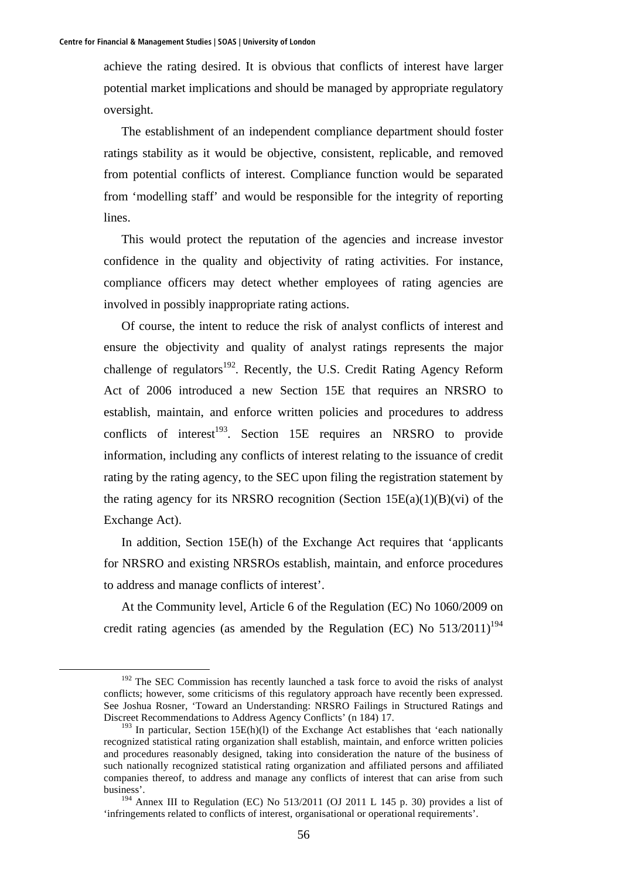achieve the rating desired. It is obvious that conflicts of interest have larger potential market implications and should be managed by appropriate regulatory oversight.

The establishment of an independent compliance department should foster ratings stability as it would be objective, consistent, replicable, and removed from potential conflicts of interest. Compliance function would be separated from 'modelling staff' and would be responsible for the integrity of reporting lines.

This would protect the reputation of the agencies and increase investor confidence in the quality and objectivity of rating activities. For instance, compliance officers may detect whether employees of rating agencies are involved in possibly inappropriate rating actions.

Of course, the intent to reduce the risk of analyst conflicts of interest and ensure the objectivity and quality of analyst ratings represents the major challenge of regulators<sup>192</sup>. Recently, the U.S. Credit Rating Agency Reform Act of 2006 introduced a new Section 15E that requires an NRSRO to establish, maintain, and enforce written policies and procedures to address conflicts of interest<sup>193</sup>. Section 15E requires an NRSRO to provide information, including any conflicts of interest relating to the issuance of credit rating by the rating agency, to the SEC upon filing the registration statement by the rating agency for its NRSRO recognition (Section  $15E(a)(1)(B)(vi)$ ) of the Exchange Act).

In addition, Section 15E(h) of the Exchange Act requires that 'applicants for NRSRO and existing NRSROs establish, maintain, and enforce procedures to address and manage conflicts of interest'.

At the Community level, Article 6 of the Regulation (EC) No 1060/2009 on credit rating agencies (as amended by the Regulation (EC) No  $513/2011$ <sup>194</sup>

<sup>&</sup>lt;sup>192</sup> The SEC Commission has recently launched a task force to avoid the risks of analyst conflicts; however, some criticisms of this regulatory approach have recently been expressed. See Joshua Rosner, 'Toward an Understanding: NRSRO Failings in Structured Ratings and Discreet Recommendations to Address Agency Conflicts' (n 184) 17.

 $193$  In particular, Section 15E(h)(l) of the Exchange Act establishes that 'each nationally recognized statistical rating organization shall establish, maintain, and enforce written policies and procedures reasonably designed, taking into consideration the nature of the business of such nationally recognized statistical rating organization and affiliated persons and affiliated companies thereof, to address and manage any conflicts of interest that can arise from such business'.

 $194$  Annex III to Regulation (EC) No 513/2011 (OJ 2011 L 145 p. 30) provides a list of 'infringements related to conflicts of interest, organisational or operational requirements'.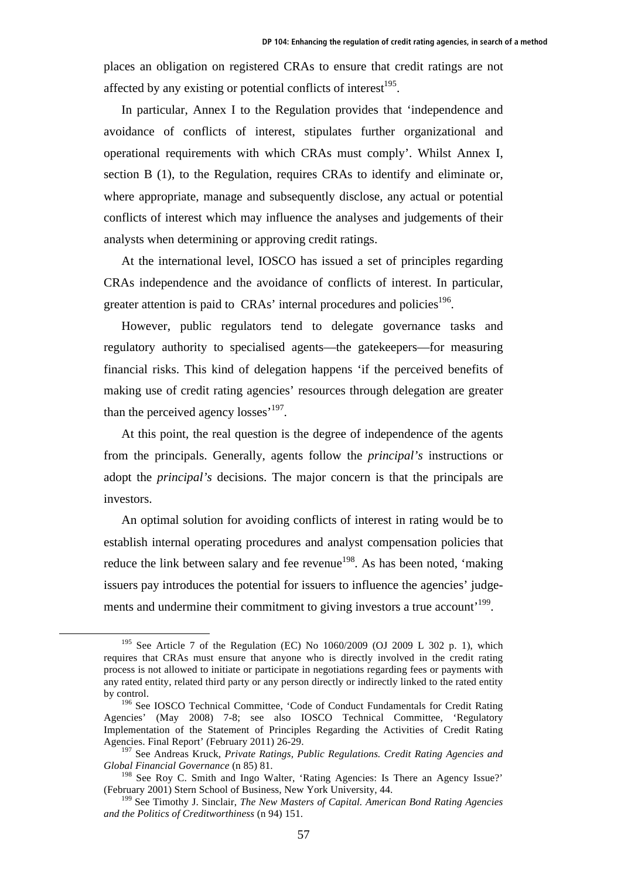places an obligation on registered CRAs to ensure that credit ratings are not affected by any existing or potential conflicts of interest $^{195}$ .

In particular, Annex I to the Regulation provides that 'independence and avoidance of conflicts of interest, stipulates further organizational and operational requirements with which CRAs must comply'. Whilst Annex I, section B (1), to the Regulation, requires CRAs to identify and eliminate or, where appropriate, manage and subsequently disclose, any actual or potential conflicts of interest which may influence the analyses and judgements of their analysts when determining or approving credit ratings.

At the international level, IOSCO has issued a set of principles regarding CRAs independence and the avoidance of conflicts of interest. In particular, greater attention is paid to  $CRAs'$  internal procedures and policies<sup>196</sup>.

However, public regulators tend to delegate governance tasks and regulatory authority to specialised agents—the gatekeepers—for measuring financial risks. This kind of delegation happens 'if the perceived benefits of making use of credit rating agencies' resources through delegation are greater than the perceived agency  $losses'^{197}$ .

At this point, the real question is the degree of independence of the agents from the principals. Generally, agents follow the *principal's* instructions or adopt the *principal's* decisions. The major concern is that the principals are investors.

An optimal solution for avoiding conflicts of interest in rating would be to establish internal operating procedures and analyst compensation policies that reduce the link between salary and fee revenue<sup>198</sup>. As has been noted, 'making issuers pay introduces the potential for issuers to influence the agencies' judgements and undermine their commitment to giving investors a true account<sup>199</sup>.

<sup>&</sup>lt;sup>195</sup> See Article 7 of the Regulation (EC) No  $1060/2009$  (OJ 2009 L 302 p. 1), which requires that CRAs must ensure that anyone who is directly involved in the credit rating process is not allowed to initiate or participate in negotiations regarding fees or payments with any rated entity, related third party or any person directly or indirectly linked to the rated entity by control.

<sup>&</sup>lt;sup>196</sup> See IOSCO Technical Committee, 'Code of Conduct Fundamentals for Credit Rating Agencies' (May 2008) 7-8; see also IOSCO Technical Committee, 'Regulatory Implementation of the Statement of Principles Regarding the Activities of Credit Rating Agencies. Final Report' (February 2011) 26-29.

<sup>197</sup> See Andreas Kruck, *Private Ratings, Public Regulations. Credit Rating Agencies and Global Financial Governance* (n 85) 81.

<sup>&</sup>lt;sup>198</sup> See Roy C. Smith and Ingo Walter, 'Rating Agencies: Is There an Agency Issue?' (February 2001) Stern School of Business, New York University, 44.

<sup>199</sup> See Timothy J. Sinclair, *The New Masters of Capital. American Bond Rating Agencies and the Politics of Creditworthiness* (n 94) 151.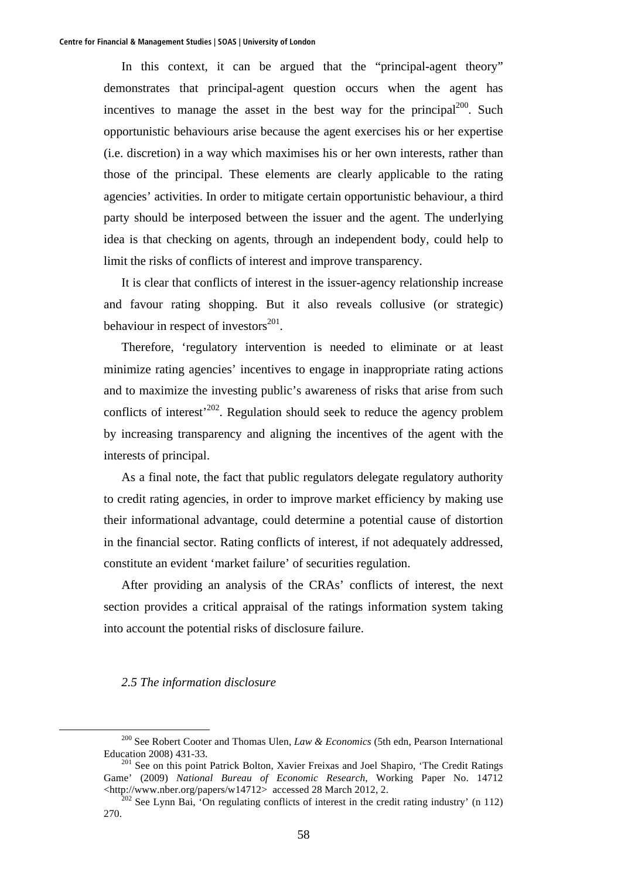In this context, it can be argued that the "principal-agent theory" demonstrates that principal-agent question occurs when the agent has incentives to manage the asset in the best way for the principal $200$ . Such opportunistic behaviours arise because the agent exercises his or her expertise (i.e. discretion) in a way which maximises his or her own interests, rather than those of the principal. These elements are clearly applicable to the rating agencies' activities. In order to mitigate certain opportunistic behaviour, a third party should be interposed between the issuer and the agent. The underlying idea is that checking on agents, through an independent body, could help to limit the risks of conflicts of interest and improve transparency.

It is clear that conflicts of interest in the issuer-agency relationship increase and favour rating shopping. But it also reveals collusive (or strategic) behaviour in respect of investors $^{201}$ .

Therefore, 'regulatory intervention is needed to eliminate or at least minimize rating agencies' incentives to engage in inappropriate rating actions and to maximize the investing public's awareness of risks that arise from such conflicts of interest<sup>202</sup>. Regulation should seek to reduce the agency problem by increasing transparency and aligning the incentives of the agent with the interests of principal.

As a final note, the fact that public regulators delegate regulatory authority to credit rating agencies, in order to improve market efficiency by making use their informational advantage, could determine a potential cause of distortion in the financial sector. Rating conflicts of interest, if not adequately addressed, constitute an evident 'market failure' of securities regulation.

After providing an analysis of the CRAs' conflicts of interest, the next section provides a critical appraisal of the ratings information system taking into account the potential risks of disclosure failure.

### *2.5 The information disclosure*

 <sup>200</sup> See Robert Cooter and Thomas Ulen, *Law & Economics* (5th edn, Pearson International Education 2008) 431-33. 201 See on this point Patrick Bolton, Xavier Freixas and Joel Shapiro, 'The Credit Ratings

Game' (2009) *National Bureau of Economic Research*, Working Paper No. 14712 <http://www.nber.org/papers/w14712> accessed 28 March 2012, 2.

 $^{202}$  See Lynn Bai, 'On regulating conflicts of interest in the credit rating industry' (n 112) 270.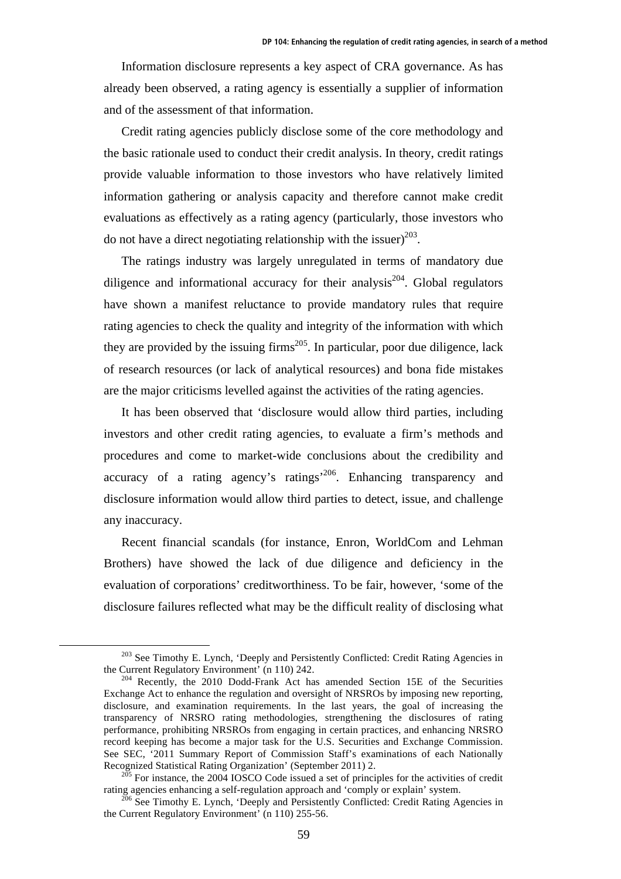Information disclosure represents a key aspect of CRA governance. As has already been observed, a rating agency is essentially a supplier of information and of the assessment of that information.

Credit rating agencies publicly disclose some of the core methodology and the basic rationale used to conduct their credit analysis. In theory, credit ratings provide valuable information to those investors who have relatively limited information gathering or analysis capacity and therefore cannot make credit evaluations as effectively as a rating agency (particularly, those investors who do not have a direct negotiating relationship with the issuer)<sup>203</sup>.

The ratings industry was largely unregulated in terms of mandatory due diligence and informational accuracy for their analysis<sup>204</sup>. Global regulators have shown a manifest reluctance to provide mandatory rules that require rating agencies to check the quality and integrity of the information with which they are provided by the issuing firms<sup>205</sup>. In particular, poor due diligence, lack of research resources (or lack of analytical resources) and bona fide mistakes are the major criticisms levelled against the activities of the rating agencies.

It has been observed that 'disclosure would allow third parties, including investors and other credit rating agencies, to evaluate a firm's methods and procedures and come to market-wide conclusions about the credibility and accuracy of a rating agency's ratings'206. Enhancing transparency and disclosure information would allow third parties to detect, issue, and challenge any inaccuracy.

Recent financial scandals (for instance, Enron, WorldCom and Lehman Brothers) have showed the lack of due diligence and deficiency in the evaluation of corporations' creditworthiness. To be fair, however, 'some of the disclosure failures reflected what may be the difficult reality of disclosing what

 $^{203}$  See Timothy E. Lynch, 'Deeply and Persistently Conflicted: Credit Rating Agencies in the Current Regulatory Environment' (n 110) 242.

 $t_{\text{204}}$  Recently, the 2010 Dodd-Frank Act has amended Section 15E of the Securities Exchange Act to enhance the regulation and oversight of NRSROs by imposing new reporting, disclosure, and examination requirements. In the last years, the goal of increasing the transparency of NRSRO rating methodologies, strengthening the disclosures of rating performance, prohibiting NRSROs from engaging in certain practices, and enhancing NRSRO record keeping has become a major task for the U.S. Securities and Exchange Commission. See SEC, '2011 Summary Report of Commission Staff's examinations of each Nationally

Recognized Statistical Rating Organization' (September 2011) 2.<br><sup>205</sup> For instance, the 2004 IOSCO Code issued a set of principles for the activities of credit rating agencies enhancing a self-regulation approach and 'comp

 $206$  See Timothy E. Lynch, 'Deeply and Persistently Conflicted: Credit Rating Agencies in the Current Regulatory Environment' (n 110) 255-56.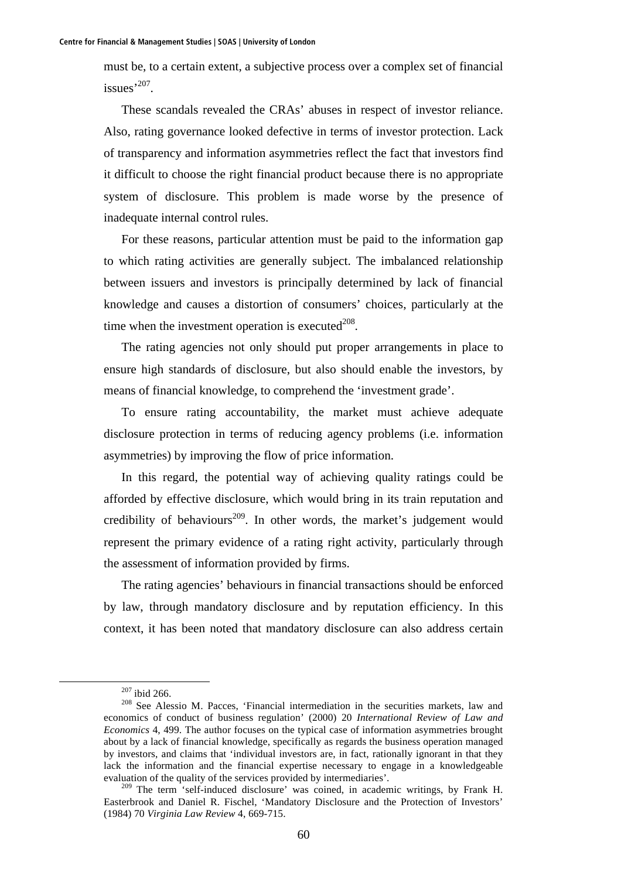must be, to a certain extent, a subjective process over a complex set of financial issues<sup>,207</sup>.

These scandals revealed the CRAs' abuses in respect of investor reliance. Also, rating governance looked defective in terms of investor protection. Lack of transparency and information asymmetries reflect the fact that investors find it difficult to choose the right financial product because there is no appropriate system of disclosure. This problem is made worse by the presence of inadequate internal control rules.

For these reasons, particular attention must be paid to the information gap to which rating activities are generally subject. The imbalanced relationship between issuers and investors is principally determined by lack of financial knowledge and causes a distortion of consumers' choices, particularly at the time when the investment operation is executed $208$ .

The rating agencies not only should put proper arrangements in place to ensure high standards of disclosure, but also should enable the investors, by means of financial knowledge, to comprehend the 'investment grade'.

To ensure rating accountability, the market must achieve adequate disclosure protection in terms of reducing agency problems (i.e. information asymmetries) by improving the flow of price information.

In this regard, the potential way of achieving quality ratings could be afforded by effective disclosure, which would bring in its train reputation and credibility of behaviours<sup>209</sup>. In other words, the market's judgement would represent the primary evidence of a rating right activity, particularly through the assessment of information provided by firms.

The rating agencies' behaviours in financial transactions should be enforced by law, through mandatory disclosure and by reputation efficiency. In this context, it has been noted that mandatory disclosure can also address certain

 $^{207}$  ibid 266.<br><sup>208</sup> See Alessio M. Pacces, 'Financial intermediation in the securities markets, law and economics of conduct of business regulation' (2000) 20 *International Review of Law and Economics* 4, 499. The author focuses on the typical case of information asymmetries brought about by a lack of financial knowledge, specifically as regards the business operation managed by investors, and claims that 'individual investors are, in fact, rationally ignorant in that they lack the information and the financial expertise necessary to engage in a knowledgeable evaluation of the quality of the services provided by intermediaries'.

<sup>&</sup>lt;sup>209</sup> The term 'self-induced disclosure' was coined, in academic writings, by Frank H. Easterbrook and Daniel R. Fischel, 'Mandatory Disclosure and the Protection of Investors' (1984) 70 *Virginia Law Review* 4, 669-715.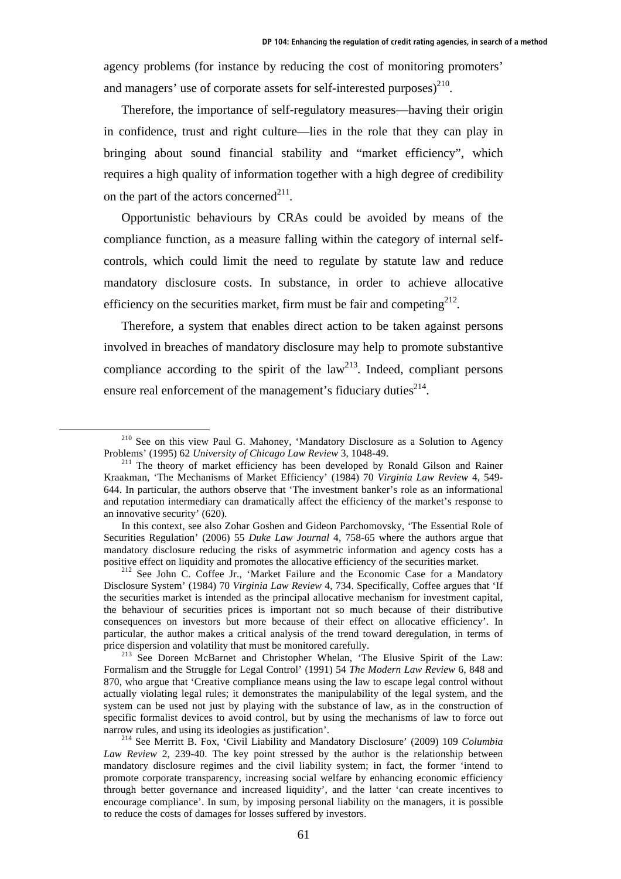agency problems (for instance by reducing the cost of monitoring promoters' and managers' use of corporate assets for self-interested purposes $)^{210}$ .

Therefore, the importance of self-regulatory measures—having their origin in confidence, trust and right culture—lies in the role that they can play in bringing about sound financial stability and "market efficiency", which requires a high quality of information together with a high degree of credibility on the part of the actors concerned<sup>211</sup>.

Opportunistic behaviours by CRAs could be avoided by means of the compliance function, as a measure falling within the category of internal selfcontrols, which could limit the need to regulate by statute law and reduce mandatory disclosure costs. In substance, in order to achieve allocative efficiency on the securities market, firm must be fair and competing $2^{12}$ .

Therefore, a system that enables direct action to be taken against persons involved in breaches of mandatory disclosure may help to promote substantive compliance according to the spirit of the  $law<sup>213</sup>$ . Indeed, compliant persons ensure real enforcement of the management's fiduciary duties $2^{14}$ .

<sup>&</sup>lt;sup>210</sup> See on this view Paul G. Mahoney, 'Mandatory Disclosure as a Solution to Agency Problems' (1995) 62 University of Chicago Law Review 3, 1048-49.

<sup>&</sup>lt;sup>211</sup> The theory of market efficiency has been developed by Ronald Gilson and Rainer Kraakman, 'The Mechanisms of Market Efficiency' (1984) 70 *Virginia Law Review* 4, 549- 644. In particular, the authors observe that 'The investment banker's role as an informational and reputation intermediary can dramatically affect the efficiency of the market's response to an innovative security' (620).

In this context, see also Zohar Goshen and Gideon Parchomovsky, 'The Essential Role of Securities Regulation' (2006) 55 *Duke Law Journal* 4, 758-65 where the authors argue that mandatory disclosure reducing the risks of asymmetric information and agency costs has a

positive effect on liquidity and promotes the allocative efficiency of the securities market.<br><sup>212</sup> See John C. Coffee Jr., 'Market Failure and the Economic Case for a Mandatory Disclosure System' (1984) 70 *Virginia Law Review* 4, 734. Specifically, Coffee argues that 'If the securities market is intended as the principal allocative mechanism for investment capital, the behaviour of securities prices is important not so much because of their distributive consequences on investors but more because of their effect on allocative efficiency'. In particular, the author makes a critical analysis of the trend toward deregulation, in terms of price dispersion and volatility that must be monitored carefully.<br><sup>213</sup> See Doreen McBarnet and Christopher Whelan, 'The Elusive Spirit of the Law:

Formalism and the Struggle for Legal Control' (1991) 54 *The Modern Law Review* 6, 848 and 870, who argue that 'Creative compliance means using the law to escape legal control without actually violating legal rules; it demonstrates the manipulability of the legal system, and the system can be used not just by playing with the substance of law, as in the construction of specific formalist devices to avoid control, but by using the mechanisms of law to force out narrow rules, and using its ideologies as justification'.<br><sup>214</sup> See Merritt B. Fox, 'Civil Liability and Mandatory Disclosure' (2009) 109 *Columbia* 

*Law Review* 2, 239-40. The key point stressed by the author is the relationship between mandatory disclosure regimes and the civil liability system; in fact, the former 'intend to promote corporate transparency, increasing social welfare by enhancing economic efficiency through better governance and increased liquidity', and the latter 'can create incentives to encourage compliance'. In sum, by imposing personal liability on the managers, it is possible to reduce the costs of damages for losses suffered by investors.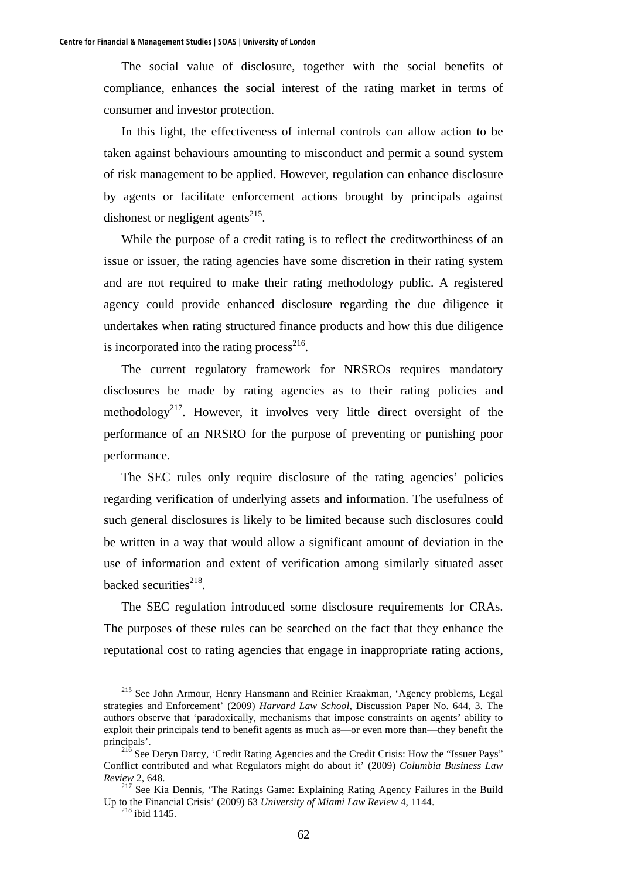The social value of disclosure, together with the social benefits of compliance, enhances the social interest of the rating market in terms of consumer and investor protection.

In this light, the effectiveness of internal controls can allow action to be taken against behaviours amounting to misconduct and permit a sound system of risk management to be applied. However, regulation can enhance disclosure by agents or facilitate enforcement actions brought by principals against dishonest or negligent agents<sup>215</sup>.

While the purpose of a credit rating is to reflect the creditworthiness of an issue or issuer, the rating agencies have some discretion in their rating system and are not required to make their rating methodology public. A registered agency could provide enhanced disclosure regarding the due diligence it undertakes when rating structured finance products and how this due diligence is incorporated into the rating process<sup>216</sup>.

The current regulatory framework for NRSROs requires mandatory disclosures be made by rating agencies as to their rating policies and methodology<sup>217</sup>. However, it involves very little direct oversight of the performance of an NRSRO for the purpose of preventing or punishing poor performance.

The SEC rules only require disclosure of the rating agencies' policies regarding verification of underlying assets and information. The usefulness of such general disclosures is likely to be limited because such disclosures could be written in a way that would allow a significant amount of deviation in the use of information and extent of verification among similarly situated asset backed securities $^{218}$ .

The SEC regulation introduced some disclosure requirements for CRAs. The purposes of these rules can be searched on the fact that they enhance the reputational cost to rating agencies that engage in inappropriate rating actions,

<sup>&</sup>lt;sup>215</sup> See John Armour, Henry Hansmann and Reinier Kraakman, 'Agency problems, Legal strategies and Enforcement' (2009) *Harvard Law School*, Discussion Paper No. 644, 3. The authors observe that 'paradoxically, mechanisms that impose constraints on agents' ability to exploit their principals tend to benefit agents as much as—or even more than—they benefit the principals'.<br><sup>216</sup> See Deryn Darcy, 'Credit Rating Agencies and the Credit Crisis: How the "Issuer Pays"

Conflict contributed and what Regulators might do about it' (2009) *Columbia Business Law Review* 2, 648.<br><sup>217</sup> See Kia Dennis, 'The Ratings Game: Explaining Rating Agency Failures in the Build

Up to the Financial Crisis' (2009) 63 *University of Miami Law Review* 4, 1144. 218 ibid 1145.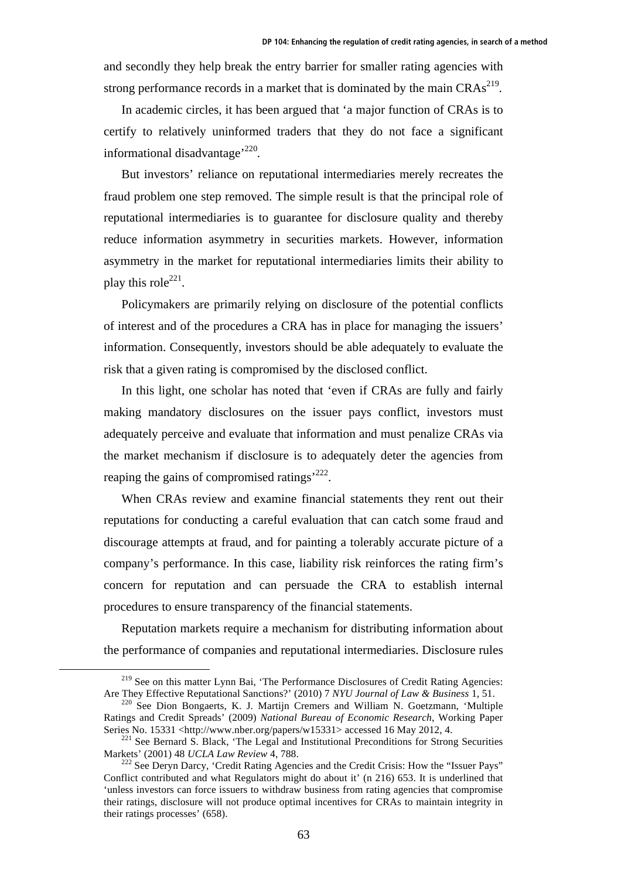and secondly they help break the entry barrier for smaller rating agencies with strong performance records in a market that is dominated by the main  $CRAs<sup>219</sup>$ .

In academic circles, it has been argued that 'a major function of CRAs is to certify to relatively uninformed traders that they do not face a significant informational disadvantage<sup>, 220</sup>.

But investors' reliance on reputational intermediaries merely recreates the fraud problem one step removed. The simple result is that the principal role of reputational intermediaries is to guarantee for disclosure quality and thereby reduce information asymmetry in securities markets. However, information asymmetry in the market for reputational intermediaries limits their ability to play this role<sup>221</sup>.

Policymakers are primarily relying on disclosure of the potential conflicts of interest and of the procedures a CRA has in place for managing the issuers' information. Consequently, investors should be able adequately to evaluate the risk that a given rating is compromised by the disclosed conflict.

In this light, one scholar has noted that 'even if CRAs are fully and fairly making mandatory disclosures on the issuer pays conflict, investors must adequately perceive and evaluate that information and must penalize CRAs via the market mechanism if disclosure is to adequately deter the agencies from reaping the gains of compromised ratings<sup>222</sup>.

When CRAs review and examine financial statements they rent out their reputations for conducting a careful evaluation that can catch some fraud and discourage attempts at fraud, and for painting a tolerably accurate picture of a company's performance. In this case, liability risk reinforces the rating firm's concern for reputation and can persuade the CRA to establish internal procedures to ensure transparency of the financial statements.

Reputation markets require a mechanism for distributing information about the performance of companies and reputational intermediaries. Disclosure rules

<sup>&</sup>lt;sup>219</sup> See on this matter Lynn Bai, 'The Performance Disclosures of Credit Rating Agencies:<br>Are They Effective Reputational Sanctions?' (2010) 7 NYU Journal of Law & Business 1, 51.

<sup>&</sup>lt;sup>220</sup> See Dion Bongaerts, K. J. Martijn Cremers and William N. Goetzmann, 'Multiple Ratings and Credit Spreads' (2009) *National Bureau of Economic Research*, Working Paper Series No. 15331 <http://www.nber.org/papers/w15331> accessed 16 May 2012, 4.<br><sup>221</sup> See Bernard S. Black, 'The Legal and Institutional Preconditions for Strong Securities

Markets' (2001) 48 *UCLA Law Review* 4, 788.<br><sup>222</sup> See Deryn Darcy, 'Credit Rating Agencies and the Credit Crisis: How the "Issuer Pays"

Conflict contributed and what Regulators might do about it' (n 216) 653. It is underlined that 'unless investors can force issuers to withdraw business from rating agencies that compromise their ratings, disclosure will not produce optimal incentives for CRAs to maintain integrity in their ratings processes' (658).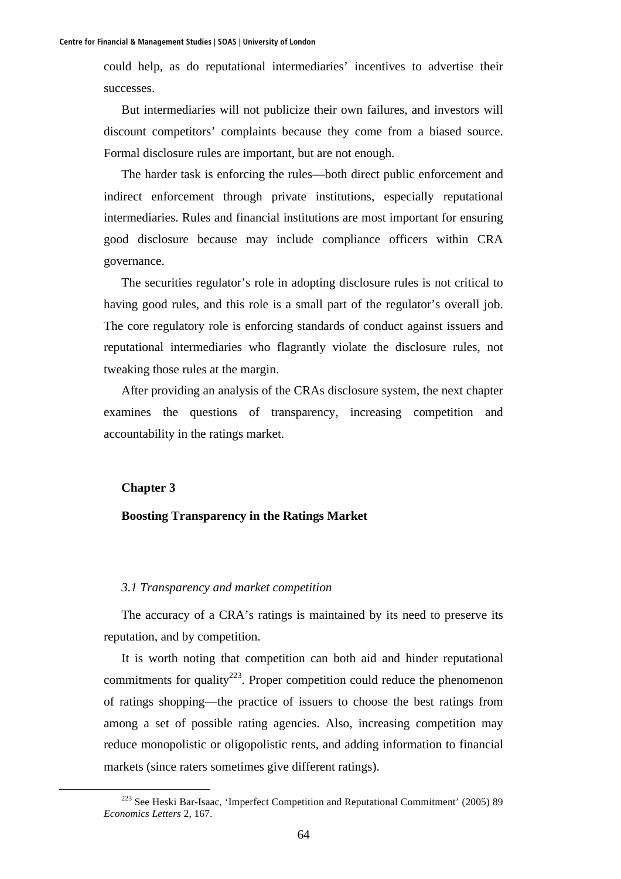could help, as do reputational intermediaries' incentives to advertise their successes.

But intermediaries will not publicize their own failures, and investors will discount competitors' complaints because they come from a biased source. Formal disclosure rules are important, but are not enough.

The harder task is enforcing the rules—both direct public enforcement and indirect enforcement through private institutions, especially reputational intermediaries. Rules and financial institutions are most important for ensuring good disclosure because may include compliance officers within CRA governance.

The securities regulator's role in adopting disclosure rules is not critical to having good rules, and this role is a small part of the regulator's overall job. The core regulatory role is enforcing standards of conduct against issuers and reputational intermediaries who flagrantly violate the disclosure rules, not tweaking those rules at the margin.

After providing an analysis of the CRAs disclosure system, the next chapter examines the questions of transparency, increasing competition and accountability in the ratings market.

### **Chapter 3**

#### **Boosting Transparency in the Ratings Market**

### *3.1 Transparency and market competition*

The accuracy of a CRA's ratings is maintained by its need to preserve its reputation, and by competition.

It is worth noting that competition can both aid and hinder reputational commitments for quality<sup>223</sup>. Proper competition could reduce the phenomenon of ratings shopping—the practice of issuers to choose the best ratings from among a set of possible rating agencies. Also, increasing competition may reduce monopolistic or oligopolistic rents, and adding information to financial markets (since raters sometimes give different ratings).

<sup>&</sup>lt;sup>223</sup> See Heski Bar-Isaac, 'Imperfect Competition and Reputational Commitment' (2005) 89 *Economics Letters* 2, 167.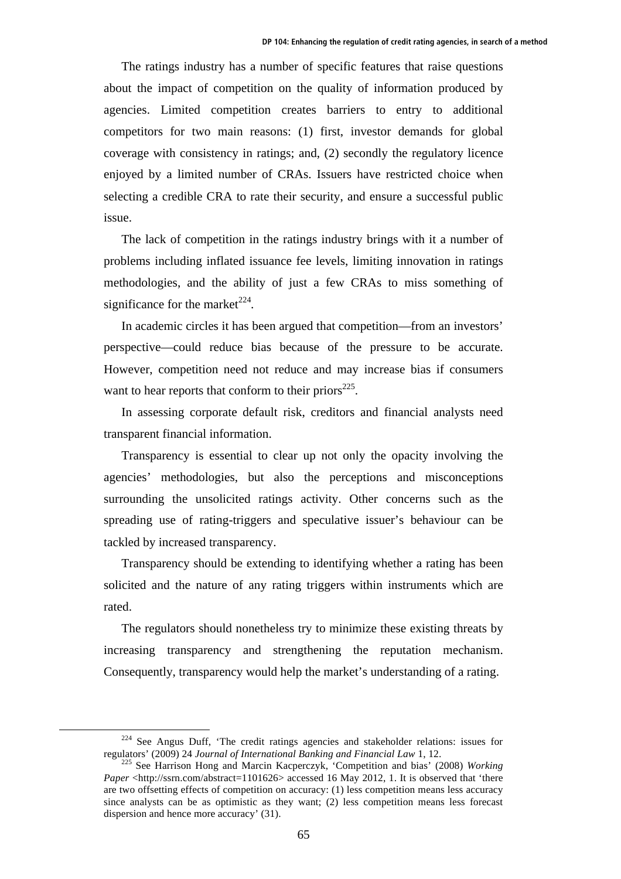The ratings industry has a number of specific features that raise questions about the impact of competition on the quality of information produced by agencies. Limited competition creates barriers to entry to additional competitors for two main reasons: (1) first, investor demands for global coverage with consistency in ratings; and, (2) secondly the regulatory licence enjoyed by a limited number of CRAs. Issuers have restricted choice when selecting a credible CRA to rate their security, and ensure a successful public issue.

The lack of competition in the ratings industry brings with it a number of problems including inflated issuance fee levels, limiting innovation in ratings methodologies, and the ability of just a few CRAs to miss something of significance for the market<sup> $224$ </sup>.

In academic circles it has been argued that competition—from an investors' perspective—could reduce bias because of the pressure to be accurate. However, competition need not reduce and may increase bias if consumers want to hear reports that conform to their priors<sup> $225$ </sup>.

In assessing corporate default risk, creditors and financial analysts need transparent financial information.

Transparency is essential to clear up not only the opacity involving the agencies' methodologies, but also the perceptions and misconceptions surrounding the unsolicited ratings activity. Other concerns such as the spreading use of rating-triggers and speculative issuer's behaviour can be tackled by increased transparency.

Transparency should be extending to identifying whether a rating has been solicited and the nature of any rating triggers within instruments which are rated.

The regulators should nonetheless try to minimize these existing threats by increasing transparency and strengthening the reputation mechanism. Consequently, transparency would help the market's understanding of a rating.

 $224$  See Angus Duff, 'The credit ratings agencies and stakeholder relations: issues for regulators' (2009) 24 *Journal of International Banking and Financial Law* 1, 12.<br><sup>225</sup> See Harrison Hong and Marcin Kacperczyk, 'Competition and bias' (2008) *Working* 

*Paper* <http://ssrn.com/abstract=1101626> accessed 16 May 2012, 1. It is observed that 'there are two offsetting effects of competition on accuracy: (1) less competition means less accuracy since analysts can be as optimistic as they want; (2) less competition means less forecast dispersion and hence more accuracy' (31).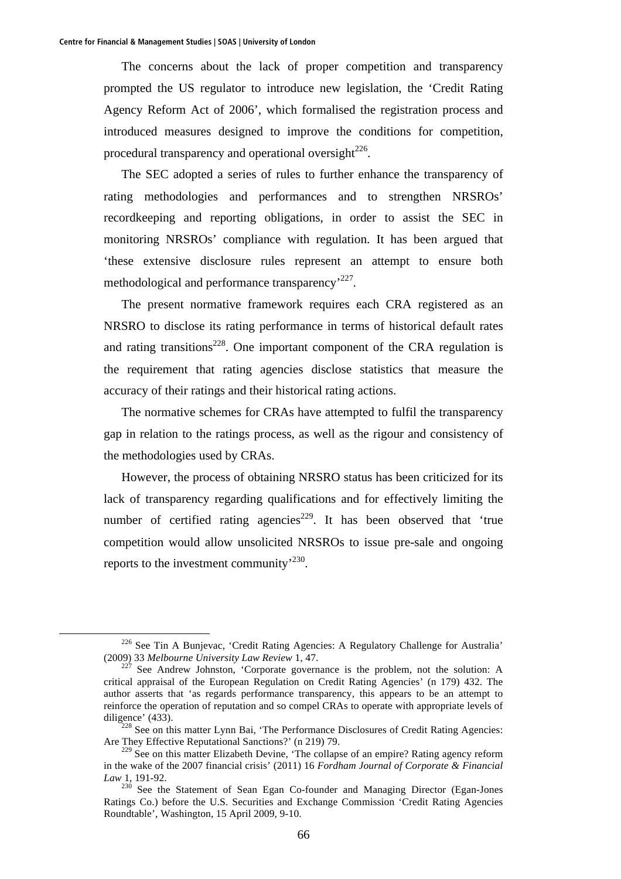The concerns about the lack of proper competition and transparency prompted the US regulator to introduce new legislation, the 'Credit Rating Agency Reform Act of 2006', which formalised the registration process and introduced measures designed to improve the conditions for competition, procedural transparency and operational oversight $^{226}$ .

The SEC adopted a series of rules to further enhance the transparency of rating methodologies and performances and to strengthen NRSROs' recordkeeping and reporting obligations, in order to assist the SEC in monitoring NRSROs' compliance with regulation. It has been argued that 'these extensive disclosure rules represent an attempt to ensure both methodological and performance transparency<sup>227</sup>.

The present normative framework requires each CRA registered as an NRSRO to disclose its rating performance in terms of historical default rates and rating transitions<sup>228</sup>. One important component of the CRA regulation is the requirement that rating agencies disclose statistics that measure the accuracy of their ratings and their historical rating actions.

The normative schemes for CRAs have attempted to fulfil the transparency gap in relation to the ratings process, as well as the rigour and consistency of the methodologies used by CRAs.

However, the process of obtaining NRSRO status has been criticized for its lack of transparency regarding qualifications and for effectively limiting the number of certified rating agencies<sup>229</sup>. It has been observed that 'true competition would allow unsolicited NRSROs to issue pre-sale and ongoing reports to the investment community<sup>'230</sup>.

 <sup>226</sup> See Tin A Bunjevac, 'Credit Rating Agencies: A Regulatory Challenge for Australia' (2009) 33 *Melbourne University Law Review* 1, 47.<br><sup>227</sup> See Andrew Johnston, 'Corporate governance is the problem, not the solution: A

critical appraisal of the European Regulation on Credit Rating Agencies' (n 179) 432. The author asserts that 'as regards performance transparency, this appears to be an attempt to reinforce the operation of reputation and so compel CRAs to operate with appropriate levels of diligence' (433).<br><sup>228</sup> See on this matter Lynn Bai, 'The Performance Disclosures of Credit Rating Agencies:

Are They Effective Reputational Sanctions?' (n 219) 79.

<sup>&</sup>lt;sup>229</sup> See on this matter Elizabeth Devine, 'The collapse of an empire? Rating agency reform in the wake of the 2007 financial crisis' (2011) 16 *Fordham Journal of Corporate & Financial Law* 1, 191-92.

<sup>&</sup>lt;sup>230</sup> See the Statement of Sean Egan Co-founder and Managing Director (Egan-Jones Ratings Co.) before the U.S. Securities and Exchange Commission 'Credit Rating Agencies Roundtable', Washington, 15 April 2009, 9-10.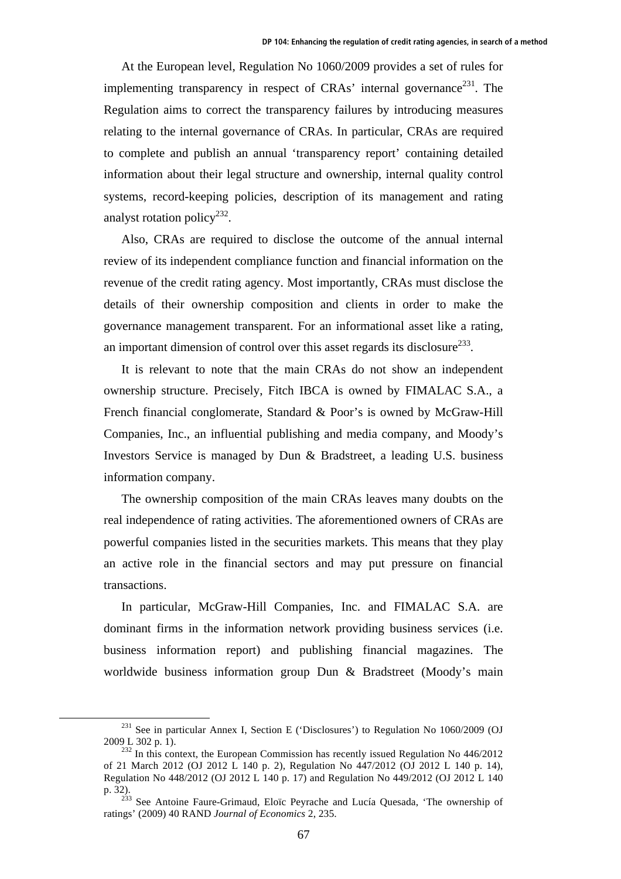At the European level, Regulation No 1060/2009 provides a set of rules for implementing transparency in respect of CRAs' internal governance<sup>231</sup>. The Regulation aims to correct the transparency failures by introducing measures relating to the internal governance of CRAs. In particular, CRAs are required to complete and publish an annual 'transparency report' containing detailed information about their legal structure and ownership, internal quality control systems, record-keeping policies, description of its management and rating analyst rotation policy<sup>232</sup>.

Also, CRAs are required to disclose the outcome of the annual internal review of its independent compliance function and financial information on the revenue of the credit rating agency. Most importantly, CRAs must disclose the details of their ownership composition and clients in order to make the governance management transparent. For an informational asset like a rating, an important dimension of control over this asset regards its disclosure $^{233}$ .

It is relevant to note that the main CRAs do not show an independent ownership structure. Precisely, Fitch IBCA is owned by FIMALAC S.A., a French financial conglomerate, Standard & Poor's is owned by McGraw-Hill Companies, Inc., an influential publishing and media company, and Moody's Investors Service is managed by Dun & Bradstreet, a leading U.S. business information company.

The ownership composition of the main CRAs leaves many doubts on the real independence of rating activities. The aforementioned owners of CRAs are powerful companies listed in the securities markets. This means that they play an active role in the financial sectors and may put pressure on financial transactions.

In particular, McGraw-Hill Companies, Inc. and FIMALAC S.A. are dominant firms in the information network providing business services (i.e. business information report) and publishing financial magazines. The worldwide business information group Dun & Bradstreet (Moody's main

 $^{231}$  See in particular Annex I, Section E ('Disclosures') to Regulation No 1060/2009 (OJ 2009 L 302 p. 1). 232 In this context, the European Commission has recently issued Regulation No 446/2012

of 21 March 2012 (OJ 2012 L 140 p. 2), Regulation No 447/2012 (OJ 2012 L 140 p. 14), Regulation No 448/2012 (OJ 2012 L 140 p. 17) and Regulation No 449/2012 (OJ 2012 L 140 p. 32).<br><sup>233</sup> See Antoine Faure-Grimaud, Eloïc Peyrache and Lucía Quesada, 'The ownership of

ratings' (2009) 40 RAND *Journal of Economics* 2, 235.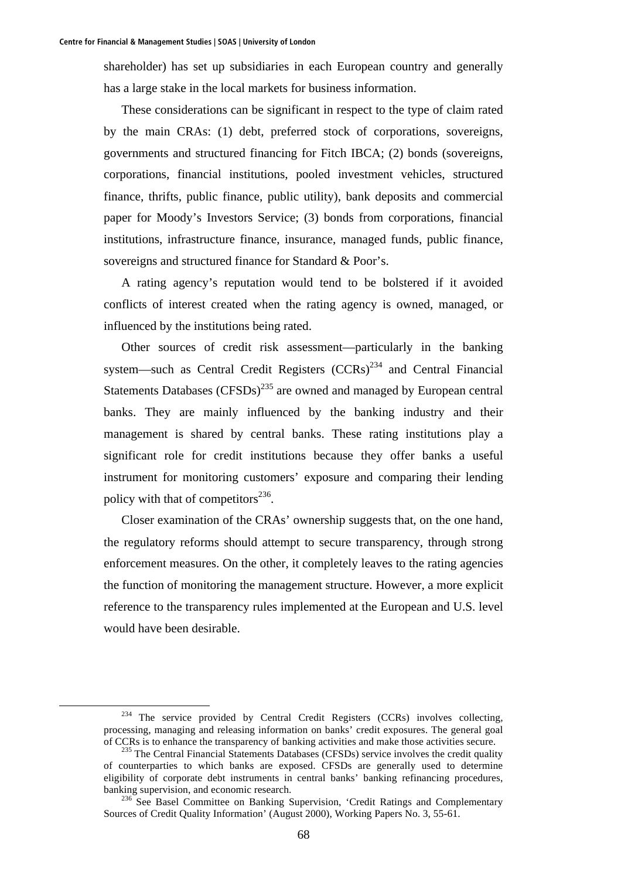shareholder) has set up subsidiaries in each European country and generally has a large stake in the local markets for business information.

These considerations can be significant in respect to the type of claim rated by the main CRAs: (1) debt, preferred stock of corporations, sovereigns, governments and structured financing for Fitch IBCA; (2) bonds (sovereigns, corporations, financial institutions, pooled investment vehicles, structured finance, thrifts, public finance, public utility), bank deposits and commercial paper for Moody's Investors Service; (3) bonds from corporations, financial institutions, infrastructure finance, insurance, managed funds, public finance, sovereigns and structured finance for Standard & Poor's.

A rating agency's reputation would tend to be bolstered if it avoided conflicts of interest created when the rating agency is owned, managed, or influenced by the institutions being rated.

Other sources of credit risk assessment—particularly in the banking system—such as Central Credit Registers  $(CCRs)^{234}$  and Central Financial Statements Databases  $(CFSDs)^{235}$  are owned and managed by European central banks. They are mainly influenced by the banking industry and their management is shared by central banks. These rating institutions play a significant role for credit institutions because they offer banks a useful instrument for monitoring customers' exposure and comparing their lending policy with that of competitors $^{236}$ .

Closer examination of the CRAs' ownership suggests that, on the one hand, the regulatory reforms should attempt to secure transparency, through strong enforcement measures. On the other, it completely leaves to the rating agencies the function of monitoring the management structure. However, a more explicit reference to the transparency rules implemented at the European and U.S. level would have been desirable.

<sup>&</sup>lt;sup>234</sup> The service provided by Central Credit Registers (CCRs) involves collecting, processing, managing and releasing information on banks' credit exposures. The general goal of CCRs is to enhance the transparency of banking activities and make those activities secure. 235 The Central Financial Statements Databases (CFSDs) service involves the credit quality

of counterparties to which banks are exposed. CFSDs are generally used to determine eligibility of corporate debt instruments in central banks' banking refinancing procedures, banking supervision, and economic research.<br><sup>236</sup> See Basel Committee on Banking Supervision, 'Credit Ratings and Complementary

Sources of Credit Quality Information' (August 2000), Working Papers No. 3, 55-61.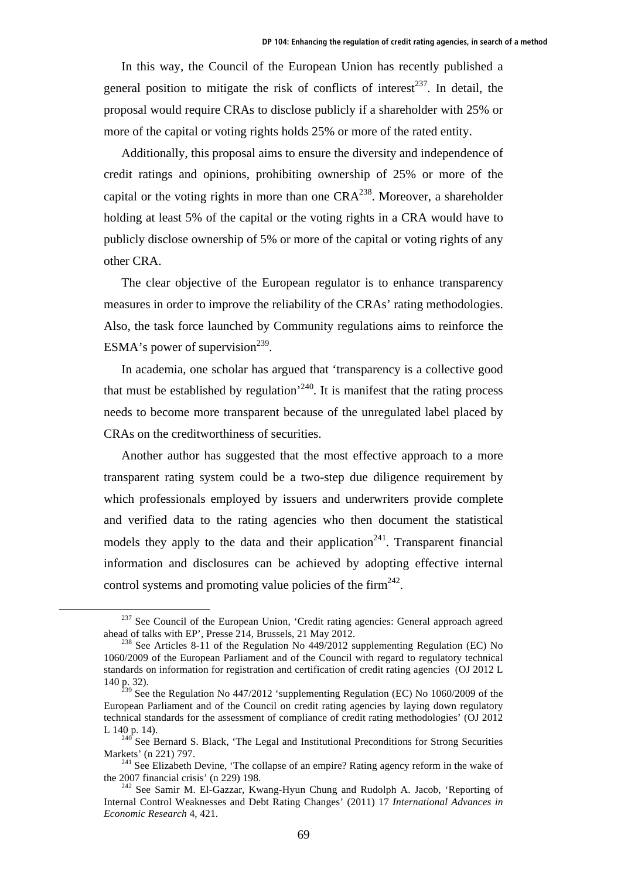In this way, the Council of the European Union has recently published a general position to mitigate the risk of conflicts of interest<sup>237</sup>. In detail, the proposal would require CRAs to disclose publicly if a shareholder with 25% or more of the capital or voting rights holds 25% or more of the rated entity.

Additionally, this proposal aims to ensure the diversity and independence of credit ratings and opinions, prohibiting ownership of 25% or more of the capital or the voting rights in more than one  $CRA^{238}$ . Moreover, a shareholder holding at least 5% of the capital or the voting rights in a CRA would have to publicly disclose ownership of 5% or more of the capital or voting rights of any other CRA.

The clear objective of the European regulator is to enhance transparency measures in order to improve the reliability of the CRAs' rating methodologies. Also, the task force launched by Community regulations aims to reinforce the ESMA's power of supervision<sup>239</sup>.

In academia, one scholar has argued that 'transparency is a collective good that must be established by regulation<sup> $240$ </sup>. It is manifest that the rating process needs to become more transparent because of the unregulated label placed by CRAs on the creditworthiness of securities.

Another author has suggested that the most effective approach to a more transparent rating system could be a two-step due diligence requirement by which professionals employed by issuers and underwriters provide complete and verified data to the rating agencies who then document the statistical models they apply to the data and their application<sup>241</sup>. Transparent financial information and disclosures can be achieved by adopting effective internal control systems and promoting value policies of the firm<sup>242</sup>.

 $^{237}$  See Council of the European Union, 'Credit rating agencies: General approach agreed ahead of talks with EP', Presse 214, Brussels, 21 May 2012.

<sup>&</sup>lt;sup>238</sup> See Articles 8-11 of the Regulation No 449/2012 supplementing Regulation (EC) No 1060/2009 of the European Parliament and of the Council with regard to regulatory technical standards on information for registration and certification of credit rating agencies (OJ 2012 L 140 p. 32).

 $^{239}$  See the Regulation No 447/2012 'supplementing Regulation (EC) No 1060/2009 of the European Parliament and of the Council on credit rating agencies by laying down regulatory technical standards for the assessment of compliance of credit rating methodologies' (OJ 2012

L 140 p. 14).<br><sup>240</sup> See Bernard S. Black, 'The Legal and Institutional Preconditions for Strong Securities<br>Markets' (n 221) 797.

<sup>&</sup>lt;sup>241</sup> See Elizabeth Devine, 'The collapse of an empire? Rating agency reform in the wake of the 2007 financial crisis' (n 229) 198.<br><sup>242</sup> See Samir M. El-Gazzar, Kwang-Hyun Chung and Rudolph A. Jacob, 'Reporting of

Internal Control Weaknesses and Debt Rating Changes' (2011) 17 *International Advances in Economic Research* 4, 421.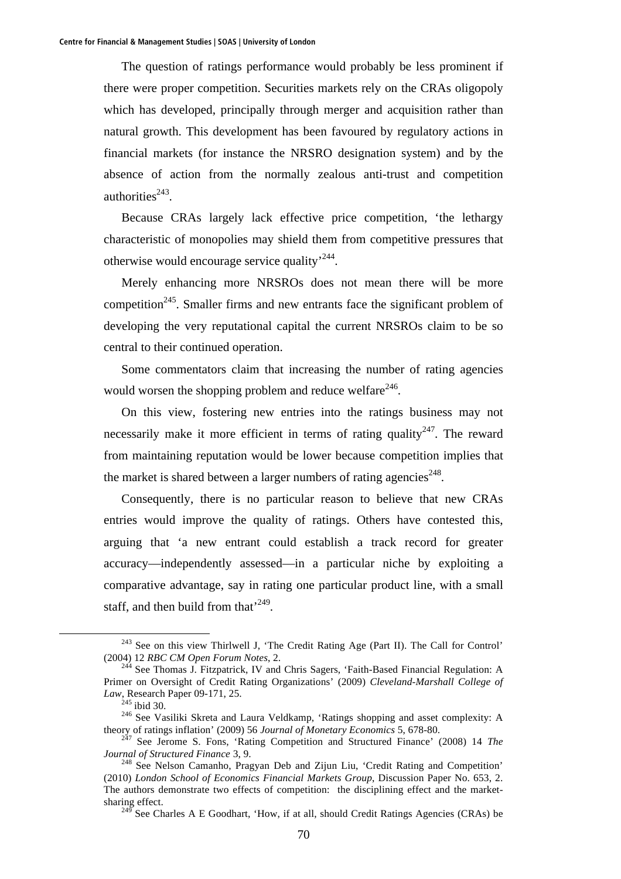The question of ratings performance would probably be less prominent if there were proper competition. Securities markets rely on the CRAs oligopoly which has developed, principally through merger and acquisition rather than natural growth. This development has been favoured by regulatory actions in financial markets (for instance the NRSRO designation system) and by the absence of action from the normally zealous anti-trust and competition authorities $243$ .

Because CRAs largely lack effective price competition, 'the lethargy characteristic of monopolies may shield them from competitive pressures that otherwise would encourage service quality<sup>'244</sup>.

Merely enhancing more NRSROs does not mean there will be more competition<sup>245</sup>. Smaller firms and new entrants face the significant problem of developing the very reputational capital the current NRSROs claim to be so central to their continued operation.

Some commentators claim that increasing the number of rating agencies would worsen the shopping problem and reduce welfare<sup>246</sup>.

On this view, fostering new entries into the ratings business may not necessarily make it more efficient in terms of rating quality<sup>247</sup>. The reward from maintaining reputation would be lower because competition implies that the market is shared between a larger numbers of rating agencies<sup> $248$ </sup>.

Consequently, there is no particular reason to believe that new CRAs entries would improve the quality of ratings. Others have contested this, arguing that 'a new entrant could establish a track record for greater accuracy—independently assessed—in a particular niche by exploiting a comparative advantage, say in rating one particular product line, with a small staff, and then build from that<sup>249</sup>.

 <sup>243</sup> See on this view Thirlwell J, 'The Credit Rating Age (Part II). The Call for Control' (2004) 12 *RBC CM Open Forum Notes*, 2.<br><sup>244</sup> See Thomas J. Fitzpatrick, IV and Chris Sagers, 'Faith-Based Financial Regulation: A

Primer on Oversight of Credit Rating Organizations' (2009) *Cleveland-Marshall College of Law*, Research Paper 09-171, 25.<br><sup>245</sup> ibid 30.

<sup>&</sup>lt;sup>246</sup> See Vasiliki Skreta and Laura Veldkamp, 'Ratings shopping and asset complexity: A

theory of ratings inflation' (2009) 56 *Journal of Monetary Economics* 5, 678-80.<br><sup>247</sup> See Jerome S. Fons, 'Rating Competition and Structured Finance' (2008) 14 *The Journal of Structured Finance* 3, 9.

<sup>&</sup>lt;sup>248</sup> See Nelson Camanho, Pragyan Deb and Zijun Liu, 'Credit Rating and Competition' (2010) *London School of Economics Financial Markets Group*, Discussion Paper No. 653, 2. The authors demonstrate two effects of competition: the disciplining effect and the marketsharing effect.

 $^{249}$  See Charles A E Goodhart, 'How, if at all, should Credit Ratings Agencies (CRAs) be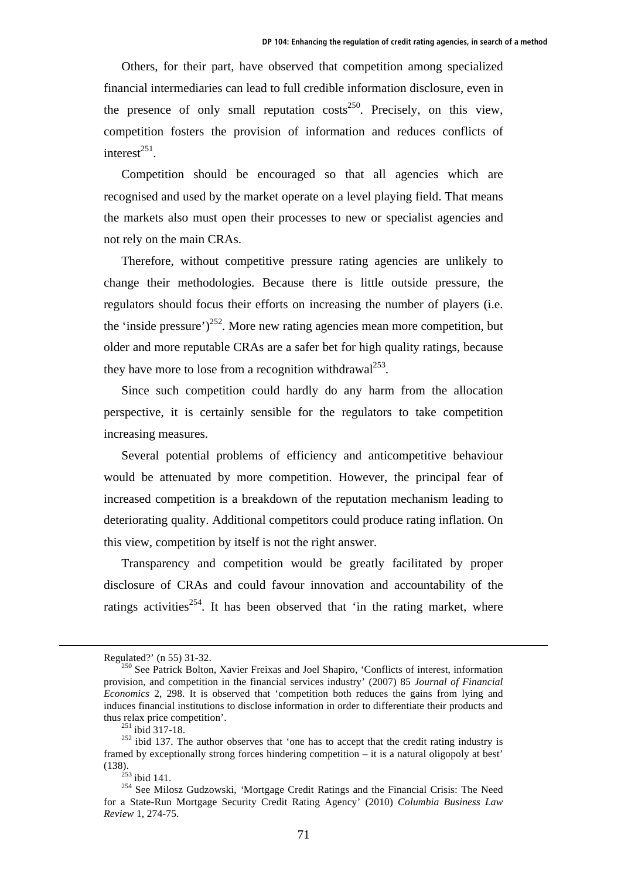Others, for their part, have observed that competition among specialized financial intermediaries can lead to full credible information disclosure, even in the presence of only small reputation  $\text{costs}^{250}$ . Precisely, on this view, competition fosters the provision of information and reduces conflicts of interest $^{251}$ .

Competition should be encouraged so that all agencies which are recognised and used by the market operate on a level playing field. That means the markets also must open their processes to new or specialist agencies and not rely on the main CRAs.

Therefore, without competitive pressure rating agencies are unlikely to change their methodologies. Because there is little outside pressure, the regulators should focus their efforts on increasing the number of players (i.e. the 'inside pressure')<sup>252</sup>. More new rating agencies mean more competition, but older and more reputable CRAs are a safer bet for high quality ratings, because they have more to lose from a recognition withdrawal<sup>253</sup>.

Since such competition could hardly do any harm from the allocation perspective, it is certainly sensible for the regulators to take competition increasing measures.

Several potential problems of efficiency and anticompetitive behaviour would be attenuated by more competition. However, the principal fear of increased competition is a breakdown of the reputation mechanism leading to deteriorating quality. Additional competitors could produce rating inflation. On this view, competition by itself is not the right answer.

Transparency and competition would be greatly facilitated by proper disclosure of CRAs and could favour innovation and accountability of the ratings activities<sup>254</sup>. It has been observed that 'in the rating market, where

Regulated?' (n 55) 31-32.<br><sup>250</sup> See Patrick Bolton, Xavier Freixas and Joel Shapiro, 'Conflicts of interest, information provision, and competition in the financial services industry' (2007) 85 *Journal of Financial Economics* 2, 298. It is observed that 'competition both reduces the gains from lying and induces financial institutions to disclose information in order to differentiate their products and

thus relax price competition'.<br><sup>251</sup> ibid 317-18.<br><sup>252</sup> ibid 137. The author observes that 'one has to accept that the credit rating industry is framed by exceptionally strong forces hindering competition – it is a natural oligopoly at best' (138).<br><sup>253</sup> ikid 141

<sup>&</sup>lt;sup>254</sup> See Milosz Gudzowski, *'Mortgage Credit Ratings and the Financial Crisis: The Need* for a State*-*Run Mortgage Security Credit Rating Agency' (2010) *Columbia Business Law Review* 1, 274-75.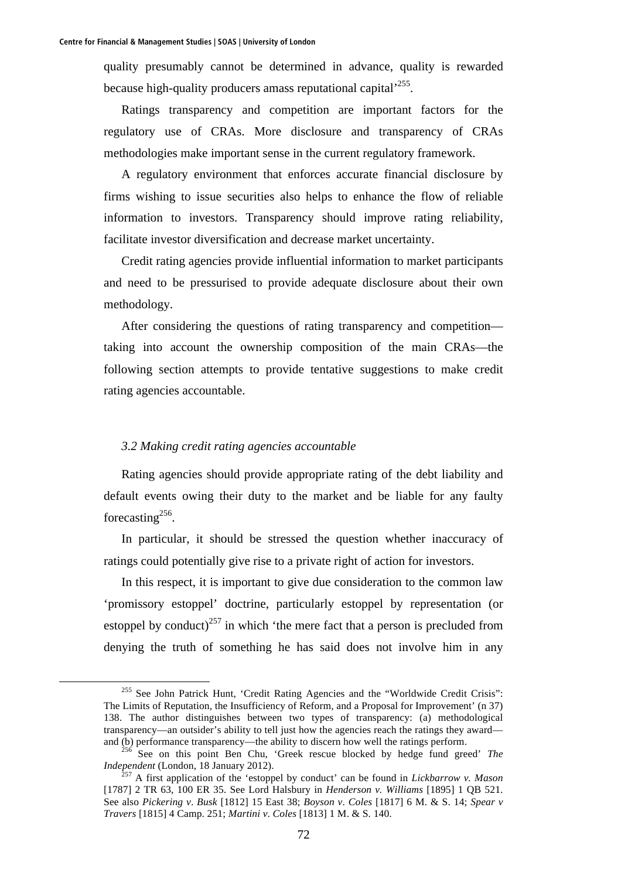quality presumably cannot be determined in advance, quality is rewarded because high-quality producers amass reputational capital<sup>255</sup>.

Ratings transparency and competition are important factors for the regulatory use of CRAs. More disclosure and transparency of CRAs methodologies make important sense in the current regulatory framework.

A regulatory environment that enforces accurate financial disclosure by firms wishing to issue securities also helps to enhance the flow of reliable information to investors. Transparency should improve rating reliability, facilitate investor diversification and decrease market uncertainty.

Credit rating agencies provide influential information to market participants and need to be pressurised to provide adequate disclosure about their own methodology.

After considering the questions of rating transparency and competition taking into account the ownership composition of the main CRAs—the following section attempts to provide tentative suggestions to make credit rating agencies accountable.

# *3.2 Making credit rating agencies accountable*

Rating agencies should provide appropriate rating of the debt liability and default events owing their duty to the market and be liable for any faulty forecasting $256$ .

In particular, it should be stressed the question whether inaccuracy of ratings could potentially give rise to a private right of action for investors.

In this respect, it is important to give due consideration to the common law 'promissory estoppel' doctrine, particularly estoppel by representation (or estoppel by conduct)<sup>257</sup> in which 'the mere fact that a person is precluded from denying the truth of something he has said does not involve him in any

<sup>&</sup>lt;sup>255</sup> See John Patrick Hunt, 'Credit Rating Agencies and the "Worldwide Credit Crisis": The Limits of Reputation, the Insufficiency of Reform*,* and a Proposal for Improvement' (n 37) 138. The author distinguishes between two types of transparency: (a) methodological transparency—an outsider's ability to tell just how the agencies reach the ratings they award—

and (b) performance transparency—the ability to discern how well the ratings perform.<br><sup>256</sup> See on this point Ben Chu, 'Greek rescue blocked by hedge fund greed' *The Independent* (London, 18 January 2012).

<sup>&</sup>lt;sup>257</sup> A first application of the 'estoppel by conduct' can be found in *Lickbarrow v. Mason* [1787] 2 TR 63, 100 ER 35. See Lord Halsbury in *Henderson v. Williams* [1895] 1 QB 521. See also *Pickering v*. *Busk* [1812] 15 East 38; *Boyson v*. *Coles* [1817] 6 M. & S. 14; *Spear v Travers* [1815] 4 Camp. 251; *Martini v*. *Coles* [1813] 1 M. & S*.* 140.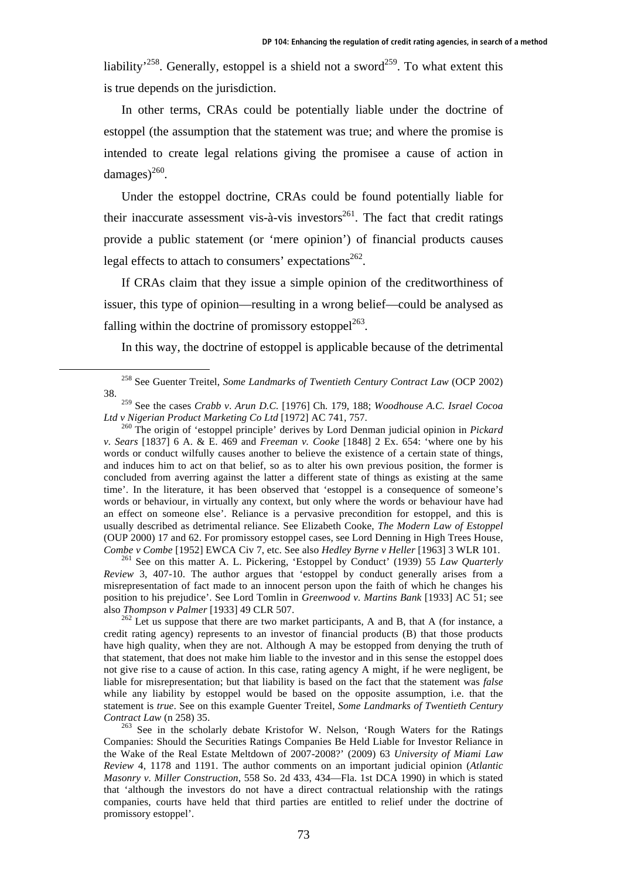liability<sup>258</sup>. Generally, estoppel is a shield not a sword<sup>259</sup>. To what extent this is true depends on the jurisdiction.

In other terms, CRAs could be potentially liable under the doctrine of estoppel (the assumption that the statement was true; and where the promise is intended to create legal relations giving the promisee a cause of action in damages $)^{260}$ .

Under the estoppel doctrine, CRAs could be found potentially liable for their inaccurate assessment vis-à-vis investors<sup>261</sup>. The fact that credit ratings provide a public statement (or 'mere opinion') of financial products causes legal effects to attach to consumers' expectations<sup>262</sup>.

If CRAs claim that they issue a simple opinion of the creditworthiness of issuer, this type of opinion—resulting in a wrong belief—could be analysed as falling within the doctrine of promissory estoppel $263$ .

In this way, the doctrine of estoppel is applicable because of the detrimental

*Review* 3, 407-10. The author argues that 'estoppel by conduct generally arises from a misrepresentation of fact made to an innocent person upon the faith of which he changes his position to his prejudice'. See Lord Tomlin in *Greenwood v. Martins Bank* [1933] AC 51; see

also *Thompson v Palmer* [1933] 49 CLR 507.<br><sup>262</sup> Let us suppose that there are two market participants, A and B, that A (for instance, a credit rating agency) represents to an investor of financial products (B) that those products have high quality, when they are not. Although A may be estopped from denying the truth of that statement, that does not make him liable to the investor and in this sense the estoppel does not give rise to a cause of action. In this case, rating agency A might, if he were negligent, be liable for misrepresentation; but that liability is based on the fact that the statement was *false* while any liability by estoppel would be based on the opposite assumption, i.e. that the statement is *true*. See on this example Guenter Treitel, *Some Landmarks of Twentieth Century Contract Law* (n 258) 35. 263 See in the scholarly debate Kristofor W. Nelson, 'Rough Waters for the Ratings

Companies: Should the Securities Ratings Companies Be Held Liable for Investor Reliance in the Wake of the Real Estate Meltdown of 2007-2008?' (2009) 63 *University of Miami Law Review* 4, 1178 and 1191. The author comments on an important judicial opinion (*Atlantic Masonry v. Miller Construction*, 558 So. 2d 433, 434—Fla. 1st DCA 1990) in which is stated that 'although the investors do not have a direct contractual relationship with the ratings companies, courts have held that third parties are entitled to relief under the doctrine of promissory estoppel'.

 <sup>258</sup> See Guenter Treitel, *Some Landmarks of Twentieth Century Contract Law* (OCP 2002) 38.

<sup>&</sup>lt;sup>259</sup> See the cases *Crabb v. Arun D.C.* [1976] Ch. 179, 188; *Woodhouse A.C. Israel Cocoa Ltd v Nigerian Product Marketing Co Ltd* [1972] AC 741, 757.

<sup>&</sup>lt;sup>260</sup> The origin of 'estoppel principle' derives by Lord Denman judicial opinion in *Pickard v. Sears* [1837] 6 A. & E. 469 and *Freeman v. Cooke* [1848] 2 Ex. 654: 'where one by his words or conduct wilfully causes another to believe the existence of a certain state of things, and induces him to act on that belief, so as to alter his own previous position, the former is concluded from averring against the latter a different state of things as existing at the same time'. In the literature, it has been observed that 'estoppel is a consequence of someone's words or behaviour, in virtually any context, but only where the words or behaviour have had an effect on someone else'. Reliance is a pervasive precondition for estoppel, and this is usually described as detrimental reliance. See Elizabeth Cooke, *The Modern Law of Estoppel* (OUP 2000) 17 and 62. For promissory estoppel cases, see Lord Denning in High Trees House, *Combe v Combe* [1952] EWCA Civ 7, etc. See also *Hedley Byrne v Heller* [1963] 3 WLR 101.<br><sup>261</sup> See on this matter A. L. Pickering, 'Estoppel by Conduct' (1939) 55 *Law Quarterly*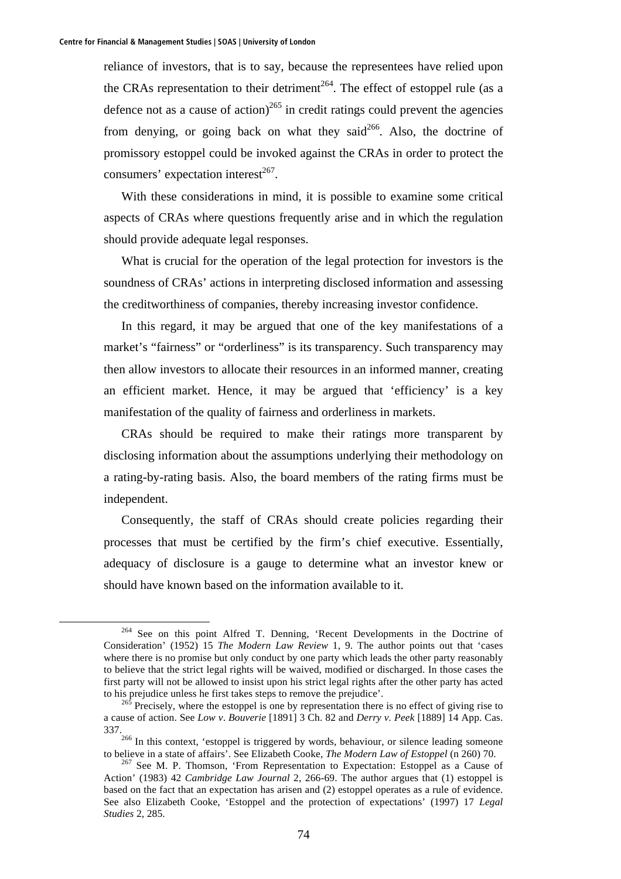reliance of investors, that is to say, because the representees have relied upon the CRAs representation to their detriment<sup>264</sup>. The effect of estoppel rule (as a defence not as a cause of action)<sup>265</sup> in credit ratings could prevent the agencies from denying, or going back on what they said<sup>266</sup>. Also, the doctrine of promissory estoppel could be invoked against the CRAs in order to protect the consumers' expectation interest $^{267}$ .

With these considerations in mind, it is possible to examine some critical aspects of CRAs where questions frequently arise and in which the regulation should provide adequate legal responses.

What is crucial for the operation of the legal protection for investors is the soundness of CRAs' actions in interpreting disclosed information and assessing the creditworthiness of companies, thereby increasing investor confidence.

In this regard, it may be argued that one of the key manifestations of a market's "fairness" or "orderliness" is its transparency. Such transparency may then allow investors to allocate their resources in an informed manner, creating an efficient market. Hence, it may be argued that 'efficiency' is a key manifestation of the quality of fairness and orderliness in markets.

CRAs should be required to make their ratings more transparent by disclosing information about the assumptions underlying their methodology on a rating-by-rating basis. Also, the board members of the rating firms must be independent.

Consequently, the staff of CRAs should create policies regarding their processes that must be certified by the firm's chief executive. Essentially, adequacy of disclosure is a gauge to determine what an investor knew or should have known based on the information available to it.

 <sup>264</sup> See on this point Alfred T. Denning, 'Recent Developments in the Doctrine of Consideration' (1952) 15 *The Modern Law Review* 1, 9. The author points out that 'cases where there is no promise but only conduct by one party which leads the other party reasonably to believe that the strict legal rights will be waived, modified or discharged. In those cases the first party will not be allowed to insist upon his strict legal rights after the other party has acted to his prejudice unless he first takes steps to remove the prejudice'.<br><sup>265</sup> Precisely, where the estoppel is one by representation there is no effect of giving rise to

a cause of action. See *Low v*. *Bouverie* [1891] 3 Ch. 82 and *Derry v. Peek* [1889] 14 App. Cas.

 $337$ .<br><sup>266</sup> In this context, 'estoppel is triggered by words, behaviour, or silence leading someone to believe in a state of affairs'. See Elizabeth Cooke, *The Modern Law of Estoppel* (n 260) 70.

<sup>&</sup>lt;sup>267</sup> See M. P. Thomson, 'From Representation to Expectation: Estoppel as a Cause of Action' (1983) 42 *Cambridge Law Journal* 2, 266-69. The author argues that (1) estoppel is based on the fact that an expectation has arisen and (2) estoppel operates as a rule of evidence. See also Elizabeth Cooke, 'Estoppel and the protection of expectations' (1997) 17 *Legal Studies* 2, 285.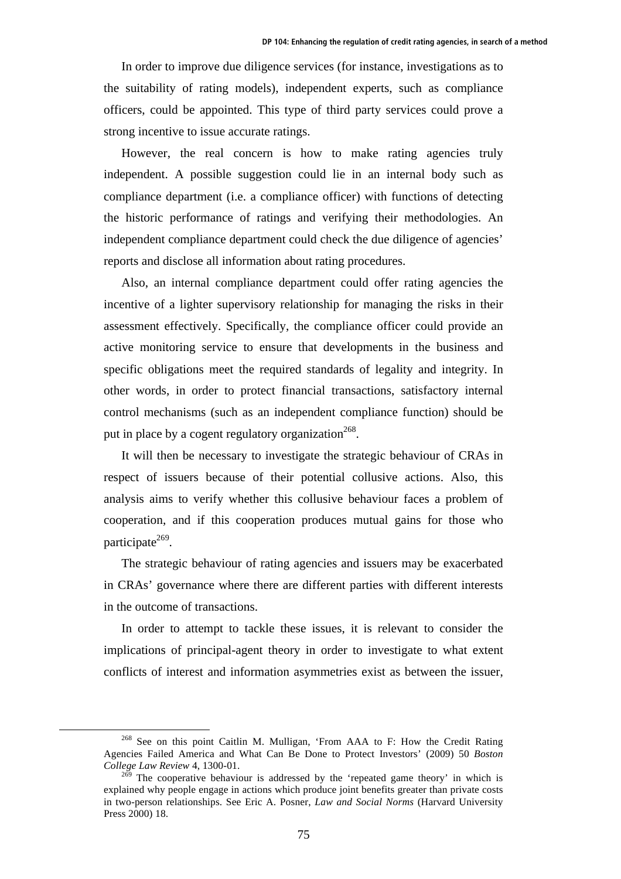In order to improve due diligence services (for instance, investigations as to the suitability of rating models), independent experts, such as compliance officers, could be appointed. This type of third party services could prove a strong incentive to issue accurate ratings.

However, the real concern is how to make rating agencies truly independent. A possible suggestion could lie in an internal body such as compliance department (i.e. a compliance officer) with functions of detecting the historic performance of ratings and verifying their methodologies. An independent compliance department could check the due diligence of agencies' reports and disclose all information about rating procedures.

Also, an internal compliance department could offer rating agencies the incentive of a lighter supervisory relationship for managing the risks in their assessment effectively. Specifically, the compliance officer could provide an active monitoring service to ensure that developments in the business and specific obligations meet the required standards of legality and integrity. In other words, in order to protect financial transactions, satisfactory internal control mechanisms (such as an independent compliance function) should be put in place by a cogent regulatory organization<sup>268</sup>.

It will then be necessary to investigate the strategic behaviour of CRAs in respect of issuers because of their potential collusive actions. Also, this analysis aims to verify whether this collusive behaviour faces a problem of cooperation, and if this cooperation produces mutual gains for those who participate $269$ .

The strategic behaviour of rating agencies and issuers may be exacerbated in CRAs' governance where there are different parties with different interests in the outcome of transactions.

In order to attempt to tackle these issues, it is relevant to consider the implications of principal-agent theory in order to investigate to what extent conflicts of interest and information asymmetries exist as between the issuer,

 $268$  See on this point Caitlin M. Mulligan, 'From AAA to F: How the Credit Rating Agencies Failed America and What Can Be Done to Protect Investors' (2009) 50 *Boston College Law Review* 4, 1300-01.

 $^{269}$  The cooperative behaviour is addressed by the 'repeated game theory' in which is explained why people engage in actions which produce joint benefits greater than private costs in two-person relationships. See Eric A. Posner, *Law and Social Norms* (Harvard University Press 2000) 18.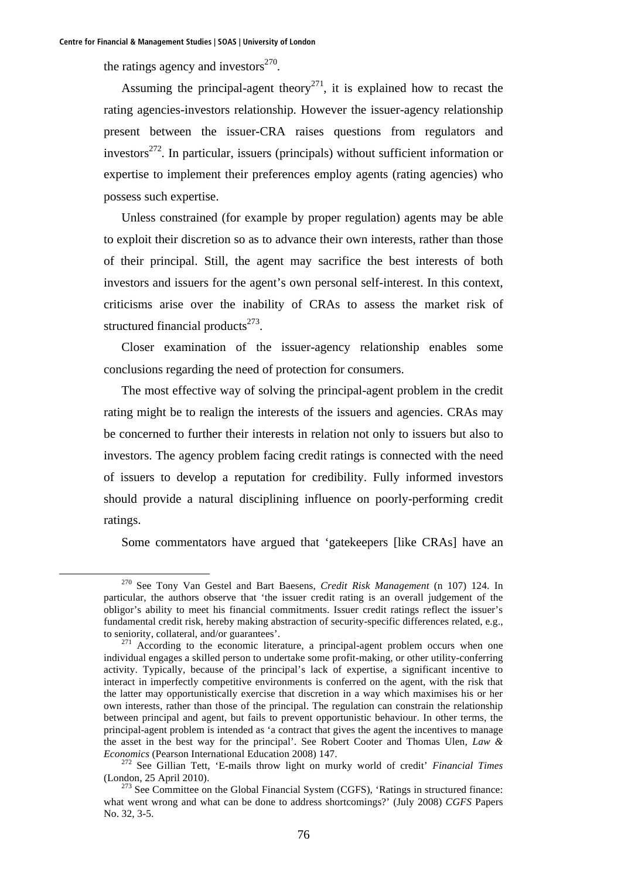the ratings agency and investors $^{270}$ .

Assuming the principal-agent theory<sup>271</sup>, it is explained how to recast the rating agencies-investors relationship. However the issuer-agency relationship present between the issuer-CRA raises questions from regulators and investors $272$ . In particular, issuers (principals) without sufficient information or expertise to implement their preferences employ agents (rating agencies) who possess such expertise.

Unless constrained (for example by proper regulation) agents may be able to exploit their discretion so as to advance their own interests, rather than those of their principal. Still, the agent may sacrifice the best interests of both investors and issuers for the agent's own personal self-interest. In this context, criticisms arise over the inability of CRAs to assess the market risk of structured financial products $273$ .

Closer examination of the issuer-agency relationship enables some conclusions regarding the need of protection for consumers.

The most effective way of solving the principal-agent problem in the credit rating might be to realign the interests of the issuers and agencies. CRAs may be concerned to further their interests in relation not only to issuers but also to investors. The agency problem facing credit ratings is connected with the need of issuers to develop a reputation for credibility. Fully informed investors should provide a natural disciplining influence on poorly-performing credit ratings.

Some commentators have argued that 'gatekeepers [like CRAs] have an

 <sup>270</sup> See Tony Van Gestel and Bart Baesens, *Credit Risk Management* (n 107) 124. In particular, the authors observe that 'the issuer credit rating is an overall judgement of the obligor's ability to meet his financial commitments. Issuer credit ratings reflect the issuer's fundamental credit risk, hereby making abstraction of security-specific differences related, e.g., to seniority, collateral, and/or guarantees'.

 $271$  According to the economic literature, a principal-agent problem occurs when one individual engages a skilled person to undertake some profit-making, or other utility-conferring activity. Typically, because of the principal's lack of expertise, a significant incentive to interact in imperfectly competitive environments is conferred on the agent, with the risk that the latter may opportunistically exercise that discretion in a way which maximises his or her own interests, rather than those of the principal. The regulation can constrain the relationship between principal and agent, but fails to prevent opportunistic behaviour. In other terms, the principal-agent problem is intended as 'a contract that gives the agent the incentives to manage the asset in the best way for the principal'. See Robert Cooter and Thomas Ulen, *Law &* 

*Economics* (Pearson International Education 2008) 147.<br><sup>272</sup> See Gillian Tett, 'E-mails throw light on murky world of credit' *Financial Times* (London, 25 April 2010).

 $273$  See Committee on the Global Financial System (CGFS), 'Ratings in structured finance: what went wrong and what can be done to address shortcomings?' (July 2008) *CGFS* Papers No. 32, 3-5.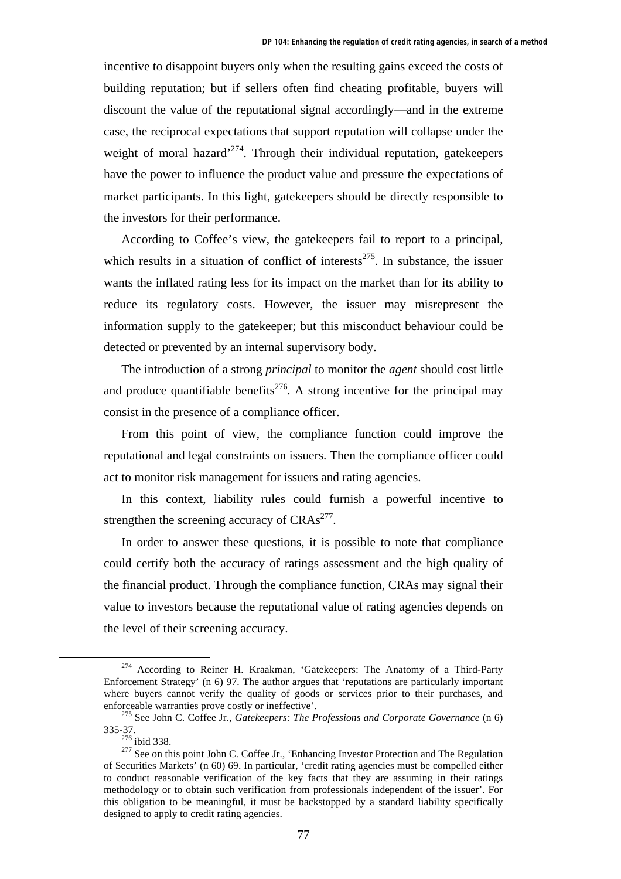incentive to disappoint buyers only when the resulting gains exceed the costs of building reputation; but if sellers often find cheating profitable, buyers will discount the value of the reputational signal accordingly—and in the extreme case, the reciprocal expectations that support reputation will collapse under the weight of moral hazard<sup> $274$ </sup>. Through their individual reputation, gatekeepers have the power to influence the product value and pressure the expectations of market participants. In this light, gatekeepers should be directly responsible to the investors for their performance.

According to Coffee's view, the gatekeepers fail to report to a principal, which results in a situation of conflict of interests<sup>275</sup>. In substance, the issuer wants the inflated rating less for its impact on the market than for its ability to reduce its regulatory costs. However, the issuer may misrepresent the information supply to the gatekeeper; but this misconduct behaviour could be detected or prevented by an internal supervisory body.

The introduction of a strong *principal* to monitor the *agent* should cost little and produce quantifiable benefits<sup>276</sup>. A strong incentive for the principal may consist in the presence of a compliance officer.

From this point of view, the compliance function could improve the reputational and legal constraints on issuers. Then the compliance officer could act to monitor risk management for issuers and rating agencies.

In this context, liability rules could furnish a powerful incentive to strengthen the screening accuracy of  $CRAs<sup>277</sup>$ .

In order to answer these questions, it is possible to note that compliance could certify both the accuracy of ratings assessment and the high quality of the financial product. Through the compliance function, CRAs may signal their value to investors because the reputational value of rating agencies depends on the level of their screening accuracy.

<sup>&</sup>lt;sup>274</sup> According to Reiner H. Kraakman, 'Gatekeepers: The Anatomy of a Third-Party Enforcement Strategy' (n 6) 97. The author argues that 'reputations are particularly important where buyers cannot verify the quality of goods or services prior to their purchases, and enforceable warranties prove costly or ineffective'.<br><sup>275</sup> See John C. Coffee Jr., *Gatekeepers: The Professions and Corporate Governance* (n 6)

<sup>335-37.&</sup>lt;br><sup>276</sup> ibid 338. <sup>277</sup> See on this point John C. Coffee Jr., 'Enhancing Investor Protection and The Regulation

of Securities Markets' (n 60) 69. In particular, 'credit rating agencies must be compelled either to conduct reasonable verification of the key facts that they are assuming in their ratings methodology or to obtain such verification from professionals independent of the issuer'. For this obligation to be meaningful, it must be backstopped by a standard liability specifically designed to apply to credit rating agencies.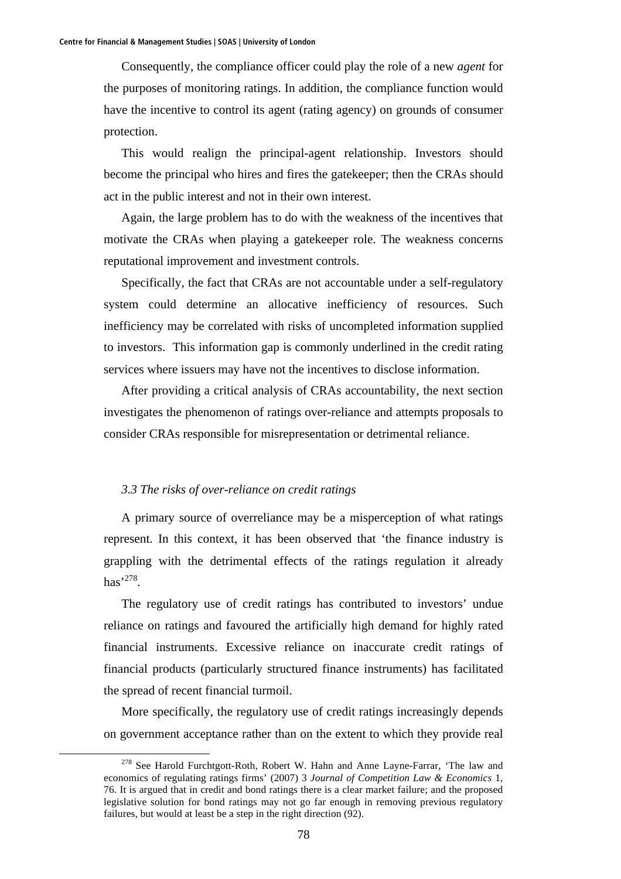Consequently, the compliance officer could play the role of a new *agent* for the purposes of monitoring ratings. In addition, the compliance function would have the incentive to control its agent (rating agency) on grounds of consumer protection.

This would realign the principal-agent relationship. Investors should become the principal who hires and fires the gatekeeper; then the CRAs should act in the public interest and not in their own interest.

Again, the large problem has to do with the weakness of the incentives that motivate the CRAs when playing a gatekeeper role. The weakness concerns reputational improvement and investment controls.

Specifically, the fact that CRAs are not accountable under a self-regulatory system could determine an allocative inefficiency of resources. Such inefficiency may be correlated with risks of uncompleted information supplied to investors. This information gap is commonly underlined in the credit rating services where issuers may have not the incentives to disclose information.

After providing a critical analysis of CRAs accountability, the next section investigates the phenomenon of ratings over-reliance and attempts proposals to consider CRAs responsible for misrepresentation or detrimental reliance.

## *3.3 The risks of over-reliance on credit ratings*

A primary source of overreliance may be a misperception of what ratings represent. In this context, it has been observed that 'the finance industry is grappling with the detrimental effects of the ratings regulation it already  $has$ <sup>278</sup>

The regulatory use of credit ratings has contributed to investors' undue reliance on ratings and favoured the artificially high demand for highly rated financial instruments. Excessive reliance on inaccurate credit ratings of financial products (particularly structured finance instruments) has facilitated the spread of recent financial turmoil.

More specifically, the regulatory use of credit ratings increasingly depends on government acceptance rather than on the extent to which they provide real

<sup>&</sup>lt;sup>278</sup> See Harold Furchtgott-Roth, Robert W. Hahn and Anne Layne-Farrar, 'The law and economics of regulating ratings firms' (2007) 3 *Journal of Competition Law & Economics* 1, 76. It is argued that in credit and bond ratings there is a clear market failure; and the proposed legislative solution for bond ratings may not go far enough in removing previous regulatory failures, but would at least be a step in the right direction (92).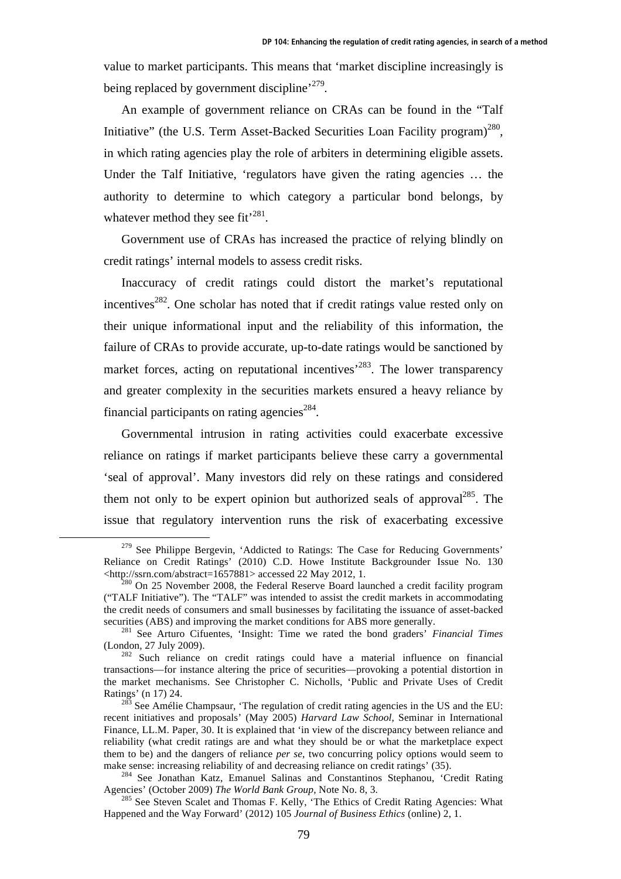value to market participants. This means that 'market discipline increasingly is being replaced by government discipline<sup>, 279</sup>.

An example of government reliance on CRAs can be found in the "Talf Initiative" (the U.S. Term Asset-Backed Securities Loan Facility program)<sup>280</sup>, in which rating agencies play the role of arbiters in determining eligible assets. Under the Talf Initiative, 'regulators have given the rating agencies ... the authority to determine to which category a particular bond belongs, by whatever method they see fit<sup>'281</sup>.

Government use of CRAs has increased the practice of relying blindly on credit ratings' internal models to assess credit risks.

Inaccuracy of credit ratings could distort the market's reputational incentives<sup>282</sup>. One scholar has noted that if credit ratings value rested only on their unique informational input and the reliability of this information, the failure of CRAs to provide accurate, up-to-date ratings would be sanctioned by market forces, acting on reputational incentives<sup>283</sup>. The lower transparency and greater complexity in the securities markets ensured a heavy reliance by financial participants on rating agencies<sup>284</sup>.

Governmental intrusion in rating activities could exacerbate excessive reliance on ratings if market participants believe these carry a governmental 'seal of approval'. Many investors did rely on these ratings and considered them not only to be expert opinion but authorized seals of approval<sup>285</sup>. The issue that regulatory intervention runs the risk of exacerbating excessive

 $279$  See Philippe Bergevin, 'Addicted to Ratings: The Case for Reducing Governments' Reliance on Credit Ratings' (2010) C.D. Howe Institute Backgrounder Issue No. 130 <http://ssrn.com/abstract=1657881> accessed 22 May 2012, 1. 280 On 25 November 2008, the Federal Reserve Board launched a credit facility program

<sup>(&</sup>quot;TALF Initiative"). The "TALF" was intended to assist the credit markets in accommodating the credit needs of consumers and small businesses by facilitating the issuance of asset-backed securities (ABS) and improving the market conditions for ABS more generally.<br><sup>281</sup> See Arturo Cifuentes, 'Insight: Time we rated the bond graders' *Financial Times* 

<sup>(</sup>London, 27 July 2009). 282 Such reliance on credit ratings could have a material influence on financial

transactions—for instance altering the price of securities—provoking a potential distortion in the market mechanisms. See Christopher C. Nicholls, 'Public and Private Uses of Credit Ratings' (n 17) 24.<br><sup>283</sup> See Amélie Champsaur, 'The regulation of credit rating agencies in the US and the EU:

recent initiatives and proposals' (May 2005) *Harvard Law School*, Seminar in International Finance, LL.M. Paper, 30. It is explained that 'in view of the discrepancy between reliance and reliability (what credit ratings are and what they should be or what the marketplace expect them to be) and the dangers of reliance *per se*, two concurring policy options would seem to

make sense: increasing reliability of and decreasing reliance on credit ratings' (35).<br><sup>284</sup> See Jonathan Katz, Emanuel Salinas and Constantinos Stephanou, 'Credit Rating<br>Agencies' (October 2009) *The World Bank Group*, No

<sup>&</sup>lt;sup>285</sup> See Steven Scalet and Thomas F. Kelly, 'The Ethics of Credit Rating Agencies: What Happened and the Way Forward' (2012) 105 *Journal of Business Ethics* (online) 2, 1.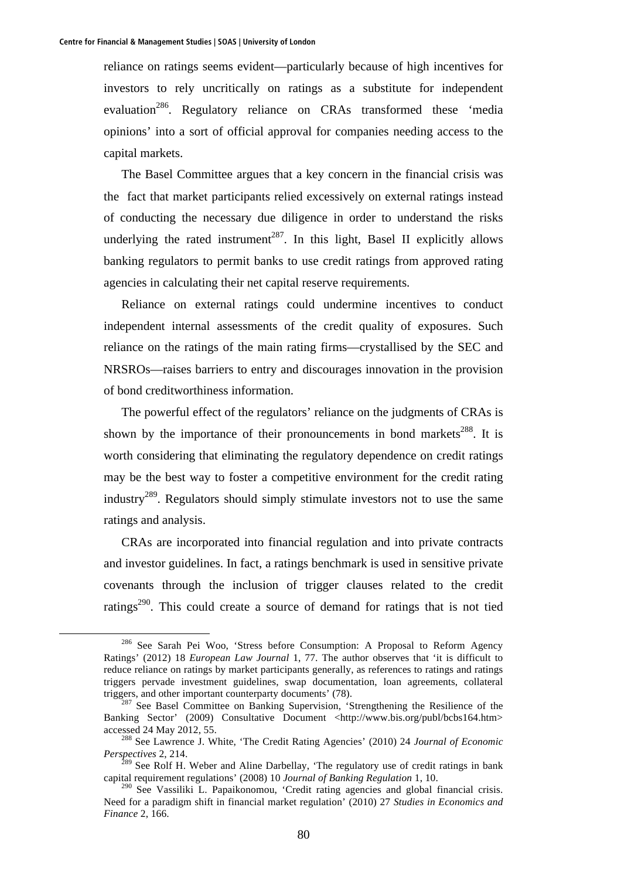reliance on ratings seems evident—particularly because of high incentives for investors to rely uncritically on ratings as a substitute for independent evaluation<sup>286</sup>. Regulatory reliance on CRAs transformed these 'media opinions' into a sort of official approval for companies needing access to the capital markets.

The Basel Committee argues that a key concern in the financial crisis was the fact that market participants relied excessively on external ratings instead of conducting the necessary due diligence in order to understand the risks underlying the rated instrument<sup>287</sup>. In this light, Basel II explicitly allows banking regulators to permit banks to use credit ratings from approved rating agencies in calculating their net capital reserve requirements.

Reliance on external ratings could undermine incentives to conduct independent internal assessments of the credit quality of exposures. Such reliance on the ratings of the main rating firms—crystallised by the SEC and NRSROs—raises barriers to entry and discourages innovation in the provision of bond creditworthiness information.

The powerful effect of the regulators' reliance on the judgments of CRAs is shown by the importance of their pronouncements in bond markets<sup>288</sup>. It is worth considering that eliminating the regulatory dependence on credit ratings may be the best way to foster a competitive environment for the credit rating industry<sup>289</sup>. Regulators should simply stimulate investors not to use the same ratings and analysis.

CRAs are incorporated into financial regulation and into private contracts and investor guidelines. In fact, a ratings benchmark is used in sensitive private covenants through the inclusion of trigger clauses related to the credit ratings<sup>290</sup>. This could create a source of demand for ratings that is not tied

 <sup>286</sup> See Sarah Pei Woo, 'Stress before Consumption: A Proposal to Reform Agency Ratings' (2012) 18 *European Law Journal* 1, 77. The author observes that 'it is difficult to reduce reliance on ratings by market participants generally, as references to ratings and ratings triggers pervade investment guidelines, swap documentation, loan agreements, collateral triggers, and other important counterparty documents' (78).<br><sup>287</sup> See Basel Committee on Banking Supervision, 'Strengthening the Resilience of the

Banking Sector' (2009) Consultative Document <http://www.bis.org/publ/bcbs164.htm> accessed 24 May 2012, 55. 288 See Lawrence J. White, 'The Credit Rating Agencies' (2010) 24 *Journal of Economic* 

*Perspectives* 2, 214.

<sup>&</sup>lt;sup>289</sup> See Rolf H. Weber and Aline Darbellay, 'The regulatory use of credit ratings in bank capital requirement regulations' (2008) 10 *Journal of Banking Regulation* 1, 10.

<sup>&</sup>lt;sup>290</sup> See Vassiliki L. Papaikonomou, 'Credit rating agencies and global financial crisis. Need for a paradigm shift in financial market regulation' (2010) 27 *Studies in Economics and Finance* 2, 166.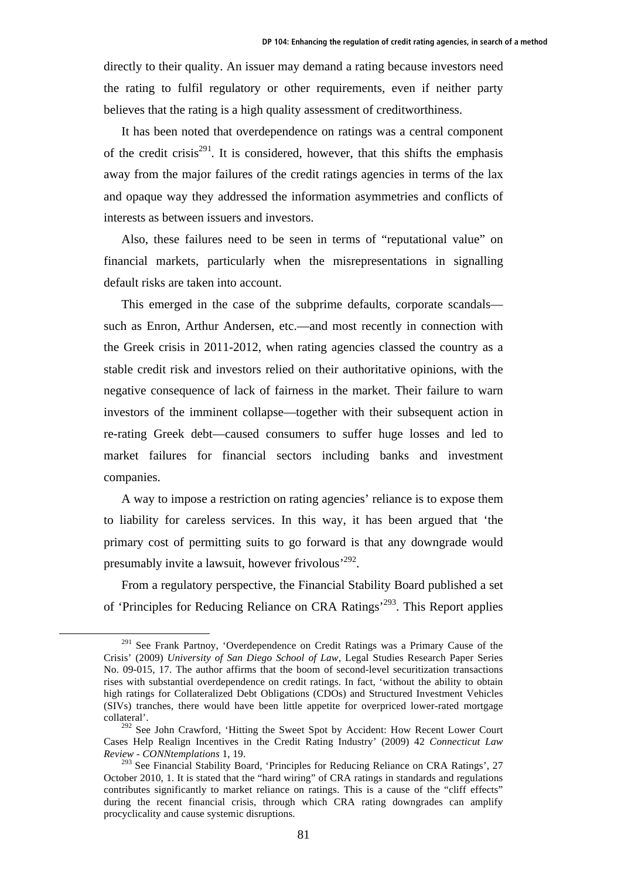directly to their quality. An issuer may demand a rating because investors need the rating to fulfil regulatory or other requirements, even if neither party believes that the rating is a high quality assessment of creditworthiness.

It has been noted that overdependence on ratings was a central component of the credit crisis<sup>291</sup>. It is considered, however, that this shifts the emphasis away from the major failures of the credit ratings agencies in terms of the lax and opaque way they addressed the information asymmetries and conflicts of interests as between issuers and investors.

Also, these failures need to be seen in terms of "reputational value" on financial markets, particularly when the misrepresentations in signalling default risks are taken into account.

This emerged in the case of the subprime defaults, corporate scandals such as Enron, Arthur Andersen, etc.—and most recently in connection with the Greek crisis in 2011-2012, when rating agencies classed the country as a stable credit risk and investors relied on their authoritative opinions, with the negative consequence of lack of fairness in the market. Their failure to warn investors of the imminent collapse—together with their subsequent action in re-rating Greek debt—caused consumers to suffer huge losses and led to market failures for financial sectors including banks and investment companies.

A way to impose a restriction on rating agencies' reliance is to expose them to liability for careless services. In this way, it has been argued that 'the primary cost of permitting suits to go forward is that any downgrade would presumably invite a lawsuit, however frivolous'292.

From a regulatory perspective, the Financial Stability Board published a set of 'Principles for Reducing Reliance on CRA Ratings'293. This Report applies

<sup>&</sup>lt;sup>291</sup> See Frank Partnoy, 'Overdependence on Credit Ratings was a Primary Cause of the Crisis' (2009) *University of San Diego School of Law*, Legal Studies Research Paper Series No. 09-015, 17. The author affirms that the boom of second-level securitization transactions rises with substantial overdependence on credit ratings. In fact, 'without the ability to obtain high ratings for Collateralized Debt Obligations (CDOs) and Structured Investment Vehicles (SIVs) tranches, there would have been little appetite for overpriced lower-rated mortgage collateral'.

<sup>&</sup>lt;sup>292</sup> See John Crawford, 'Hitting the Sweet Spot by Accident: How Recent Lower Court Cases Help Realign Incentives in the Credit Rating Industry' (2009) 42 *Connecticut Law Review - CONNtemplations* 1, 19.

<sup>&</sup>lt;sup>293</sup> See Financial Stability Board, 'Principles for Reducing Reliance on CRA Ratings', 27 October 2010, 1. It is stated that the "hard wiring" of CRA ratings in standards and regulations contributes significantly to market reliance on ratings. This is a cause of the "cliff effects" during the recent financial crisis, through which CRA rating downgrades can amplify procyclicality and cause systemic disruptions.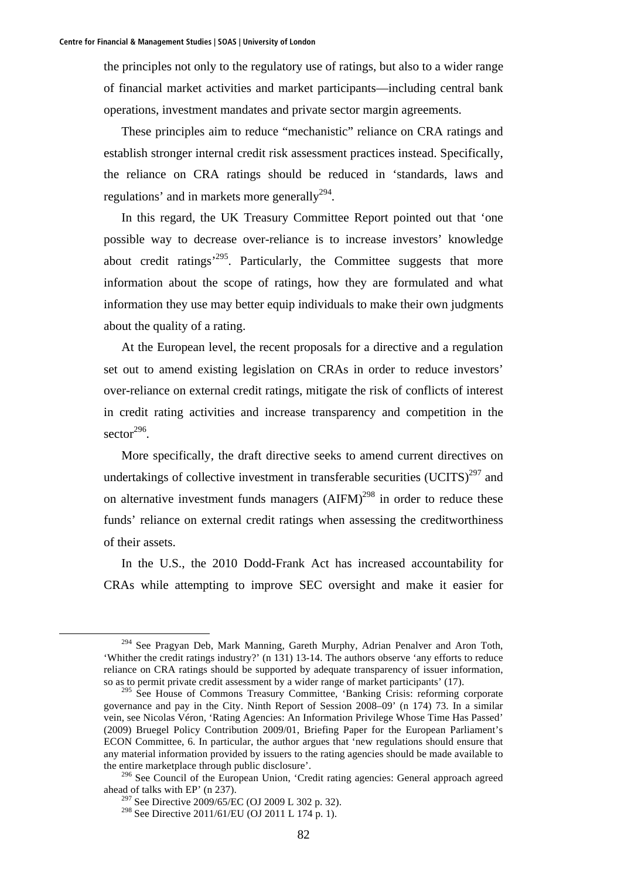the principles not only to the regulatory use of ratings, but also to a wider range of financial market activities and market participants—including central bank operations, investment mandates and private sector margin agreements.

These principles aim to reduce "mechanistic" reliance on CRA ratings and establish stronger internal credit risk assessment practices instead. Specifically, the reliance on CRA ratings should be reduced in 'standards, laws and regulations' and in markets more generally<sup>294</sup>.

In this regard, the UK Treasury Committee Report pointed out that 'one possible way to decrease over-reliance is to increase investors' knowledge about credit ratings'295. Particularly, the Committee suggests that more information about the scope of ratings, how they are formulated and what information they use may better equip individuals to make their own judgments about the quality of a rating.

At the European level, the recent proposals for a directive and a regulation set out to amend existing legislation on CRAs in order to reduce investors' over-reliance on external credit ratings, mitigate the risk of conflicts of interest in credit rating activities and increase transparency and competition in the sector $296$ .

More specifically, the draft directive seeks to amend current directives on undertakings of collective investment in transferable securities  $(UCITS)^{297}$  and on alternative investment funds managers  $(AIFM)^{298}$  in order to reduce these funds' reliance on external credit ratings when assessing the creditworthiness of their assets.

In the U.S., the 2010 Dodd-Frank Act has increased accountability for CRAs while attempting to improve SEC oversight and make it easier for

<sup>&</sup>lt;sup>294</sup> See Pragyan Deb, Mark Manning, Gareth Murphy, Adrian Penalver and Aron Toth, 'Whither the credit ratings industry?' (n 131) 13-14. The authors observe 'any efforts to reduce reliance on CRA ratings should be supported by adequate transparency of issuer information, so as to permit private credit assessment by a wider range of market participants' (17).

<sup>&</sup>lt;sup>295</sup> See House of Commons Treasury Committee, 'Banking Crisis: reforming corporate governance and pay in the City. Ninth Report of Session 2008–09' (n 174) 73. In a similar vein, see Nicolas Véron, 'Rating Agencies: An Information Privilege Whose Time Has Passed' (2009) Bruegel Policy Contribution 2009/01, Briefing Paper for the European Parliament's ECON Committee, 6. In particular, the author argues that 'new regulations should ensure that any material information provided by issuers to the rating agencies should be made available to the entire marketplace through public disclosure'.

<sup>&</sup>lt;sup>296</sup> See Council of the European Union, 'Credit rating agencies: General approach agreed ahead of talks with EP' (n 237).

<sup>&</sup>lt;sup>297</sup> See Directive 2009/65/EC (OJ 2009 L 302 p. 32).

<sup>298</sup> See Directive 2011/61/EU (OJ 2011 L 174 p. 1).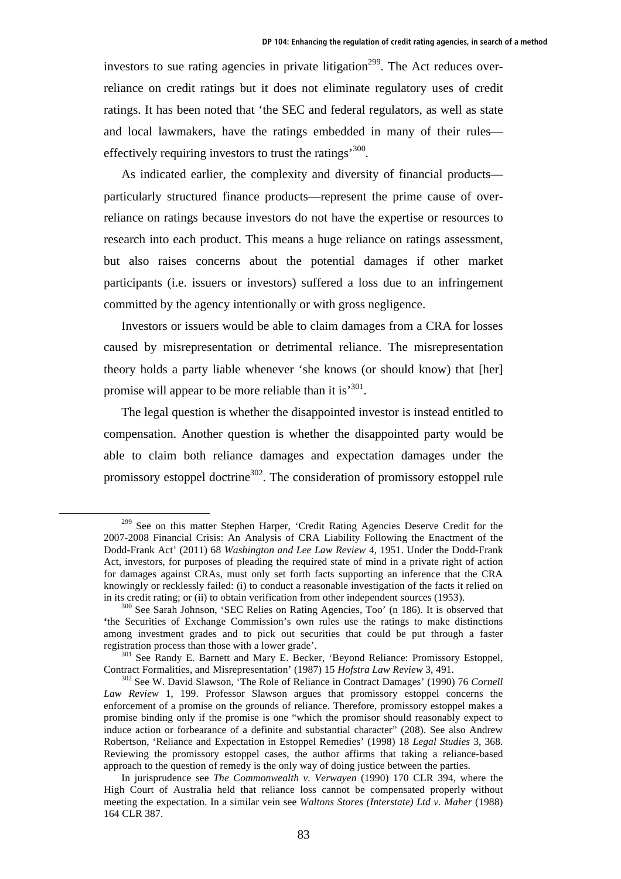investors to sue rating agencies in private litigation<sup>299</sup>. The Act reduces overreliance on credit ratings but it does not eliminate regulatory uses of credit ratings. It has been noted that 'the SEC and federal regulators, as well as state and local lawmakers, have the ratings embedded in many of their rules effectively requiring investors to trust the ratings<sup>300</sup>.

As indicated earlier, the complexity and diversity of financial products particularly structured finance products—represent the prime cause of overreliance on ratings because investors do not have the expertise or resources to research into each product. This means a huge reliance on ratings assessment, but also raises concerns about the potential damages if other market participants (i.e. issuers or investors) suffered a loss due to an infringement committed by the agency intentionally or with gross negligence.

Investors or issuers would be able to claim damages from a CRA for losses caused by misrepresentation or detrimental reliance. The misrepresentation theory holds a party liable whenever 'she knows (or should know) that [her] promise will appear to be more reliable than it is<sup>'301</sup>.

The legal question is whether the disappointed investor is instead entitled to compensation. Another question is whether the disappointed party would be able to claim both reliance damages and expectation damages under the promissory estoppel doctrine<sup>302</sup>. The consideration of promissory estoppel rule

<sup>&</sup>lt;sup>299</sup> See on this matter Stephen Harper, 'Credit Rating Agencies Deserve Credit for the 2007-2008 Financial Crisis: An Analysis of CRA Liability Following the Enactment of the Dodd-Frank Act' (2011) 68 *Washington and Lee Law Review* 4, 1951. Under the Dodd-Frank Act, investors, for purposes of pleading the required state of mind in a private right of action for damages against CRAs, must only set forth facts supporting an inference that the CRA knowingly or recklessly failed: (i) to conduct a reasonable investigation of the facts it relied on

in its credit rating; or (ii) to obtain verification from other independent sources (1953).<br><sup>300</sup> See Sarah Johnson, 'SEC Relies on Rating Agencies, Too' (n 186). It is observed that **'**the Securities of Exchange Commission's own rules use the ratings to make distinctions among investment grades and to pick out securities that could be put through a faster

registration process than those with a lower grade'.<br><sup>301</sup> See Randy E. Barnett and Mary E. Becker, 'Beyond Reliance: Promissory Estoppel,<br>Contract Formalities, and Misrepresentation' (1987) 15 *Hofstra Law Review* 3, 491.

<sup>&</sup>lt;sup>302</sup> See W. David Slawson, 'The Role of Reliance in Contract Damages' (1990) 76 *Cornell Law Review* 1, 199. Professor Slawson argues that promissory estoppel concerns the enforcement of a promise on the grounds of reliance. Therefore, promissory estoppel makes a promise binding only if the promise is one "which the promisor should reasonably expect to induce action or forbearance of a definite and substantial character" (208). See also Andrew Robertson, 'Reliance and Expectation in Estoppel Remedies' (1998) 18 *Legal Studies* 3, 368. Reviewing the promissory estoppel cases, the author affirms that taking a reliance-based approach to the question of remedy is the only way of doing justice between the parties.

In jurisprudence see *The Commonwealth v. Verwayen* (1990) 170 CLR 394, where the High Court of Australia held that reliance loss cannot be compensated properly without meeting the expectation. In a similar vein see *Waltons Stores (Interstate) Ltd v. Maher* (1988) 164 CLR 387.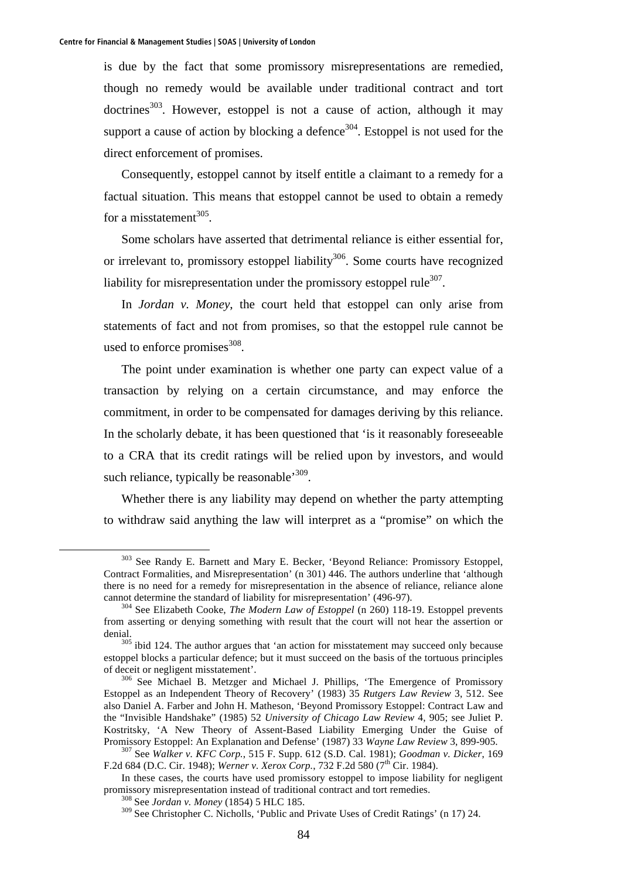is due by the fact that some promissory misrepresentations are remedied, though no remedy would be available under traditional contract and tort doctrines<sup>303</sup>. However, estoppel is not a cause of action, although it may support a cause of action by blocking a defence<sup>304</sup>. Estoppel is not used for the direct enforcement of promises.

Consequently, estoppel cannot by itself entitle a claimant to a remedy for a factual situation. This means that estoppel cannot be used to obtain a remedy for a misstatement<sup>305</sup>.

Some scholars have asserted that detrimental reliance is either essential for, or irrelevant to, promissory estoppel liability<sup>306</sup>. Some courts have recognized liability for misrepresentation under the promissory estoppel rule $^{307}$ .

In *Jordan v. Money*, the court held that estoppel can only arise from statements of fact and not from promises, so that the estoppel rule cannot be used to enforce promises $308$ .

The point under examination is whether one party can expect value of a transaction by relying on a certain circumstance, and may enforce the commitment, in order to be compensated for damages deriving by this reliance. In the scholarly debate, it has been questioned that 'is it reasonably foreseeable to a CRA that its credit ratings will be relied upon by investors, and would such reliance, typically be reasonable<sup>309</sup>.

Whether there is any liability may depend on whether the party attempting to withdraw said anything the law will interpret as a "promise" on which the

 <sup>303</sup> See Randy E. Barnett and Mary E. Becker, 'Beyond Reliance: Promissory Estoppel, Contract Formalities, and Misrepresentation' (n 301) 446. The authors underline that 'although there is no need for a remedy for misrepresentation in the absence of reliance, reliance alone

cannot determine the standard of liability for misrepresentation' (496-97). 304 See Elizabeth Cooke, *The Modern Law of Estoppel* (n 260) 118-19. Estoppel prevents from asserting or denying something with result that the court will not hear the assertion or denial.<br><sup>305</sup> ibid 124. The author argues that 'an action for misstatement may succeed only because

estoppel blocks a particular defence; but it must succeed on the basis of the tortuous principles of deceit or negligent misstatement'. 306 See Michael B. Metzger and Michael J. Phillips, 'The Emergence of Promissory

Estoppel as an Independent Theory of Recovery' (1983) 35 *Rutgers Law Review* 3, 512. See also Daniel A. Farber and John H. Matheson, 'Beyond Promissory Estoppel: Contract Law and the "Invisible Handshake" (1985) 52 *University of Chicago Law Review* 4, 905; see Juliet P. Kostritsky, 'A New Theory of Assent-Based Liability Emerging Under the Guise of Promissory Estoppel: An Explanation and Defense' (1987) 33 *Wayne Law Review* 3, 899-905. 307 See *Walker v. KFC Corp.*, 515 F. Supp. 612 (S.D. Cal. 1981); *Goodman v. Dicker*, 169

F.2d 684 (D.C. Cir. 1948); *Werner v. Xerox Corp.*, 732 F.2d 580 (7<sup>th</sup> Cir. 1984).

In these cases, the courts have used promissory estoppel to impose liability for negligent promissory misrepresentation instead of traditional contract and tort remedies. 308 See *Jordan v. Money* (1854) 5 HLC 185.

<sup>309</sup> See Christopher C. Nicholls, 'Public and Private Uses of Credit Ratings' (n 17) 24.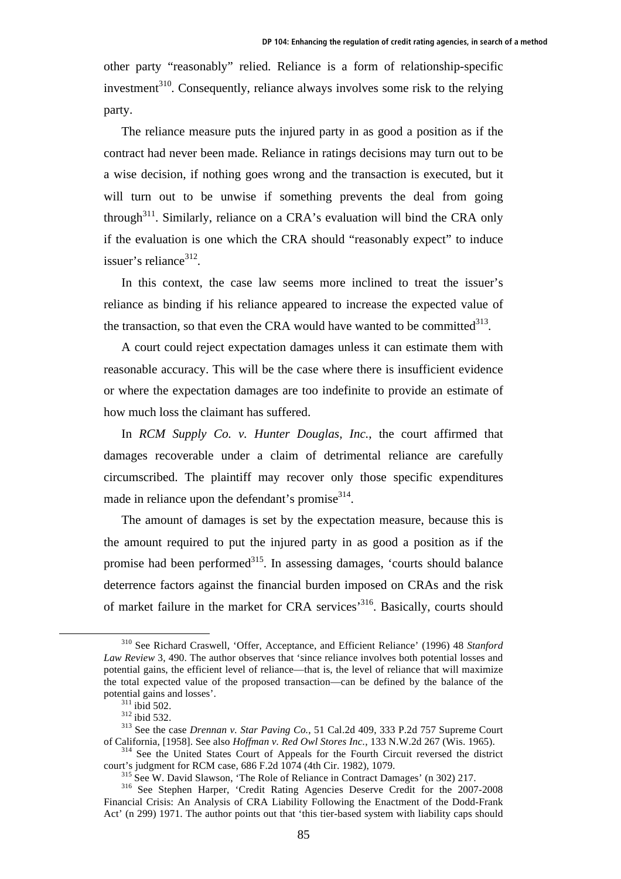other party "reasonably" relied. Reliance is a form of relationship-specific investment $310$ . Consequently, reliance always involves some risk to the relying party.

The reliance measure puts the injured party in as good a position as if the contract had never been made. Reliance in ratings decisions may turn out to be a wise decision, if nothing goes wrong and the transaction is executed, but it will turn out to be unwise if something prevents the deal from going through<sup>311</sup>. Similarly, reliance on a CRA's evaluation will bind the CRA only if the evaluation is one which the CRA should "reasonably expect" to induce issuer's reliance<sup>312</sup>.

In this context, the case law seems more inclined to treat the issuer's reliance as binding if his reliance appeared to increase the expected value of the transaction, so that even the CRA would have wanted to be committed $^{313}$ .

A court could reject expectation damages unless it can estimate them with reasonable accuracy. This will be the case where there is insufficient evidence or where the expectation damages are too indefinite to provide an estimate of how much loss the claimant has suffered.

In *RCM Supply Co. v. Hunter Douglas, Inc.*, the court affirmed that damages recoverable under a claim of detrimental reliance are carefully circumscribed. The plaintiff may recover only those specific expenditures made in reliance upon the defendant's promise<sup>314</sup>.

The amount of damages is set by the expectation measure, because this is the amount required to put the injured party in as good a position as if the promise had been performed<sup>315</sup>. In assessing damages, 'courts should balance deterrence factors against the financial burden imposed on CRAs and the risk of market failure in the market for CRA services'316. Basically, courts should

 <sup>310</sup> See Richard Craswell, 'Offer, Acceptance, and Efficient Reliance' (1996) 48 *Stanford Law Review* 3, 490. The author observes that 'since reliance involves both potential losses and potential gains, the efficient level of reliance—that is, the level of reliance that will maximize the total expected value of the proposed transaction—can be defined by the balance of the

potential gains and losses'.<br><sup>311</sup> ibid 502.<br><sup>312</sup> ibid 532.<br><sup>313</sup> See the case *Drennan v. Star Paving Co.*, 51 Cal.2d 409, 333 P.2d 757 Supreme Court<br>of California, [1958]. See also *Hoffman v. Red Owl Stores Inc.*, 133

<sup>&</sup>lt;sup>314</sup> See the United States Court of Appeals for the Fourth Circuit reversed the district court's judgment for RCM case, 686 F.2d 1074 (4th Cir. 1982), 1079.<br><sup>315</sup> See W. David Slawson, 'The Role of Reliance in Contract Damages' (n 302) 217.<br><sup>316</sup> See Stephen Harper, 'Credit Rating Agencies Deserve Credit for t

Financial Crisis: An Analysis of CRA Liability Following the Enactment of the Dodd-Frank Act' (n 299) 1971. The author points out that 'this tier-based system with liability caps should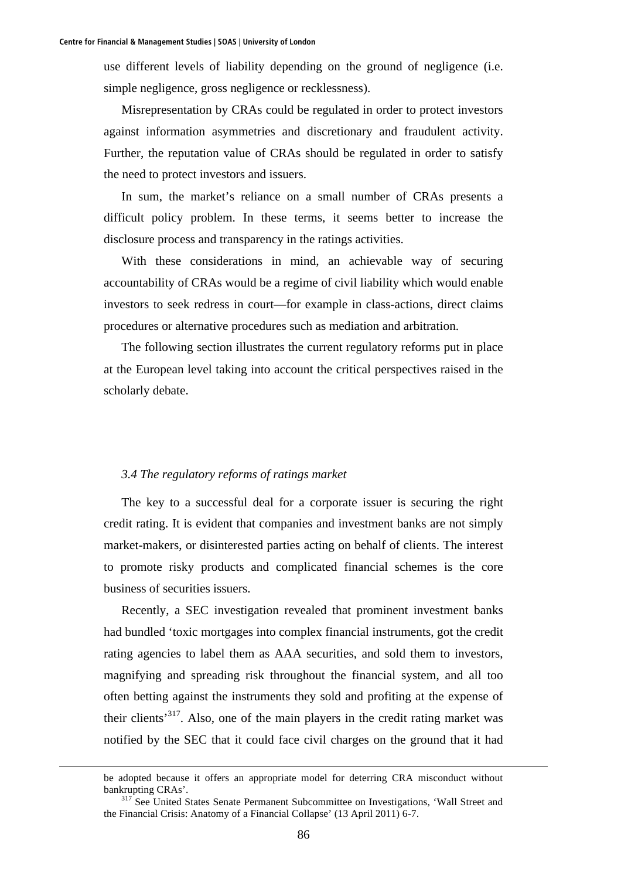use different levels of liability depending on the ground of negligence (i.e. simple negligence, gross negligence or recklessness).

Misrepresentation by CRAs could be regulated in order to protect investors against information asymmetries and discretionary and fraudulent activity. Further, the reputation value of CRAs should be regulated in order to satisfy the need to protect investors and issuers.

In sum, the market's reliance on a small number of CRAs presents a difficult policy problem. In these terms, it seems better to increase the disclosure process and transparency in the ratings activities.

With these considerations in mind, an achievable way of securing accountability of CRAs would be a regime of civil liability which would enable investors to seek redress in court—for example in class-actions, direct claims procedures or alternative procedures such as mediation and arbitration.

The following section illustrates the current regulatory reforms put in place at the European level taking into account the critical perspectives raised in the scholarly debate.

## *3.4 The regulatory reforms of ratings market*

The key to a successful deal for a corporate issuer is securing the right credit rating. It is evident that companies and investment banks are not simply market-makers, or disinterested parties acting on behalf of clients. The interest to promote risky products and complicated financial schemes is the core business of securities issuers.

Recently, a SEC investigation revealed that prominent investment banks had bundled 'toxic mortgages into complex financial instruments, got the credit rating agencies to label them as AAA securities, and sold them to investors, magnifying and spreading risk throughout the financial system, and all too often betting against the instruments they sold and profiting at the expense of their clients'317. Also, one of the main players in the credit rating market was notified by the SEC that it could face civil charges on the ground that it had

be adopted because it offers an appropriate model for deterring CRA misconduct without bankrupting CRAs'.<br><sup>317</sup> See United States Senate Permanent Subcommittee on Investigations, 'Wall Street and

the Financial Crisis: Anatomy of a Financial Collapse' (13 April 2011) 6-7.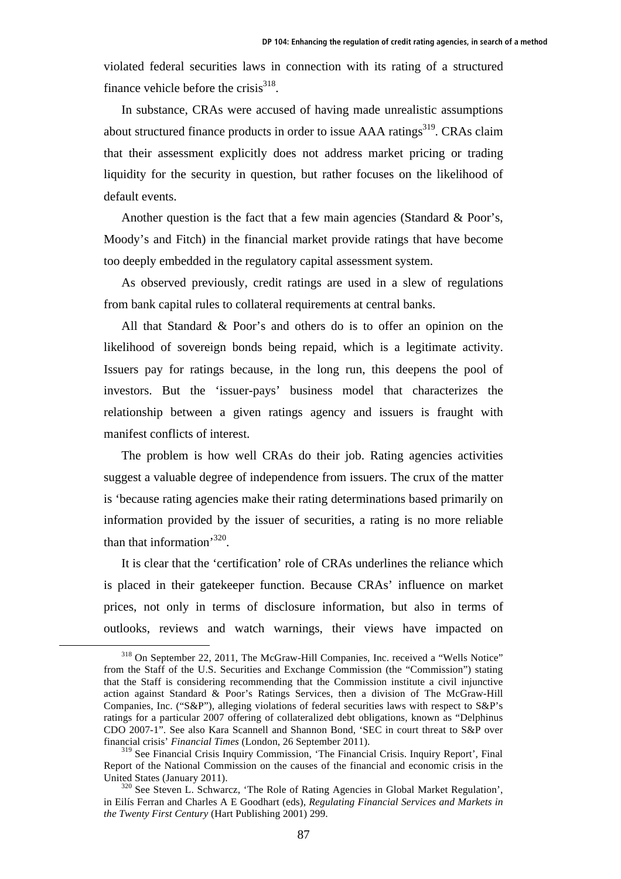violated federal securities laws in connection with its rating of a structured finance vehicle before the crisis $^{318}$ .

In substance, CRAs were accused of having made unrealistic assumptions about structured finance products in order to issue AAA ratings<sup>319</sup>. CRAs claim that their assessment explicitly does not address market pricing or trading liquidity for the security in question, but rather focuses on the likelihood of default events.

Another question is the fact that a few main agencies (Standard & Poor's, Moody's and Fitch) in the financial market provide ratings that have become too deeply embedded in the regulatory capital assessment system.

As observed previously, credit ratings are used in a slew of regulations from bank capital rules to collateral requirements at central banks.

All that Standard & Poor's and others do is to offer an opinion on the likelihood of sovereign bonds being repaid, which is a legitimate activity. Issuers pay for ratings because, in the long run, this deepens the pool of investors. But the 'issuer-pays' business model that characterizes the relationship between a given ratings agency and issuers is fraught with manifest conflicts of interest.

The problem is how well CRAs do their job. Rating agencies activities suggest a valuable degree of independence from issuers. The crux of the matter is 'because rating agencies make their rating determinations based primarily on information provided by the issuer of securities, a rating is no more reliable than that information'320.

It is clear that the 'certification' role of CRAs underlines the reliance which is placed in their gatekeeper function. Because CRAs' influence on market prices, not only in terms of disclosure information, but also in terms of outlooks, reviews and watch warnings, their views have impacted on

 <sup>318</sup> On September 22, 2011, The McGraw-Hill Companies, Inc. received a "Wells Notice" from the Staff of the U.S. Securities and Exchange Commission (the "Commission") stating that the Staff is considering recommending that the Commission institute a civil injunctive action against Standard & Poor's Ratings Services, then a division of The McGraw-Hill Companies, Inc. ("S&P"), alleging violations of federal securities laws with respect to S&P's ratings for a particular 2007 offering of collateralized debt obligations, known as "Delphinus CDO 2007-1". See also Kara Scannell and Shannon Bond, 'SEC in court threat to S&P over financial crisis' *Financial Times* (London, 26 September 2011).

<sup>&</sup>lt;sup>319</sup> See Financial Crisis Inquiry Commission, 'The Financial Crisis. Inquiry Report', Final Report of the National Commission on the causes of the financial and economic crisis in the United States (January 2011).<br><sup>320</sup> See Steven L. Schwarcz, 'The Role of Rating Agencies in Global Market Regulation',

in Eilís Ferran and Charles A E Goodhart (eds), *Regulating Financial Services and Markets in the Twenty First Century* (Hart Publishing 2001) 299.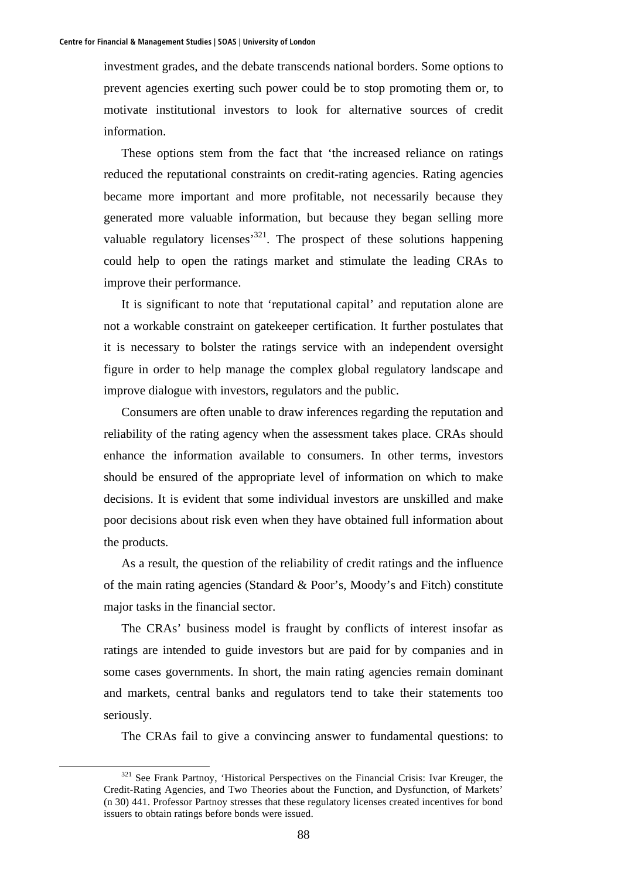investment grades, and the debate transcends national borders. Some options to prevent agencies exerting such power could be to stop promoting them or, to motivate institutional investors to look for alternative sources of credit information.

These options stem from the fact that 'the increased reliance on ratings reduced the reputational constraints on credit-rating agencies. Rating agencies became more important and more profitable, not necessarily because they generated more valuable information, but because they began selling more valuable regulatory licenses<sup>321</sup>. The prospect of these solutions happening could help to open the ratings market and stimulate the leading CRAs to improve their performance.

It is significant to note that 'reputational capital' and reputation alone are not a workable constraint on gatekeeper certification. It further postulates that it is necessary to bolster the ratings service with an independent oversight figure in order to help manage the complex global regulatory landscape and improve dialogue with investors, regulators and the public.

Consumers are often unable to draw inferences regarding the reputation and reliability of the rating agency when the assessment takes place. CRAs should enhance the information available to consumers. In other terms, investors should be ensured of the appropriate level of information on which to make decisions. It is evident that some individual investors are unskilled and make poor decisions about risk even when they have obtained full information about the products.

As a result, the question of the reliability of credit ratings and the influence of the main rating agencies (Standard & Poor's, Moody's and Fitch) constitute major tasks in the financial sector.

The CRAs' business model is fraught by conflicts of interest insofar as ratings are intended to guide investors but are paid for by companies and in some cases governments. In short, the main rating agencies remain dominant and markets, central banks and regulators tend to take their statements too seriously.

The CRAs fail to give a convincing answer to fundamental questions: to

<sup>&</sup>lt;sup>321</sup> See Frank Partnoy, 'Historical Perspectives on the Financial Crisis: Ivar Kreuger, the Credit-Rating Agencies, and Two Theories about the Function, and Dysfunction, of Markets' (n 30) 441. Professor Partnoy stresses that these regulatory licenses created incentives for bond issuers to obtain ratings before bonds were issued.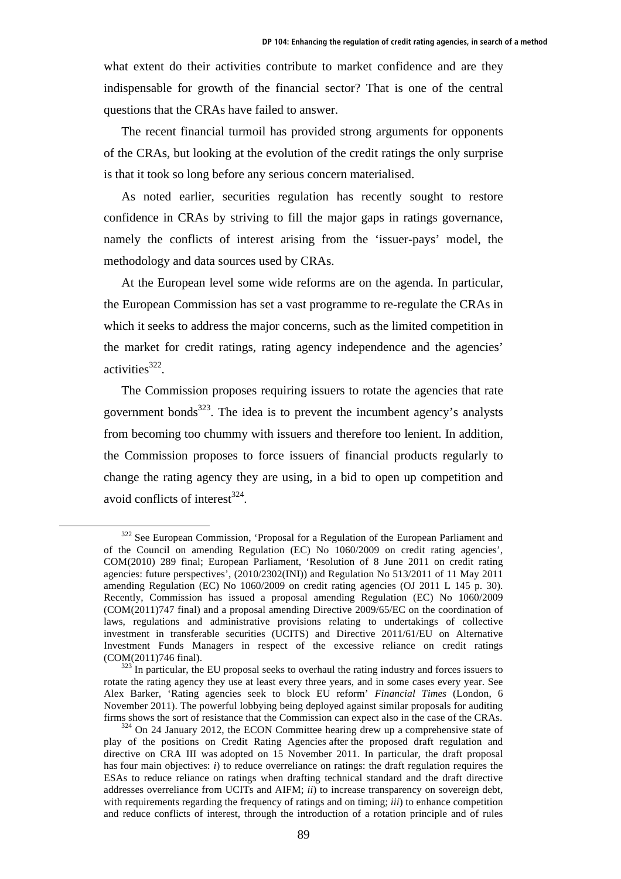what extent do their activities contribute to market confidence and are they indispensable for growth of the financial sector? That is one of the central questions that the CRAs have failed to answer.

The recent financial turmoil has provided strong arguments for opponents of the CRAs, but looking at the evolution of the credit ratings the only surprise is that it took so long before any serious concern materialised.

As noted earlier, securities regulation has recently sought to restore confidence in CRAs by striving to fill the major gaps in ratings governance, namely the conflicts of interest arising from the 'issuer-pays' model, the methodology and data sources used by CRAs.

At the European level some wide reforms are on the agenda. In particular, the European Commission has set a vast programme to re-regulate the CRAs in which it seeks to address the major concerns, such as the limited competition in the market for credit ratings, rating agency independence and the agencies' activities $322$ .

The Commission proposes requiring issuers to rotate the agencies that rate government bonds<sup>323</sup>. The idea is to prevent the incumbent agency's analysts from becoming too chummy with issuers and therefore too lenient. In addition, the Commission proposes to force issuers of financial products regularly to change the rating agency they are using, in a bid to open up competition and avoid conflicts of interest $^{324}$ .

<sup>&</sup>lt;sup>322</sup> See European Commission, 'Proposal for a Regulation of the European Parliament and of the Council on amending Regulation (EC) No 1060/2009 on credit rating agencies', COM(2010) 289 final; European Parliament, 'Resolution of 8 June 2011 on credit rating agencies: future perspectives', (2010/2302(INI)) and Regulation No 513/2011 of 11 May 2011 amending Regulation (EC) No 1060/2009 on credit rating agencies (OJ 2011 L 145 p. 30). Recently, Commission has issued a proposal amending Regulation (EC) No 1060/2009 (COM(2011)747 final) and a proposal amending Directive 2009/65/EC on the coordination of laws, regulations and administrative provisions relating to undertakings of collective investment in transferable securities (UCITS) and Directive 2011/61/EU on Alternative Investment Funds Managers in respect of the excessive reliance on credit ratings (COM(2011)746 final).  $323 \text{ In particular, the EU proposal seeks to overhaul the rating industry and forces issuers to}$ 

rotate the rating agency they use at least every three years, and in some cases every year. See Alex Barker, 'Rating agencies seek to block EU reform' *Financial Times* (London, 6 November 2011). The powerful lobbying being deployed against similar proposals for auditing firms shows the sort of resistance that the Commission can expect also in the case of the CRAs. 324 On 24 January 2012, the ECON Committee hearing drew up a comprehensive state of

play of the positions on Credit Rating Agencies after the proposed draft regulation and directive on CRA III was adopted on 15 November 2011. In particular, the draft proposal has four main objectives: *i*) to reduce overreliance on ratings: the draft regulation requires the ESAs to reduce reliance on ratings when drafting technical standard and the draft directive addresses overreliance from UCITs and AIFM; *ii*) to increase transparency on sovereign debt, with requirements regarding the frequency of ratings and on timing; *iii*) to enhance competition and reduce conflicts of interest, through the introduction of a rotation principle and of rules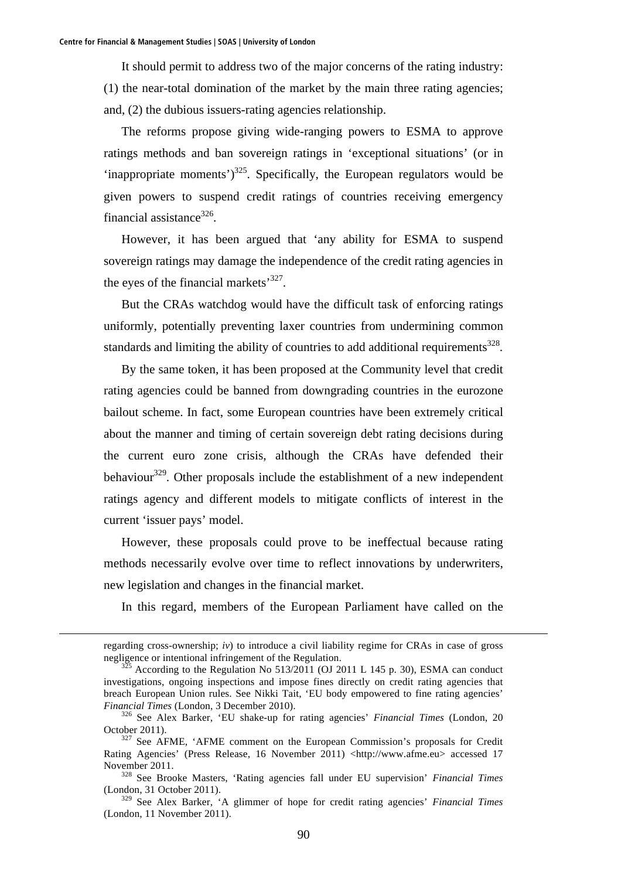It should permit to address two of the major concerns of the rating industry: (1) the near-total domination of the market by the main three rating agencies; and, (2) the dubious issuers-rating agencies relationship.

The reforms propose giving wide-ranging powers to ESMA to approve ratings methods and ban sovereign ratings in 'exceptional situations' (or in 'inappropriate moments')<sup>325</sup>. Specifically, the European regulators would be given powers to suspend credit ratings of countries receiving emergency financial assistance $326$ .

However, it has been argued that 'any ability for ESMA to suspend sovereign ratings may damage the independence of the credit rating agencies in the eyes of the financial markets'<sup>327</sup>.

But the CRAs watchdog would have the difficult task of enforcing ratings uniformly, potentially preventing laxer countries from undermining common standards and limiting the ability of countries to add additional requirements $328$ .

By the same token, it has been proposed at the Community level that credit rating agencies could be banned from downgrading countries in the eurozone bailout scheme. In fact, some European countries have been extremely critical about the manner and timing of certain sovereign debt rating decisions during the current euro zone crisis, although the CRAs have defended their behaviour<sup>329</sup>. Other proposals include the establishment of a new independent ratings agency and different models to mitigate conflicts of interest in the current 'issuer pays' model.

However, these proposals could prove to be ineffectual because rating methods necessarily evolve over time to reflect innovations by underwriters, new legislation and changes in the financial market.

In this regard, members of the European Parliament have called on the

regarding cross-ownership; *iv*) to introduce a civil liability regime for CRAs in case of gross negligence or intentional infringement of the Regulation.<br><sup>325</sup> According to the Regulation No 513/2011 (OJ 2011 L 145 p. 30), ESMA can conduct

investigations, ongoing inspections and impose fines directly on credit rating agencies that breach European Union rules. See Nikki Tait, 'EU body empowered to fine rating agencies' *Financial Times* (London, 3 December 2010). 326 See Alex Barker, 'EU shake-up for rating agencies' *Financial Times* (London, 20

October 2011).<br><sup>327</sup> See AFME, 'AFME comment on the European Commission's proposals for Credit

Rating Agencies' (Press Release, 16 November 2011) <http://www.afme.eu> accessed 17 November 2011. 328 See Brooke Masters, 'Rating agencies fall under EU supervision' *Financial Times*

<sup>(</sup>London, 31 October 2011).

<sup>329</sup> See Alex Barker, 'A glimmer of hope for credit rating agencies' *Financial Times* (London, 11 November 2011).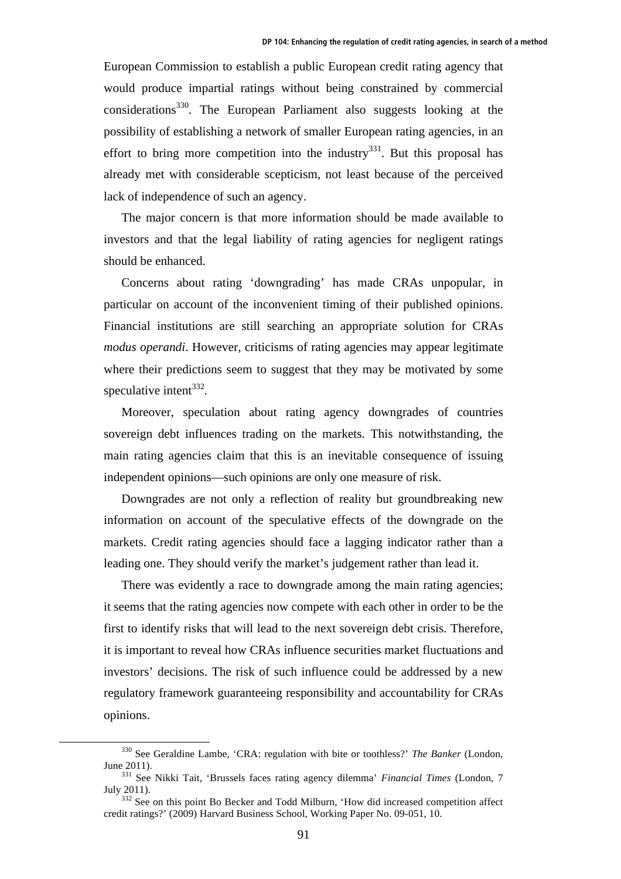European Commission to establish a public European credit rating agency that would produce impartial ratings without being constrained by commercial considerations330. The European Parliament also suggests looking at the possibility of establishing a network of smaller European rating agencies, in an effort to bring more competition into the industry $331$ . But this proposal has already met with considerable scepticism, not least because of the perceived lack of independence of such an agency.

The major concern is that more information should be made available to investors and that the legal liability of rating agencies for negligent ratings should be enhanced.

Concerns about rating 'downgrading' has made CRAs unpopular, in particular on account of the inconvenient timing of their published opinions. Financial institutions are still searching an appropriate solution for CRAs *modus operandi*. However, criticisms of rating agencies may appear legitimate where their predictions seem to suggest that they may be motivated by some speculative intent $^{332}$ .

Moreover, speculation about rating agency downgrades of countries sovereign debt influences trading on the markets. This notwithstanding, the main rating agencies claim that this is an inevitable consequence of issuing independent opinions—such opinions are only one measure of risk.

Downgrades are not only a reflection of reality but groundbreaking new information on account of the speculative effects of the downgrade on the markets. Credit rating agencies should face a lagging indicator rather than a leading one. They should verify the market's judgement rather than lead it.

There was evidently a race to downgrade among the main rating agencies; it seems that the rating agencies now compete with each other in order to be the first to identify risks that will lead to the next sovereign debt crisis. Therefore, it is important to reveal how CRAs influence securities market fluctuations and investors' decisions. The risk of such influence could be addressed by a new regulatory framework guaranteeing responsibility and accountability for CRAs opinions.

 <sup>330</sup> See Geraldine Lambe, 'CRA: regulation with bite or toothless?' *The Banker* (London, June 2011). 331 See Nikki Tait, 'Brussels faces rating agency dilemma' *Financial Times* (London, 7

July 2011). 332 See on this point Bo Becker and Todd Milburn, 'How did increased competition affect

credit ratings?' (2009) Harvard Business School, Working Paper No. 09-051, 10.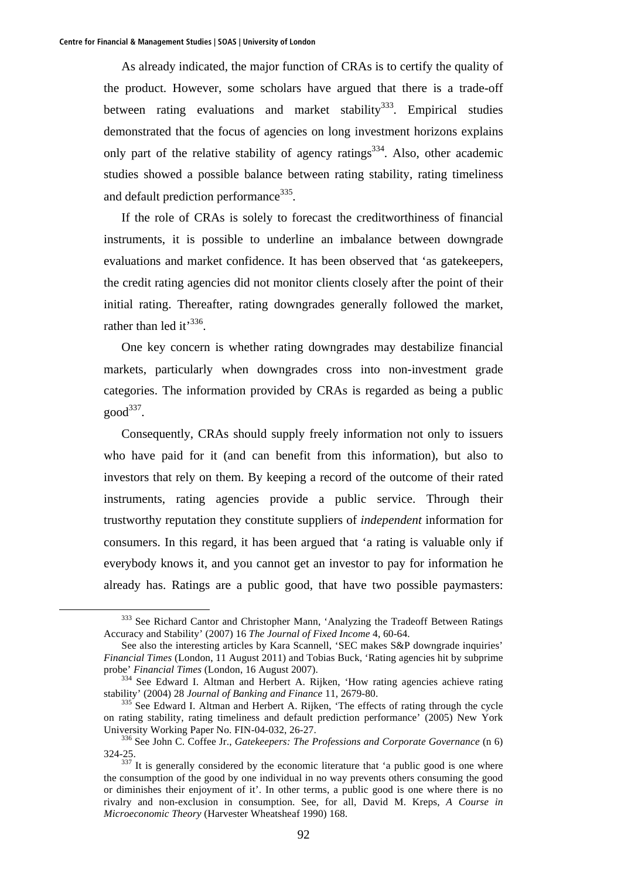As already indicated, the major function of CRAs is to certify the quality of the product. However, some scholars have argued that there is a trade-off between rating evaluations and market stability<sup>333</sup>. Empirical studies demonstrated that the focus of agencies on long investment horizons explains only part of the relative stability of agency ratings<sup>334</sup>. Also, other academic studies showed a possible balance between rating stability, rating timeliness and default prediction performance<sup>335</sup>.

If the role of CRAs is solely to forecast the creditworthiness of financial instruments, it is possible to underline an imbalance between downgrade evaluations and market confidence. It has been observed that 'as gatekeepers, the credit rating agencies did not monitor clients closely after the point of their initial rating. Thereafter, rating downgrades generally followed the market, rather than led it<sup>336</sup>.

One key concern is whether rating downgrades may destabilize financial markets, particularly when downgrades cross into non-investment grade categories. The information provided by CRAs is regarded as being a public  $good^{337}$ .

Consequently, CRAs should supply freely information not only to issuers who have paid for it (and can benefit from this information), but also to investors that rely on them. By keeping a record of the outcome of their rated instruments, rating agencies provide a public service. Through their trustworthy reputation they constitute suppliers of *independent* information for consumers. In this regard, it has been argued that 'a rating is valuable only if everybody knows it, and you cannot get an investor to pay for information he already has. Ratings are a public good, that have two possible paymasters:

<sup>&</sup>lt;sup>333</sup> See Richard Cantor and Christopher Mann, 'Analyzing the Tradeoff Between Ratings Accuracy and Stability' (2007) 16 *The Journal of Fixed Income* 4, 60-64.

See also the interesting articles by Kara Scannell, 'SEC makes S&P downgrade inquiries' *Financial Times* (London, 11 August 2011) and Tobias Buck, 'Rating agencies hit by subprime

<sup>&</sup>lt;sup>334</sup> See Edward I. Altman and Herbert A. Rijken, 'How rating agencies achieve rating stability' (2004) 28 *Journal of Banking and Finance* 11, 2679-80. 335 See Edward I. Altman and Herbert A. Rijken, 'The effects of rating through the cycle

on rating stability, rating timeliness and default prediction performance' (2005) New York University Working Paper No. FIN-04-032, 26-27. 336 See John C. Coffee Jr., *Gatekeepers: The Professions and Corporate Governance* (n 6)

 $324-25$ .<br><sup>337</sup> It is generally considered by the economic literature that 'a public good is one where the consumption of the good by one individual in no way prevents others consuming the good or diminishes their enjoyment of it'. In other terms, a public good is one where there is no rivalry and non-exclusion in consumption. See, for all, David M. Kreps, *A Course in Microeconomic Theory* (Harvester Wheatsheaf 1990) 168.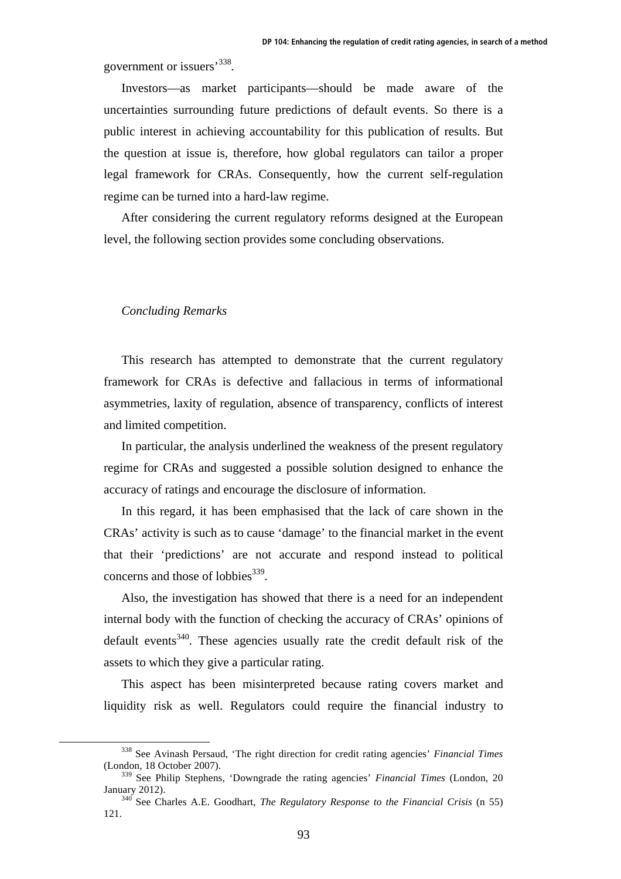government or issuers'338.

Investors—as market participants—should be made aware of the uncertainties surrounding future predictions of default events. So there is a public interest in achieving accountability for this publication of results. But the question at issue is, therefore, how global regulators can tailor a proper legal framework for CRAs. Consequently, how the current self-regulation regime can be turned into a hard-law regime.

After considering the current regulatory reforms designed at the European level, the following section provides some concluding observations.

## *Concluding Remarks*

This research has attempted to demonstrate that the current regulatory framework for CRAs is defective and fallacious in terms of informational asymmetries, laxity of regulation, absence of transparency, conflicts of interest and limited competition.

In particular, the analysis underlined the weakness of the present regulatory regime for CRAs and suggested a possible solution designed to enhance the accuracy of ratings and encourage the disclosure of information.

In this regard, it has been emphasised that the lack of care shown in the CRAs' activity is such as to cause 'damage' to the financial market in the event that their 'predictions' are not accurate and respond instead to political concerns and those of lobbies<sup>339</sup>.

Also, the investigation has showed that there is a need for an independent internal body with the function of checking the accuracy of CRAs' opinions of default events<sup>340</sup>. These agencies usually rate the credit default risk of the assets to which they give a particular rating.

This aspect has been misinterpreted because rating covers market and liquidity risk as well. Regulators could require the financial industry to

 <sup>338</sup> See Avinash Persaud, 'The right direction for credit rating agencies' *Financial Times* (London, 18 October 2007).

<sup>339</sup> See Philip Stephens, 'Downgrade the rating agencies' *Financial Times* (London, 20 January 2012). 340 See Charles A.E. Goodhart, *The Regulatory Response to the Financial Crisis* (n 55)

<sup>121.</sup>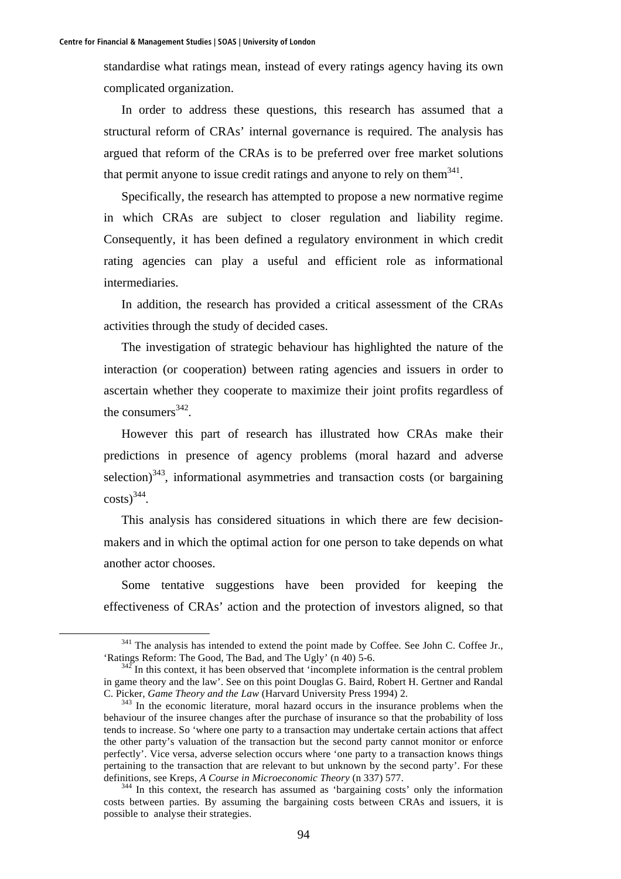standardise what ratings mean, instead of every ratings agency having its own complicated organization.

In order to address these questions, this research has assumed that a structural reform of CRAs' internal governance is required. The analysis has argued that reform of the CRAs is to be preferred over free market solutions that permit anyone to issue credit ratings and anyone to rely on them<sup>341</sup>.

Specifically, the research has attempted to propose a new normative regime in which CRAs are subject to closer regulation and liability regime. Consequently, it has been defined a regulatory environment in which credit rating agencies can play a useful and efficient role as informational intermediaries.

In addition, the research has provided a critical assessment of the CRAs activities through the study of decided cases.

The investigation of strategic behaviour has highlighted the nature of the interaction (or cooperation) between rating agencies and issuers in order to ascertain whether they cooperate to maximize their joint profits regardless of the consumers $342$ .

However this part of research has illustrated how CRAs make their predictions in presence of agency problems (moral hazard and adverse selection) $343$ , informational asymmetries and transaction costs (or bargaining  $costs$ <sup>344</sup>.

This analysis has considered situations in which there are few decisionmakers and in which the optimal action for one person to take depends on what another actor chooses.

Some tentative suggestions have been provided for keeping the effectiveness of CRAs' action and the protection of investors aligned, so that

<sup>&</sup>lt;sup>341</sup> The analysis has intended to extend the point made by Coffee. See John C. Coffee Jr., 'Ratings Reform: The Good, The Bad, and The Ugly' (n 40) 5-6.<br><sup>342</sup> In this context, it has been observed that 'incomplete information is the central problem

in game theory and the law'. See on this point Douglas G. Baird, Robert H. Gertner and Randal C. Picker, *Game Theory and the Law* (Harvard University Press 1994) 2.<br><sup>343</sup> In the economic literature, moral hazard occurs in the insurance problems when the

behaviour of the insuree changes after the purchase of insurance so that the probability of loss tends to increase. So 'where one party to a transaction may undertake certain actions that affect the other party's valuation of the transaction but the second party cannot monitor or enforce perfectly'. Vice versa, adverse selection occurs where 'one party to a transaction knows things pertaining to the transaction that are relevant to but unknown by the second party'. For these definitions, see Kreps, *A Course in Microeconomic Theory* (n 337) 577.<br><sup>344</sup> In this context, the research has assumed as 'bargaining costs' only the information

costs between parties. By assuming the bargaining costs between CRAs and issuers, it is possible to analyse their strategies.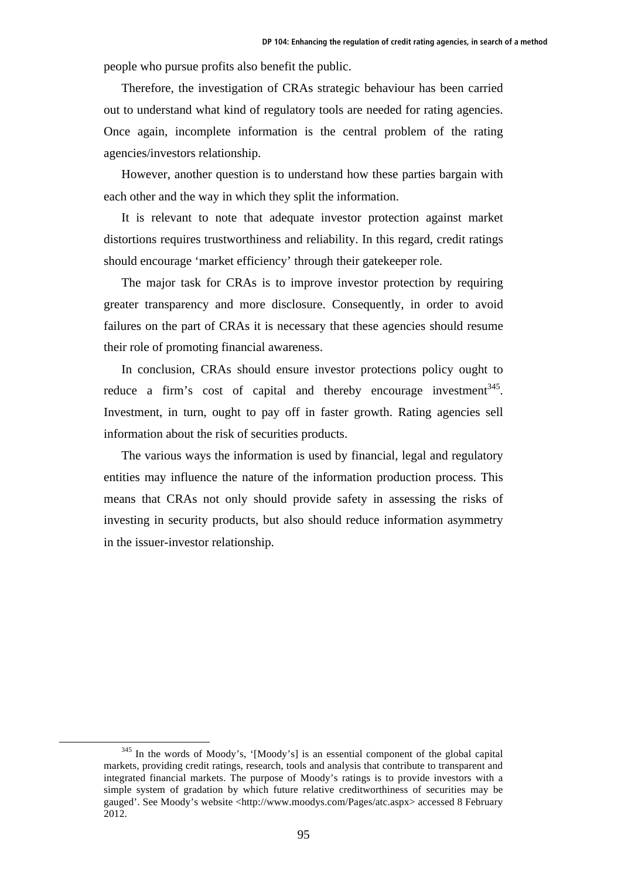people who pursue profits also benefit the public.

Therefore, the investigation of CRAs strategic behaviour has been carried out to understand what kind of regulatory tools are needed for rating agencies. Once again, incomplete information is the central problem of the rating agencies/investors relationship.

However, another question is to understand how these parties bargain with each other and the way in which they split the information.

It is relevant to note that adequate investor protection against market distortions requires trustworthiness and reliability. In this regard, credit ratings should encourage 'market efficiency' through their gatekeeper role.

The major task for CRAs is to improve investor protection by requiring greater transparency and more disclosure. Consequently, in order to avoid failures on the part of CRAs it is necessary that these agencies should resume their role of promoting financial awareness.

In conclusion, CRAs should ensure investor protections policy ought to reduce a firm's cost of capital and thereby encourage investment<sup>345</sup>. Investment, in turn, ought to pay off in faster growth. Rating agencies sell information about the risk of securities products.

The various ways the information is used by financial, legal and regulatory entities may influence the nature of the information production process. This means that CRAs not only should provide safety in assessing the risks of investing in security products, but also should reduce information asymmetry in the issuer-investor relationship.

<sup>&</sup>lt;sup>345</sup> In the words of Moody's, '[Moody's] is an essential component of the global capital markets, providing credit ratings, research, tools and analysis that contribute to transparent and integrated financial markets. The purpose of Moody's ratings is to provide investors with a simple system of gradation by which future relative creditworthiness of securities may be gauged'. See Moody's website <http://www.moodys.com/Pages/atc.aspx> accessed 8 February 2012.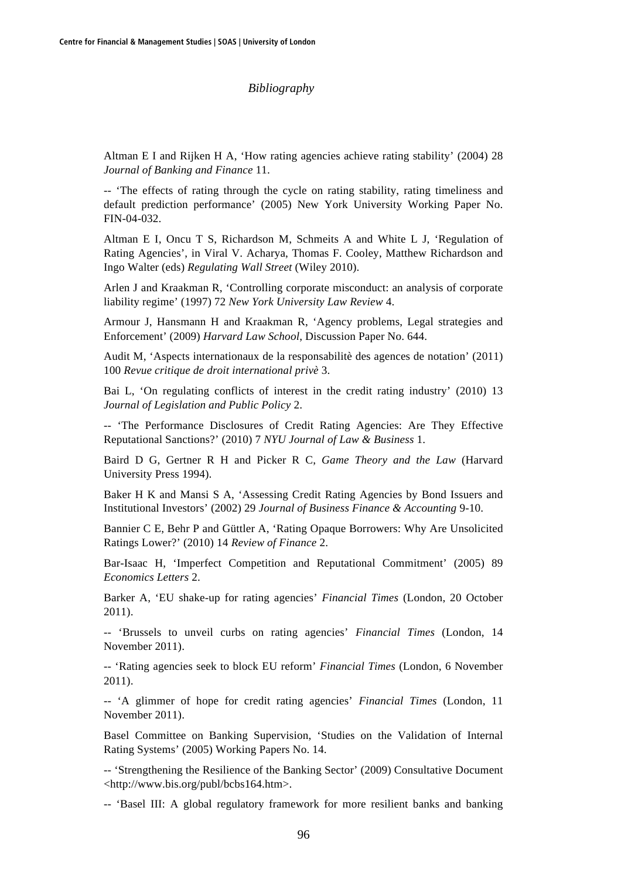## *Bibliography*

Altman E I and Rijken H A, 'How rating agencies achieve rating stability' (2004) 28 *Journal of Banking and Finance* 11.

-- 'The effects of rating through the cycle on rating stability, rating timeliness and default prediction performance' (2005) New York University Working Paper No. FIN-04-032.

Altman E I, Oncu T S, Richardson M, Schmeits A and White L J, 'Regulation of Rating Agencies', in Viral V. Acharya, Thomas F. Cooley, Matthew Richardson and Ingo Walter (eds) *Regulating Wall Street* (Wiley 2010).

Arlen J and Kraakman R, 'Controlling corporate misconduct: an analysis of corporate liability regime' (1997) 72 *New York University Law Review* 4.

Armour J, Hansmann H and Kraakman R, 'Agency problems, Legal strategies and Enforcement' (2009) *Harvard Law School*, Discussion Paper No. 644.

Audit M, 'Aspects internationaux de la responsabilitè des agences de notation' (2011) 100 *Revue critique de droit international privè* 3.

Bai L, 'On regulating conflicts of interest in the credit rating industry' (2010) 13 *Journal of Legislation and Public Policy* 2.

-- 'The Performance Disclosures of Credit Rating Agencies: Are They Effective Reputational Sanctions?' (2010) 7 *NYU Journal of Law & Business* 1.

Baird D G, Gertner R H and Picker R C, *Game Theory and the Law* (Harvard University Press 1994).

Baker H K and Mansi S A, 'Assessing Credit Rating Agencies by Bond Issuers and Institutional Investors' (2002) 29 *Journal of Business Finance & Accounting* 9-10.

Bannier C E, Behr P and Güttler A, 'Rating Opaque Borrowers: Why Are Unsolicited Ratings Lower?' (2010) 14 *Review of Finance* 2.

Bar-Isaac H, 'Imperfect Competition and Reputational Commitment' (2005) 89 *Economics Letters* 2.

Barker A, 'EU shake-up for rating agencies' *Financial Times* (London, 20 October 2011).

-- 'Brussels to unveil curbs on rating agencies' *Financial Times* (London, 14 November 2011).

-- 'Rating agencies seek to block EU reform' *Financial Times* (London, 6 November 2011).

-- 'A glimmer of hope for credit rating agencies' *Financial Times* (London, 11 November 2011).

Basel Committee on Banking Supervision, 'Studies on the Validation of Internal Rating Systems' (2005) Working Papers No. 14.

-- 'Strengthening the Resilience of the Banking Sector' (2009) Consultative Document <http://www.bis.org/publ/bcbs164.htm>.

-- 'Basel III: A global regulatory framework for more resilient banks and banking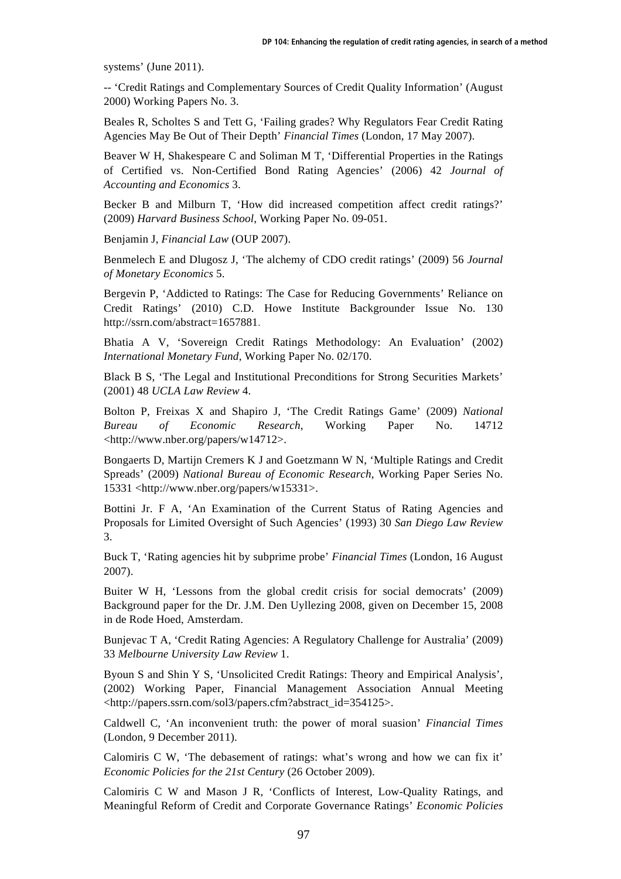systems' (June 2011).

-- 'Credit Ratings and Complementary Sources of Credit Quality Information' (August 2000) Working Papers No. 3.

Beales R, Scholtes S and Tett G, 'Failing grades? Why Regulators Fear Credit Rating Agencies May Be Out of Their Depth' *Financial Times* (London, 17 May 2007).

Beaver W H, Shakespeare C and Soliman M T, 'Differential Properties in the Ratings of Certified vs. Non-Certified Bond Rating Agencies' (2006) 42 *Journal of Accounting and Economics* 3.

Becker B and Milburn T, 'How did increased competition affect credit ratings?' (2009) *Harvard Business School*, Working Paper No. 09-051.

Benjamin J, *Financial Law* (OUP 2007).

Benmelech E and Dlugosz J, 'The alchemy of CDO credit ratings' (2009) 56 *Journal of Monetary Economics* 5.

Bergevin P, 'Addicted to Ratings: The Case for Reducing Governments' Reliance on Credit Ratings' (2010) C.D. Howe Institute Backgrounder Issue No. 130 http://ssrn.com/abstract=1657881.

Bhatia A V, 'Sovereign Credit Ratings Methodology: An Evaluation' (2002) *International Monetary Fund*, Working Paper No. 02/170.

Black B S, 'The Legal and Institutional Preconditions for Strong Securities Markets' (2001) 48 *UCLA Law Review* 4.

Bolton P, Freixas X and Shapiro J, 'The Credit Ratings Game' (2009) *National Bureau of Economic Research*, Working Paper No. 14712 <http://www.nber.org/papers/w14712>.

Bongaerts D, Martijn Cremers K J and Goetzmann W N, 'Multiple Ratings and Credit Spreads' (2009) *National Bureau of Economic Research*, Working Paper Series No. 15331 <http://www.nber.org/papers/w15331>.

Bottini Jr. F A, 'An Examination of the Current Status of Rating Agencies and Proposals for Limited Oversight of Such Agencies' (1993) 30 *San Diego Law Review* 3.

Buck T, 'Rating agencies hit by subprime probe' *Financial Times* (London, 16 August 2007).

Buiter W H, 'Lessons from the global credit crisis for social democrats' (2009) Background paper for the Dr. J.M. Den Uyllezing 2008, given on December 15, 2008 in de Rode Hoed, Amsterdam.

Bunjevac T A, 'Credit Rating Agencies: A Regulatory Challenge for Australia' (2009) 33 *Melbourne University Law Review* 1.

Byoun S and Shin Y S, 'Unsolicited Credit Ratings: Theory and Empirical Analysis', (2002) Working Paper, Financial Management Association Annual Meeting <http://papers.ssrn.com/sol3/papers.cfm?abstract\_id=354125>.

Caldwell C, 'An inconvenient truth: the power of moral suasion' *Financial Times* (London, 9 December 2011).

Calomiris C W, 'The debasement of ratings: what's wrong and how we can fix it' *Economic Policies for the 21st Century* (26 October 2009).

Calomiris C W and Mason J R, 'Conflicts of Interest, Low-Quality Ratings, and Meaningful Reform of Credit and Corporate Governance Ratings' *Economic Policies*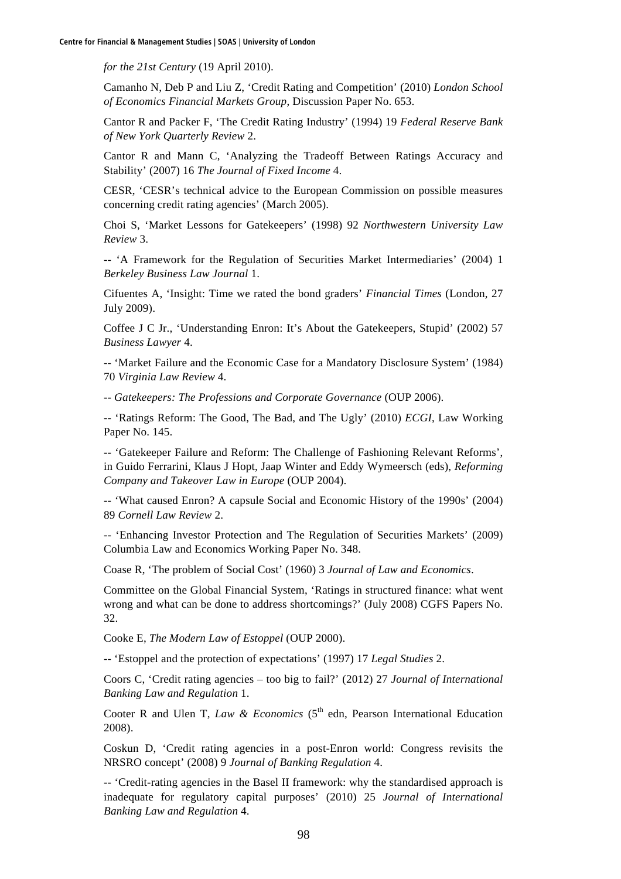*for the 21st Century* (19 April 2010).

Camanho N, Deb P and Liu Z, 'Credit Rating and Competition' (2010) *London School of Economics Financial Markets Group*, Discussion Paper No. 653.

Cantor R and Packer F, 'The Credit Rating Industry' (1994) 19 *Federal Reserve Bank of New York Quarterly Review* 2.

Cantor R and Mann C, 'Analyzing the Tradeoff Between Ratings Accuracy and Stability' (2007) 16 *The Journal of Fixed Income* 4.

CESR, 'CESR's technical advice to the European Commission on possible measures concerning credit rating agencies' (March 2005).

Choi S, 'Market Lessons for Gatekeepers' (1998) 92 *Northwestern University Law Review* 3.

-- 'A Framework for the Regulation of Securities Market Intermediaries' (2004) 1 *Berkeley Business Law Journal* 1.

Cifuentes A, 'Insight: Time we rated the bond graders' *Financial Times* (London, 27 July 2009).

Coffee J C Jr., 'Understanding Enron: It's About the Gatekeepers, Stupid' (2002) 57 *Business Lawyer* 4.

-- 'Market Failure and the Economic Case for a Mandatory Disclosure System' (1984) 70 *Virginia Law Review* 4.

-- *Gatekeepers: The Professions and Corporate Governance* (OUP 2006).

-- 'Ratings Reform: The Good, The Bad, and The Ugly' (2010) *ECGI*, Law Working Paper No. 145.

-- 'Gatekeeper Failure and Reform: The Challenge of Fashioning Relevant Reforms', in Guido Ferrarini, Klaus J Hopt, Jaap Winter and Eddy Wymeersch (eds), *Reforming Company and Takeover Law in Europe* (OUP 2004).

-- 'What caused Enron? A capsule Social and Economic History of the 1990s' (2004) 89 *Cornell Law Review* 2.

-- 'Enhancing Investor Protection and The Regulation of Securities Markets' (2009) Columbia Law and Economics Working Paper No. 348.

Coase R, 'The problem of Social Cost' (1960) 3 *Journal of Law and Economics*.

Committee on the Global Financial System, 'Ratings in structured finance: what went wrong and what can be done to address shortcomings?' (July 2008) CGFS Papers No. 32.

Cooke E, *The Modern Law of Estoppel* (OUP 2000).

-- 'Estoppel and the protection of expectations' (1997) 17 *Legal Studies* 2.

Coors C, 'Credit rating agencies – too big to fail?' (2012) 27 *Journal of International Banking Law and Regulation* 1.

Cooter R and Ulen T, *Law & Economics* ( $5<sup>th</sup>$  edn, Pearson International Education 2008).

Coskun D, 'Credit rating agencies in a post-Enron world: Congress revisits the NRSRO concept' (2008) 9 *Journal of Banking Regulation* 4.

-- 'Credit-rating agencies in the Basel II framework: why the standardised approach is inadequate for regulatory capital purposes' (2010) 25 *Journal of International Banking Law and Regulation* 4.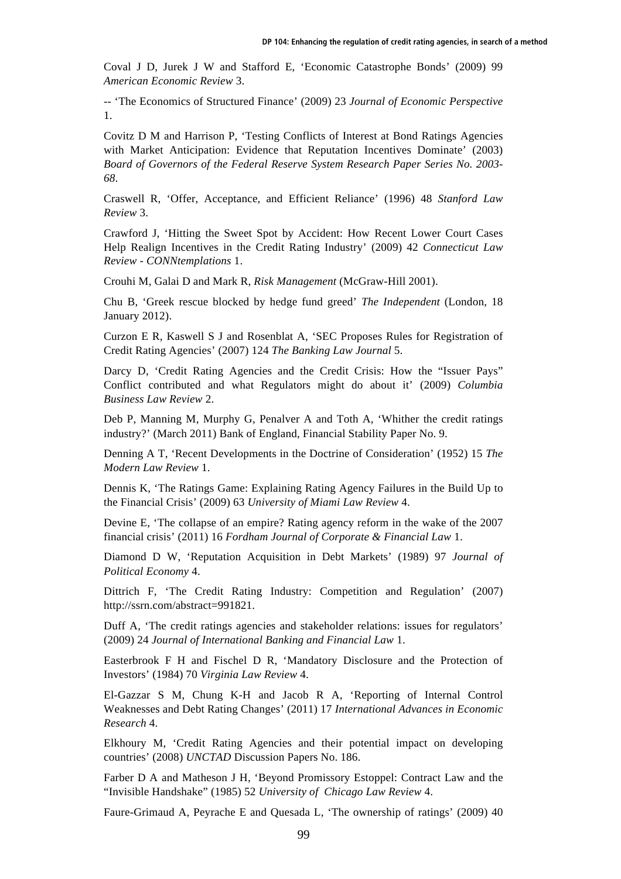Coval J D, Jurek J W and Stafford E, 'Economic Catastrophe Bonds' (2009) 99 *American Economic Review* 3.

-- 'The Economics of Structured Finance' (2009) 23 *Journal of Economic Perspective* 1.

Covitz D M and Harrison P, 'Testing Conflicts of Interest at Bond Ratings Agencies with Market Anticipation: Evidence that Reputation Incentives Dominate' (2003) *Board of Governors of the Federal Reserve System Research Paper Series No. 2003- 68*.

Craswell R, 'Offer, Acceptance, and Efficient Reliance' (1996) 48 *Stanford Law Review* 3.

Crawford J, 'Hitting the Sweet Spot by Accident: How Recent Lower Court Cases Help Realign Incentives in the Credit Rating Industry' (2009) 42 *Connecticut Law Review - CONNtemplations* 1.

Crouhi M, Galai D and Mark R, *Risk Management* (McGraw-Hill 2001).

Chu B, 'Greek rescue blocked by hedge fund greed' *The Independent* (London, 18 January 2012).

Curzon E R, Kaswell S J and Rosenblat A, 'SEC Proposes Rules for Registration of Credit Rating Agencies' (2007) 124 *The Banking Law Journal* 5.

Darcy D, 'Credit Rating Agencies and the Credit Crisis: How the "Issuer Pays" Conflict contributed and what Regulators might do about it' (2009) *Columbia Business Law Review* 2.

Deb P, Manning M, Murphy G, Penalver A and Toth A, 'Whither the credit ratings industry?' (March 2011) Bank of England, Financial Stability Paper No. 9.

Denning A T, 'Recent Developments in the Doctrine of Consideration' (1952) 15 *The Modern Law Review* 1.

Dennis K, 'The Ratings Game: Explaining Rating Agency Failures in the Build Up to the Financial Crisis' (2009) 63 *University of Miami Law Review* 4.

Devine E, 'The collapse of an empire? Rating agency reform in the wake of the 2007 financial crisis' (2011) 16 *Fordham Journal of Corporate & Financial Law* 1.

Diamond D W, 'Reputation Acquisition in Debt Markets' (1989) 97 *Journal of Political Economy* 4.

Dittrich F, 'The Credit Rating Industry: Competition and Regulation' (2007) http://ssrn.com/abstract=991821.

Duff A, 'The credit ratings agencies and stakeholder relations: issues for regulators' (2009) 24 *Journal of International Banking and Financial Law* 1.

Easterbrook F H and Fischel D R, 'Mandatory Disclosure and the Protection of Investors' (1984) 70 *Virginia Law Review* 4.

El-Gazzar S M, Chung K-H and Jacob R A, 'Reporting of Internal Control Weaknesses and Debt Rating Changes' (2011) 17 *International Advances in Economic Research* 4.

Elkhoury M, 'Credit Rating Agencies and their potential impact on developing countries' (2008) *UNCTAD* Discussion Papers No. 186.

Farber D A and Matheson J H, 'Beyond Promissory Estoppel: Contract Law and the "Invisible Handshake" (1985) 52 *University of Chicago Law Review* 4.

Faure-Grimaud A, Peyrache E and Quesada L, 'The ownership of ratings' (2009) 40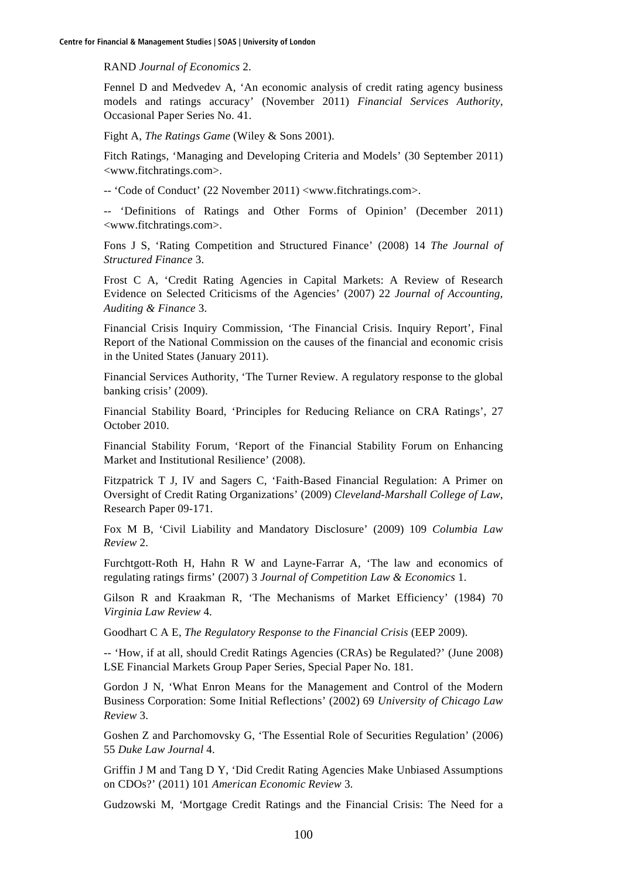RAND *Journal of Economics* 2.

Fennel D and Medvedev A, 'An economic analysis of credit rating agency business models and ratings accuracy' (November 2011) *Financial Services Authority*, Occasional Paper Series No. 41.

Fight A, *The Ratings Game* (Wiley & Sons 2001).

Fitch Ratings, 'Managing and Developing Criteria and Models' (30 September 2011) <www.fitchratings.com>.

-- 'Code of Conduct' (22 November 2011) <www.fitchratings.com>.

-- 'Definitions of Ratings and Other Forms of Opinion' (December 2011) <www.fitchratings.com>.

Fons J S, 'Rating Competition and Structured Finance' (2008) 14 *The Journal of Structured Finance* 3.

Frost C A, 'Credit Rating Agencies in Capital Markets: A Review of Research Evidence on Selected Criticisms of the Agencies' (2007) 22 *Journal of Accounting, Auditing & Finance* 3.

Financial Crisis Inquiry Commission, 'The Financial Crisis. Inquiry Report', Final Report of the National Commission on the causes of the financial and economic crisis in the United States (January 2011).

Financial Services Authority, 'The Turner Review. A regulatory response to the global banking crisis' (2009).

Financial Stability Board, 'Principles for Reducing Reliance on CRA Ratings', 27 October 2010.

Financial Stability Forum, 'Report of the Financial Stability Forum on Enhancing Market and Institutional Resilience' (2008).

Fitzpatrick T J, IV and Sagers C, 'Faith-Based Financial Regulation: A Primer on Oversight of Credit Rating Organizations' (2009) *Cleveland-Marshall College of Law*, Research Paper 09-171.

Fox M B, 'Civil Liability and Mandatory Disclosure' (2009) 109 *Columbia Law Review* 2.

Furchtgott-Roth H, Hahn R W and Layne-Farrar A, 'The law and economics of regulating ratings firms' (2007) 3 *Journal of Competition Law & Economics* 1.

Gilson R and Kraakman R, 'The Mechanisms of Market Efficiency' (1984) 70 *Virginia Law Review* 4.

Goodhart C A E, *The Regulatory Response to the Financial Crisis* (EEP 2009).

-- 'How, if at all, should Credit Ratings Agencies (CRAs) be Regulated?' (June 2008) LSE Financial Markets Group Paper Series, Special Paper No. 181.

Gordon J N, 'What Enron Means for the Management and Control of the Modern Business Corporation: Some Initial Reflections' (2002) 69 *University of Chicago Law Review* 3.

Goshen Z and Parchomovsky G, 'The Essential Role of Securities Regulation' (2006) 55 *Duke Law Journal* 4.

Griffin J M and Tang D Y, 'Did Credit Rating Agencies Make Unbiased Assumptions on CDOs?' (2011) 101 *American Economic Review* 3.

Gudzowski M, *'*Mortgage Credit Ratings and the Financial Crisis: The Need for a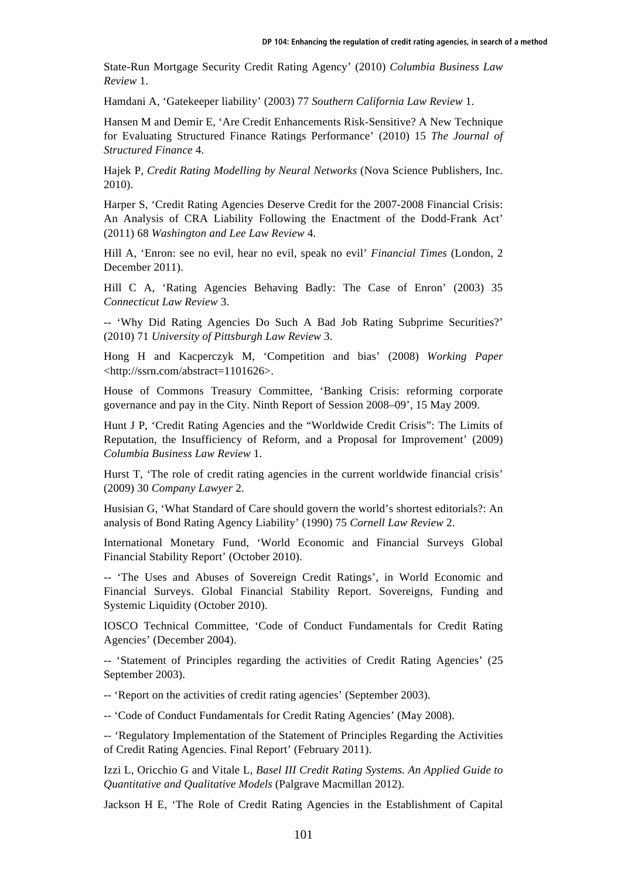State*-*Run Mortgage Security Credit Rating Agency' (2010) *Columbia Business Law Review* 1.

Hamdani A, 'Gatekeeper liability' (2003) 77 *Southern California Law Review* 1.

Hansen M and Demir E, 'Are Credit Enhancements Risk-Sensitive? A New Technique for Evaluating Structured Finance Ratings Performance' (2010) 15 *The Journal of Structured Finance* 4.

Hajek P, *Credit Rating Modelling by Neural Networks* (Nova Science Publishers, Inc. 2010).

Harper S, 'Credit Rating Agencies Deserve Credit for the 2007-2008 Financial Crisis: An Analysis of CRA Liability Following the Enactment of the Dodd-Frank Act' (2011) 68 *Washington and Lee Law Review* 4.

Hill A, 'Enron: see no evil, hear no evil, speak no evil' *Financial Times* (London, 2 December 2011).

Hill C A, 'Rating Agencies Behaving Badly: The Case of Enron' (2003) 35 *Connecticut Law Review* 3.

-- 'Why Did Rating Agencies Do Such A Bad Job Rating Subprime Securities?' (2010) 71 *University of Pittsburgh Law Review* 3.

Hong H and Kacperczyk M, 'Competition and bias' (2008) *Working Paper* <http://ssrn.com/abstract=1101626>.

House of Commons Treasury Committee, 'Banking Crisis: reforming corporate governance and pay in the City. Ninth Report of Session 2008–09', 15 May 2009.

Hunt J P, 'Credit Rating Agencies and the "Worldwide Credit Crisis": The Limits of Reputation, the Insufficiency of Reform*,* and a Proposal for Improvement' (2009) *Columbia Business Law Review* 1.

Hurst T, 'The role of credit rating agencies in the current worldwide financial crisis' (2009) 30 *Company Lawyer* 2.

Husisian G, 'What Standard of Care should govern the world's shortest editorials?: An analysis of Bond Rating Agency Liability' (1990) 75 *Cornell Law Review* 2.

International Monetary Fund, 'World Economic and Financial Surveys Global Financial Stability Report' (October 2010).

-- 'The Uses and Abuses of Sovereign Credit Ratings', in World Economic and Financial Surveys. Global Financial Stability Report. Sovereigns, Funding and Systemic Liquidity (October 2010).

IOSCO Technical Committee, 'Code of Conduct Fundamentals for Credit Rating Agencies' (December 2004).

-- 'Statement of Principles regarding the activities of Credit Rating Agencies' (25 September 2003).

-- 'Report on the activities of credit rating agencies' (September 2003).

-- 'Code of Conduct Fundamentals for Credit Rating Agencies' (May 2008).

-- 'Regulatory Implementation of the Statement of Principles Regarding the Activities of Credit Rating Agencies. Final Report' (February 2011).

Izzi L, Oricchio G and Vitale L, *Basel III Credit Rating Systems. An Applied Guide to Quantitative and Qualitative Models* (Palgrave Macmillan 2012).

Jackson H E, 'The Role of Credit Rating Agencies in the Establishment of Capital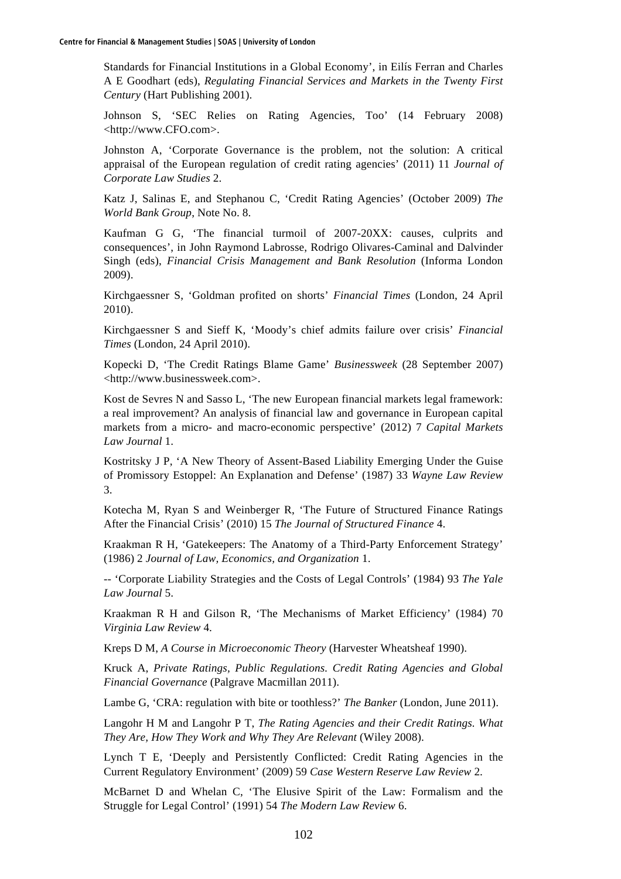Standards for Financial Institutions in a Global Economy', in Eilís Ferran and Charles A E Goodhart (eds), *Regulating Financial Services and Markets in the Twenty First Century* (Hart Publishing 2001).

Johnson S, 'SEC Relies on Rating Agencies, Too' (14 February 2008) <http://www.CFO.com>.

Johnston A, 'Corporate Governance is the problem, not the solution: A critical appraisal of the European regulation of credit rating agencies' (2011) 11 *Journal of Corporate Law Studies* 2.

Katz J, Salinas E, and Stephanou C, 'Credit Rating Agencies' (October 2009) *The World Bank Group*, Note No. 8.

Kaufman G G, 'The financial turmoil of 2007-20XX: causes, culprits and consequences', in John Raymond Labrosse, Rodrigo Olivares-Caminal and Dalvinder Singh (eds), *Financial Crisis Management and Bank Resolution* (Informa London 2009).

Kirchgaessner S, 'Goldman profited on shorts' *Financial Times* (London, 24 April 2010).

Kirchgaessner S and Sieff K, 'Moody's chief admits failure over crisis' *Financial Times* (London, 24 April 2010).

Kopecki D, 'The Credit Ratings Blame Game' *Businessweek* (28 September 2007) <http://www.businessweek.com>.

Kost de Sevres N and Sasso L, 'The new European financial markets legal framework: a real improvement? An analysis of financial law and governance in European capital markets from a micro- and macro-economic perspective' (2012) 7 *Capital Markets Law Journal* 1.

Kostritsky J P, 'A New Theory of Assent-Based Liability Emerging Under the Guise of Promissory Estoppel: An Explanation and Defense' (1987) 33 *Wayne Law Review* 3.

Kotecha M, Ryan S and Weinberger R, 'The Future of Structured Finance Ratings After the Financial Crisis' (2010) 15 *The Journal of Structured Finance* 4.

Kraakman R H, 'Gatekeepers: The Anatomy of a Third-Party Enforcement Strategy' (1986) 2 *Journal of Law, Economics, and Organization* 1.

-- 'Corporate Liability Strategies and the Costs of Legal Controls' (1984) 93 *The Yale Law Journal* 5.

Kraakman R H and Gilson R, 'The Mechanisms of Market Efficiency' (1984) 70 *Virginia Law Review* 4.

Kreps D M, *A Course in Microeconomic Theory* (Harvester Wheatsheaf 1990).

Kruck A, *Private Ratings, Public Regulations. Credit Rating Agencies and Global Financial Governance* (Palgrave Macmillan 2011).

Lambe G, 'CRA: regulation with bite or toothless?' *The Banker* (London, June 2011).

Langohr H M and Langohr P T, *The Rating Agencies and their Credit Ratings. What They Are, How They Work and Why They Are Relevant* (Wiley 2008).

Lynch T E, 'Deeply and Persistently Conflicted: Credit Rating Agencies in the Current Regulatory Environment' (2009) 59 *Case Western Reserve Law Review* 2.

McBarnet D and Whelan C, 'The Elusive Spirit of the Law: Formalism and the Struggle for Legal Control' (1991) 54 *The Modern Law Review* 6.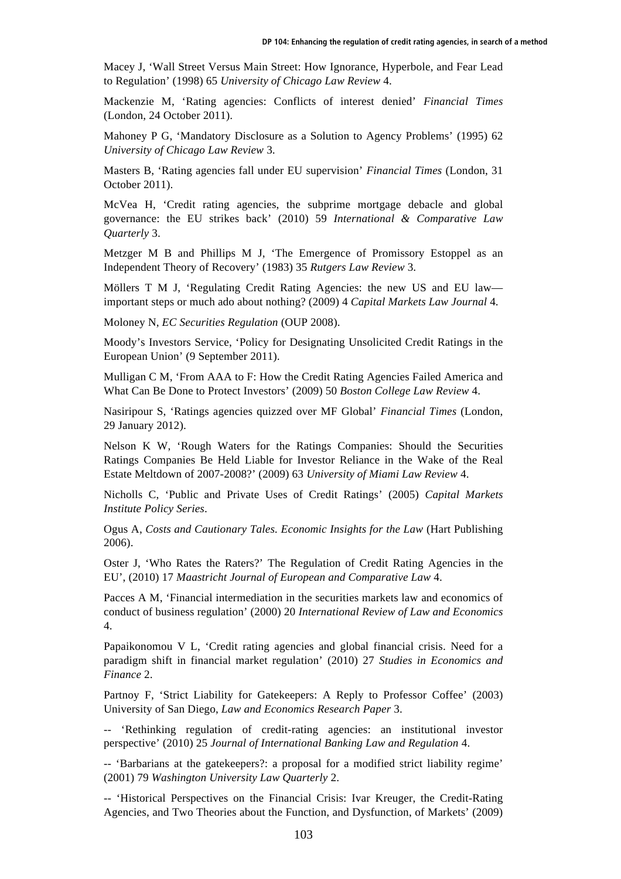Macey J, 'Wall Street Versus Main Street: How Ignorance, Hyperbole, and Fear Lead to Regulation' (1998) 65 *University of Chicago Law Review* 4.

Mackenzie M, 'Rating agencies: Conflicts of interest denied' *Financial Times* (London, 24 October 2011).

Mahoney P G, 'Mandatory Disclosure as a Solution to Agency Problems' (1995) 62 *University of Chicago Law Review* 3.

Masters B, 'Rating agencies fall under EU supervision' *Financial Times* (London, 31 October 2011).

McVea H, 'Credit rating agencies, the subprime mortgage debacle and global governance: the EU strikes back' (2010) 59 *International & Comparative Law Quarterly* 3.

Metzger M B and Phillips M J, 'The Emergence of Promissory Estoppel as an Independent Theory of Recovery' (1983) 35 *Rutgers Law Review* 3.

Möllers T M J, 'Regulating Credit Rating Agencies: the new US and EU law important steps or much ado about nothing? (2009) 4 *Capital Markets Law Journal* 4.

Moloney N, *EC Securities Regulation* (OUP 2008).

Moody's Investors Service, 'Policy for Designating Unsolicited Credit Ratings in the European Union' (9 September 2011).

Mulligan C M, 'From AAA to F: How the Credit Rating Agencies Failed America and What Can Be Done to Protect Investors' (2009) 50 *Boston College Law Review* 4.

Nasiripour S, 'Ratings agencies quizzed over MF Global' *Financial Times* (London, 29 January 2012).

Nelson K W, 'Rough Waters for the Ratings Companies: Should the Securities Ratings Companies Be Held Liable for Investor Reliance in the Wake of the Real Estate Meltdown of 2007-2008?' (2009) 63 *University of Miami Law Review* 4.

Nicholls C, 'Public and Private Uses of Credit Ratings' (2005) *Capital Markets Institute Policy Series*.

Ogus A, *Costs and Cautionary Tales. Economic Insights for the Law* (Hart Publishing 2006).

Oster J, 'Who Rates the Raters?' The Regulation of Credit Rating Agencies in the EU', (2010) 17 *Maastricht Journal of European and Comparative Law* 4.

Pacces A M, 'Financial intermediation in the securities markets law and economics of conduct of business regulation' (2000) 20 *International Review of Law and Economics* 4.

Papaikonomou V L, 'Credit rating agencies and global financial crisis. Need for a paradigm shift in financial market regulation' (2010) 27 *Studies in Economics and Finance* 2.

Partnoy F, 'Strict Liability for Gatekeepers: A Reply to Professor Coffee' (2003) University of San Diego, *Law and Economics Research Paper* 3.

-- 'Rethinking regulation of credit-rating agencies: an institutional investor perspective' (2010) 25 *Journal of International Banking Law and Regulation* 4.

-- 'Barbarians at the gatekeepers?: a proposal for a modified strict liability regime' (2001) 79 *Washington University Law Quarterly* 2.

-- 'Historical Perspectives on the Financial Crisis: Ivar Kreuger, the Credit-Rating Agencies, and Two Theories about the Function, and Dysfunction, of Markets' (2009)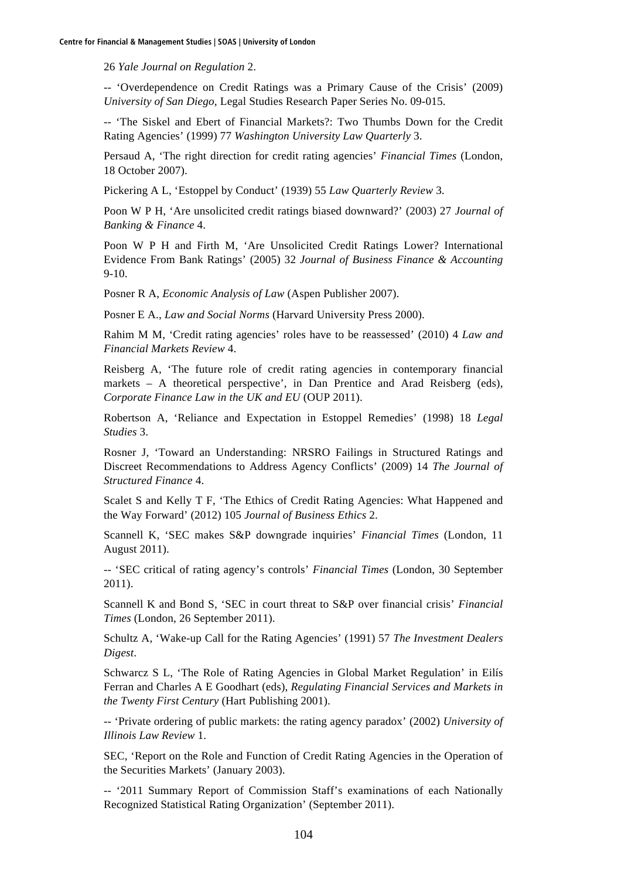26 *Yale Journal on Regulation* 2.

-- 'Overdependence on Credit Ratings was a Primary Cause of the Crisis' (2009) *University of San Diego*, Legal Studies Research Paper Series No. 09-015.

-- 'The Siskel and Ebert of Financial Markets?: Two Thumbs Down for the Credit Rating Agencies' (1999) 77 *Washington University Law Quarterly* 3.

Persaud A, 'The right direction for credit rating agencies' *Financial Times* (London, 18 October 2007).

Pickering A L, 'Estoppel by Conduct' (1939) 55 *Law Quarterly Review* 3.

Poon W P H, 'Are unsolicited credit ratings biased downward?' (2003) 27 *Journal of Banking & Finance* 4.

Poon W P H and Firth M, 'Are Unsolicited Credit Ratings Lower? International Evidence From Bank Ratings' (2005) 32 *Journal of Business Finance & Accounting* 9-10.

Posner R A, *Economic Analysis of Law* (Aspen Publisher 2007).

Posner E A., *Law and Social Norms* (Harvard University Press 2000).

Rahim M M, 'Credit rating agencies' roles have to be reassessed' (2010) 4 *Law and Financial Markets Review* 4.

Reisberg A, 'The future role of credit rating agencies in contemporary financial markets – A theoretical perspective', in Dan Prentice and Arad Reisberg (eds), *Corporate Finance Law in the UK and EU* (OUP 2011).

Robertson A, 'Reliance and Expectation in Estoppel Remedies' (1998) 18 *Legal Studies* 3.

Rosner J, 'Toward an Understanding: NRSRO Failings in Structured Ratings and Discreet Recommendations to Address Agency Conflicts' (2009) 14 *The Journal of Structured Finance* 4.

Scalet S and Kelly T F, 'The Ethics of Credit Rating Agencies: What Happened and the Way Forward' (2012) 105 *Journal of Business Ethics* 2.

Scannell K, 'SEC makes S&P downgrade inquiries' *Financial Times* (London, 11 August 2011).

-- 'SEC critical of rating agency's controls' *Financial Times* (London, 30 September 2011).

Scannell K and Bond S, 'SEC in court threat to S&P over financial crisis' *Financial Times* (London, 26 September 2011).

Schultz A, 'Wake*-*up Call for the Rating Agencies' (1991) 57 *The Investment Dealers Digest*.

Schwarcz S L, 'The Role of Rating Agencies in Global Market Regulation' in Eilís Ferran and Charles A E Goodhart (eds), *Regulating Financial Services and Markets in the Twenty First Century* (Hart Publishing 2001).

-- 'Private ordering of public markets: the rating agency paradox' (2002) *University of Illinois Law Review* 1.

SEC, 'Report on the Role and Function of Credit Rating Agencies in the Operation of the Securities Markets' (January 2003).

-- '2011 Summary Report of Commission Staff's examinations of each Nationally Recognized Statistical Rating Organization' (September 2011).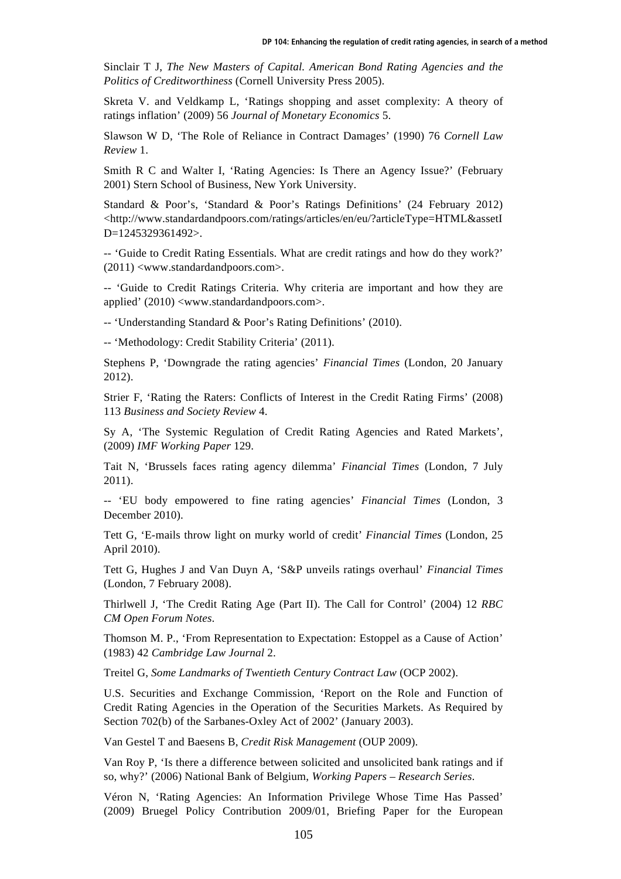Sinclair T J, *The New Masters of Capital. American Bond Rating Agencies and the Politics of Creditworthiness* (Cornell University Press 2005).

Skreta V. and Veldkamp L, 'Ratings shopping and asset complexity: A theory of ratings inflation' (2009) 56 *Journal of Monetary Economics* 5.

Slawson W D, 'The Role of Reliance in Contract Damages' (1990) 76 *Cornell Law Review* 1.

Smith R C and Walter I, 'Rating Agencies: Is There an Agency Issue?' (February 2001) Stern School of Business, New York University.

Standard & Poor's, 'Standard & Poor's Ratings Definitions' (24 February 2012) <http://www.standardandpoors.com/ratings/articles/en/eu/?articleType=HTML&assetI D=1245329361492>.

-- 'Guide to Credit Rating Essentials. What are credit ratings and how do they work?' (2011) <www.standardandpoors.com>.

-- 'Guide to Credit Ratings Criteria. Why criteria are important and how they are applied' (2010) <www.standardandpoors.com>.

-- 'Understanding Standard & Poor's Rating Definitions' (2010).

-- 'Methodology: Credit Stability Criteria' (2011).

Stephens P, 'Downgrade the rating agencies' *Financial Times* (London, 20 January 2012).

Strier F, 'Rating the Raters: Conflicts of Interest in the Credit Rating Firms' (2008) 113 *Business and Society Review* 4.

Sy A, 'The Systemic Regulation of Credit Rating Agencies and Rated Markets', (2009) *IMF Working Paper* 129.

Tait N, 'Brussels faces rating agency dilemma' *Financial Times* (London, 7 July 2011).

-- 'EU body empowered to fine rating agencies' *Financial Times* (London, 3 December 2010).

Tett G, 'E-mails throw light on murky world of credit' *Financial Times* (London, 25 April 2010).

Tett G, Hughes J and Van Duyn A, 'S&P unveils ratings overhaul' *Financial Times* (London, 7 February 2008).

Thirlwell J, 'The Credit Rating Age (Part II). The Call for Control' (2004) 12 *RBC CM Open Forum Notes*.

Thomson M. P., 'From Representation to Expectation: Estoppel as a Cause of Action' (1983) 42 *Cambridge Law Journal* 2.

Treitel G, *Some Landmarks of Twentieth Century Contract Law* (OCP 2002).

U.S. Securities and Exchange Commission, 'Report on the Role and Function of Credit Rating Agencies in the Operation of the Securities Markets. As Required by Section 702(b) of the Sarbanes-Oxley Act of 2002' (January 2003).

Van Gestel T and Baesens B, *Credit Risk Management* (OUP 2009).

Van Roy P, 'Is there a difference between solicited and unsolicited bank ratings and if so, why?' (2006) National Bank of Belgium, *Working Papers – Research Series*.

Véron N, 'Rating Agencies: An Information Privilege Whose Time Has Passed' (2009) Bruegel Policy Contribution 2009/01, Briefing Paper for the European